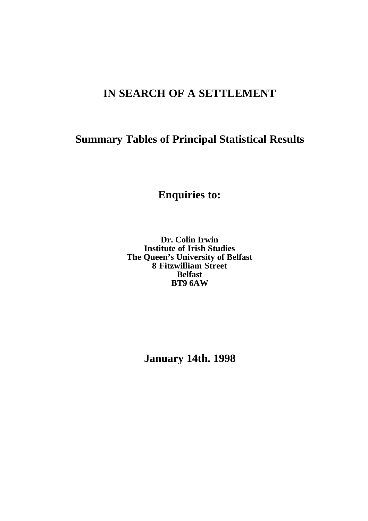# **IN SEARCH OF A SETTLEMENT**

# **Summary Tables of Principal Statistical Results**

**Enquiries to:**

**Dr. Colin Irwin Institute of Irish Studies The Queen's University of Belfast 8 Fitzwilliam Street Belfast BT9 6AW**

**January 14th. 1998**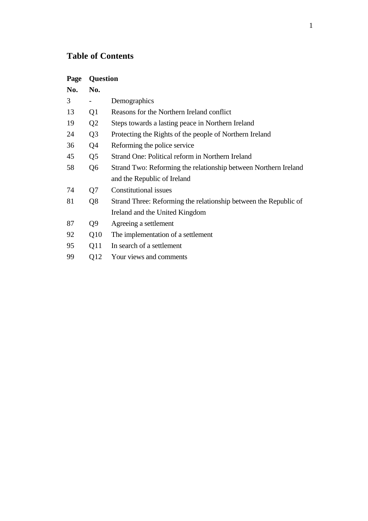# **Table of Contents**

| Page | <b>Question</b> |                                                                  |
|------|-----------------|------------------------------------------------------------------|
| No.  | No.             |                                                                  |
| 3    |                 | Demographics                                                     |
| 13   | Q1              | Reasons for the Northern Ireland conflict                        |
| 19   | Q <sub>2</sub>  | Steps towards a lasting peace in Northern Ireland                |
| 24   | Q <sub>3</sub>  | Protecting the Rights of the people of Northern Ireland          |
| 36   | Q4              | Reforming the police service                                     |
| 45   | Q5              | Strand One: Political reform in Northern Ireland                 |
| 58   | Q6              | Strand Two: Reforming the relationship between Northern Ireland  |
|      |                 | and the Republic of Ireland                                      |
| 74   | Q7              | <b>Constitutional issues</b>                                     |
| 81   | Q <sup>8</sup>  | Strand Three: Reforming the relationship between the Republic of |
|      |                 | Ireland and the United Kingdom                                   |
| 87   | Q9              | Agreeing a settlement                                            |
| 92   | Q10             | The implementation of a settlement                               |
| 95   | Q11             | In search of a settlement                                        |
| 99   | Q12             | Your views and comments                                          |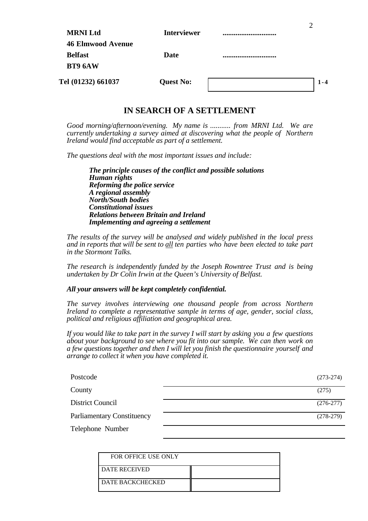| <b>MRNI Ltd</b>    | <b>Interviewer</b> |  |
|--------------------|--------------------|--|
| 46 Elmwood Avenue  |                    |  |
| <b>Belfast</b>     | Date               |  |
| BT9 6AW            |                    |  |
| Tel (01232) 661037 | <b>Quest No:</b>   |  |

 $\mathfrak{D}$ 

## **IN SEARCH OF A SETTLEMENT**

*Good morning/afternoon/evening. My name is ........... from MRNI Ltd. We are currently undertaking a survey aimed at discovering what the people of Northern Ireland would find acceptable as part of a settlement.*

*The questions deal with the most important issues and include:*

*The principle causes of the conflict and possible solutions Human rights Reforming the police service A regional assembly North/South bodies Constitutional issues Relations between Britain and Ireland Implementing and agreeing a settlement*

*The results of the survey will be analysed and widely published in the local press and in reports that will be sent to all ten parties who have been elected to take part in the Stormont Talks.*

*The research is independently funded by the Joseph Rowntree Trust and is being undertaken by Dr Colin Irwin at the Queen's University of Belfast.*

#### *All your answers will be kept completely confidential.*

*The survey involves interviewing one thousand people from across Northern Ireland to complete a representative sample in terms of age, gender, social class, political and religious affiliation and geographical area.*

*If you would like to take part in the survey I will start by asking you a few questions about your background to see where you fit into our sample. We can then work on a few questions together and then I will let you finish the questionnaire yourself and arrange to collect it when you have completed it.*

| Postcode                          | $(273-274)$ |
|-----------------------------------|-------------|
| County                            | (275)       |
| District Council                  | $(276-277)$ |
| <b>Parliamentary Constituency</b> | $(278-279)$ |
| Telephone Number                  |             |

| FOR OFFICE USE ONLY     |  |
|-------------------------|--|
| I DATE RECEIVED         |  |
| <b>DATE BACKCHECKED</b> |  |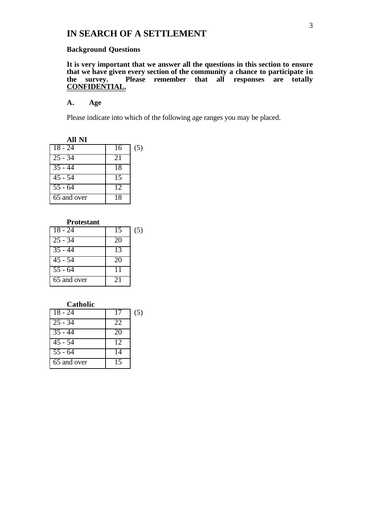## **IN SEARCH OF A SETTLEMENT**

#### **Background Questions**

**It is very important that we answer all the questions in this section to ensure that we have given every section of the community a chance to participate in the survey. Please remember that all responses are totally CONFIDENTIAL.**

#### **A. Age**

Please indicate into which of the following age ranges you may be placed.

| <b>All NI</b>        |    |     |
|----------------------|----|-----|
| $18 - 24$            | 16 | (5) |
| $25 - 34$            | 21 |     |
| $\overline{35} - 44$ | 18 |     |
| $\overline{45 - 54}$ | 15 |     |
| $\overline{55 - 64}$ | 12 |     |
| 65 and over          | 18 |     |

#### **Protestant**

| $18 - 24$            | 15 | (5) |
|----------------------|----|-----|
| $\overline{2}5 - 34$ | 20 |     |
| $\overline{35} - 44$ | 13 |     |
| $\overline{45}$ - 54 | 20 |     |
| $\overline{55} - 64$ | 11 |     |
| 65 and over          | 21 |     |

#### **Catholic**

| $18 - 24$            | 17              | (5) |
|----------------------|-----------------|-----|
| $25 - 34$            | 22.             |     |
| $\overline{35} - 44$ | 20              |     |
| $\overline{45}$ - 54 | $1\overline{2}$ |     |
| $\overline{55} - 64$ | 14              |     |
| 65 and over          | 15              |     |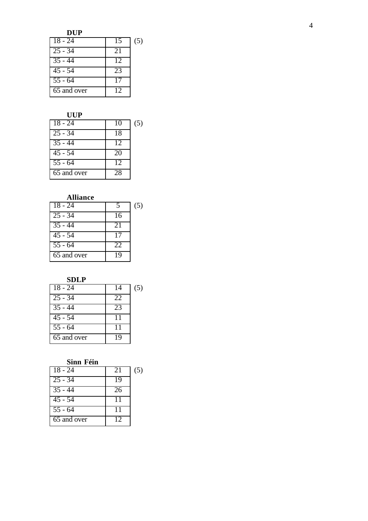| $18 - 24$   | 15 | (5) |
|-------------|----|-----|
| $25 - 34$   | 21 |     |
| $35 - 44$   | 12 |     |
| $45 - 54$   | 23 |     |
| $55 - 64$   |    |     |
| 65 and over | 12 |     |

## **UUP**

| $18 - 24$            | 10 | (5) |
|----------------------|----|-----|
| $\overline{25} - 34$ | 18 |     |
| $35 - 44$            | 12 |     |
| $\overline{45}$ - 54 | 20 |     |
| $\overline{55}$ - 64 | 12 |     |
| 65 and over          | 28 |     |

# **Alliance**

| $18 - 24$            |    | (5) |
|----------------------|----|-----|
| $\overline{25}$ - 34 | 16 |     |
| $\overline{35} - 44$ | 21 |     |
| $45 - 54$            | 17 |     |
| $55 - 64$            | 22 |     |
| 65 and over          | 19 |     |

## **SDLP**

| $18 - 24$            | 14 | (5) |
|----------------------|----|-----|
| $25 - 34$            | 22 |     |
| $35 - 44$            | 23 |     |
| $45 - 54$            | 11 |     |
| $\overline{55}$ - 64 | 11 |     |
| 65 and over          | 19 |     |

## **Sinn Féin**

| $18 - 24$            | 21 | (5) |
|----------------------|----|-----|
| $25 - 34$            | 19 |     |
| $\overline{35} - 44$ | 26 |     |
| $\overline{45}$ - 54 | 11 |     |
| $55 - 64$            | 11 |     |
| 65 and over          | 12 |     |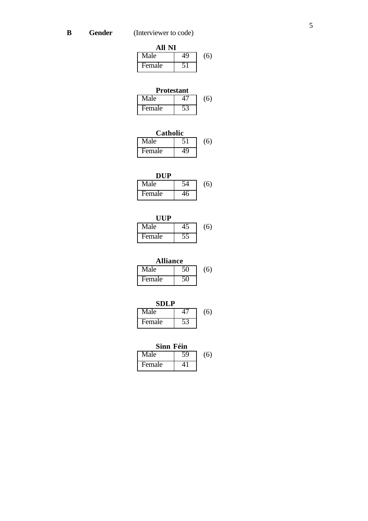| All NI |    |     |
|--------|----|-----|
| Male   | 49 | (6) |
| Female |    |     |

## **Protestant**

| Male   | (6) |
|--------|-----|
| Female |     |

| Catholic |     |
|----------|-----|
| Male     | (6) |
| Female   |     |

| Male   | (6) |
|--------|-----|
| Female |     |

| <b>IIIP</b> |     |
|-------------|-----|
| Male        | (6) |
| Female      |     |

| <b>Alliance</b> |     |
|-----------------|-----|
| Male            | (6) |
| Female          |     |

| <b>SDLP</b> |     |
|-------------|-----|
| Male        | (6) |
| Female      |     |

| Sinn Féin |  |     |
|-----------|--|-----|
| Male      |  | (6) |
| Female    |  |     |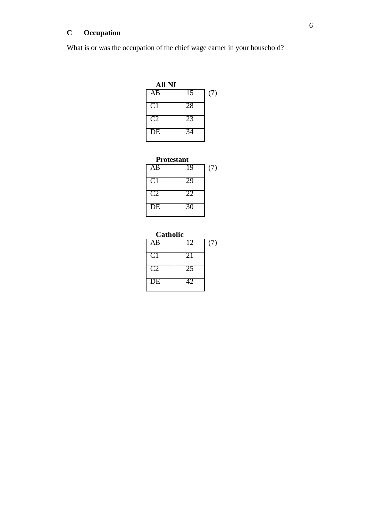# **C Occupation**

 $\overline{a}$ 

What is or was the occupation of the chief wage earner in your household?

| All NI         |                 |     |
|----------------|-----------------|-----|
| AB             | $\overline{15}$ | (7) |
| C <sub>1</sub> | 28              |     |
| C2             | 23              |     |
| DE             | 34              |     |

| <b>Protestant</b> |  |
|-------------------|--|
|-------------------|--|

| AB             | 19 | (7) |
|----------------|----|-----|
| C <sub>1</sub> | 29 |     |
| C <sub>2</sub> | 22 |     |
| DE             | 30 |     |

| Catholic        |                 |     |
|-----------------|-----------------|-----|
| AB              | $\overline{1}2$ | (7) |
| C <sub>1</sub>  | 21              |     |
| C2              | 25              |     |
| $\overline{DE}$ | 42.             |     |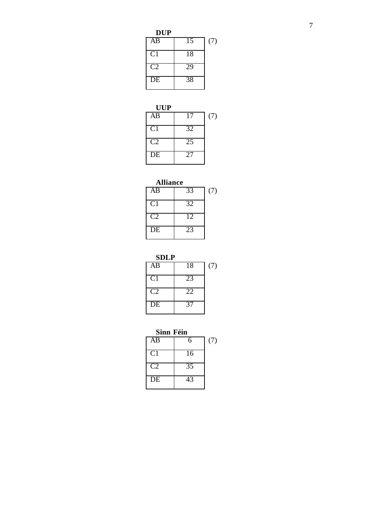| <b>UUP</b>      |                 |     |
|-----------------|-----------------|-----|
| $\overline{AB}$ | 17              | (7) |
| C <sub>1</sub>  | 32              |     |
| C <sub>2</sub>  | $\overline{25}$ |     |
| $\overline{DE}$ | 27              |     |

# **Alliance** AB 33 (7)

| CT     | 32 |  |
|--------|----|--|
| ( '' ) | 12 |  |
| DE     |    |  |

**SDLP**

| ovu             |                 |     |
|-----------------|-----------------|-----|
| AB              | 18              | (7) |
| C <sub>1</sub>  | 23              |     |
| C <sub>2</sub>  | $2\overline{2}$ |     |
| $\overline{DE}$ | 37              |     |

**Sinn Féin**

| AB              | 6               | (7) |
|-----------------|-----------------|-----|
| C <sub>1</sub>  | 16              |     |
| C <sub>2</sub>  | $\overline{35}$ |     |
| $\overline{DE}$ | 43              |     |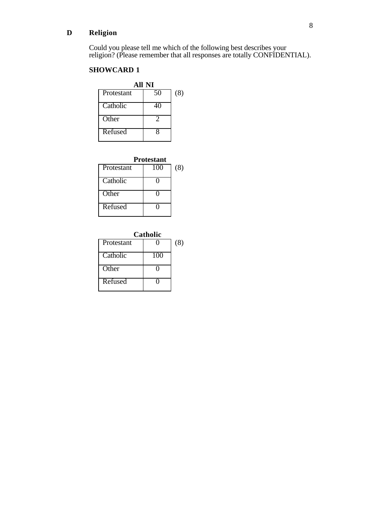## **D Religion**

Could you please tell me which of the following best describes your religion? (Please remember that all responses are totally CONFIDENTIAL).

## **SHOWCARD 1**

| All NI     |               |     |  |
|------------|---------------|-----|--|
| Protestant | 50            | (8) |  |
| Catholic   |               |     |  |
| Other      | $\mathcal{D}$ |     |  |
| Refused    | 8             |     |  |

| <b>Protestant</b> |     |     |
|-------------------|-----|-----|
| Protestant        | 100 | (8) |
| Catholic          |     |     |
| Other             |     |     |
| Refused           |     |     |

| Catholic   |     |     |
|------------|-----|-----|
| Protestant |     | (8) |
| Catholic   | 100 |     |
| Other      |     |     |
| Refused    |     |     |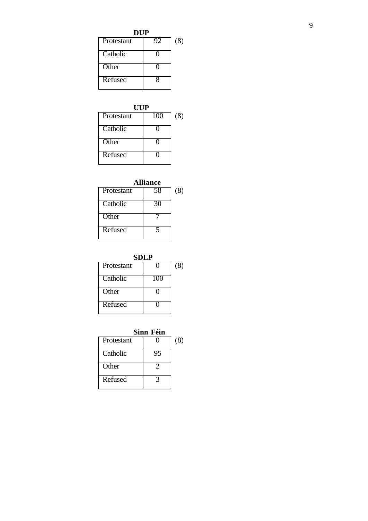**DUP**

| UF         |    |     |  |
|------------|----|-----|--|
| Protestant | 92 | (8) |  |
| Catholic   |    |     |  |
| Other      |    |     |  |
| Refused    |    |     |  |

| UUP        |     |     |  |
|------------|-----|-----|--|
| Protestant | 100 | (8) |  |
| Catholic   |     |     |  |
| Other      |     |     |  |
| Refused    |     |     |  |

| <b>Alliance</b> |    |     |  |
|-----------------|----|-----|--|
| Protestant      | 58 | (8) |  |
| Catholic        | 30 |     |  |
| Other           |    |     |  |
| Refused         | 5  |     |  |

|                   | SDLP |     |
|-------------------|------|-----|
| <b>Protestant</b> |      | (8) |
| Catholic          | 100  |     |
| Other             | 0    |     |
| Refused           |      |     |

|            | Sinn Féin |     |
|------------|-----------|-----|
| Protestant |           | (8) |
| Catholic   | 95        |     |
| Other      |           |     |
| Refused    |           |     |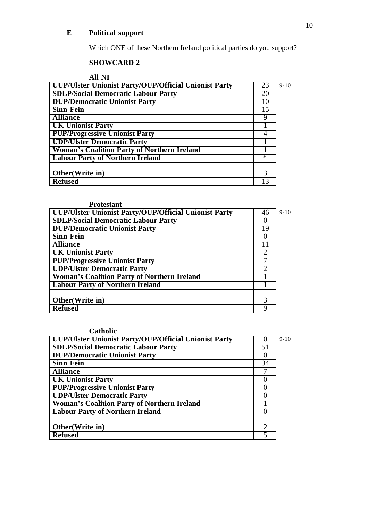## **E Political support**

Which ONE of these Northern Ireland political parties do you support?

## **SHOWCARD 2**

**All NI**

| UUP/Ulster Unionist Party/OUP/Official Unionist Party | 23     | $9 - 10$ |
|-------------------------------------------------------|--------|----------|
| <b>SDLP/Social Democratic Labour Party</b>            | 20     |          |
| <b>DUP/Democratic Unionist Party</b>                  | 10     |          |
| <b>Sinn Fein</b>                                      | 15     |          |
| <b>Alliance</b>                                       |        |          |
| <b>UK Unionist Party</b>                              |        |          |
| <b>PUP/Progressive Unionist Party</b>                 |        |          |
| <b>UDP/Ulster Democratic Party</b>                    |        |          |
| <b>Woman's Coalition Party of Northern Ireland</b>    |        |          |
| <b>Labour Party of Northern Ireland</b>               | $\ast$ |          |
|                                                       |        |          |
| Other (Write in)                                      | 3      |          |
| <b>Refused</b>                                        |        |          |

## **Protestant**

| <b>UUP/Ulster Unionist Party/OUP/Official Unionist Party</b> | 46 | $9 - 10$ |
|--------------------------------------------------------------|----|----------|
| <b>SDLP/Social Democratic Labour Party</b>                   |    |          |
| <b>DUP/Democratic Unionist Party</b>                         | 19 |          |
| <b>Sinn Fein</b>                                             |    |          |
| <b>Alliance</b>                                              |    |          |
| <b>UK Unionist Party</b>                                     |    |          |
| <b>PUP/Progressive Unionist Party</b>                        |    |          |
| <b>UDP/Ulster Democratic Party</b>                           |    |          |
| <b>Woman's Coalition Party of Northern Ireland</b>           |    |          |
| <b>Labour Party of Northern Ireland</b>                      |    |          |
|                                                              |    |          |
| Other(Write in)                                              | 3  |          |
| <b>Refused</b>                                               | Q  |          |

| Catholic                                              |                             |          |
|-------------------------------------------------------|-----------------------------|----------|
| UUP/Ulster Unionist Party/OUP/Official Unionist Party |                             | $9 - 10$ |
| <b>SDLP/Social Democratic Labour Party</b>            | 51                          |          |
| <b>DUP/Democratic Unionist Party</b>                  | O                           |          |
| <b>Sinn Fein</b>                                      | 34                          |          |
| <b>Alliance</b>                                       |                             |          |
| <b>UK Unionist Party</b>                              | O                           |          |
| <b>PUP/Progressive Unionist Party</b>                 | O                           |          |
| <b>UDP/Ulster Democratic Party</b>                    | 0                           |          |
| <b>Woman's Coalition Party of Northern Ireland</b>    |                             |          |
| <b>Labour Party of Northern Ireland</b>               | $\theta$                    |          |
|                                                       |                             |          |
| Other(Write in)                                       | $\mathcal{D}_{\mathcal{L}}$ |          |
| <b>Refused</b>                                        |                             |          |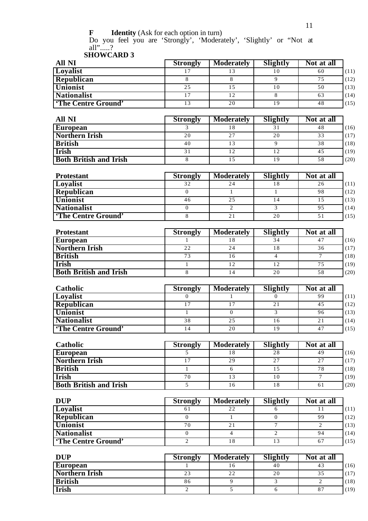**F Identity** (Ask for each option in turn)

Do you feel you are 'Strongly', 'Moderately', 'Slightly' or "Not at all".....? **SHOWCARD 3**

| All NI                    | <b>Strongly</b> | <b>Moderately</b> | Slightly | Not at all |      |
|---------------------------|-----------------|-------------------|----------|------------|------|
| Loyalist                  |                 |                   |          | 60         | (11) |
| Republican                |                 |                   |          | 75         | (12) |
| <b>Unionist</b>           | 25              |                   | 10       | 50         | (13) |
| <b>Nationalist</b>        |                 | 12                |          | 63         | (14) |
| <b>The Centre Ground'</b> | 12              | 20                | 19       | 48         | (15) |

| All NI                        | <b>Strongly</b> | <b>Moderately</b> | Slightly | Not at all |      |
|-------------------------------|-----------------|-------------------|----------|------------|------|
| <b>European</b>               |                 | 18                |          | 48         | (16) |
| <b>Northern Irish</b>         | 20              | 27                | 20       | 33         | (17) |
| <b>British</b>                | 40              | 13                |          | 38         | (18) |
| <b>Irish</b>                  |                 | 12                |          | 45         | (19) |
| <b>Both British and Irish</b> |                 |                   | 19       | 58         | (20) |

| <b>Protestant</b>         | <b>Strongly</b> | <b>Moderately</b> | Slightly | Not at all |      |
|---------------------------|-----------------|-------------------|----------|------------|------|
| <b>Loyalist</b>           | 32              | 24                |          | 26         | (11) |
| Republican                |                 |                   |          | 98         | (12) |
| <b>Unionist</b>           | 46              | 25                |          |            | (13) |
| <b>Nationalist</b>        |                 |                   |          | 95         | (14) |
| <b>The Centre Ground'</b> |                 | 21                | 20       | 51         | (15) |

| <b>Protestant</b>             | <b>Strongly</b> | <b>Moderately</b> | Slightly | Not at all |      |
|-------------------------------|-----------------|-------------------|----------|------------|------|
| <b>European</b>               |                 |                   | 34       | 47         | (16) |
| Northern Irish                | 22              | 24                | 18       | 36         | (17) |
| <b>British</b>                | 73              | 16                |          |            | (18) |
| <b>Irish</b>                  |                 | 12                | 12       | 75         | (19) |
| <b>Both British and Irish</b> |                 |                   | 20       | 58         | (20) |

| <b>Catholic</b>           | <b>Strongly</b> | <b>Moderately</b> | Slightly | Not at all |      |
|---------------------------|-----------------|-------------------|----------|------------|------|
| Loyalist                  |                 |                   |          | 99         | (11) |
| Republican                |                 |                   |          | 45         | (12) |
| <b>Unionist</b>           |                 |                   |          | 96         | (13) |
| <b>Nationalist</b>        | 38              | 25                | 16       | 21         | (14) |
| <b>The Centre Ground'</b> | 14              | 20                | 19       | 47         | (15) |

| <b>Catholic</b>               | <b>Strongly</b> | <b>Moderately</b> | Slightly | Not at all |      |
|-------------------------------|-----------------|-------------------|----------|------------|------|
| <b>European</b>               |                 | 18                | 28       | 49         | (16) |
| <b>Northern Irish</b>         |                 | 29                | 27       | 27         | (17) |
| <b>British</b>                |                 |                   |          | 78         | (18) |
| <b>Irish</b>                  | 70              | 13                | 10       |            | (19) |
| <b>Both British and Irish</b> |                 | 16                |          | 61         | (20) |

| <b>DUP</b>                | <b>Strongly</b> | <b>Moderately</b> | Slightly | Not at all |      |
|---------------------------|-----------------|-------------------|----------|------------|------|
| <b>Loyalist</b>           | ΟI              | 22                |          |            | (11) |
| Republican                |                 |                   |          | 99         | (12) |
| <b>Unionist</b>           | 70              | 21                |          |            | (13) |
| <b>Nationalist</b>        |                 |                   |          | 94         | (14) |
| <b>The Centre Ground'</b> |                 | 18                |          | 67         | (15) |

| DUP                   | <b>Strongly</b> | <b>Moderately</b> | Slightly | Not at all |      |
|-----------------------|-----------------|-------------------|----------|------------|------|
| <b>European</b>       |                 | 10                | 40       | 43         | (16) |
| <b>Northern Irish</b> | 23              | 22                | 20       | 35         | (17) |
| <b>British</b>        | 86              |                   |          |            | (18) |
| <b>Irish</b>          |                 |                   |          | 87         | (19) |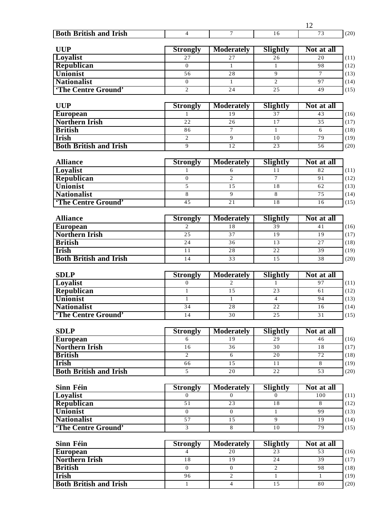|                               |                                   |                                      |                 | 12                            |      |
|-------------------------------|-----------------------------------|--------------------------------------|-----------------|-------------------------------|------|
| <b>Both British and Irish</b> | $\overline{4}$                    | $\tau$                               | 16              | 73                            | (20) |
|                               |                                   |                                      |                 |                               |      |
| <b>UUP</b><br>Loyalist        | <b>Strongly</b><br>27             | <b>Moderately</b><br>$\overline{27}$ | Slightly<br>26  | Not at all<br>$\overline{20}$ | (11) |
| Republican                    | $\mathbf{0}$                      | $\mathbf{1}$                         | $\mathbf{1}$    | 98                            | (12) |
| <b>Unionist</b>               | 56                                | 28                                   | $\overline{9}$  | $\tau$                        | (13) |
| <b>Nationalist</b>            | $\overline{0}$                    | $\mathbf{1}$                         | $\overline{2}$  | 97                            | (14) |
| 'The Centre Ground'           | $\overline{2}$                    | 24                                   | 25              | 49                            | (15) |
|                               |                                   |                                      |                 |                               |      |
| <b>UUP</b>                    | <b>Strongly</b>                   | <b>Moderately</b>                    | Slightly        | Not at all                    |      |
| <b>European</b>               | 1                                 | 19                                   | 37              | 43                            | (16) |
| <b>Northern Irish</b>         | 22                                | 26                                   | $\overline{17}$ | 35                            | (17) |
| <b>British</b>                | 86                                | $\overline{7}$                       | $\mathbf{1}$    | 6                             | (18) |
| <b>Irish</b>                  | $\overline{2}$                    | $\overline{9}$                       | $\overline{10}$ | 79                            | (19) |
| <b>Both British and Irish</b> | 9                                 | 12                                   | $\overline{23}$ | 56                            | (20) |
|                               |                                   |                                      |                 |                               |      |
| <b>Alliance</b>               | Strongly                          | <b>Moderately</b>                    | Slightly        | Not at all                    |      |
| <b>Loyalist</b>               | 1                                 | 6                                    | 11              | 82                            | (11) |
| Republican                    | $\boldsymbol{0}$                  | $\overline{c}$                       | $\overline{7}$  | 91                            | (12) |
| <b>Unionist</b>               | 5                                 | 15                                   | $\overline{18}$ | 62                            | (13) |
| <b>Nationalist</b>            | 8                                 | 9                                    | 8               | $\overline{75}$               | (14) |
| 'The Centre Ground'           | 45                                | 21                                   | 18              | 16                            | (15) |
| <b>Alliance</b>               |                                   | <b>Moderately</b>                    | Slightly        | Not at all                    |      |
| <b>European</b>               | <b>Strongly</b><br>$\overline{2}$ | 18                                   | 39              | 41                            | (16) |
| <b>Northern Irish</b>         | 25                                | $\overline{37}$                      | 19              | 19                            | (17) |
| <b>British</b>                | 24                                | 36                                   | 13              | 27                            | (18) |
| <b>Irish</b>                  | $\overline{11}$                   | 28                                   | $\overline{22}$ | 39                            | (19) |
| <b>Both British and Irish</b> | 14                                | 33                                   | 15              | 38                            | (20) |
|                               |                                   |                                      |                 |                               |      |
| <b>SDLP</b>                   | <b>Strongly</b>                   | <b>Moderately</b>                    | Slightly        | Not at all                    |      |
| Loyalist                      | $\overline{0}$                    | $\overline{2}$                       | $\mathbf{1}$    | 97                            | (11) |
| Republican                    | $\mathbf{1}$                      | 15                                   | $\overline{23}$ | 61                            | (12) |
| Unionist                      | $\overline{1}$                    | $\overline{1}$                       | $\overline{4}$  | 94                            | (13) |
| <b>Nationalist</b>            | 34                                | 28                                   | 22              | 16                            | (14) |
| 'The Centre Ground'           | 14                                | 30                                   | 25              | 31                            | (15) |
|                               |                                   |                                      |                 |                               |      |
| <b>SDLP</b>                   | <b>Strongly</b>                   | <b>Moderately</b>                    | Slightly        | Not at all                    |      |
| <b>European</b>               | 6                                 | 19                                   | 29              | 46                            | (16) |
| <b>Northern Irish</b>         | $\overline{16}$                   | 36                                   | $\overline{30}$ | $\overline{18}$               | (17) |
| <b>British</b>                | $\overline{2}$                    | 6                                    | 20              | 72                            | (18) |
| <b>Irish</b>                  | 66<br>$\overline{5}$              | 15                                   | 11<br>22        | 8<br>$\overline{53}$          | (19) |
| <b>Both British and Irish</b> |                                   | $\overline{20}$                      |                 |                               | (20) |
| Sinn Féin                     | <b>Strongly</b>                   | <b>Moderately</b>                    | Slightly        | Not at all                    |      |
| Loyalist                      | $\mathbf{0}$                      | $\mathbf{0}$                         | $\overline{0}$  | 100                           | (11) |
| Republican                    | 51                                | 23                                   | 18              | 8                             | (12) |
| <b>Unionist</b>               | $\overline{0}$                    | $\overline{0}$                       | $\mathbf{1}$    | 99                            | (13) |
| <b>Nationalist</b>            | 57                                | 15                                   | $\overline{9}$  | 19                            | (14) |
| 'The Centre Ground'           | $\overline{3}$                    | $\overline{8}$                       | 10              | 79                            | (15) |
|                               |                                   |                                      |                 |                               |      |
| Sinn Féin                     | <b>Strongly</b>                   | <b>Moderately</b>                    | Slightly        | Not at all                    |      |
| <b>European</b>               | $\overline{4}$                    | 20                                   | 23              | 53                            | (16) |
| <b>Northern Irish</b>         | $\overline{18}$                   | 19                                   | $\overline{24}$ | 39                            | (17) |
| <b>British</b>                | $\overline{0}$                    | $\boldsymbol{0}$                     | $\overline{2}$  | 98                            | (18) |
| <b>Irish</b>                  | 96                                | $\overline{2}$                       | $\overline{1}$  | $\mathbf{1}$                  | (19) |
| <b>Both British and Irish</b> | $\overline{1}$                    | $\overline{4}$                       | 15              | 80                            | (20) |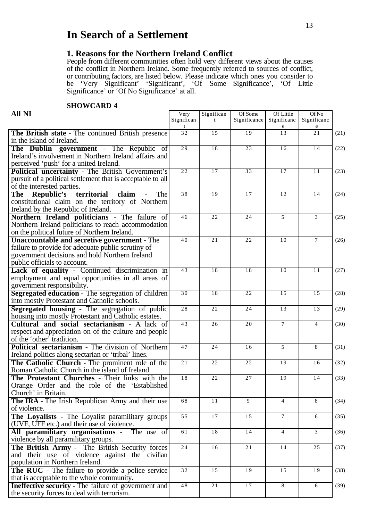# **In Search of a Settlement**

## **1. Reasons for the Northern Ireland Conflict**

People from different communities often hold very different views about the causes of the conflict in Northern Ireland. Some frequently referred to sources of conflict, or contributing factors, are listed below. Please indicate which ones you consider to be 'Very Significant' 'Significant', 'Of Some Significance', 'Of Little Significance' or 'Of No Significance' at all.

### **SHOWCARD 4**

| <b>All NI</b>                                                                                                                                                                               | Very<br>Significan | Significan<br>$\mathbf{f}$ | Of Some<br>Significance | Of Little<br>Significanc | Of No<br>Significanc |      |
|---------------------------------------------------------------------------------------------------------------------------------------------------------------------------------------------|--------------------|----------------------------|-------------------------|--------------------------|----------------------|------|
| The British state - The continued British presence<br>in the island of Ireland.                                                                                                             | 32                 | 15                         | 19                      | 13                       | 21                   | (21) |
| The Dublin government - The Republic of<br>Ireland's involvement in Northern Ireland affairs and<br>perceived 'push' for a united Ireland.                                                  | $\overline{29}$    | 18                         | 23                      | 16                       | 14                   | (22) |
| Political uncertainty - The British Government's<br>pursuit of a political settlement that is acceptable to all<br>of the interested parties.                                               | 22                 | 17                         | 33                      | 17                       | 11                   | (23) |
| territorial<br>The Republic's<br>claim<br>The<br>constitutional claim on the territory of Northern<br>Ireland by the Republic of Ireland.                                                   | 38                 | 19                         | 17                      | 12                       | 14                   | (24) |
| Northern Ireland politicians - The failure of<br>Northern Ireland politicians to reach accommodation<br>on the political future of Northern Ireland.                                        | 46                 | 22                         | 24                      | 5                        | 3                    | (25) |
| <b>Unaccountable and secretive government - The</b><br>failure to provide for adequate public scrutiny of<br>government decisions and hold Northern Ireland<br>public officials to account. | 40                 | 21                         | 22                      | 10                       | $\tau$               | (26) |
| Lack of equality - Continued discrimination in<br>employment and equal opportunities in all areas of<br>government responsibility.                                                          | 43                 | 18                         | 18                      | 10                       | 11                   | (27) |
| Segregated education - The segregation of children<br>into mostly Protestant and Catholic schools.                                                                                          | 30                 | 18                         | 22                      | 15                       | 15                   | (28) |
| <b>Segregated housing - The segregation of public</b><br>housing into mostly Protestant and Catholic estates.                                                                               | 28                 | 22                         | 24                      | 13                       | 13                   | (29) |
| Cultural and social sectarianism - A lack of<br>respect and appreciation on of the culture and people<br>of the 'other' tradition.                                                          | 43                 | 26                         | 20                      | $7\overline{ }$          | $\overline{4}$       | (30) |
| <b>Political sectarianism - The division of Northern</b><br>Ireland politics along sectarian or 'tribal' lines.                                                                             | 47                 | 24                         | 16                      | 5                        | 8                    | (31) |
| The Catholic Church - The prominent role of the<br>Roman Catholic Church in the island of Ireland.                                                                                          | 21                 | 22                         | 22                      | 19                       | 16                   | (32) |
| The Protestant Churches - Their links with the<br>Orange Order and the role of the 'Established<br>Church' in Britain.                                                                      | 18                 | 22                         | 27                      | 19                       | 14                   | (33) |
| <b>The IRA</b> - The Irish Republican Army and their use<br>of violence.                                                                                                                    | 68                 | 11                         | 9                       | $\overline{4}$           | 8                    | (34) |
| The Loyalists - The Loyalist paramilitary groups<br>(UVF, UFF etc.) and their use of violence.                                                                                              | $\overline{55}$    | 17                         | 15                      | $7\overline{ }$          | 6                    | (35) |
| All paramilitary organisations - The use of<br>violence by all paramilitary groups.                                                                                                         | 61                 | $\overline{18}$            | 14                      | $\overline{4}$           | 3                    | (36) |
| The British Army - The British Security forces<br>and their use of violence against the civilian<br>population in Northern Ireland.                                                         | 24                 | 16                         | 21                      | 14                       | 25                   | (37) |
| The RUC - The failure to provide a police service<br>that is acceptable to the whole community.                                                                                             | 32                 | 15                         | 19                      | 15                       | 19                   | (38) |
| <b>Ineffective security - The failure of government and</b><br>the security forces to deal with terrorism.                                                                                  | 48                 | 21                         | 17                      | 8                        | 6                    | (39) |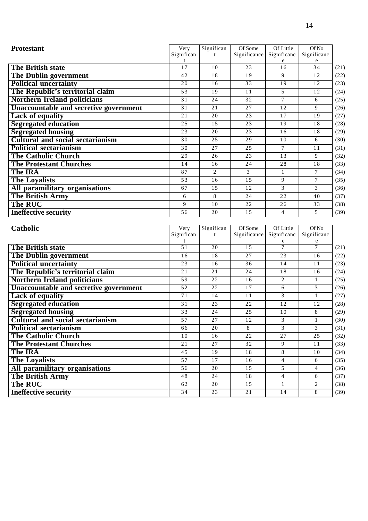| <b>Protestant</b>                             | Very               | Significan      | Of Some                 | Of Little                | Of No                |              |
|-----------------------------------------------|--------------------|-----------------|-------------------------|--------------------------|----------------------|--------------|
|                                               | Significan         | t               | Significance            | Significanc              | Significanc          |              |
| <b>The British state</b>                      | t<br>17            | 10              | 23                      | e<br>16                  | 34                   | (21)         |
| <b>The Dublin government</b>                  | 42                 | 18              | 19                      | 9                        | 12                   | (22)         |
| <b>Political uncertainty</b>                  | 20                 | 16              | 33                      | 19                       | 12                   | (23)         |
| The Republic's territorial claim              | $\overline{53}$    | $\overline{19}$ | 11                      | 5                        | 12                   | (24)         |
| <b>Northern Ireland politicians</b>           | 31                 | 24              | 32                      | $\overline{7}$           | 6                    | (25)         |
|                                               |                    | 21              | 27                      |                          |                      |              |
| <b>Unaccountable and secretive government</b> | 31                 |                 |                         | 12                       | 9                    | (26)         |
| <b>Lack of equality</b>                       | 21                 | $\overline{20}$ | 23                      | 17                       | 19                   | (27)         |
| <b>Segregated education</b>                   | 25                 | 15              | 23                      | 19                       | 18                   | (28)         |
| <b>Segregated housing</b>                     | 23                 | 20              | 23                      | 16                       | 18                   | (29)         |
| <b>Cultural and social sectarianism</b>       | 30                 | $\overline{25}$ | $\overline{29}$         | 10                       | 6                    | (30)         |
| <b>Political sectarianism</b>                 | 30                 | 27              | 25                      | $\overline{7}$           | 11                   | (31)         |
| <b>The Catholic Church</b>                    | 29                 | 26              | 23                      | 13                       | 9                    | (32)         |
| <b>The Protestant Churches</b>                | 14                 | 16              | 24                      | 28                       | 18                   | (33)         |
| <b>The IRA</b>                                | 87                 | 2               | 3                       | $\mathbf{1}$             | $\tau$               | (34)         |
| <b>The Loyalists</b>                          | $\overline{53}$    | 16              | 15                      | 9                        | $\overline{7}$       | (35)         |
| All paramilitary organisations                | 67                 | $\overline{15}$ | 12                      | 3                        | 3                    | (36)         |
| The British Army                              | 6                  | 8               | 24                      | 22                       | 40                   | (37)         |
| <b>The RUC</b>                                | 9                  | 10              | 22                      | 26                       | 33                   | (38)         |
| <b>Ineffective security</b>                   | 56                 | 20              | 15                      | $\overline{4}$           | 5                    | (39)         |
|                                               |                    |                 |                         |                          |                      |              |
| Catholic                                      | Very<br>Significan | Significan<br>t | Of Some<br>Significance | Of Little<br>Significanc | Of No<br>Significanc |              |
|                                               |                    |                 |                         | e                        |                      |              |
| The British state                             | 51                 | 20              | 15                      | $\overline{7}$           | 7                    | (21)         |
| <b>The Dublin government</b>                  | 16                 | 18              | 27                      | 23                       | 16                   | (22)         |
| <b>Political uncertainty</b>                  | 23                 | 16              | 36                      | 14                       | 11                   | (23)         |
| The Republic's territorial claim              | 21                 | 21              | 24                      | 18                       | 16                   | (24)         |
| <b>Northern Ireland politicians</b>           | 59                 | 22              | 16                      | 2                        | $\mathbf{1}$         | (25)         |
| Unaccountable and secretive government        | 52                 | 22              | 17                      | 6                        | 3                    | (26)         |
| <b>Lack of equality</b>                       | 71                 | $\overline{14}$ | 11                      | 3                        | $\mathbf{1}$         | (27)         |
| <b>Segregated education</b>                   | 31                 | 23              | 22                      | 12                       | 12                   | (28)         |
| <b>Segregated housing</b>                     | 33                 |                 |                         |                          | 8                    | (29)         |
|                                               |                    | 24              | 25                      | 10                       |                      |              |
| <b>Cultural and social sectarianism</b>       | 57                 | $\overline{27}$ | $\overline{12}$         | 3                        | $\mathbf{1}$         |              |
| <b>Political sectarianism</b>                 | 66                 | $\overline{20}$ | 8                       | 3                        | 3                    | (30)<br>(31) |
| <b>The Catholic Church</b>                    | 10                 | 16              | 22                      | 27                       | $\overline{25}$      | (32)         |
| <b>The Protestant Churches</b>                | $2\sqrt{1}$        | $\overline{27}$ | $\overline{32}$         | $\overline{9}$           | $1\,1$               | (33)         |
| <b>The IRA</b>                                | 45                 | 19              | $1\,8$                  | $8\,$                    | 10                   | (34)         |
|                                               | 57                 | 17              | 16                      | $\overline{4}$           | 6                    | (35)         |
| <b>The Loyalists</b>                          | $\overline{56}$    | 20              | 15                      | $\overline{5}$           | $\overline{4}$       | (36)         |
| All paramilitary organisations                | 48                 | 24              | 18                      | $\overline{4}$           | 6                    | (37)         |
| <b>The British Army</b><br><b>The RUC</b>     | 62                 | $\overline{20}$ | $\overline{15}$         | 1                        | $\overline{c}$       | (38)         |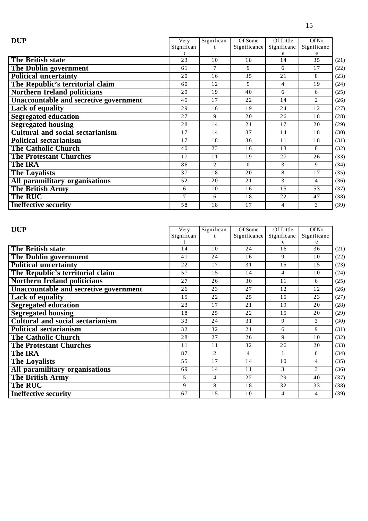| Very       | Significan                    | Of Some  | Of Little      | Of No              |      |
|------------|-------------------------------|----------|----------------|--------------------|------|
| Significan |                               |          | Significanc    | Significanc        |      |
|            |                               |          |                |                    |      |
|            |                               |          |                |                    | (21) |
| 61         | $\tau$                        | 9        | 6              | 17                 | (22) |
| 20         | 16                            | 35       | 21             | 8                  | (23) |
| 60         | 12                            | 5        | 4              | 19                 | (24) |
| 29         | 19                            | 40       | 6              | 6                  | (25) |
| 4.5        | 17                            | 22       | 14             | 2                  | (26) |
| 29         | 16                            | 19       | 24             | 12                 | (27) |
| 27         | 9                             | 20       | 26             | 18                 | (28) |
| 28         | 14                            | 21       | 17             | 20                 | (29) |
| 17         | 14                            | 37       | 14             | 18                 | (30) |
| 17         | 18                            | 36       | 11             | 18                 | (31) |
| 40         | 23                            | 16       | 13             | 8                  | (32) |
| 17         | 11                            | 19       | 27             | 26                 | (33) |
| 86         | $\mathfrak{D}_{\mathfrak{p}}$ | $\Omega$ | 3              | 9                  | (34) |
| 37         | 18                            | 20       | 8              | 17                 | (35) |
| 52         | 20                            | 21       | 3              | 4                  | (36) |
| 6          | 10                            | 16       | 15             | 53                 | (37) |
| 7          | 6                             | 18       | 22             | 47                 | (38) |
| 58         | 18                            | 17       | $\overline{4}$ | 3                  | (39) |
|            | 23                            | 10       | 18             | Significance<br>14 | 35   |

| <b>UUP</b>                              | Very       | Significan     | Of Some      | Of Little      | Of No       |      |
|-----------------------------------------|------------|----------------|--------------|----------------|-------------|------|
|                                         | Significan |                | Significance | Significanc    | Significanc |      |
|                                         |            |                |              |                |             |      |
| <b>The British state</b>                | 14         | 10             | 24           | 16             | 36          | (21) |
| The Dublin government                   | 41         | 24             | 16           | 9              | 10          | (22) |
| <b>Political uncertainty</b>            | 22         | 17             | 31           | 15             | 15          | (23) |
| The Republic's territorial claim        | 57         | 1.5            | 14           | $\overline{4}$ | 10          | (24) |
| <b>Northern Ireland politicians</b>     | 27         | 26             | 30           | 11             | 6           | (25) |
| Unaccountable and secretive government  | 26         | 23             | 27           | 12             | 12          | (26) |
| <b>Lack of equality</b>                 | 15         | 22             | 2.5          | 15             | 23          | (27) |
| <b>Segregated education</b>             | 23         | 17             | 21           | 19             | 20          | (28) |
| <b>Segregated housing</b>               | 18         | 25             | 22           | 15             | 20          | (29) |
| <b>Cultural and social sectarianism</b> | 33         | 24             | 31           | 9              | 3           | (30) |
| <b>Political sectarianism</b>           | 32         | 32             | 21           | 6              | 9           | (31) |
| <b>The Catholic Church</b>              | 28         | 27             | 26           | 9              | 10          | (32) |
| <b>The Protestant Churches</b>          | 11         | 11             | 32           | 26             | 20          | (33) |
| <b>The IRA</b>                          | 87         | 2              | 4            |                | 6           | (34) |
| <b>The Loyalists</b>                    | 55         | 17             | 14           | 10             | 4           | (35) |
| All paramilitary organisations          | 69         | 14             | 11           | 3              | 3           | (36) |
| <b>The British Army</b>                 | 5          | $\overline{4}$ | 22           | 29             | 40          | (37) |
| The RUC                                 | 9          | 8              | 18           | 32             | 33          | (38) |
| <b>Ineffective security</b>             | 67         | 15             | 10           | 4              | 4           | (39) |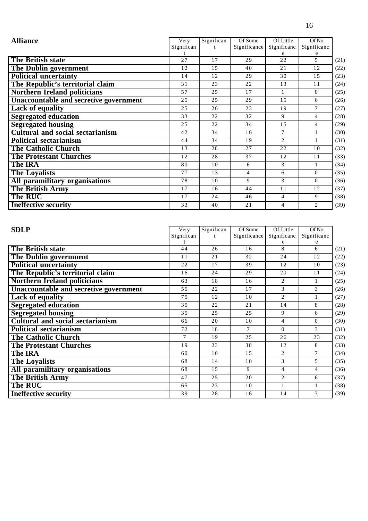| <b>Alliance</b>                         | Very       | Significan | Of Some      | Of Little                   | Of No          |      |
|-----------------------------------------|------------|------------|--------------|-----------------------------|----------------|------|
|                                         | Significan |            | Significance | Significanc                 | Significanc    |      |
|                                         |            |            |              |                             | e              |      |
| <b>The British state</b>                | 2.7        | 17         | 29           | 2.2.                        | $\overline{5}$ | (21) |
| <b>The Dublin government</b>            | 12         | 15         | 40           | 21                          | 12             | (22) |
| <b>Political uncertainty</b>            | 14         | 12         | 29           | 30                          | 15             | (23) |
| The Republic's territorial claim        | 31         | 23         | 22           | 13                          | 11             | (24) |
| <b>Northern Ireland politicians</b>     | 57         | 25         | 17           | $\mathbf{1}$                | $\Omega$       | (25) |
| Unaccountable and secretive government  | 25         | 25         | 29           | 1.5                         | 6              | (26) |
| <b>Lack of equality</b>                 | 25         | 26         | 23           | 19                          | 7              | (27) |
| <b>Segregated education</b>             | 33         | 22         | 32           | 9                           | 4              | (28) |
| <b>Segregated housing</b>               | 25         | 22         | 34           | 15                          | $\overline{4}$ | (29) |
| <b>Cultural and social sectarianism</b> | 42         | 34         | 16           | 7                           |                | (30) |
| <b>Political sectarianism</b>           | 44         | 34         | 19           | $\mathcal{D}_{\mathcal{L}}$ |                | (31) |
| <b>The Catholic Church</b>              | 13         | 28         | 27           | 22                          | 10             | (32) |
| <b>The Protestant Churches</b>          | 12         | 28         | 37           | 12                          | 11             | (33) |
| <b>The IRA</b>                          | 80         | 10         | 6            | 3                           | 1              | (34) |
| <b>The Loyalists</b>                    | 77         | 13         | 4            | 6                           | $\Omega$       | (35) |
| All paramilitary organisations          | 78         | 10         | 9            | 3                           | $\Omega$       | (36) |
| <b>The British Army</b>                 | 17         | 16         | 44           | 11                          | 12             | (37) |
| <b>The RUC</b>                          | 17         | 24         | 46           | $\overline{4}$              | 9              | (38) |
| <b>Ineffective security</b>             | 33         | 40         | 21           | 4                           | 2              | (39) |

| <b>SDLP</b>                                   | Very       | Significan | Of Some      | Of Little      | Of No          |      |
|-----------------------------------------------|------------|------------|--------------|----------------|----------------|------|
|                                               | Significan |            | Significance | Significanc    | Significanc    |      |
|                                               |            |            |              |                | e              |      |
| The British state                             | 44         | 26         | 16           | 8              | 6              | (21) |
| The Dublin government                         | 11         | 21         | 32           | 24             | 12             | (22) |
| <b>Political uncertainty</b>                  | 22         | 17         | 39           | 12             | 10             | (23) |
| The Republic's territorial claim              | 16         | 24         | 29           | 20             | 11             | (24) |
| <b>Northern Ireland politicians</b>           | 63         | 18         | 16           | $\overline{2}$ | 1              | (25) |
| <b>Unaccountable and secretive government</b> | 55         | 22         | 17           | 3              | 3              | (26) |
| <b>Lack of equality</b>                       | 75         | 12         | 10           | 2              |                | (27) |
| <b>Segregated education</b>                   | 35         | 22         | 21           | 14             | 8              | (28) |
| <b>Segregated housing</b>                     | 35         | 25         | 25           | 9              | 6              | (29) |
| <b>Cultural and social sectarianism</b>       | 66         | 20         | 10           | $\overline{4}$ | $\Omega$       | (30) |
| <b>Political sectarianism</b>                 | 72         | 18         | 7            | $\Omega$       | 3              | (31) |
| <b>The Catholic Church</b>                    | 7          | 19         | 2.5          | 26             | 23             | (32) |
| <b>The Protestant Churches</b>                | 19         | 23         | 38           | 12             | 8              | (33) |
| <b>The IRA</b>                                | 60         | 16         | 1.5          | $\mathfrak{D}$ | 7              | (34) |
| <b>The Loyalists</b>                          | 68         | 14         | 10           | 3              | 5              | (35) |
| All paramilitary organisations                | 68         | 1.5        | 9            | $\overline{4}$ | $\overline{4}$ | (36) |
| <b>The British Army</b>                       | 47         | 2.5        | 20           | 2              | 6              | (37) |
| <b>The RUC</b>                                | 65         | 23         | 10           | 1              | $\mathbf{1}$   | (38) |
| <b>Ineffective security</b>                   | 39         | 28         | 16           | 14             | 3              | (39) |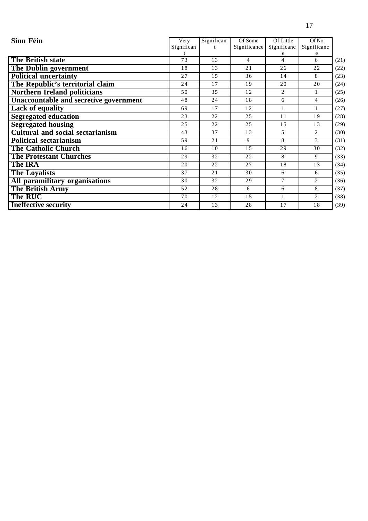| Sinn Féin                                     | Very       | Significan | Of Some      | Of Little   | Of No          |      |
|-----------------------------------------------|------------|------------|--------------|-------------|----------------|------|
|                                               | Significan |            | Significance | Significanc | Significanc    |      |
|                                               |            |            |              |             | e              |      |
| <b>The British state</b>                      | 73         | 13         | 4            | 4           | 6              | (21) |
| <b>The Dublin government</b>                  | 18         | 13         | 21           | 26          | 22             | (22) |
| <b>Political uncertainty</b>                  | 27         | 15         | 36           | 14          | 8              | (23) |
| The Republic's territorial claim              | 24         | 17         | 19           | 20          | 20             | (24) |
| <b>Northern Ireland politicians</b>           | 50         | 35         | 12           | 2           | $\mathbf{1}$   | (25) |
| <b>Unaccountable and secretive government</b> | 48         | 24         | 18           | 6           | $\overline{4}$ | (26) |
| <b>Lack of equality</b>                       | 69         | 17         | 12           |             |                | (27) |
| <b>Segregated education</b>                   | 23         | 22         | 25           | 11          | 19             | (28) |
| <b>Segregated housing</b>                     | 25         | 22         | 25           | 15          | 13             | (29) |
| <b>Cultural and social sectarianism</b>       | 43         | 37         | 13           | 5           | $\overline{2}$ | (30) |
| <b>Political sectarianism</b>                 | 59         | 21         | 9            | 8           | 3              | (31) |
| <b>The Catholic Church</b>                    | 16         | 10         | 15           | 29          | 30             | (32) |
| <b>The Protestant Churches</b>                | 29         | 32         | 22           | 8           | 9              | (33) |
| <b>The IRA</b>                                | 20         | 22         | 27           | 18          | 13             | (34) |
| <b>The Loyalists</b>                          | 37         | 21         | 30           | 6           | 6              | (35) |
| All paramilitary organisations                | 30         | 32         | 29           | $\tau$      | 2              | (36) |
| <b>The British Army</b>                       | 52         | 28         | 6            | 6           | 8              | (37) |
| The RUC                                       | 70         | 12         | 15           | 1           | 2              | (38) |
| <b>Ineffective security</b>                   | 24         | 13         | 28           | 17          | 18             | (39) |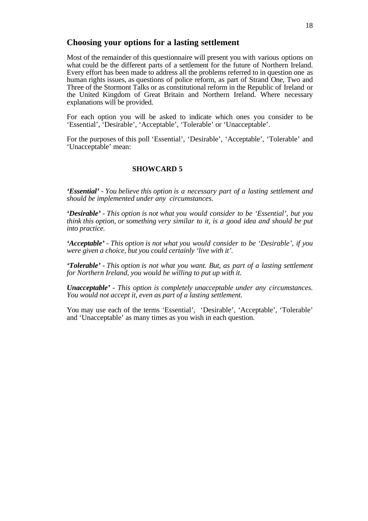#### **Choosing your options for a lasting settlement**

Most of the remainder of this questionnaire will present you with various options on what could be the different parts of a settlement for the future of Northern Ireland. Every effort has been made to address all the problems referred to in question one as human rights issues, as questions of police reform, as part of Strand One, Two and Three of the Stormont Talks or as constitutional reform in the Republic of Ireland or the United Kingdom of Great Britain and Northern Ireland. Where necessary explanations will be provided.

For each option you will be asked to indicate which ones you consider to be 'Essential', 'Desirable', 'Acceptable', 'Tolerable' or 'Unacceptable'.

For the purposes of this poll 'Essential', 'Desirable', 'Acceptable', 'Tolerable' and 'Unacceptable' mean:

#### **SHOWCARD 5**

*'Essential' - You believe this option is a necessary part of a lasting settlement and should be implemented under any circumstances.*

*'Desirable' - This option is not what you would consider to be 'Essential', but you think this option, or something very similar to it, is a good idea and should be put into practice.*

*'Acceptable' - This option is not what you would consider to be 'Desirable', if you were given a choice, but you could certainly 'live with it'.*

*'Tolerable' - This option is not what you want. But, as part of a lasting settlement for Northern Ireland, you would be willing to put up with it.*

*Unacceptable' - This option is completely unacceptable under any circumstances. You would not accept it, even as part of a lasting settlement.*

You may use each of the terms 'Essential', 'Desirable', 'Acceptable', 'Tolerable' and 'Unacceptable' as many times as you wish in each question.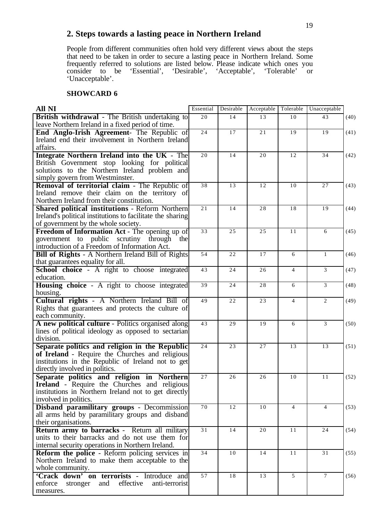## **2. Steps towards a lasting peace in Northern Ireland**

People from different communities often hold very different views about the steps that need to be taken in order to secure a lasting peace in Northern Ireland. Some frequently referred to solutions are listed below. Please indicate which ones you consider to be 'Essential', 'Desirable', 'Acceptable', 'Tolerable' or 'Unacceptable'.

## **SHOWCARD 6**

| All NI                                                     | Essential       | Desirable | Acceptable | Tolerable      | Unacceptable   |      |
|------------------------------------------------------------|-----------------|-----------|------------|----------------|----------------|------|
| <b>British withdrawal</b> - The British undertaking to     | $\overline{20}$ | 14        | 13         | 10             | 43             | (40) |
| leave Northern Ireland in a fixed period of time.          |                 |           |            |                |                |      |
| End Anglo-Irish Agreement- The Republic of                 | 24              | 17        | 21         | 19             | 19             | (41) |
| Ireland end their involvement in Northern Ireland          |                 |           |            |                |                |      |
| affairs.                                                   |                 |           |            |                |                |      |
| Integrate Northern Ireland into the UK - The               | 20              | 14        | 20         | 12             | 34             | (42) |
| British Government stop looking for political              |                 |           |            |                |                |      |
| solutions to the Northern Ireland problem and              |                 |           |            |                |                |      |
| simply govern from Westminster.                            |                 |           |            |                |                |      |
| Removal of territorial claim - The Republic of             | $\overline{38}$ | 13        | 12         | 10             | 27             | (43) |
| Ireland remove their claim on the territory of             |                 |           |            |                |                |      |
| Northern Ireland from their constitution.                  |                 |           |            |                |                |      |
| <b>Shared political institutions - Reform Northern</b>     | 21              | 14        | 28         | 18             | 19             | (44) |
| Ireland's political institutions to facilitate the sharing |                 |           |            |                |                |      |
| of government by the whole society.                        |                 |           |            |                |                |      |
| Freedom of Information Act - The opening up of             | 33              | 25        | 25         | 11             | 6              | (45) |
| government to public scrutiny through<br>the               |                 |           |            |                |                |      |
| introduction of a Freedom of Information Act.              |                 |           |            |                |                |      |
| <b>Bill of Rights - A Northern Ireland Bill of Rights</b>  | 54              | 22        | 17         | 6              | $\mathbf{1}$   | (46) |
| that guarantees equality for all.                          |                 |           |            |                |                |      |
| School choice - A right to choose integrated               | 43              | 24        | 26         | $\overline{4}$ | 3              | (47) |
| education.                                                 |                 |           |            |                |                |      |
| <b>Housing choice</b> - A right to choose integrated       | 39              | 24        | 28         | 6              | 3              | (48) |
| housing.                                                   |                 |           |            |                |                |      |
| Cultural rights - A Northern Ireland Bill of               | 49              | 22        | 23         | $\overline{4}$ | 2              | (49) |
| Rights that guarantees and protects the culture of         |                 |           |            |                |                |      |
| each community.                                            |                 |           |            |                |                |      |
| A new political culture - Politics organised along         | 43              | 29        | 19         | 6              | 3              | (50) |
| lines of political ideology as opposed to sectarian        |                 |           |            |                |                |      |
| division.                                                  |                 |           |            |                |                |      |
| Separate politics and religion in the Republic             | 24              | 23        | 27         | 13             | 13             | (51) |
| of Ireland - Require the Churches and religious            |                 |           |            |                |                |      |
| institutions in the Republic of Ireland not to get         |                 |           |            |                |                |      |
| directly involved in politics.                             |                 |           |            |                |                |      |
| Separate politics and religion in Northern                 | 27              | 26        | 26         | 10             | 11             | (52) |
| <b>Ireland</b> - Require the Churches and religious        |                 |           |            |                |                |      |
| institutions in Northern Ireland not to get directly       |                 |           |            |                |                |      |
| involved in politics.                                      |                 |           |            |                |                |      |
| Disband paramilitary groups - Decommission                 | 70              | 12        | 10         | $\overline{4}$ | $\overline{4}$ | (53) |
| all arms held by paramilitary groups and disband           |                 |           |            |                |                |      |
| their organisations.                                       |                 |           |            |                |                |      |
| <b>Return army to barracks - Return all military</b>       | $\overline{31}$ | 14        | 20         | 11             | 24             | (54) |
| units to their barracks and do not use them for            |                 |           |            |                |                |      |
| internal security operations in Northern Ireland.          |                 |           |            |                |                |      |
| <b>Reform the police</b> - Reform policing services in     | 34              | 10        | 14         | 11             | 31             | (55) |
| Northern Ireland to make them acceptable to the            |                 |           |            |                |                |      |
| whole community.                                           |                 |           |            |                |                |      |
| 'Crack down' on terrorists - Introduce and                 | $\overline{57}$ | 18        | 13         | 5              | $\tau$         | (56) |
| enforce<br>effective<br>anti-terrorist<br>and<br>stronger  |                 |           |            |                |                |      |
| measures.                                                  |                 |           |            |                |                |      |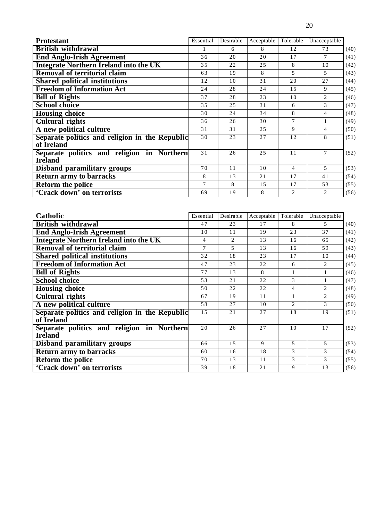| <b>Protestant</b>                                            | Essential | Desirable | Acceptable | Tolerable      | Unacceptable   |      |
|--------------------------------------------------------------|-----------|-----------|------------|----------------|----------------|------|
| <b>British withdrawal</b>                                    |           | 6         | 8          | 12             | 73             | (40) |
| <b>End Anglo-Irish Agreement</b>                             | 36        | 20        | 20         | 17             | 7              | (41) |
| <b>Integrate Northern Ireland into the UK</b>                | 35        | 22        | 25         | 8              | 10             | (42) |
| <b>Removal of territorial claim</b>                          | 63        | 19        | 8          | 5              | 5              | (43) |
| <b>Shared political institutions</b>                         | 12        | 10        | 31         | 20             | 27             | (44) |
| <b>Freedom of Information Act</b>                            | 24        | 28        | 24         | 15             | 9              | (45) |
| <b>Bill of Rights</b>                                        | 37        | 28        | 23         | 10             | $\overline{2}$ | (46) |
| <b>School choice</b>                                         | 35        | 25        | 31         | 6              | 3              | (47) |
| <b>Housing choice</b>                                        | 30        | 24        | 34         | 8              | 4              | (48) |
| <b>Cultural rights</b>                                       | 36        | 26        | 30         | 7              |                | (49) |
| A new political culture                                      | 31        | 31        | 25         | 9              | 4              | (50) |
| Separate politics and religion in the Republic<br>of Ireland | 30        | 23        | 27         | 12             | 8              | (51) |
| Separate politics and religion in Northern<br><b>Ireland</b> | 31        | 26        | 25         | 11             | $\tau$         | (52) |
| Disband paramilitary groups                                  | 70        | 11        | 10         | 4              | 5              | (53) |
| <b>Return army to barracks</b>                               | 8         | 13        | 21         | 17             | 41             | (54) |
| <b>Reform the police</b>                                     | 7         | 8         | 1.5        | 17             | 53             | (55) |
| 'Crack down' on terrorists                                   | 69        | 19        | 8          | $\overline{c}$ | 2              | (56) |

| Catholic                                                     | Essential | Desirable | Acceptable | Tolerable      | Unacceptable   |      |
|--------------------------------------------------------------|-----------|-----------|------------|----------------|----------------|------|
| <b>British withdrawal</b>                                    | 47        | 23        | 17         | 8              | 5              | (40) |
| <b>End Anglo-Irish Agreement</b>                             | 10        | 11        | 19         | 23             | 37             | (41) |
| <b>Integrate Northern Ireland into the UK</b>                | 4         | 2         | 13         | 16             | 65             | (42) |
| <b>Removal of territorial claim</b>                          |           | 5         | 13         | 16             | 59             | (43) |
| <b>Shared political institutions</b>                         | 32        | 18        | 23         | 17             | 10             | (44) |
| <b>Freedom of Information Act</b>                            | 47        | 23        | 22         | 6              | 2              | (45) |
| <b>Bill of Rights</b>                                        | 77        | 13        | 8          | 1              |                | (46) |
| <b>School choice</b>                                         | 53        | 21        | 22         | 3              |                | (47) |
| <b>Housing choice</b>                                        | 50        | 22        | 22         | 4              | 2              | (48) |
| <b>Cultural rights</b>                                       | 67        | 19        | 11         | 1              | $\overline{2}$ | (49) |
| A new political culture                                      | 58        | 27        | 10         | $\overline{c}$ | $\mathcal{F}$  | (50) |
| Separate politics and religion in the Republic<br>of Ireland | 15        | 21        | 27         | 18             | 19             | (51) |
| Separate politics and religion in Northern<br><b>Ireland</b> | 20        | 26        | 27         | 10             | 17             | (52) |
| <b>Disband paramilitary groups</b>                           | 66        | 1.5       | 9          | 5              | 5              | (53) |
| <b>Return army to barracks</b>                               | 60        | 16        | 18         | 3              | 3              | (54) |
| <b>Reform the police</b>                                     | 70        | 13        | 11         | 3              | 3              | (55) |
| 'Crack down' on terrorists                                   | 39        | 18        | 21         | 9              | 13             | (56) |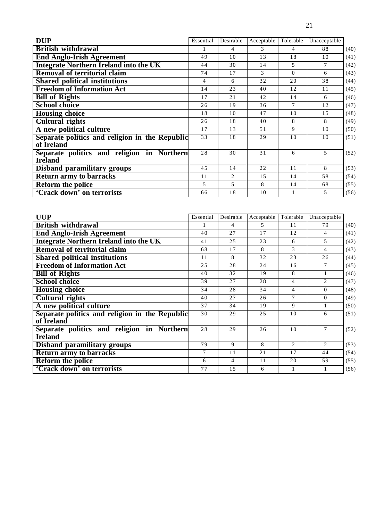| <b>DUP</b>                                                   | Essential | Desirable | Acceptable | Tolerable | Unacceptable   |      |
|--------------------------------------------------------------|-----------|-----------|------------|-----------|----------------|------|
| <b>British withdrawal</b>                                    |           | 4         | 3          | 4         | 88             | (40) |
| <b>End Anglo-Irish Agreement</b>                             | 49        | 10        | 13         | 18        | 10             | (41) |
| <b>Integrate Northern Ireland into the UK</b>                | 44        | 30        | 14         | 5         | $\tau$         | (42) |
| Removal of territorial claim                                 | 74        | 17        | 3          | $\Omega$  | 6              | (43) |
| <b>Shared political institutions</b>                         | 4         | 6         | 32         | 20        | 38             | (44) |
| <b>Freedom of Information Act</b>                            | 14        | 23        | 40         | 12        | 11             | (45) |
| <b>Bill of Rights</b>                                        | 17        | 21        | 42         | 14        | 6              | (46) |
| <b>School choice</b>                                         | 26        | 19        | 36         | 7         | 12             | (47) |
| <b>Housing choice</b>                                        | 18        | 10        | 47         | 10        | 15             | (48) |
| <b>Cultural rights</b>                                       | 26        | 18        | 40         | 8         | 8              | (49) |
| A new political culture                                      | 17        | 13        | 51         | 9         | 10             | (50) |
| Separate politics and religion in the Republic<br>of Ireland | 33        | 18        | 29         | 10        | 10             | (51) |
| Separate politics and religion in Northern<br><b>Ireland</b> | 28        | 30        | 31         | 6         | $\overline{5}$ | (52) |
| <b>Disband paramilitary groups</b>                           | 45        | 14        | 22         | 11        | 8              | (53) |
| <b>Return army to barracks</b>                               | 11        | 2         | 15         | 14        | 58             | (54) |
| <b>Reform the police</b>                                     | 5         | 5         | 8          | 14        | 68             | (55) |
| 'Crack down' on terrorists                                   | 66        | 18        | 10         |           | 5              | (56) |

| <b>UUP</b>                                                   | Essential | Desirable | Acceptable | Tolerable      | Unacceptable                |      |
|--------------------------------------------------------------|-----------|-----------|------------|----------------|-----------------------------|------|
| <b>British withdrawal</b>                                    |           | 4         | 5.         | 11             | 79                          | (40) |
| <b>End Anglo-Irish Agreement</b>                             | 40        | 27        | 17         | 12             | 4                           | (41) |
| <b>Integrate Northern Ireland into the UK</b>                | 41        | 25        | 23         | 6              | 5                           | (42) |
| <b>Removal of territorial claim</b>                          | 68        | 17        | 8          | 3              | 4                           | (43) |
| <b>Shared political institutions</b>                         | 11        | 8         | 32         | 23             | 26                          | (44) |
| <b>Freedom of Information Act</b>                            | 25        | 28        | 24         | 16             | 7                           | (45) |
| <b>Bill of Rights</b>                                        | 40        | 32        | 19         | 8              | 1                           | (46) |
| <b>School choice</b>                                         | 39        | 27        | 28         | $\overline{4}$ | $\mathcal{D}_{\mathcal{L}}$ | (47) |
| <b>Housing choice</b>                                        | 34        | 28        | 34         | 4              | $\Omega$                    | (48) |
| <b>Cultural rights</b>                                       | 40        | 27        | 26         | 7              | $\Omega$                    | (49) |
| A new political culture                                      | 37        | 34        | 19         | 9              | 1                           | (50) |
| Separate politics and religion in the Republic<br>of Ireland | 30        | 29        | 25         | 10             | 6                           | (51) |
| Separate politics and religion in Northern<br><b>Ireland</b> | 28        | 29        | 26         | 10             | 7                           | (52) |
| <b>Disband paramilitary groups</b>                           | 79        | 9         | 8          | 2              | $\mathfrak{D}$              | (53) |
| <b>Return army to barracks</b>                               | 7         | 11        | 21         | 17             | 44                          | (54) |
| <b>Reform the police</b>                                     | 6         | 4         | 11         | 20             | 59                          | (55) |
| 'Crack down' on terrorists                                   | 77        | 15        | 6          |                | 1                           | (56) |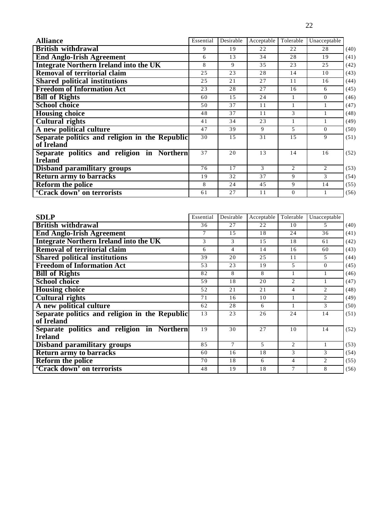| <b>Alliance</b>                                              | Essential | Desirable | Acceptable | Tolerable | Unacceptable   |      |
|--------------------------------------------------------------|-----------|-----------|------------|-----------|----------------|------|
| <b>British withdrawal</b>                                    | 9         | 19        | 22         | 22        | 28             | (40) |
| <b>End Anglo-Irish Agreement</b>                             | 6         | 13        | 34         | 28        | 19             | (41) |
| <b>Integrate Northern Ireland into the UK</b>                | 8         | 9         | 35         | 23        | 25             | (42) |
| Removal of territorial claim                                 | 25        | 23        | 28         | 14        | 10             | (43) |
| <b>Shared political institutions</b>                         | 25        | 21        | 27         | 11        | 16             | (44) |
| <b>Freedom of Information Act</b>                            | 23        | 28        | 27         | 16        | 6              | (45) |
| <b>Bill of Rights</b>                                        | 60        | 15        | 24         | 1         | $\Omega$       | (46) |
| <b>School choice</b>                                         | 50        | 37        | 11         | 1         | 1              | (47) |
| <b>Housing choice</b>                                        | 48        | 37        | 11         | 3         |                | (48) |
| <b>Cultural rights</b>                                       | 41        | 34        | 23         | 1         |                | (49) |
| A new political culture                                      | 47        | 39        | 9          | 5         | $\overline{0}$ | (50) |
| Separate politics and religion in the Republic<br>of Ireland | 30        | 15        | 31         | 15        | 9              | (51) |
| Separate politics and religion in Northern<br><b>Ireland</b> | 37        | 20        | 13         | 14        | 16             | (52) |
| Disband paramilitary groups                                  | 76        | 17        | 3          | 2         | 2              | (53) |
| <b>Return army to barracks</b>                               | 19        | 32        | 37         | 9         | 3              | (54) |
| <b>Reform the police</b>                                     | 8         | 24        | 45         | 9         | 14             | (55) |
| 'Crack down' on terrorists                                   | 61        | 27        | 11         | $\Omega$  |                | (56) |

| <b>SDLP</b>                                                  | Essential | Desirable | Acceptable    | Tolerable      | Unacceptable                |      |
|--------------------------------------------------------------|-----------|-----------|---------------|----------------|-----------------------------|------|
| <b>British withdrawal</b>                                    | 36        | 27        | 22            | 10             | 5.                          | (40) |
| <b>End Anglo-Irish Agreement</b>                             | 7         | 1.5       | 18            | 24             | 36                          | (41) |
| <b>Integrate Northern Ireland into the UK</b>                | 3         | 3         | 15            | 18             | 61                          | (42) |
| <b>Removal of territorial claim</b>                          | 6         | 4         | 14            | 16             | 60                          | (43) |
| <b>Shared political institutions</b>                         | 39        | 20        | 25            | 11             | 5                           | (44) |
| <b>Freedom of Information Act</b>                            | 53        | 23        | 19            | 5              | $\Omega$                    | (45) |
| <b>Bill of Rights</b>                                        | 82        | 8         | 8             |                | 1                           | (46) |
| <b>School choice</b>                                         | 59        | 18        | 20            | $\overline{c}$ |                             | (47) |
| <b>Housing choice</b>                                        | 52        | 21        | 21            | 4              | $\mathfrak{D}$              | (48) |
| <b>Cultural rights</b>                                       | 71        | 16        | 10            |                | $\mathcal{D}_{\mathcal{L}}$ | (49) |
| A new political culture                                      | 62        | 28        | 6             |                | 3                           | (50) |
| Separate politics and religion in the Republic<br>of Ireland | 13        | 23        | 26            | 24             | 14                          | (51) |
| Separate politics and religion in Northern<br><b>Ireland</b> | 19        | 30        | 27            | 10             | 14                          | (52) |
| <b>Disband paramilitary groups</b>                           | 85        | 7         | $\mathcal{F}$ | $\overline{c}$ | 1                           | (53) |
| <b>Return army to barracks</b>                               | 60        | 16        | 18            | 3              | 3                           | (54) |
| <b>Reform the police</b>                                     | 70        | 18        | 6             | 4              | 2                           | (55) |
| 'Crack down' on terrorists                                   | 48        | 19        | 18            | 7              | 8                           | (56) |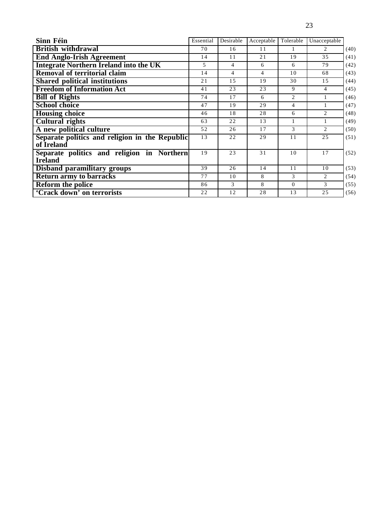| ٠<br>v<br>٠ |  |
|-------------|--|

| Sinn Féin                                                    | Essential | Desirable | Acceptable | Tolerable    | Unacceptable   |      |
|--------------------------------------------------------------|-----------|-----------|------------|--------------|----------------|------|
| <b>British withdrawal</b>                                    | 70        | 16        | 11         | 1            | 2              | (40) |
| <b>End Anglo-Irish Agreement</b>                             | 14        | 11        | 21         | 19           | 35             | (41) |
| <b>Integrate Northern Ireland into the UK</b>                | 5         | 4         | 6          | 6            | 79             | (42) |
| <b>Removal of territorial claim</b>                          | 14        | 4         | 4          | 10           | 68             | (43) |
| <b>Shared political institutions</b>                         | 21        | 1.5       | 19         | 30           | 15             | (44) |
| <b>Freedom of Information Act</b>                            | 41        | 23        | 23         | 9            | 4              | (45) |
| <b>Bill of Rights</b>                                        | 74        | 17        | 6          | 2            | 1              | (46) |
| <b>School choice</b>                                         | 47        | 19        | 29         | 4            | 1              | (47) |
| <b>Housing choice</b>                                        | 46        | 18        | 28         | 6            | 2              | (48) |
| <b>Cultural rights</b>                                       | 63        | 22        | 13         | $\mathbf{1}$ |                | (49) |
| A new political culture                                      | 52        | 26        | 17         | 3            | $\mathfrak{D}$ | (50) |
| Separate politics and religion in the Republic<br>of Ireland | 13        | 22        | 29         | 11           | 25             | (51) |
| Separate politics and religion in Northern<br><b>Ireland</b> | 19        | 23        | 31         | 10           | 17             | (52) |
| <b>Disband paramilitary groups</b>                           | 39        | 26        | 14         | 11           | 10             | (53) |
| <b>Return army to barracks</b>                               | 77        | 10        | 8          | 3            | 2              | (54) |
| <b>Reform the police</b>                                     | 86        | 3         | 8          | $\Omega$     | 3              | (55) |
| 'Crack down' on terrorists                                   | 22        | 12        | 28         | 13           | 25             | (56) |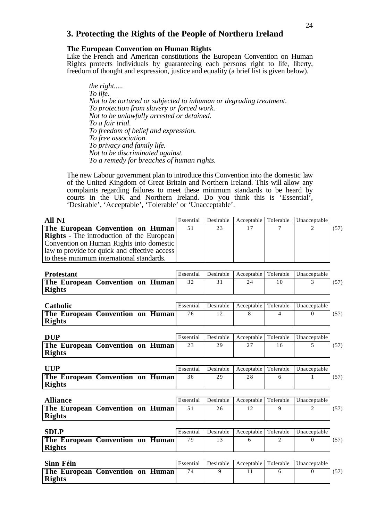## **3. Protecting the Rights of the People of Northern Ireland**

#### **The European Convention on Human Rights**

Like the French and American constitutions the European Convention on Human Rights protects individuals by guaranteeing each persons right to life, liberty, freedom of thought and expression, justice and equality (a brief list is given below).

*the right..... To life. Not to be tortured or subjected to inhuman or degrading treatment. To protection from slavery or forced work. Not to be unlawfully arrested or detained. To a fair trial. To freedom of belief and expression. To free association. To privacy and family life. Not to be discriminated against. To a remedy for breaches of human rights.*

The new Labour government plan to introduce this Convention into the domestic law of the United Kingdom of Great Britain and Northern Ireland. This will allow any complaints regarding failures to meet these minimum standards to be heard by courts in the UK and Northern Ireland. Do you think this is 'Essential', 'Desirable', 'Acceptable', 'Tolerable' or 'Unacceptable'.

| <b>All NI</b>                                                                                                                                                                                                                  | Essential | Desirable | Acceptable | Tolerable      | Unacceptable                |      |
|--------------------------------------------------------------------------------------------------------------------------------------------------------------------------------------------------------------------------------|-----------|-----------|------------|----------------|-----------------------------|------|
| The European Convention on Human<br><b>Rights</b> - The introduction of the European<br>Convention on Human Rights into domestic<br>law to provide for quick and effective access<br>to these minimum international standards. | 51        | 23        | 17         | $\tau$         | $\mathcal{D}_{\mathcal{L}}$ | (57) |
| <b>Protestant</b>                                                                                                                                                                                                              | Essential | Desirable | Acceptable | Tolerable      | Unacceptable                |      |
| The European Convention on Human<br><b>Rights</b>                                                                                                                                                                              | 32        | 31        | 24         | 10             | 3                           | (57) |
| Catholic                                                                                                                                                                                                                       | Essential | Desirable | Acceptable | Tolerable      | Unacceptable                |      |
| The European Convention on Human<br><b>Rights</b>                                                                                                                                                                              | 76        | 12        | 8          | $\overline{4}$ | $\Omega$                    | (57) |
| <b>DUP</b>                                                                                                                                                                                                                     | Essential | Desirable | Acceptable | Tolerable      | Unacceptable                |      |
| The European Convention on Human<br><b>Rights</b>                                                                                                                                                                              | 23        | 29        | 27         | 16             | $\overline{\phantom{0}}$    | (57) |
| <b>UUP</b>                                                                                                                                                                                                                     | Essential | Desirable | Acceptable | Tolerable      | Unacceptable                |      |
| The European Convention on Human<br><b>Rights</b>                                                                                                                                                                              | 36        | 29        | 28         | 6              | $\mathbf{1}$                | (57) |
| <b>Alliance</b>                                                                                                                                                                                                                | Essential | Desirable | Acceptable | Tolerable      | Unacceptable                |      |
| The European Convention on Human<br><b>Rights</b>                                                                                                                                                                              | 51        | 26        | 12         | 9              | 2                           | (57) |
| <b>SDLP</b>                                                                                                                                                                                                                    | Essential | Desirable | Acceptable | Tolerable      | Unacceptable                |      |
| The European Convention on Human<br><b>Rights</b>                                                                                                                                                                              | 79        | 13        | 6          | 2              | $\Omega$                    | (57) |
| Sinn Féin                                                                                                                                                                                                                      | Essential | Desirable | Acceptable | Tolerable      | Unacceptable                |      |
| The European Convention on Human<br><b>Rights</b>                                                                                                                                                                              | 74        | 9         | 11         | 6              | $\Omega$                    | (57) |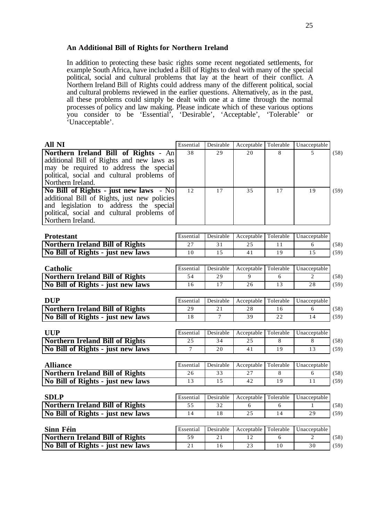#### **An Additional Bill of Rights for Northern Ireland**

In addition to protecting these basic rights some recent negotiated settlements, for example South Africa, have included a Bill of Rights to deal with many of the special political, social and cultural problems that lay at the heart of their conflict. A Northern Ireland Bill of Rights could address many of the different political, social and cultural problems reviewed in the earlier questions. Alternatively, as in the past, all these problems could simply be dealt with one at a time through the normal processes of policy and law making. Please indicate which of these various options you consider to be 'Essential', 'Desirable', 'Acceptable', 'Tolerable' or 'Unacceptable'.

| All NI                                                                                 | Essential | Desirable | Acceptable  | Tolerable | Unacceptable                   |      |
|----------------------------------------------------------------------------------------|-----------|-----------|-------------|-----------|--------------------------------|------|
| Northern Ireland Bill of Rights - An                                                   | 38        | 29        | 20          | 8         | $\overline{\phantom{0}}$       | (58) |
| additional Bill of Rights and new laws as                                              |           |           |             |           |                                |      |
| may be required to address the special                                                 |           |           |             |           |                                |      |
| political, social and cultural problems of                                             |           |           |             |           |                                |      |
| Northern Ireland.                                                                      |           |           |             |           |                                |      |
| No Bill of Rights - just new laws - No                                                 | 12        | 17        | 35          | 17        | 19                             | (59) |
| additional Bill of Rights, just new policies<br>and legislation to address the special |           |           |             |           |                                |      |
| political, social and cultural problems of                                             |           |           |             |           |                                |      |
| Northern Ireland.                                                                      |           |           |             |           |                                |      |
|                                                                                        |           |           |             |           |                                |      |
| <b>Protestant</b>                                                                      | Essential | Desirable | Acceptable  | Tolerable | Unacceptable                   |      |
| <b>Northern Ireland Bill of Rights</b>                                                 | 27        | 31        | 25          | 11        | 6                              | (58) |
| No Bill of Rights - just new laws                                                      | 10        | 15        | 41          | 19        | 1.5                            | (59) |
|                                                                                        |           |           |             |           |                                |      |
| Catholic                                                                               | Essential | Desirable | Acceptable  | Tolerable | Unacceptable                   |      |
| <b>Northern Ireland Bill of Rights</b>                                                 | 54        | 29        | $\mathbf Q$ | 6         | $\overline{2}$                 | (58) |
| No Bill of Rights - just new laws                                                      | 16        | 17        | 26          | 13        | 28                             | (59) |
| <b>DUP</b>                                                                             | Essential | Desirable | Acceptable  | Tolerable | Unacceptable                   |      |
| <b>Northern Ireland Bill of Rights</b>                                                 | 29        | 21        | 28          | 16        | 6                              | (58) |
| No Bill of Rights - just new laws                                                      | 18        | $\tau$    | 39          | 22        | 14                             | (59) |
|                                                                                        |           |           |             |           |                                |      |
| <b>UUP</b>                                                                             | Essential | Desirable | Acceptable  | Tolerable | Unacceptable                   |      |
| <b>Northern Ireland Bill of Rights</b>                                                 | 25        | 34        | 25          | 8         | 8                              | (58) |
| No Bill of Rights - just new laws                                                      | $\tau$    | 20        | 41          | 19        | 13                             | (59) |
|                                                                                        |           |           |             |           |                                |      |
| <b>Alliance</b>                                                                        | Essential | Desirable | Acceptable  | Tolerable | Unacceptable                   |      |
| <b>Northern Ireland Bill of Rights</b>                                                 | 26        | 33        | 27          | 8         | 6                              | (58) |
| No Bill of Rights - just new laws                                                      | 13        | 15        | 42          | 19        | 11                             | (59) |
|                                                                                        |           |           |             |           |                                |      |
| <b>SDLP</b>                                                                            | Essential | Desirable | Acceptable  | Tolerable | Unacceptable                   |      |
| <b>Northern Ireland Bill of Rights</b>                                                 | 55        | 32        | 6           | 6         | $\mathbf{1}$                   | (58) |
| No Bill of Rights - just new laws                                                      | 14        | 18        | 25          | 14        | 29                             | (59) |
|                                                                                        |           |           |             |           |                                |      |
| Sinn Féin                                                                              | Essential | Desirable | Acceptable  | Tolerable | Unacceptable<br>$\overline{2}$ |      |
| <b>Northern Ireland Bill of Rights</b>                                                 | 59        | 21        | 12          | 6         |                                | (58) |
| No Bill of Rights - just new laws                                                      | 21        | 16        | 23          | $10$      | 30                             | (59) |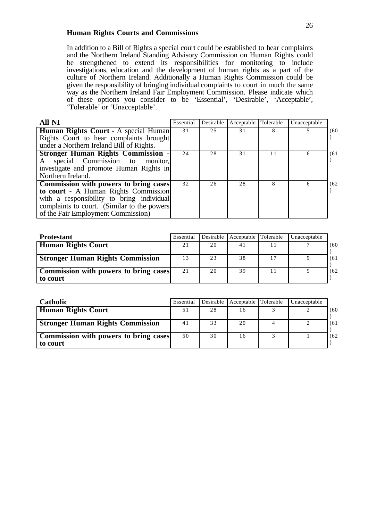#### **Human Rights Courts and Commissions**

In addition to a Bill of Rights a special court could be established to hear complaints and the Northern Ireland Standing Advisory Commission on Human Rights could be strengthened to extend its responsibilities for monitoring to include investigations, education and the development of human rights as a part of the culture of Northern Ireland. Additionally a Human Rights Commission could be given the responsibility of bringing individual complaints to court in much the same way as the Northern Ireland Fair Employment Commission. Please indicate which of these options you consider to be 'Essential', 'Desirable', 'Acceptable', 'Tolerable' or 'Unacceptable'.

| <b>All NI</b>                                | Essential | Desirable | Acceptable Tolerable |    | Unacceptable |      |
|----------------------------------------------|-----------|-----------|----------------------|----|--------------|------|
| Human Rights Court - A special Human         | 31        | 25        | 31                   |    |              | (60) |
| Rights Court to hear complaints brought      |           |           |                      |    |              |      |
| under a Northern Ireland Bill of Rights.     |           |           |                      |    |              |      |
| <b>Stronger Human Rights Commission</b>      | 24        | 28        | 31                   | 11 | 6            | (61) |
| A special Commission to monitor,             |           |           |                      |    |              |      |
| investigate and promote Human Rights in      |           |           |                      |    |              |      |
| Northern Ireland.                            |           |           |                      |    |              |      |
| <b>Commission with powers to bring cases</b> | 32        | 26        | 28                   |    | 6            | (62) |
| to court - A Human Rights Commission         |           |           |                      |    |              |      |
| with a responsibility to bring individual    |           |           |                      |    |              |      |
| complaints to court. (Similar to the powers  |           |           |                      |    |              |      |
| of the Fair Employment Commission)           |           |           |                      |    |              |      |

| <b>Protestant</b>                                        | Essential |    | Desirable   Acceptable   Tolerable | Unacceptable |      |
|----------------------------------------------------------|-----------|----|------------------------------------|--------------|------|
| <b>Human Rights Court</b>                                |           | 20 | 41                                 |              | (60) |
| <b>Stronger Human Rights Commission</b>                  |           | 23 | 38                                 |              | (61) |
| <b>Commission with powers to bring cases</b><br>to court | 21        | 20 | 39                                 |              | (62) |

| <b>Catholic</b>                                          | Essential | Desirable | Acceptable Tolerable | Unacceptable |      |
|----------------------------------------------------------|-----------|-----------|----------------------|--------------|------|
| <b>Human Rights Court</b>                                |           | 28        | 16                   |              | (60) |
| <b>Stronger Human Rights Commission</b>                  | 41        | 33        | 20                   |              | (61) |
| <b>Commission with powers to bring cases</b><br>to court | 50        | 30        | 16                   |              | (62) |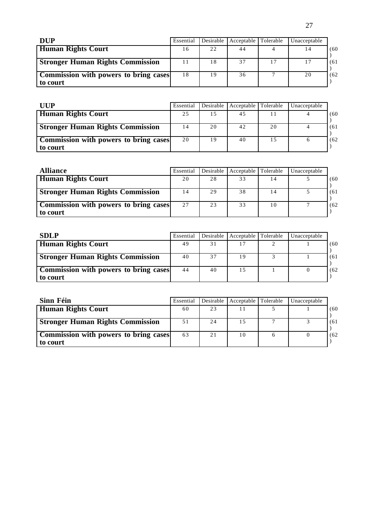| <b>DUP</b>                                               | Essential | Desirable | Acceptable | Tolerable | Unacceptable |      |
|----------------------------------------------------------|-----------|-----------|------------|-----------|--------------|------|
| <b>Human Rights Court</b>                                | 16        | 22        | 44         |           |              | (60) |
| <b>Stronger Human Rights Commission</b>                  |           | 18        | 37         | 17        |              | (61  |
| <b>Commission with powers to bring cases</b><br>to court | 18        | 19        | 36         |           | 20           | (62) |

| UUP                                                      | Essential |    | Desirable   Acceptable   Tolerable |    | Unacceptable |      |
|----------------------------------------------------------|-----------|----|------------------------------------|----|--------------|------|
| <b>Human Rights Court</b>                                | 25        | 15 |                                    |    |              | (60) |
| <b>Stronger Human Rights Commission</b>                  |           | 20 | 42                                 | 20 |              | (61) |
| <b>Commission with powers to bring cases</b><br>to court | 20        | 19 | 40                                 |    |              | (62) |

| <b>Alliance</b>                                          | Essential | Desirable | Acceptable Tolerable |    | Unacceptable |      |
|----------------------------------------------------------|-----------|-----------|----------------------|----|--------------|------|
| <b>Human Rights Court</b>                                | 20        | 28        | 33                   |    |              | (60  |
| <b>Stronger Human Rights Commission</b>                  | 14        | 29        | 38                   |    |              | (61) |
| <b>Commission with powers to bring cases</b><br>to court | 27        | 23        | 33                   | 10 |              | (62) |

| <b>SDLP</b>                                       | Essential |    | Desirable   Acceptable   Tolerable | Unacceptable |      |
|---------------------------------------------------|-----------|----|------------------------------------|--------------|------|
| <b>Human Rights Court</b>                         | 49        |    |                                    |              | (60  |
| <b>Stronger Human Rights Commission</b>           | 40        | 37 | - 9                                |              | (61  |
| Commission with powers to bring cases<br>to court | 44        | 40 |                                    |              | (62) |

| Sinn Féin                                                | Essential | Desirable | Acceptable Tolerable | Unacceptable |      |
|----------------------------------------------------------|-----------|-----------|----------------------|--------------|------|
| <b>Human Rights Court</b>                                | 60        | 23        |                      |              | (60) |
| <b>Stronger Human Rights Commission</b>                  | 51        | 24        |                      |              | (61) |
| <b>Commission with powers to bring cases</b><br>to court | 63        | 21        | 10                   |              | (62) |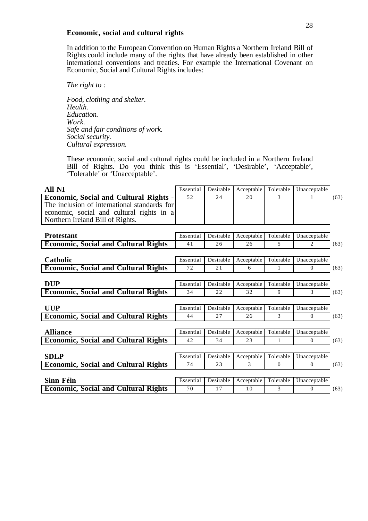#### **Economic, social and cultural rights**

In addition to the European Convention on Human Rights a Northern Ireland Bill of Rights could include many of the rights that have already been established in other international conventions and treaties. For example the International Covenant on Economic, Social and Cultural Rights includes:

*The right to :*

*Food, clothing and shelter. Health. Education. Work. Safe and fair conditions of work. Social security. Cultural expression.*

These economic, social and cultural rights could be included in a Northern Ireland Bill of Rights. Do you think this is 'Essential', 'Desirable', 'Acceptable', 'Tolerable' or 'Unacceptable'.

| All NI                                                                                                                                                                         | Essential | Desirable | Acceptable | Tolerable | Unacceptable |      |
|--------------------------------------------------------------------------------------------------------------------------------------------------------------------------------|-----------|-----------|------------|-----------|--------------|------|
| <b>Economic, Social and Cultural Rights -</b><br>The inclusion of international standards for<br>economic, social and cultural rights in a<br>Northern Ireland Bill of Rights. | 52        | 2.4       | 20         | 3         |              | (63) |
| <b>Protestant</b>                                                                                                                                                              | Essential | Desirable | Acceptable | Tolerable | Unacceptable |      |
| <b>Economic, Social and Cultural Rights</b>                                                                                                                                    | 41        | 26        | 26         | 5         | 2            | (63) |
|                                                                                                                                                                                |           |           |            |           |              |      |
| Catholic                                                                                                                                                                       | Essential | Desirable | Acceptable | Tolerable | Unacceptable |      |
| <b>Economic, Social and Cultural Rights</b>                                                                                                                                    | 72        | 21        | 6          | 1         | $\Omega$     | (63) |
|                                                                                                                                                                                |           |           |            |           |              |      |
| <b>DUP</b>                                                                                                                                                                     | Essential | Desirable | Acceptable | Tolerable | Unacceptable |      |
| <b>Economic, Social and Cultural Rights</b>                                                                                                                                    | 34        | 22        | 32         | 9         | 3            | (63) |
|                                                                                                                                                                                |           |           |            |           |              |      |
| <b>UUP</b>                                                                                                                                                                     | Essential | Desirable | Acceptable | Tolerable | Unacceptable |      |
| <b>Economic, Social and Cultural Rights</b>                                                                                                                                    | 44        | 27        | 26         | 3         | $\Omega$     | (63) |
| <b>Alliance</b>                                                                                                                                                                | Essential | Desirable | Acceptable | Tolerable | Unacceptable |      |
| <b>Economic, Social and Cultural Rights</b>                                                                                                                                    | 42        | 34        | 23         | 1         | $\Omega$     | (63) |
|                                                                                                                                                                                |           |           |            |           |              |      |
| <b>SDLP</b>                                                                                                                                                                    | Essential | Desirable | Acceptable | Tolerable | Unacceptable |      |
| <b>Economic, Social and Cultural Rights</b>                                                                                                                                    | 74        | 23        | 3          | $\Omega$  | $\Omega$     | (63) |
|                                                                                                                                                                                |           |           |            |           |              |      |
| Sinn Féin                                                                                                                                                                      | Essential | Desirable | Acceptable | Tolerable | Unacceptable |      |
| <b>Economic, Social and Cultural Rights</b>                                                                                                                                    | 70        | 17        | 10         | 3         | $\Omega$     | (63) |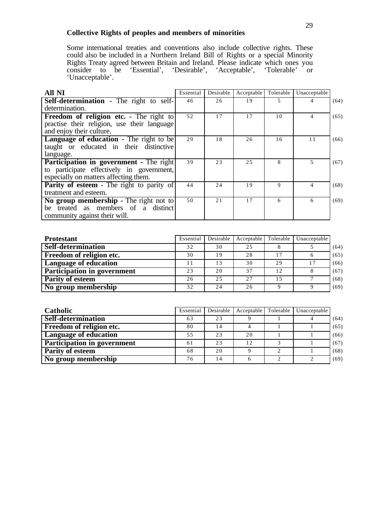## **Collective Rights of peoples and members of minorities**

Some international treaties and conventions also include collective rights. These could also be included in a Northern Ireland Bill of Rights or a special Minority Rights Treaty agreed between Britain and Ireland. Please indicate which ones you consider to be 'Essential', 'Desirable', 'Acceptable', 'Tolerable' or 'Unacceptable'.

| <b>All NI</b>                                    | Essential | Desirable | Acceptable | Tolerable | Unacceptable |      |
|--------------------------------------------------|-----------|-----------|------------|-----------|--------------|------|
| <b>Self-determination - The right to self-</b>   | 46        | 26        | 19         | 5.        |              | (64) |
| determination.                                   |           |           |            |           |              |      |
| <b>Freedom of religion etc.</b> - The right to   | 52        | 17        | 17         | 10        | 4            | (65) |
| practise their religion, use their language      |           |           |            |           |              |      |
| and enjoy their culture.                         |           |           |            |           |              |      |
| <b>Language of education - The right to be</b>   | 29        | 18        | 26         | 16        | 11           | (66) |
| taught or educated in their distinctive          |           |           |            |           |              |      |
| language.                                        |           |           |            |           |              |      |
| Participation in government - The right          | 39        | 23        | 25         | 8         | 5            | (67) |
| to participate effectively in government,        |           |           |            |           |              |      |
| especially on matters affecting them.            |           |           |            |           |              |      |
| <b>Parity of esteem - The right to parity of</b> | 44        | 24        | 19         | 9         | 4            | (68) |
| treatment and esteem.                            |           |           |            |           |              |      |
| No group membership - The right not to           | 50        | 21        | 17         | 6         | 6            | (69) |
| be treated as members of a distinct              |           |           |            |           |              |      |
| community against their will.                    |           |           |            |           |              |      |

| <b>Protestant</b>                  | Essential | Desirable | Acceptable | Tolerable | Unacceptable |      |
|------------------------------------|-----------|-----------|------------|-----------|--------------|------|
| Self-determination                 | 32        | 30        | 25         |           |              | (64) |
| <b>Freedom of religion etc.</b>    | 30        | 19        | 28         |           |              | (65) |
| <b>Language of education</b>       |           | 13        | 30         | 29        |              | (66) |
| <b>Participation in government</b> | 23        | 20        | 37         | 12        |              | (67) |
| <b>Parity of esteem</b>            | 26        | 25        | 27         |           |              | (68) |
| No group membership                | 32        | 24        | 26         |           |              | (69) |

| <b>Catholic</b>                    | Essential | Desirable | Acceptable | Tolerable | Unacceptable |      |
|------------------------------------|-----------|-----------|------------|-----------|--------------|------|
| Self-determination                 | 63        | 23        |            |           |              | (64) |
| <b>Freedom of religion etc.</b>    | 80        | 14        |            |           |              | (65) |
| <b>Language of education</b>       | 55        | 23        | 20         |           |              | (66) |
| <b>Participation in government</b> | 61        | 23        | 12         |           |              | (67) |
| <b>Parity of esteem</b>            | 68        | 20        |            | $\bigcap$ |              | (68) |
| No group membership                | 76        | 14        |            | ◠         |              | (69) |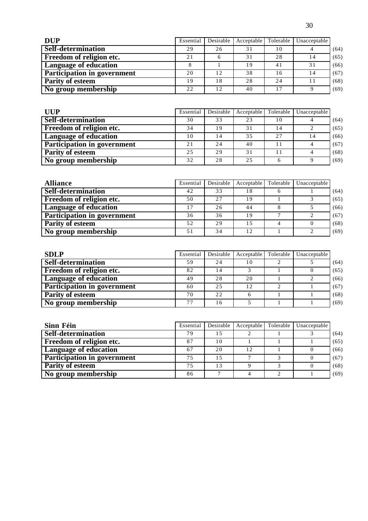| <b>DUP</b>                         | Essential | Desirable | Acceptable | Tolerable                  | Unacceptable |      |
|------------------------------------|-----------|-----------|------------|----------------------------|--------------|------|
| Self-determination                 | 29        | 26        | 31         | 10                         |              | (64) |
| Freedom of religion etc.           | 21        |           | 31         | 2.8                        | 14           | (65) |
| <b>Language of education</b>       |           |           | 19         | 4 <sub>1</sub>             | 31           | (66) |
| <b>Participation in government</b> | 20        | 12        | 38         | 16                         | 14           | (67) |
| <b>Parity of esteem</b>            | 19        | 18        | 28         | 2.4                        |              | (68) |
| No group membership                | 22        | 12        | 40         | $\mathsf{L}^{\mathcal{F}}$ |              | (69) |

| <b>UUP</b>                         | Essential | Desirable | Acceptable | Tolerable | Unacceptable |      |
|------------------------------------|-----------|-----------|------------|-----------|--------------|------|
| Self-determination                 | 30        | 33        | 23         | 10        |              | (64) |
| Freedom of religion etc.           | 34        | 19        | 31         | 14        |              | (65) |
| <b>Language of education</b>       | 10        | ا 4       | 35         | 27        | 14           | (66) |
| <b>Participation in government</b> | 21        | 24        | 40         | 11        |              | (67) |
| <b>Parity of esteem</b>            | 25        | 29        | 31         |           |              | (68) |
| No group membership                | 32        | 28        | 2.5        |           |              | (69) |

| <b>Alliance</b>                    | Essential | Desirable | Acceptable | Tolerable | Unacceptable |      |
|------------------------------------|-----------|-----------|------------|-----------|--------------|------|
| Self-determination                 | 42        | 33        | 18         |           |              | (64) |
| <b>Freedom of religion etc.</b>    | 50        | 2.7       | 19         |           |              | (65) |
| <b>Language of education</b>       | 17        | 26        | 44         |           |              | (66) |
| <b>Participation in government</b> | 36        | 36        | 19         |           |              | (67) |
| <b>Parity of esteem</b>            | 52        | 29        | 15         |           |              | (68) |
| No group membership                | 51        | 34        | 12         |           |              | (69) |

| <b>SDLP</b>                        | Essential | Desirable | Acceptable | Tolerable | Unacceptable |      |
|------------------------------------|-----------|-----------|------------|-----------|--------------|------|
| Self-determination                 | 59        | 24        | 10         | ◠         |              | (64) |
| Freedom of religion etc.           | 82        | 14        |            |           |              | (65) |
| <b>Language of education</b>       | 49        | 28        | 20         |           |              | (66) |
| <b>Participation in government</b> | 60        | 25        | 12         |           |              | (67) |
| <b>Parity of esteem</b>            | 70        | 22        |            |           |              | (68) |
| No group membership                | 77        | 16        |            |           |              | (69) |

| Sinn Féin                          | Essential | <b>Desirable</b> | Acceptable Tolerable | Unacceptable |      |
|------------------------------------|-----------|------------------|----------------------|--------------|------|
| Self-determination                 | 79        | 15               |                      |              | (64) |
| <b>Freedom of religion etc.</b>    | 87        | 10               |                      |              | (65) |
| <b>Language of education</b>       | 67        | 20               | 12                   |              | (66) |
| <b>Participation in government</b> | 75        | 15               |                      |              | (67) |
| <b>Parity of esteem</b>            | 75        | 13               |                      |              | (68) |
| No group membership                | 86        |                  |                      |              | (69) |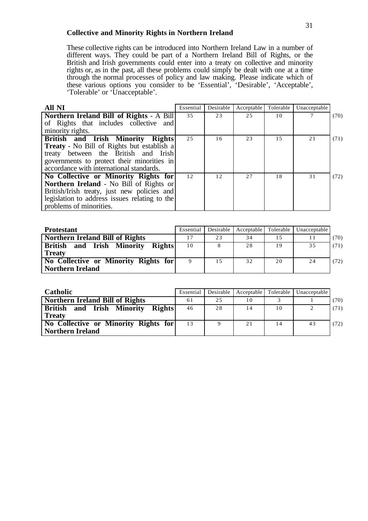#### **Collective and Minority Rights in Northern Ireland**

These collective rights can be introduced into Northern Ireland Law in a number of different ways. They could be part of a Northern Ireland Bill of Rights, or the British and Irish governments could enter into a treaty on collective and minority rights or, as in the past, all these problems could simply be dealt with one at a time through the normal processes of policy and law making. Please indicate which of these various options you consider to be 'Essential', 'Desirable', 'Acceptable', 'Tolerable' or 'Unacceptable'.

| <b>All NI</b>                                     | Essential | Desirable | Acceptable | Tolerable | Unacceptable |      |
|---------------------------------------------------|-----------|-----------|------------|-----------|--------------|------|
| Northern Ireland Bill of Rights - A Bill          | 35        | 23        | 2.5        | 10        |              | (70) |
| of Rights that includes collective and            |           |           |            |           |              |      |
| minority rights.                                  |           |           |            |           |              |      |
| British and Irish Minority Rights                 | 25        | 16        | 23         | 1.5       | 21           | (71) |
| <b>Treaty</b> - No Bill of Rights but establish a |           |           |            |           |              |      |
| treaty between the British and Irish              |           |           |            |           |              |      |
| governments to protect their minorities in        |           |           |            |           |              |      |
| accordance with international standards.          |           |           |            |           |              |      |
| No Collective or Minority Rights for              | 12        | 12        | 27         | 18        | 31           | (72) |
| Northern Ireland - No Bill of Rights or           |           |           |            |           |              |      |
| British/Irish treaty, just new policies and       |           |           |            |           |              |      |
| legislation to address issues relating to the     |           |           |            |           |              |      |
| problems of minorities.                           |           |           |            |           |              |      |

| <b>Protestant</b>                                                         | Essential | Desirable | Acceptable | Tolerable | Unacceptable |      |
|---------------------------------------------------------------------------|-----------|-----------|------------|-----------|--------------|------|
| <b>Northern Ireland Bill of Rights</b>                                    |           | 23        | 34         |           |              | (70) |
| <b>British</b><br><b>Rights</b><br>and Irish<br>Minority<br><b>Treaty</b> | 10        |           | 28         | 19        | 35           | (71) |
| No Collective or Minority Rights for<br>Northern Ireland                  |           | 15        | 32         | 20        | 24           | (72) |

| <b>Catholic</b>                                                        | Essential | Desirable | Acceptable |    | Tolerable Unacceptable |      |
|------------------------------------------------------------------------|-----------|-----------|------------|----|------------------------|------|
| Northern Ireland Bill of Rights                                        | 61        | 2.5       | 10         |    |                        | (70) |
| and Irish Minority<br><b>Rights</b><br><b>British</b><br><b>Treaty</b> | 46        | 28        | 14         | 10 |                        | (71) |
| No Collective or Minority Rights for<br>  Northern Ireland             | 13        | $\Omega$  | 21         | 14 | 43                     | (72) |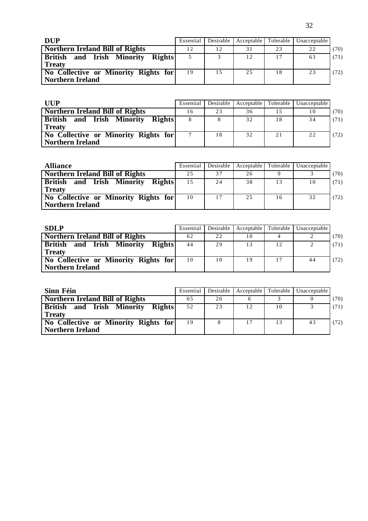| <b>DUP</b>                                                   | Essential | Desirable | Acceptable Tolerable |    | Unacceptable |      |
|--------------------------------------------------------------|-----------|-----------|----------------------|----|--------------|------|
| Northern Ireland Bill of Rights                              | 12        |           | 31                   | 23 | 22           | (70) |
| <b>British and Irish Minority</b><br>Rights<br><b>Treaty</b> |           |           | 12                   | 17 | 63           | (71) |
| No Collective or Minority Rights for<br>Northern Ireland     | 19        | 15        | 25                   | 18 | 23           | (72) |

| <b>HIP</b>                                                   | Essential | Desirable | Acceptable | Tolerable | Unacceptable |      |
|--------------------------------------------------------------|-----------|-----------|------------|-----------|--------------|------|
| Northern Ireland Bill of Rights                              | 16        | 23        | 36         |           | 10           | (70) |
| <b>British and Irish Minority</b><br>Rights<br><b>Treaty</b> |           |           | 32         | 18        | 34           | (71) |
| No Collective or Minority Rights for<br>  Northern Ireland   |           | 18        | 32         | 21        | 22           | (72) |

| <b>Alliance</b>                                                    | Essential |    | Desirable   Acceptable | Tolerable | Unacceptable |      |
|--------------------------------------------------------------------|-----------|----|------------------------|-----------|--------------|------|
| <b>Northern Ireland Bill of Rights</b>                             | 25        | 37 | 26                     |           |              | (70) |
| <b>British</b><br>Irish Minority<br>Rights<br>and<br><b>Treaty</b> | 1.5       | 24 | 38                     | 13        | 10           | (71) |
| No Collective or Minority Rights for<br>Northern Ireland           | 10        | 17 | 25                     | 16        | 32           | (72) |

| <b>SDLP</b>                                                            | Essential | Desirable | Acceptable | Tolerable | Unacceptable |      |
|------------------------------------------------------------------------|-----------|-----------|------------|-----------|--------------|------|
| <b>Northern Ireland Bill of Rights</b>                                 | 62        | 22        | 10         |           |              | (70) |
| <b>British</b><br>and Irish Minority<br><b>Rights</b><br><b>Treaty</b> | 44        | 29        | 13         | 12        |              | (71) |
| No Collective or Minority Rights for<br>Northern Ireland               | 10        | 10        | 19         | 17        | 44           | (72) |

| Sinn Féin                                                       | Essential |    |    |    | Desirable   Acceptable   Tolerable   Unacceptable |      |
|-----------------------------------------------------------------|-----------|----|----|----|---------------------------------------------------|------|
| Northern Ireland Bill of Rights                                 | 65        | 26 |    |    |                                                   | (70) |
| and Irish Minority<br>Rights<br><b>British</b><br><b>Treaty</b> | 52        | 23 | 12 | 10 |                                                   | (71) |
| No Collective or Minority Rights for<br>Northern Ireland        | 19        |    | 17 | 13 | 43                                                | (72) |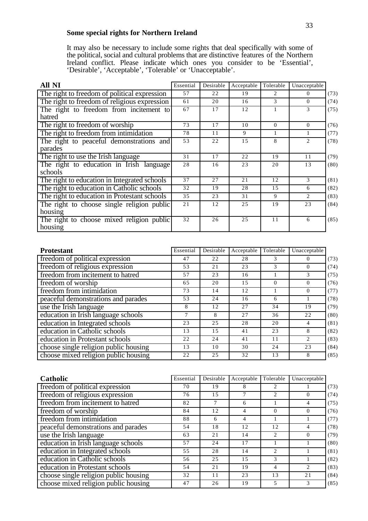## **Some special rights for Northern Ireland**

It may also be necessary to include some rights that deal specifically with some of the political, social and cultural problems that are distinctive features of the Northern Ireland conflict. Please indicate which ones you consider to be 'Essential', 'Desirable', 'Acceptable', 'Tolerable' or 'Unacceptable'.

| <b>All NI</b>                                     | Essential | Desirable | Acceptable | Tolerable | Unacceptable   |      |
|---------------------------------------------------|-----------|-----------|------------|-----------|----------------|------|
| The right to freedom of political expression      | 57        | 22        | 19         | 2         | $\Omega$       | (73) |
| The right to freedom of religious expression      | 61        | 20        | 16         | 3         | $\Omega$       | (74) |
| The right to freedom from incitement to<br>hatred | 67        | 17        | 12         |           | 3              | (75) |
| The right to freedom of worship                   | 73        | 17        | 10         | $\Omega$  | $\Omega$       | (76) |
| The right to freedom from intimidation            | 78        | 11        | 9          |           | Т.             | (77) |
| The right to peaceful demonstrations and          | 53        | 22        | 15         | 8         | 2              | (78) |
| parades                                           |           |           |            |           |                |      |
| The right to use the Irish language               | 31        | 17        | 22         | 19        | 11             | (79) |
| The right to education in Irish language          | 28        | 16        | 23         | 20        | 13             | (80) |
| schools                                           |           |           |            |           |                |      |
| The right to education in Integrated schools      | 37        | 27        | 21         | 12        | 3              | (81) |
| The right to education in Catholic schools        | 32        | 19        | 28         | 15        | 6              | (82) |
| The right to education in Protestant schools      | 35        | 23        | 31         | 9         | $\overline{2}$ | (83) |
| The right to choose single religion public        | 21        | 12        | 25         | 19        | 23             | (84) |
| housing                                           |           |           |            |           |                |      |
| The right to choose mixed religion public         | 32        | 26        | 25         | 11        | 6              | (85) |
| housing                                           |           |           |            |           |                |      |

| <b>Protestant</b>                     | Essential | Desirable | Acceptable | Tolerable | Unacceptable |      |
|---------------------------------------|-----------|-----------|------------|-----------|--------------|------|
| freedom of political expression       | 47        | 22        | 28         | 3         |              | (73) |
| freedom of religious expression       | 53        | 21        | 23         | 3         | 0            | (74) |
| freedom from incitement to hatred     | 57        | 23        | 16         |           | 3            | (75) |
| freedom of worship                    | 65        | 20        | 1.5        | $\Omega$  | $\theta$     | (76) |
| freedom from intimidation             | 73        | 14        | 12         |           | 0            | (77) |
| peaceful demonstrations and parades   | 53        | 24        | 16         | 6         |              | (78) |
| use the Irish language                | 8         | 12        | 27         | 34        | 19           | (79) |
| education in Irish language schools   |           | 8         | 27         | 36        | 22           | (80) |
| education in Integrated schools       | 23        | 2.5       | 28         | 20        | 4            | (81) |
| education in Catholic schools         | 13        | 15        | 41         | 23        | 8            | (82) |
| education in Protestant schools       | 22        | 24        | 41         | 11        | 2            | (83) |
| choose single religion public housing | 13        | 10        | 30         | 24        | 23           | (84) |
| choose mixed religion public housing  | 22        | 25        | 32         | 13        | 8            | (85) |

| Catholic                              | Essential | Desirable | Acceptable | Tolerable                   | Unacceptable |      |
|---------------------------------------|-----------|-----------|------------|-----------------------------|--------------|------|
| freedom of political expression       | 70        | 19        | 8          |                             |              | (73) |
| freedom of religious expression       | 76        | 15        |            | 2                           | $\Omega$     | (74) |
| freedom from incitement to hatred     | 82        | 7         | 6          |                             | 4            | (75) |
| freedom of worship                    | 84        | 12        | 4          | $\Omega$                    | $\theta$     | (76) |
| freedom from intimidation             | 88        | 6         | 4          |                             |              | (77) |
| peaceful demonstrations and parades   | 54        | 18        | 12         | 12                          | 4            | (78) |
| use the Irish language                | 63        | 21        | 14         | 2                           | $\Omega$     | (79) |
| education in Irish language schools   | 57        | 24        | 17         |                             |              | (80) |
| education in Integrated schools       | 55        | 28        | 14         | $\mathcal{D}_{\mathcal{L}}$ |              | (81) |
| education in Catholic schools         | 56        | 25        | 15         | 3                           |              | (82) |
| education in Protestant schools       | 54        | 21        | 19         | 4                           | 2            | (83) |
| choose single religion public housing | 32        | 11        | 23         | 13                          | 21           | (84) |
| choose mixed religion public housing  | 47        | 26        | 19         | 5                           | 3            | (85) |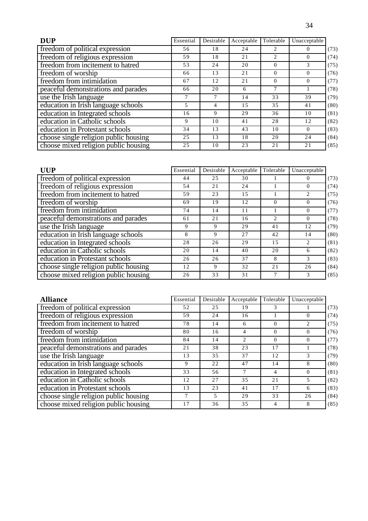| <b>DUP</b>                            | Essential | Desirable | Acceptable | Tolerable | Unacceptable |      |
|---------------------------------------|-----------|-----------|------------|-----------|--------------|------|
| freedom of political expression       | 56        | 18        | 24         |           | $\Omega$     | (73) |
| freedom of religious expression       | 59        | 18        | 21         | 2         | $\Omega$     | (74) |
| freedom from incitement to hatred     | 53        | 24        | 20         | $\Omega$  | 3            | (75) |
| freedom of worship                    | 66        | 13        | 21         | 0         | $\Omega$     | (76) |
| freedom from intimidation             | 67        | 12        | 21         | $\Omega$  | $\theta$     | (77) |
| peaceful demonstrations and parades   | 66        | 20        | 6          | $\tau$    |              | (78) |
| use the Irish language                |           | 7         | 14         | 33        | 39           | (79) |
| education in Irish language schools   | 5         | 4         | 1.5        | 35        | 41           | (80) |
| education in Integrated schools       | 16        | 9         | 29         | 36        | 10           | (81) |
| education in Catholic schools         | 9         | 10        | 41         | 28        | 12           | (82) |
| education in Protestant schools       | 34        | 13        | 43         | 10        | $\Omega$     | (83) |
| choose single religion public housing | 25        | 13        | 18         | 20        | 24           | (84) |
| choose mixed religion public housing  | 25        | 10        | 23         | 21        | 21           | (85) |

| <b>UUP</b>                            | Essential | Desirable | Acceptable | Tolerable | Unacceptable           |
|---------------------------------------|-----------|-----------|------------|-----------|------------------------|
| freedom of political expression       | 44        | 25        | 30         |           | (73)<br>$\Omega$       |
| freedom of religious expression       | 54        | 21        | 24         |           | (74)<br>$\Omega$       |
| freedom from incitement to hatred     | 59        | 23        | 15         |           | (75)<br>2              |
| freedom of worship                    | 69        | 19        | 12         | $\Omega$  | (76)<br>$\theta$       |
| freedom from intimidation             | 74        | 14        | 11         |           | (77)<br>$\theta$       |
| peaceful demonstrations and parades   | 61        | 21        | 16         | 2         | (78)<br>$\theta$       |
| use the Irish language                | 9         | 9         | 29         | 41        | (79)<br>12             |
| education in Irish language schools   | 8         | 9         | 27         | 42        | (80)<br>14             |
| education in Integrated schools       | 28        | 26        | 29         | 15        | (81)<br>$\mathfrak{D}$ |
| education in Catholic schools         | 20        | 14        | 40         | 20        | (82)<br>6              |
| education in Protestant schools       | 26        | 26        | 37         | 8         | (83)<br>3              |
| choose single religion public housing | 12        | 9         | 32         | 21        | (84)<br>26             |
| choose mixed religion public housing  | 26        | 33        | 31         |           | (85)<br>3              |

| <b>Alliance</b>                       | Essential | Desirable | Acceptable     | Tolerable | Unacceptable |      |
|---------------------------------------|-----------|-----------|----------------|-----------|--------------|------|
| freedom of political expression       | 52        | 25        | 19             | 3         |              | (73) |
| freedom of religious expression       | 59        | 24        | 16             |           | $\left($     | (74) |
| freedom from incitement to hatred     | 78        | 14        | 6              | $\Omega$  | 2            | (75) |
| freedom of worship                    | 80        | 16        | 4              | $\Omega$  | $\Omega$     | (76) |
| freedom from intimidation             | 84        | 14        | $\mathfrak{D}$ | $\Omega$  | $\theta$     | (77) |
| peaceful demonstrations and parades   | 21        | 38        | 23             | 17        |              | (78) |
| use the Irish language                | 13        | 35        | 37             | 12        | 3            | (79) |
| education in Irish language schools   | 9         | 22        | 47             | 14        | 8            | (80) |
| education in Integrated schools       | 33        | 56        | 7              | 4         | $\Omega$     | (81) |
| education in Catholic schools         | 12        | 27        | 35             | 21        | 5            | (82) |
| education in Protestant schools       | 13        | 23        | 41             | 17        | 6            | (83) |
| choose single religion public housing |           | 5         | 29             | 33        | 26           | (84) |
| choose mixed religion public housing  | 17        | 36        | 35             | 4         | 8            | (85) |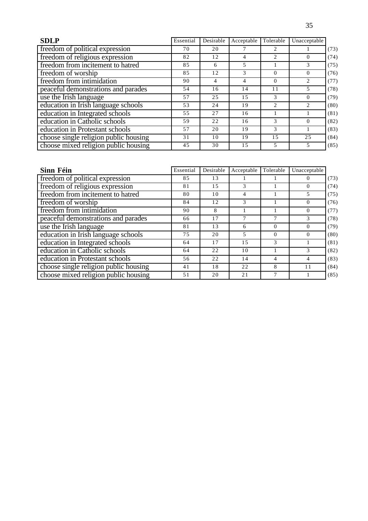| <b>SDLP</b>                           | Essential | Desirable | Acceptable | Tolerable      | Unacceptable   |      |
|---------------------------------------|-----------|-----------|------------|----------------|----------------|------|
| freedom of political expression       | 70        | 20        |            |                |                | (73) |
| freedom of religious expression       | 82        | 12        | 4          | $\mathfrak{D}$ | $\Omega$       | (74) |
| freedom from incitement to hatred     | 85        | 6         | 5          |                | 3              | (75) |
| freedom of worship                    | 85        | 12        | 3          | $\Omega$       | $\theta$       | (76) |
| freedom from intimidation             | 90        | 4         | 4          | 0              | 2              | (77) |
| peaceful demonstrations and parades   | 54        | 16        | 14         | 11             | 5              | (78) |
| use the Irish language                | 57        | 2.5       | 1.5        | 3              | $\Omega$       | (79) |
| education in Irish language schools   | 53        | 24        | 19         | 2              | $\mathfrak{D}$ | (80) |
| education in Integrated schools       | 55        | 27        | 16         |                |                | (81) |
| education in Catholic schools         | 59        | 22        | 16         | 3              | $\theta$       | (82) |
| education in Protestant schools       | 57        | 20        | 19         | 3              |                | (83) |
| choose single religion public housing | 31        | 10        | 19         | 1.5            | 25             | (84) |
| choose mixed religion public housing  | 45        | 30        | 15         | 5              | 5              | (85) |

| Sinn Féin                             | Essential | Desirable | Acceptable | Tolerable | Unacceptable |      |
|---------------------------------------|-----------|-----------|------------|-----------|--------------|------|
| freedom of political expression       | 85        | 13        |            |           | $\Omega$     | (73) |
| freedom of religious expression       | 81        | 15        | 3          |           | $\Omega$     | (74) |
| freedom from incitement to hatred     | 80        | 10        | 4          |           | 5.           | (75) |
| freedom of worship                    | 84        | 12        | 3          |           | $\Omega$     | (76) |
| freedom from intimidation             | 90        | 8         |            |           | $\Omega$     | (77) |
| peaceful demonstrations and parades   | 66        | 17        | 7          |           | 3            | (78) |
| use the Irish language                | 81        | 13        | 6          | $\Omega$  | $\Omega$     | (79) |
| education in Irish language schools   | 75        | 20        | 5          | 0         | $\Omega$     | (80) |
| education in Integrated schools       | 64        | 17        | 1.5        | 3         |              | (81) |
| education in Catholic schools         | 64        | 22        | 10         |           | 3            | (82) |
| education in Protestant schools       | 56        | 22        | 14         | 4         | 4            | (83) |
| choose single religion public housing | 41        | 18        | 22         | 8         | 11           | (84) |
| choose mixed religion public housing  | 51        | 20        | 21         |           |              | (85) |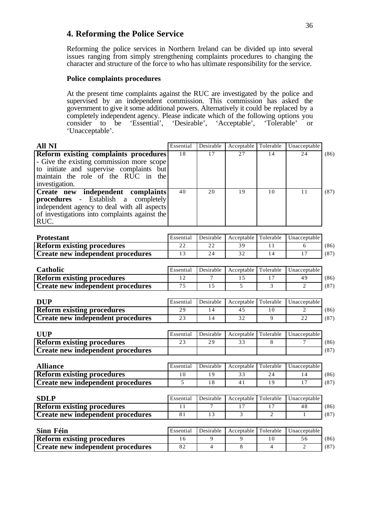## **4. Reforming the Police Service**

Reforming the police services in Northern Ireland can be divided up into several issues ranging from simply strengthening complaints procedures to changing the character and structure of the force to who has ultimate responsibility for the service.

#### **Police complaints procedures**

At the present time complaints against the RUC are investigated by the police and supervised by an independent commission. This commission has asked the government to give it some additional powers. Alternatively it could be replaced by a completely independent agency. Please indicate which of the following options you consider to be 'Essential', 'Desirable', 'Acceptable', 'Tolerable' or 'Unacceptable'.

| <b>All NI</b>                                                                                                                                                                                  | Essential             | Desirable             | Acceptable             | Tolerable            | Unacceptable            |              |
|------------------------------------------------------------------------------------------------------------------------------------------------------------------------------------------------|-----------------------|-----------------------|------------------------|----------------------|-------------------------|--------------|
| <b>Reform existing complaints procedures</b><br>- Give the existing commission more scope<br>to initiate and supervise complaints but<br>maintain the role of the RUC in the<br>investigation. | 18                    | 17                    | 27                     | 14                   | 2.4                     | (86)         |
| Create new independent complaints<br>procedures - Establish<br>completely<br>a<br>independent agency to deal with all aspects<br>of investigations into complaints against the<br>RUC.         | 40                    | 20                    | 19                     | 10                   | 11                      | (87)         |
| <b>Protestant</b>                                                                                                                                                                              | Essential             | Desirable             | Acceptable             | Tolerable            | Unacceptable            |              |
| <b>Reform existing procedures</b>                                                                                                                                                              | 22                    | 22                    | 39                     | 11                   | 6                       | (86)         |
| <b>Create new independent procedures</b>                                                                                                                                                       | 13                    | 24                    | 32                     | 14                   | 17                      | (87)         |
| Catholic                                                                                                                                                                                       | Essential             | Desirable             | Acceptable             | Tolerable            | Unacceptable            |              |
| <b>Reform existing procedures</b>                                                                                                                                                              | 12                    | $\overline{7}$        | 15                     | 17                   | 49                      | (86)         |
| <b>Create new independent procedures</b>                                                                                                                                                       | 75                    | 15                    | 5                      | 3                    | $\overline{2}$          | (87)         |
| <b>DUP</b><br><b>Reform existing procedures</b><br><b>Create new independent procedures</b>                                                                                                    | Essential<br>29<br>23 | Desirable<br>14<br>14 | Acceptable<br>45<br>32 | Tolerable<br>10<br>9 | Unacceptable<br>2<br>22 | (86)<br>(87) |
| <b>UUP</b><br><b>Reform existing procedures</b>                                                                                                                                                | Essential<br>23       | Desirable<br>29       | Acceptable<br>33       | Tolerable<br>8       | Unacceptable<br>$\tau$  | (86)         |
| <b>Create new independent procedures</b>                                                                                                                                                       |                       |                       |                        |                      |                         | (87)         |
| <b>Alliance</b>                                                                                                                                                                                | Essential             | Desirable             | Acceptable             | Tolerable            | Unacceptable            |              |
| <b>Reform existing procedures</b>                                                                                                                                                              | 10                    | 19                    | 33                     | 24                   | 14                      | (86)         |
| <b>Create new independent procedures</b>                                                                                                                                                       | 5                     | 18                    | 41                     | 19                   | 17                      | (87)         |
| <b>SDLP</b>                                                                                                                                                                                    | Essential             | Desirable             | Acceptable             | Tolerable            | Unacceptable            |              |
| <b>Reform existing procedures</b>                                                                                                                                                              | 11                    | 7                     | 17                     | 17                   | 48                      | (86)         |
| <b>Create new independent procedures</b>                                                                                                                                                       | 81                    | 13                    | 3                      | $\overline{c}$       | 1                       | (87)         |
| Sinn Féin                                                                                                                                                                                      | Essential             | Desirable             | Acceptable             | Tolerable            | Unacceptable            |              |
| <b>Reform existing procedures</b>                                                                                                                                                              | 16                    | 9                     | 9                      | 10                   | 56                      | (86)         |
| <b>Create new independent procedures</b>                                                                                                                                                       | 82                    | $\overline{4}$        | 8                      | $\overline{4}$       | 2                       | (87)         |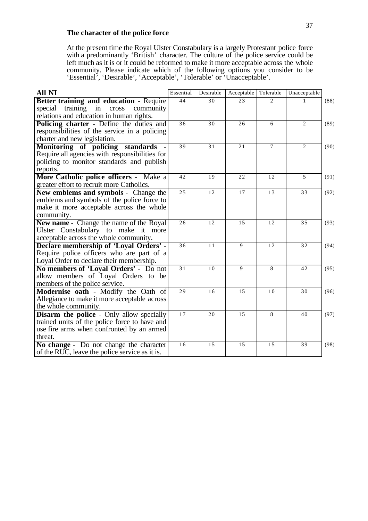#### **The character of the police force**

At the present time the Royal Ulster Constabulary is a largely Protestant police force with a predominantly 'British' character. The culture of the police service could be left much as it is or it could be reformed to make it more acceptable across the whole community. Please indicate which of the following options you consider to be 'Essential', 'Desirable', 'Acceptable', 'Tolerable' or 'Unacceptable'.

| <b>All NI</b>                                                                 | Essential | Desirable | Acceptable | Tolerable                   | Unacceptable   |      |
|-------------------------------------------------------------------------------|-----------|-----------|------------|-----------------------------|----------------|------|
| <b>Better training and education - Require</b>                                | 44        | 30        | 23         | $\mathcal{D}_{\mathcal{L}}$ |                | (88) |
| training in cross<br>special<br>community                                     |           |           |            |                             |                |      |
| relations and education in human rights.                                      |           |           |            |                             |                |      |
| Policing charter - Define the duties and                                      | 36        | 30        | 26         | 6                           | $\overline{2}$ | (89) |
| responsibilities of the service in a policing                                 |           |           |            |                             |                |      |
| charter and new legislation.                                                  |           |           |            |                             |                |      |
| Monitoring of policing standards                                              | 39        | 31        | 21         | $\tau$                      | $\overline{2}$ | (90) |
| Require all agencies with responsibilities for                                |           |           |            |                             |                |      |
| policing to monitor standards and publish                                     |           |           |            |                             |                |      |
| reports.                                                                      |           |           |            |                             |                |      |
| More Catholic police officers - Make a                                        | 42        | 19        | 22         | 12                          | 5              | (91) |
| greater effort to recruit more Catholics.                                     |           |           |            |                             |                |      |
| <b>New emblems and symbols - Change the</b>                                   | 25        | 12        | 17         | 13                          | 33             | (92) |
| emblems and symbols of the police force to                                    |           |           |            |                             |                |      |
| make it more acceptable across the whole                                      |           |           |            |                             |                |      |
| community.                                                                    |           | 12        | 15         |                             |                |      |
| <b>New name - Change the name of the Royal</b>                                | 26        |           |            | 12                          | 35             | (93) |
| Ulster Constabulary to make it more<br>acceptable across the whole community. |           |           |            |                             |                |      |
| Declare membership of 'Loyal Orders' -                                        | 36        | 11        | 9          | 12                          | 32             | (94) |
| Require police officers who are part of a                                     |           |           |            |                             |                |      |
| Loyal Order to declare their membership.                                      |           |           |            |                             |                |      |
| No members of 'Loyal Orders' - Do not                                         | 31        | 10        | 9          | 8                           | 42             | (95) |
| allow members of Loyal Orders to be                                           |           |           |            |                             |                |      |
| members of the police service.                                                |           |           |            |                             |                |      |
| Modernise oath - Modify the Oath of                                           | 29        | 16        | 15         | 10                          | 30             | (96) |
| Allegiance to make it more acceptable across                                  |           |           |            |                             |                |      |
| the whole community.                                                          |           |           |            |                             |                |      |
| <b>Disarm the police - Only allow specially</b>                               | 17        | 20        | 15         | 8                           | 40             | (97) |
| trained units of the police force to have and                                 |           |           |            |                             |                |      |
| use fire arms when confronted by an armed                                     |           |           |            |                             |                |      |
| threat.                                                                       |           |           |            |                             |                |      |
| No change - Do not change the character                                       | 16        | 15        | 15         | 15                          | 39             | (98) |
| of the RUC, leave the police service as it is.                                |           |           |            |                             |                |      |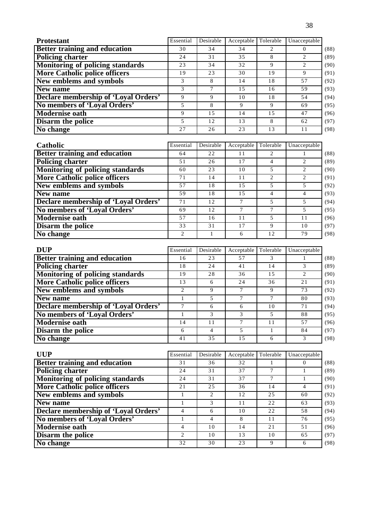| <b>Protestant</b>                    | Essential | Desirable | Acceptable | Tolerable | Unacceptable |
|--------------------------------------|-----------|-----------|------------|-----------|--------------|
| <b>Better training and education</b> | 30        | 34        | 34         |           |              |
| <b>Policing charter</b>              | 24        | 31        | 35         | 8         |              |
| Monitoring of policing standards     | 23        | 34        | 32         | 9         |              |
| <b>More Catholic police officers</b> | 19        | 23        | 30         | 19        | 9            |
| New emblems and symbols              | 3         | 8         | 14         | 18        | 57           |
| New name                             | 3         |           | 1.5        | 16        | 59           |
| Declare membership of 'Loyal Orders' | Q         | 9         | 10         | 18        | 54           |
| No members of 'Loyal Orders'         | 5         | 8         | 9          | 9         | 69           |
| <b>Modernise oath</b>                | 9         | 1.5       | 14         | 1.5       | 47           |
| <b>Disarm the police</b>             | 5         | 12        | 13         | 8         | 62           |
| No change                            | 27        | 26        | 23         | 13        | 11           |

| Catholic                                    | Essential      | Desirable | Acceptable | Tolerable      | Unacceptable |      |
|---------------------------------------------|----------------|-----------|------------|----------------|--------------|------|
| <b>Better training and education</b>        | 64             | 22        | 11         |                |              | (88) |
| <b>Policing charter</b>                     | 51             | 26        | 17         |                |              | (89) |
| Monitoring of policing standards            | 60             | 23        | 10         |                |              | (90) |
| <b>More Catholic police officers</b>        | 71             | 14        | 11         | $\mathfrak{D}$ |              | (91) |
| New emblems and symbols                     | 57             | 18        | 1.5        |                | 5.           | (92) |
| New name                                    | 59             | 18        | 1.5        | 4              |              | (93) |
| <b>Declare membership of 'Loyal Orders'</b> | 71             | 12        | 7          | 5              |              | (94) |
| No members of 'Loyal Orders'                | 69             | 12        |            |                |              | (95) |
| <b>Modernise oath</b>                       | 57             | 16        | 11         | 5              | 11           | (96) |
| <b>Disarm the police</b>                    | 33             | 31        | 17         | 9              | 10           | (97) |
| No change                                   | $\mathfrak{D}$ |           | 6          | 12             | 79           | (98) |

| <b>DUP</b>                           | Essential      | Desirable | Acceptable | Tolerable | Unacceptable  |      |
|--------------------------------------|----------------|-----------|------------|-----------|---------------|------|
| <b>Better training and education</b> | 16             | 23        | 57         |           |               | (88) |
| <b>Policing charter</b>              | 18             | 24        | 41         | 14        |               | (89) |
| Monitoring of policing standards     | 19             | 28        | 36         | 1.5       | $\mathcal{L}$ | (90) |
| <b>More Catholic police officers</b> | 13             | 6         | 24         | 36        | 21            | (91) |
| New emblems and symbols              | $\mathfrak{D}$ | 9         | 7          | 9         | 73            | (92) |
| New name                             |                | 5         |            |           | 80            | (93) |
| Declare membership of 'Loyal Orders' |                | 6         | 6          | 10        | 71            | (94) |
| No members of 'Loyal Orders'         |                | 3         | 3          | 5         | 88            | (95) |
| <b>Modernise oath</b>                | 14             | 11        |            | 11        | 57            | (96) |
| <b>Disarm the police</b>             | 6              | 4         |            |           | 84            | (97) |
| No change                            | 41             | 35        | 1.5        | 6         |               | (98) |

| <b>UUP</b>                                  | Essential      | Desirable      | Acceptable | Tolerable | Unacceptable |      |
|---------------------------------------------|----------------|----------------|------------|-----------|--------------|------|
| <b>Better training and education</b>        | 31             | 36             | 32         |           |              | (88) |
| <b>Policing charter</b>                     | 24             | 31             | 37         |           |              | (89) |
| Monitoring of policing standards            | 24             | 31             | 37         |           |              | (90) |
| <b>More Catholic police officers</b>        | 21             | 2.5            | 36         | 14        | 4            | (91) |
| New emblems and symbols                     |                | $\mathfrak{D}$ | 12         | 25        | 60           | (92) |
| New name                                    |                | 3              | 11         | 22        | 63           | (93) |
| <b>Declare membership of 'Loyal Orders'</b> | 4              | 6              | 10         | 22        | 58           | (94) |
| No members of 'Loyal Orders'                |                | 4              | 8          | 11        | 76           | (95) |
| <b>Modernise oath</b>                       | 4              | 10             | 14         | 21        | 51           | (96) |
| <b>Disarm the police</b>                    | $\mathfrak{D}$ | 10             | 13         | 10        | 65           | (97) |
| No change                                   | 32             | 30             | 23         | 9         | 6            | (98) |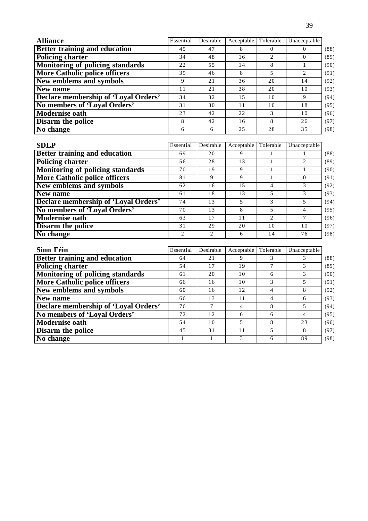| <b>Alliance</b>                      | Essential | Desirable | Acceptable     | Tolerable  | Unacceptable   |
|--------------------------------------|-----------|-----------|----------------|------------|----------------|
| Better training and education        | 45        | 47        | 8              | $\theta$   | $\Omega$       |
| <b>Policing charter</b>              | 34        | 48        | 16             | 2          | $\Omega$       |
| Monitoring of policing standards     | 22        | 55        | 14             | 8          |                |
| <b>More Catholic police officers</b> | 39        | 46        | 8              | 5          | $\overline{c}$ |
| <b>New emblems and symbols</b>       | 9         | 21        | 36             | 20         | 14             |
| New name                             | 11        | 21        | 38             | 20         | 10             |
| Declare membership of 'Loyal Orders' | 34        | 32        | 15             | 10         | 9              |
| No members of 'Loval Orders'         | 31        | 30        | 11             | 10         | 18             |
| <b>Modernise oath</b>                | 23        | 42        | 22             | 3          | 10             |
| Disarm the police                    | 8         | 42        | 16             | 8          | 26             |
| No change                            | 6         | 6         | 25             | 28         | 35             |
|                                      |           |           |                |            |                |
| <b>SDLP</b>                          | Essential | Desirable | Acceptable     | Tolerable  | Unacceptable   |
| <b>Better training and education</b> | 69        | 20        | 9              |            |                |
| <b>Policing charter</b>              | 56        | 28        | 13             |            | $\overline{c}$ |
| Monitoring of policing standards     | 70        | 19        | 9              | 1          |                |
| <b>More Catholic police officers</b> | 81        | 9         | 9              | 1          | $\theta$       |
| New emblems and symbols              | 62        | 16        | 15             | 4          | 3              |
| $\mathbf{N}$                         | $\sim$ 1  | $1^\circ$ | 1 <sub>2</sub> | $\epsilon$ | $\sim$         |

| 62 | I 6 |    |    |    | (92) |
|----|-----|----|----|----|------|
| 61 | 18  | 13 |    |    | (93) |
| 74 | 13  |    |    |    | (94) |
| 70 | 13  |    |    |    | (95) |
| 63 | 17  |    |    |    | (96) |
| 31 | 29  | 20 | 10 | 10 | (97) |
|    |     |    |    | 76 | (98) |
|    |     |    |    |    |      |

| Sinn Féin                               | Essential | Desirable | Acceptable | Tolerable | Unacceptable |      |
|-----------------------------------------|-----------|-----------|------------|-----------|--------------|------|
| <b>Better training and education</b>    | 64        | 21        | 9          |           |              | (88) |
| <b>Policing charter</b>                 | 54        | 17        | 19         |           |              | (89) |
| <b>Monitoring of policing standards</b> | 61        | 20        | 10         | 6         |              | (90) |
| <b>More Catholic police officers</b>    | 66        | 16        | 10         | 3         |              | (91) |
| New emblems and symbols                 | 60        | 16        | 12         | 4         | 8            | (92) |
| New name                                | 66        | 13        | 11         | 4         | -6           | (93) |
| Declare membership of 'Loyal Orders'    | 76        | 7         | 4          | 8         | 5            | (94) |
| No members of 'Loyal Orders'            | 72        | 12        | 6          | 6         | 4            | (95) |
| <b>Modernise oath</b>                   | 54        | 10        | 5          | 8         | 23           | (96) |
| Disarm the police                       | 45        | 31        | 11         | 5         | 8            | (97) |
| No change                               |           |           | 3          | 6         | 89           | (98) |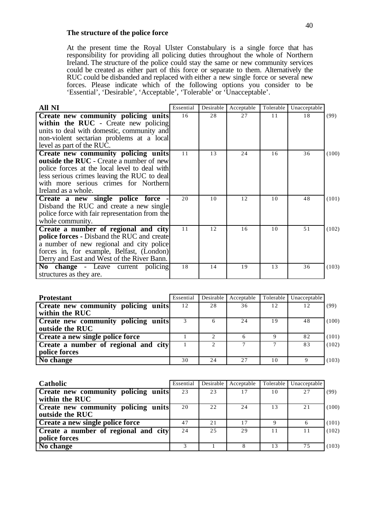#### **The structure of the police force**

At the present time the Royal Ulster Constabulary is a single force that has responsibility for providing all policing duties throughout the whole of Northern Ireland. The structure of the police could stay the same or new community services could be created as either part of this force or separate to them. Alternatively the RUC could be disbanded and replaced with either a new single force or several new forces. Please indicate which of the following options you consider to be 'Essential', 'Desirable', 'Acceptable', 'Tolerable' or 'Unacceptable'.

| All NI                                                                                                                                                                                                                                          | Essential | Desirable | Acceptable | Tolerable | Unacceptable |       |
|-------------------------------------------------------------------------------------------------------------------------------------------------------------------------------------------------------------------------------------------------|-----------|-----------|------------|-----------|--------------|-------|
| Create new community policing units<br>within the RUC - Create new policing<br>units to deal with domestic, community and<br>non-violent sectarian problems at a local<br>level as part of the RUC.                                             | 16        | 28        | 27         | 11        | 18           | (99)  |
| Create new community policing units<br>outside the RUC - Create a number of new<br>police forces at the local level to deal with<br>less serious crimes leaving the RUC to deal<br>with more serious crimes for Northern<br>Ireland as a whole. | 11        | 13        | 24         | 16        | 36           | (100) |
| Create a new single police force<br>Disband the RUC and create a new single<br>police force with fair representation from the<br>whole community.                                                                                               | 20        | 10        | 12         | 10        | 48           | (101) |
| Create a number of regional and city<br><b>police forces - Disband the RUC and create</b><br>a number of new regional and city police<br>forces in, for example, Belfast, (London)<br>Derry and East and West of the River Bann.                | 11        | 12        | 16         | 10        | 51           | (102) |
| No change - Leave current policing<br>structures as they are.                                                                                                                                                                                   | 18        | 14        | 19         | 13        | 36           | (103) |

| <b>Protestant</b>                                      | Essential | Desirable     | Acceptable | Tolerable | Unacceptable |      |
|--------------------------------------------------------|-----------|---------------|------------|-----------|--------------|------|
| Create new community policing units<br>within the RUC  | 12        | 28            | 36         | 12        | 12           | (99) |
| Create new community policing units<br>outside the RUC |           | 6             | 24         | 19        | 48           | 100) |
| Create a new single police force                       |           |               |            |           | 82           | 101) |
| Create a number of regional and city<br>police forces  |           | $\mathcal{D}$ |            |           | 83           | 102) |
| No change                                              | 30        | 24            | 2.7        | 10        |              | 103) |

| Catholic                                               | Essential | Desirable | Acceptable | Tolerable | Unacceptable |       |
|--------------------------------------------------------|-----------|-----------|------------|-----------|--------------|-------|
| Create new community policing units<br>within the RUC  | 23        | 23        | 17         | 10        | 27           | (99)  |
| Create new community policing units<br>outside the RUC | 20        | 22        | 24         | 13        | 21           | 100)  |
| Create a new single police force                       | 47        | 21        | 17         | Q         | 6            | (101) |
| Create a number of regional and city<br>police forces  | 24        | 2.5       | 29         |           | 11           | 102)  |
| $\overline{No}$ change                                 |           |           |            | 13        | 75           | (103) |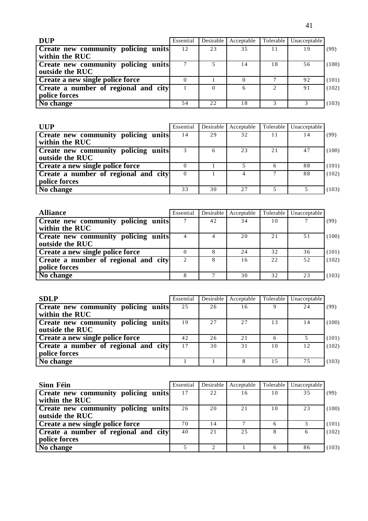| <b>DUP</b>                                                    | Essential | Desirable | Acceptable |                                                                                                                                                                 | Tolerable Unacceptable |       |
|---------------------------------------------------------------|-----------|-----------|------------|-----------------------------------------------------------------------------------------------------------------------------------------------------------------|------------------------|-------|
| <b>Create new community policing units</b><br>within the RUC  | 12        | 23        | 35         |                                                                                                                                                                 | 19                     | (99)  |
| <b>Create new community policing units</b><br>outside the RUC |           |           | 14         | 18                                                                                                                                                              | 56                     | (100) |
| Create a new single police force                              |           |           |            |                                                                                                                                                                 | 92                     | (101) |
| Create a number of regional and city<br>police forces         |           | 0         |            | $\mathcal{D}_{\mathcal{L}}^{\mathcal{L}}(\mathcal{L})=\mathcal{L}_{\mathcal{L}}^{\mathcal{L}}(\mathcal{L})\mathcal{L}_{\mathcal{L}}^{\mathcal{L}}(\mathcal{L})$ | 91                     | (102) |
| No change                                                     | 54        | 2.2.      | 18         |                                                                                                                                                                 |                        | (103) |

| <b>UUP</b>                                                    | Essential | Desirable | Acceptable | Tolerable    | Unacceptable |       |
|---------------------------------------------------------------|-----------|-----------|------------|--------------|--------------|-------|
| Create new community policing units<br>within the RUC         | 14        | 29        | 32         | 11           | 14           | (99)  |
| <b>Create new community policing units</b><br>outside the RUC |           | 6         | 23         | 2.1          | 47           | (100) |
| Create a new single police force                              |           |           |            | <sub>(</sub> | 88           | (101) |
| Create a number of regional and city<br>police forces         | $\Omega$  |           |            | $\mathbf{r}$ | 88           | (102) |
| No change                                                     | 33        | 30        | 2.7        |              |              | 103)  |

| <b>Alliance</b>                            | Essential | Desirable | Acceptable | Tolerable | Unacceptable |       |
|--------------------------------------------|-----------|-----------|------------|-----------|--------------|-------|
| <b>Create new community policing units</b> |           | 42        | 34         | 10        |              | (99)  |
| within the RUC                             |           |           |            |           |              |       |
| <b>Create new community policing units</b> |           |           | 20         | 21        | 51           | (100) |
| outside the RUC                            |           |           |            |           |              |       |
| Create a new single police force           |           |           | 24         | 32        | 36           | (101) |
| Create a number of regional and city       | 2         |           | 16         | 2.2.      | 52           | (102) |
| police forces                              |           |           |            |           |              |       |
| No change                                  |           |           | 30         | 32        | 23           | 103)  |

| <b>SDLP</b>                          | Essential | Desirable | Acceptable |                | Tolerable   Unacceptable |       |
|--------------------------------------|-----------|-----------|------------|----------------|--------------------------|-------|
| Create new community policing units  | 25        | 26        | 16         |                | 24                       | (99)  |
| within the RUC                       |           |           |            |                |                          |       |
| Create new community policing units  | 19        | 27        | 2.7        | 13             | 14                       | (100) |
| outside the RUC                      |           |           |            |                |                          |       |
| Create a new single police force     | 42        | 26        | 21         | 6              |                          | (101) |
| Create a number of regional and city | 17        | 30        | 31         | 1 <sub>0</sub> | 12                       | (102) |
| police forces                        |           |           |            |                |                          |       |
| No change                            |           |           |            | 15             | 75                       | (103) |

| Sinn Féin                                  | Essential | Desirable     | Acceptable | Tolerable | Unacceptable |       |
|--------------------------------------------|-----------|---------------|------------|-----------|--------------|-------|
| <b>Create new community policing units</b> |           | 22            | 16         | 10        | 35           | (99)  |
| within the RUC                             |           |               |            |           |              |       |
| <b>Create new community policing units</b> | 26        | 20            | 21         | 10        | 23           | 100)  |
| outside the RUC                            |           |               |            |           |              |       |
| <b>Create a new single police force</b>    | 70        | 14            |            |           |              | (101) |
| Create a number of regional and city       | 40        | 21            | 2.5        |           | 6            | (102) |
| police forces                              |           |               |            |           |              |       |
| No change                                  |           | $\mathcal{L}$ |            | 6         | 86           | (103) |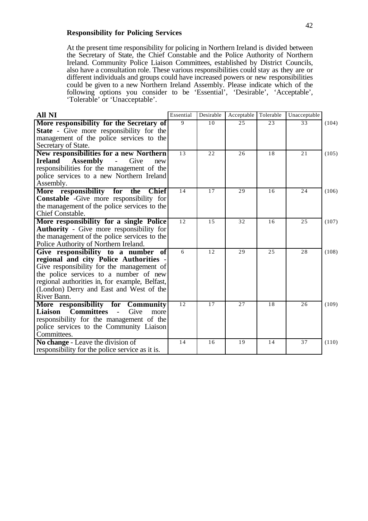#### **Responsibility for Policing Services**

At the present time responsibility for policing in Northern Ireland is divided between the Secretary of State, the Chief Constable and the Police Authority of Northern Ireland. Community Police Liaison Committees, established by District Councils, also have a consultation role. These various responsibilities could stay as they are or different individuals and groups could have increased powers or new responsibilities could be given to a new Northern Ireland Assembly. Please indicate which of the following options you consider to be 'Essential', 'Desirable', 'Acceptable', 'Tolerable' or 'Unacceptable'.

| <b>All NI</b>                                          | Essential    | Desirable | Acceptable | Tolerable | Unacceptable |       |
|--------------------------------------------------------|--------------|-----------|------------|-----------|--------------|-------|
| More responsibility for the Secretary of               | $\mathbf{Q}$ | 10        | 25         | 23        | 33           | (104) |
| <b>State</b> - Give more responsibility for the        |              |           |            |           |              |       |
| management of the police services to the               |              |           |            |           |              |       |
| Secretary of State.                                    |              |           |            |           |              |       |
| New responsibilities for a new Northern                | 13           | 22        | 26         | 18        | 21           | (105) |
| <b>Assembly</b><br><b>Ireland</b><br>- Give<br>new     |              |           |            |           |              |       |
| responsibilities for the management of the             |              |           |            |           |              |       |
| police services to a new Northern Ireland              |              |           |            |           |              |       |
| Assembly.                                              |              |           |            |           |              |       |
| More responsibility for<br><b>Chief</b><br>the         | 14           | 17        | 29         | 16        | 24           | (106) |
| <b>Constable</b> -Give more responsibility for         |              |           |            |           |              |       |
| the management of the police services to the           |              |           |            |           |              |       |
| Chief Constable.                                       |              |           |            |           |              |       |
| More responsibility for a single Police                | 12           | 15        | 32         | 16        | 25           | (107) |
| <b>Authority</b> - Give more responsibility for        |              |           |            |           |              |       |
| the management of the police services to the           |              |           |            |           |              |       |
| Police Authority of Northern Ireland.                  |              |           |            |           |              |       |
| Give responsibility to a number of                     | 6            | 12        | 29         | 25        | 28           | (108) |
| regional and city Police Authorities -                 |              |           |            |           |              |       |
| Give responsibility for the management of              |              |           |            |           |              |       |
| the police services to a number of new                 |              |           |            |           |              |       |
| regional authorities in, for example, Belfast,         |              |           |            |           |              |       |
| (London) Derry and East and West of the                |              |           |            |           |              |       |
| River Bann.                                            |              |           |            |           |              |       |
| More responsibility for<br><b>Community</b>            | 12           | 17        | 27         | 18        | 26           | (109) |
| <b>Committees</b><br>Liaison<br>Give<br>$\sim$<br>more |              |           |            |           |              |       |
| responsibility for the management of the               |              |           |            |           |              |       |
| police services to the Community Liaison               |              |           |            |           |              |       |
| Committees.                                            |              |           |            |           |              |       |
| No change - Leave the division of                      | 14           | 16        | 19         | 14        | 37           | (110) |
| responsibility for the police service as it is.        |              |           |            |           |              |       |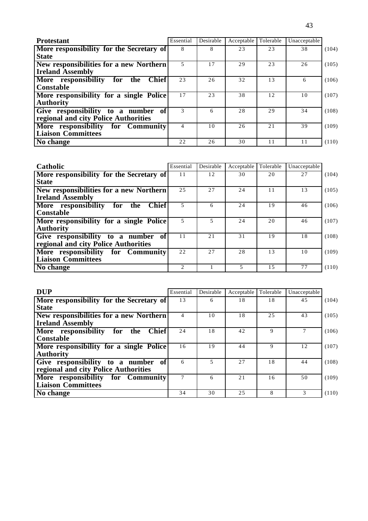| <b>Protestant</b>                                 | Essential | Desirable | Acceptable | Tolerable | Unacceptable |       |
|---------------------------------------------------|-----------|-----------|------------|-----------|--------------|-------|
| More responsibility for the Secretary of          | 8         | 8         | 23         | 23        | 38           | (104) |
| <b>State</b>                                      |           |           |            |           |              |       |
| New responsibilities for a new Northern           | 5         | 17        | 29         | 23        | 26           | (105) |
| <b>Ireland Assembly</b>                           |           |           |            |           |              |       |
| More responsibility<br><b>Chief</b><br>for<br>the | 23        | 26        | 32         | 13        | 6            | (106) |
| <b>Constable</b>                                  |           |           |            |           |              |       |
| More responsibility for a single Police           | 17        | 23        | 38         | 12        | 10           | (107) |
| <b>Authority</b>                                  |           |           |            |           |              |       |
| Give responsibility to a number<br>of l           |           | 6         | 28         | 29        | 34           | (108) |
| regional and city Police Authorities              |           |           |            |           |              |       |
| More responsibility for Community                 | 4         | 10        | 26         | 21        | 39           | (109) |
| <b>Liaison Committees</b>                         |           |           |            |           |              |       |
| No change                                         | 22        | 26        | 30         | 11        | 11           | (110) |

| Catholic                                          | Essential      | Desirable | Acceptable | Tolerable | Unacceptable |       |
|---------------------------------------------------|----------------|-----------|------------|-----------|--------------|-------|
| More responsibility for the Secretary of          | 11             | 12        | 30         | 20        | 27           | (104) |
| <b>State</b>                                      |                |           |            |           |              |       |
| New responsibilities for a new Northern           | 25             | 27        | 24         | 11        | 13           | (105) |
| <b>Ireland Assembly</b>                           |                |           |            |           |              |       |
| More responsibility<br><b>Chief</b><br>for<br>the | 5              | 6         | 24         | 19        | 46           | (106) |
| Constable                                         |                |           |            |           |              |       |
| More responsibility for a single Police           | 5              | 5.        | 24         | 20        | 46           | (107) |
| <b>Authority</b>                                  |                |           |            |           |              |       |
| Give responsibility to a number of                | 11             | 2.1       | 31         | 19        | 18           | (108) |
| regional and city Police Authorities              |                |           |            |           |              |       |
| More responsibility for Community                 | 22             | 27        | 28         | 13        | 10           | (109) |
| <b>Liaison Committees</b>                         |                |           |            |           |              |       |
| No change                                         | $\mathfrak{D}$ |           |            | 1.5       | 77           | (110) |

| <b>DUP</b>                                        | Essential | Desirable | Acceptable | Tolerable | Unacceptable |       |
|---------------------------------------------------|-----------|-----------|------------|-----------|--------------|-------|
| More responsibility for the Secretary of          | 13        | 6         | 18         | 18        | 45           | (104) |
| <b>State</b>                                      |           |           |            |           |              |       |
| New responsibilities for a new Northern           | 4         | 10        | 18         | 25        | 43           | (105) |
| <b>Ireland Assembly</b>                           |           |           |            |           |              |       |
| More responsibility<br><b>Chief</b><br>for<br>the | 24        | 18        | 42         | 9         |              | (106) |
| <b>Constable</b>                                  |           |           |            |           |              |       |
| More responsibility for a single Police           | 16        | 19        | 44         | 9         | 12           | (107) |
| <b>Authority</b>                                  |           |           |            |           |              |       |
| Give responsibility to a number<br>- of l         | 6         |           | 27         | 18        | 44           | (108) |
| regional and city Police Authorities              |           |           |            |           |              |       |
| More responsibility for Community                 |           | 6         | 21         | 16        | 50           | (109) |
| <b>Liaison Committees</b>                         |           |           |            |           |              |       |
| No change                                         | 34        | 30        | 25         | 8         | 3            | (110) |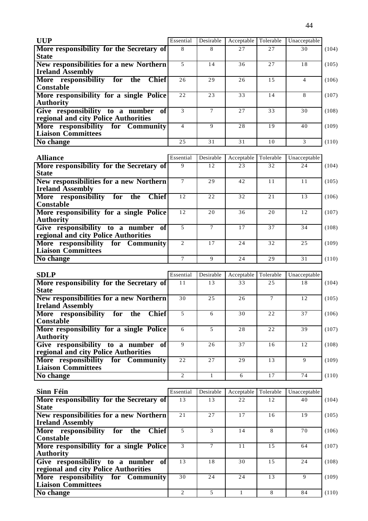| <b>UUP</b>                                        | Essential | Desirable | Acceptable | Tolerable | Unacceptable   |       |
|---------------------------------------------------|-----------|-----------|------------|-----------|----------------|-------|
| More responsibility for the Secretary of          | 8         | 8         | 27         | 27        | 30             | (104) |
| <b>State</b>                                      |           |           |            |           |                |       |
| New responsibilities for a new Northern           | 5         | 14        | 36         | 27        | 18             | (105) |
| <b>Ireland Assembly</b>                           |           |           |            |           |                |       |
| More responsibility<br>for<br><b>Chief</b><br>the | 26        | 29        | 26         | 15        | $\overline{4}$ | (106) |
| Constable                                         |           |           |            |           |                |       |
| More responsibility for a single Police           | 22        | 23        | 33         | 14        | 8              | (107) |
| <b>Authority</b>                                  |           |           |            |           |                |       |
| Give responsibility to a number<br>of             | 3         | 7         | 27         | 33        | 30             | (108) |
| regional and city Police Authorities              |           |           |            |           |                |       |
| More responsibility for Community                 | 4         | 9         | 28         | 19        | 40             | (109) |
| <b>Liaison Committees</b>                         |           |           |            |           |                |       |
| No change                                         | 25        | 31        | 31         | 10        | 3              | (110) |

| <b>Alliance</b>                                   | Essential                   | Desirable | Acceptable | Tolerable | Unacceptable |       |
|---------------------------------------------------|-----------------------------|-----------|------------|-----------|--------------|-------|
| More responsibility for the Secretary of          | 9                           | 12        | 23         | 32        | 24           | (104) |
| <b>State</b>                                      |                             |           |            |           |              |       |
| New responsibilities for a new Northern           |                             | 29        | 42         | 11        | 11           | (105) |
| <b>Ireland Assembly</b>                           |                             |           |            |           |              |       |
| More responsibility<br><b>Chief</b><br>for<br>the | 12                          | 22        | 32         | 21        | 13           | (106) |
| <b>Constable</b>                                  |                             |           |            |           |              |       |
| More responsibility for a single Police           | 12                          | 20        | 36         | 20        | 12           | (107) |
| <b>Authority</b>                                  |                             |           |            |           |              |       |
| Give responsibility to a number of                |                             |           | 17         | 37        | 34           | (108) |
| regional and city Police Authorities              |                             |           |            |           |              |       |
| More responsibility for Community                 | $\mathcal{D}_{\mathcal{L}}$ | 17        | 24         | 32        | 25           | (109) |
| <b>Liaison Committees</b>                         |                             |           |            |           |              |       |
| No change                                         |                             | 9         | 24         | 29        | 31           | (110) |

| <b>SDLP</b>                                       | Essential                   | Desirable      | Acceptable | Tolerable | Unacceptable |       |
|---------------------------------------------------|-----------------------------|----------------|------------|-----------|--------------|-------|
| More responsibility for the Secretary of          | 11                          | 13             | 33         | 25        | 18           | (104) |
| <b>State</b>                                      |                             |                |            |           |              |       |
| New responsibilities for a new Northern           | 30                          | 2.5            | 26         |           | 12           | (105) |
| <b>Ireland Assembly</b>                           |                             |                |            |           |              |       |
| More responsibility<br><b>Chief</b><br>for<br>the | 5                           | 6              | 30         | 22        | 37           | (106) |
| Constable                                         |                             |                |            |           |              |       |
| More responsibility for a single Police           | 6                           | $\overline{5}$ | 28         | 22        | 39           | (107) |
| <b>Authority</b>                                  |                             |                |            |           |              |       |
| Give responsibility to a number<br>-of l          | 9                           | 26             | 37         | 16        | 12           | (108) |
| regional and city Police Authorities              |                             |                |            |           |              |       |
| More responsibility for Community                 | 22                          | 2.7            | 29         | 13        | 9            | (109) |
| <b>Liaison Committees</b>                         |                             |                |            |           |              |       |
| No change                                         | $\mathcal{D}_{\mathcal{L}}$ |                | 6          | 17        | 74           | (110) |

| Sinn Féin                                         | Essential                | Desirable | Acceptable | Tolerable | Unacceptable |       |
|---------------------------------------------------|--------------------------|-----------|------------|-----------|--------------|-------|
| More responsibility for the Secretary of          | 13                       | 13        | 22         | 12        | 40           | (104) |
| <b>State</b>                                      |                          |           |            |           |              |       |
| <b>New responsibilities for a new Northern</b>    | 21                       | 27        | 17         | 16        | 19           | (105) |
| <b>Ireland Assembly</b>                           |                          |           |            |           |              |       |
| More responsibility<br><b>Chief</b><br>for<br>the | $\overline{\phantom{0}}$ | 3         | 14         | 8         | 70           | (106) |
| Constable                                         |                          |           |            |           |              |       |
| More responsibility for a single Police           |                          |           | 11         | 1.5       | 64           | (107) |
| <b>Authority</b>                                  |                          |           |            |           |              |       |
| Give responsibility to a number of                | 13                       | 18        | 30         | 1.5       | 24           | (108) |
| regional and city Police Authorities              |                          |           |            |           |              |       |
| More responsibility for Community                 | 30                       | 24        | 24         | 13        | 9            | (109) |
| <b>Liaison Committees</b>                         |                          |           |            |           |              |       |
| No change                                         | $\mathfrak{D}$           | 5         |            | 8         | 84           | (110) |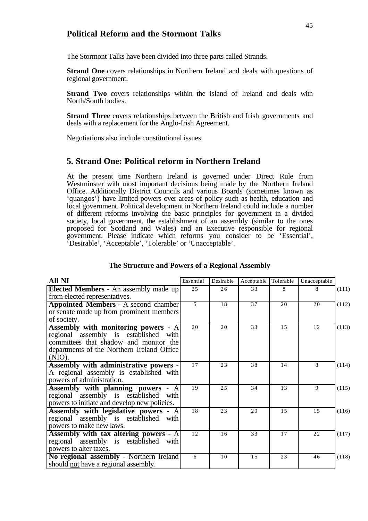### **Political Reform and the Stormont Talks**

The Stormont Talks have been divided into three parts called Strands.

**Strand One** covers relationships in Northern Ireland and deals with questions of regional government.

**Strand Two** covers relationships within the island of Ireland and deals with North/South bodies.

**Strand Three** covers relationships between the British and Irish governments and deals with a replacement for the Anglo-Irish Agreement.

Negotiations also include constitutional issues.

### **5. Strand One: Political reform in Northern Ireland**

At the present time Northern Ireland is governed under Direct Rule from Westminster with most important decisions being made by the Northern Ireland Office. Additionally District Councils and various Boards (sometimes known as 'quangos') have limited powers over areas of policy such as health, education and local government. Political development in Northern Ireland could include a number of different reforms involving the basic principles for government in a divided society, local government, the establishment of an assembly (similar to the ones proposed for Scotland and Wales) and an Executive responsible for regional government. Please indicate which reforms you consider to be 'Essential', 'Desirable', 'Acceptable', 'Tolerable' or 'Unacceptable'.

| All NI                                       | Essential      | Desirable | Acceptable | Tolerable | Unacceptable |       |
|----------------------------------------------|----------------|-----------|------------|-----------|--------------|-------|
| <b>Elected Members - An assembly made up</b> | 2.5            | 26        | 33         | 8         | 8            | (111) |
| from elected representatives.                |                |           |            |           |              |       |
| <b>Appointed Members - A second chamber</b>  | $\overline{5}$ | 18        | 37         | 20        | 20           | (112) |
| or senate made up from prominent members     |                |           |            |           |              |       |
| of society.                                  |                |           |            |           |              |       |
| <b>Assembly with monitoring powers - A</b>   | 20             | 20        | 33         | 15        | 12           | (113) |
| regional assembly is established with        |                |           |            |           |              |       |
| committees that shadow and monitor the       |                |           |            |           |              |       |
| departments of the Northern Ireland Office   |                |           |            |           |              |       |
| $(NIO)$ .                                    |                |           |            |           |              |       |
| Assembly with administrative powers -        | 17             | 23        | 38         | 14        | 8            | (114) |
| A regional assembly is established with      |                |           |            |           |              |       |
| powers of administration.                    |                |           |            |           |              |       |
| Assembly with planning powers - A            | 19             | 2.5       | 34         | 13        | 9            | (115) |
| regional assembly is established with        |                |           |            |           |              |       |
| powers to initiate and develop new policies. |                |           |            |           |              |       |
| Assembly with legislative powers - A         | 18             | 23        | 29         | 15        | 15           | (116) |
| regional assembly is established with        |                |           |            |           |              |       |
| powers to make new laws.                     |                |           |            |           |              |       |
| Assembly with tax altering powers - A        | 12             | 16        | 33         | 17        | 22           | (117) |
| regional assembly is established with        |                |           |            |           |              |       |
| powers to alter taxes.                       |                |           |            |           |              |       |
| No regional assembly - Northern Ireland      | 6              | 10        | 1.5        | 23        | 46           | (118) |
| should not have a regional assembly.         |                |           |            |           |              |       |

#### **The Structure and Powers of a Regional Assembly**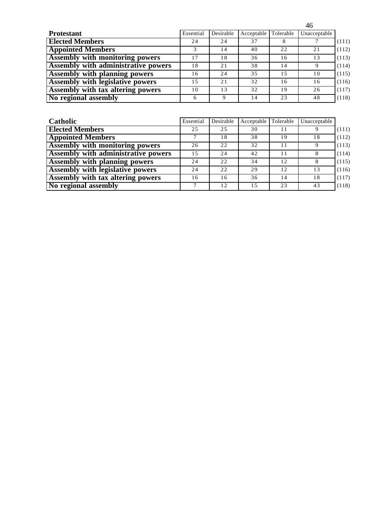|                                            |           |           |            |           | 46           |       |
|--------------------------------------------|-----------|-----------|------------|-----------|--------------|-------|
| <b>Protestant</b>                          | Essential | Desirable | Acceptable | Tolerable | Unacceptable |       |
| <b>Elected Members</b>                     | 24        | 24        | 37         | 8         |              | (111) |
| <b>Appointed Members</b>                   |           | 14        | 40         | 22        | 21           | (112) |
| <b>Assembly with monitoring powers</b>     | 17        | 18        | 36         | 16        | 13           | (113) |
| <b>Assembly with administrative powers</b> | 18        | 21        | 38         | 14        | 9            | (114) |
| <b>Assembly with planning powers</b>       | 16        | 24        | 35         | 1.5       | 10           | (115) |
| Assembly with legislative powers           | 15        | 2.1       | 32         | 16        | 16           | (116) |
| Assembly with tax altering powers          | 10        | 13        | 32         | 19        | 26           | (117) |
| No regional assembly                       | 6         | Q         | 14         | 23        | 48           | (118) |

| Catholic                                   | Essential | Desirable | Acceptable | Tolerable | Unacceptable |       |
|--------------------------------------------|-----------|-----------|------------|-----------|--------------|-------|
| <b>Elected Members</b>                     | 25        | 25        | 30         | 11        |              | (111) |
| <b>Appointed Members</b>                   |           | 18        | 38         | 19        | 18           | (112) |
| <b>Assembly with monitoring powers</b>     | 26        | 22        | 32         | 11        |              | (113) |
| <b>Assembly with administrative powers</b> | 1.5       | 24        | 42         | 11        |              | (114) |
| <b>Assembly with planning powers</b>       | 24        | 22        | 34         | 12        |              | (115) |
| Assembly with legislative powers           | 24        | 22        | 29         | 12        | 13           | (116) |
| Assembly with tax altering powers          | 16        | 16        | 36         | 14        | 18           | (117) |
| No regional assembly                       |           | 12        | 1.5        | 23        | 43           | (118) |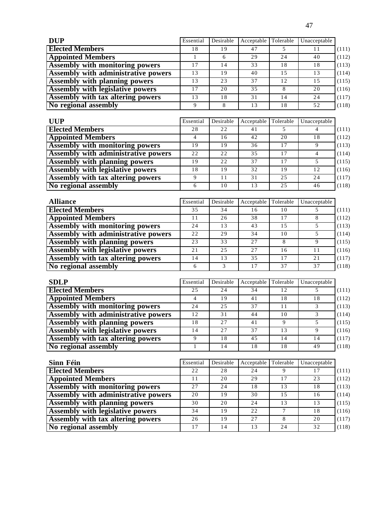| <b>DUP</b>                              | Essential | Desirable | Acceptable Tolerable |     | Unacceptable |       |
|-----------------------------------------|-----------|-----------|----------------------|-----|--------------|-------|
| <b>Elected Members</b>                  | 18        | 19        | 47                   |     | 11           | (111) |
| <b>Appointed Members</b>                |           | 6         | 29                   | 24  | 40           | (112) |
| <b>Assembly with monitoring powers</b>  | 17        | 14        | 33                   | 18  | 18           | (113) |
| Assembly with administrative powers     | 13        | 19        | 40                   | 1.5 | 13           | (114) |
| <b>Assembly with planning powers</b>    | 13        | 23        | 37                   | 12  | 15           | (115) |
| <b>Assembly with legislative powers</b> | 17        | 20        | 35                   |     | 20           | (116) |
| Assembly with tax altering powers       | 13        | 18        | 31                   | 14  | 24           | (117) |
| No regional assembly                    |           | 8         | 13                   | 18  | 52           | (118) |

| <b>UUP</b>                                 | Essential | Desirable | Acceptable | Tolerable | Unacceptable |       |
|--------------------------------------------|-----------|-----------|------------|-----------|--------------|-------|
| <b>Elected Members</b>                     | 28        | 22        | 41         |           |              | (111) |
| <b>Appointed Members</b>                   | 4         | 16        | 42         | 20        | 18           | (112) |
| <b>Assembly with monitoring powers</b>     | 19        | 19        | 36         | 17        |              | (113) |
| <b>Assembly with administrative powers</b> | 22        | 22        | 35         | 17        |              | (114) |
| <b>Assembly with planning powers</b>       | 19        | 22        | 37         | 17        |              | (115) |
| <b>Assembly with legislative powers</b>    | 18        | 19        | 32         | 19        | 12           | (116) |
| Assembly with tax altering powers          |           | 11        | 31         | 25        | 24           | (117) |
| No regional assembly                       |           | 10        | 13         | 25        | 46           | (118) |

| <b>Alliance</b>                          | Essential | Desirable | Acceptable   Tolerable |     | Unacceptable |       |
|------------------------------------------|-----------|-----------|------------------------|-----|--------------|-------|
| <b>Elected Members</b>                   | 35        | 34        | 16                     | 10  |              | (111) |
| <b>Appointed Members</b>                 | 11        | 26        | 38                     | 17  | 8            | (112) |
| Assembly with monitoring powers          | 24        | 13        | 43                     | 1.5 |              | (113) |
| Assembly with administrative powers      | 22        | 2.9       | 34                     | 10  |              | (114) |
| <b>Assembly with planning powers</b>     | 23        | 33        | 27                     |     |              | (115) |
| <b>Assembly with legislative powers</b>  | 21        | 2.5       | 2.7                    | 16  | 11           | (116) |
| <b>Assembly with tax altering powers</b> | 14        | 13        | 35                     | 17  | 21           | (117) |
| No regional assembly                     | 6         | 3         |                        | 37  | 37           | (118) |

| <b>SDLP</b>                                | Essential | Desirable | Acceptable | Tolerable   | Unacceptable |       |
|--------------------------------------------|-----------|-----------|------------|-------------|--------------|-------|
| <b>Elected Members</b>                     | 25        | 24        | 34         | 12          |              | (111) |
| <b>Appointed Members</b>                   |           | 19        | 41         | 18          | 18           | (112) |
| <b>Assembly with monitoring powers</b>     | 24        | 2.5       | 37         | 11          |              | (113) |
| <b>Assembly with administrative powers</b> | 12        | 31        | 44         | 10          |              | (114) |
| <b>Assembly with planning powers</b>       | 18        | 2.7       | 41         | $\mathbf Q$ |              | (115) |
| <b>Assembly with legislative powers</b>    | 14        | 27        | 37         | 13          | Q            | (116) |
| Assembly with tax altering powers          |           | 18        | 45         | 14          | 14           | (117) |
| No regional assembly                       |           | 14        | 18         | 18          | 49           | (118) |

| <b>Sinn Féin</b>                           | Essential | Desirable | Acceptable | Tolerable | Unacceptable |       |
|--------------------------------------------|-----------|-----------|------------|-----------|--------------|-------|
| <b>Elected Members</b>                     | 22        | 28        | 24         |           | 17           | (111) |
| <b>Appointed Members</b>                   | 11        | 20        | 29         | 17        | 23           | (112) |
| Assembly with monitoring powers            | 27        | 24        | 18         | 13        | 18           | (113) |
| <b>Assembly with administrative powers</b> | 20        | 19        | 30         | 1.5       | 16           | (114) |
| <b>Assembly with planning powers</b>       | 30        | 20        | 24         | 13        | 13           | (115) |
| <b>Assembly with legislative powers</b>    | 34        | 19        | 2.2.       |           | 18           | (116) |
| <b>Assembly with tax altering powers</b>   | 26        | 19        | 27         |           | 20           | (117) |
| No regional assembly                       | 17        | 14        | 13         | 24        | 32           | (118) |

47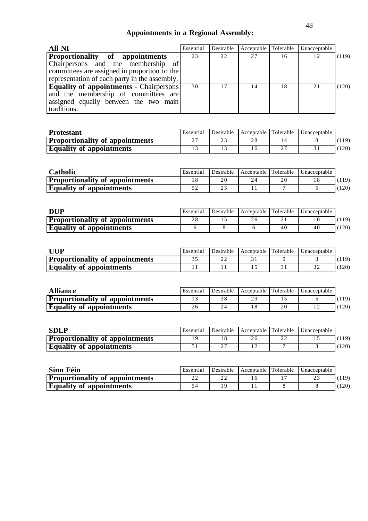# **Appointments in a Regional Assembly:**

| All NI                                                                                                                                                                                          | Essential | Desirable | Acceptable Tolerable |    | Unacceptable |       |
|-------------------------------------------------------------------------------------------------------------------------------------------------------------------------------------------------|-----------|-----------|----------------------|----|--------------|-------|
| <b>Proportionality</b> of appointments<br>$\overline{\phantom{a}}$<br>Chairpersons and the membership of<br>committees are assigned in proportion to the                                        | 23        | 22        | 27                   | 16 | 12           | (119) |
| representation of each party in the assembly.<br><b>Equality of appointments - Chairpersons</b><br>and the membership of committees are<br>assigned equally between the two main<br>traditions. | 30        | 17        | 14                   | 18 | 21           | (120) |

| <b>Protestant</b>                      | Essential | Desirable | Acceptable Tolerable | Unacceptable |        |
|----------------------------------------|-----------|-----------|----------------------|--------------|--------|
| <b>Proportionality of appointments</b> | n –<br>∼  | <u>.</u>  |                      |              | , 119) |
| <b>Equality of appointments</b>        |           |           |                      |              | (120)  |

| Catholic                               | <b>Essential</b> | Desirable | Acceptable Tolerable |    | Unacceptable |       |
|----------------------------------------|------------------|-----------|----------------------|----|--------------|-------|
| <b>Proportionality of appointments</b> |                  | 20        |                      | 20 |              | (119) |
| <b>Equality of appointments</b>        |                  | 25        |                      |    |              | 120)  |

| DUP                                    | Essential | Desirable | Acceptable Tolerable |    | Unacceptable |                  |
|----------------------------------------|-----------|-----------|----------------------|----|--------------|------------------|
| <b>Proportionality of appointments</b> |           |           |                      |    |              |                  |
| <b>Equality of appointments</b>        |           |           |                      | 40 | 40           | 120 <sup>a</sup> |

| UUP                                    | Essential | Desirable | Acceptable Tolerable | Unacceptable |                  |
|----------------------------------------|-----------|-----------|----------------------|--------------|------------------|
| <b>Proportionality of appointments</b> |           |           |                      |              | 119)             |
| <b>Equality of appointments</b>        |           |           |                      |              | 120 <sup>o</sup> |

| <b>Alliance</b>                        | Essential | Desirable | Acceptable Tolerable |    | <b>Unacceptable</b> |      |
|----------------------------------------|-----------|-----------|----------------------|----|---------------------|------|
| <b>Proportionality of appointments</b> |           |           |                      |    |                     | 119) |
| <b>Equality of appointments</b>        | 26        |           |                      | 20 |                     | 120) |

| <b>SDLP</b>                            | Essential | Desirable | Acceptable Tolerable |           | Unacceptable |       |
|----------------------------------------|-----------|-----------|----------------------|-----------|--------------|-------|
| <b>Proportionality of appointments</b> |           |           |                      | n r<br>∠∠ |              | (119) |
| <b>Equality of appointments</b>        |           | ∼         |                      |           |              | 120)  |

| Sinn Féin                              | Essential | Desirable | Acceptable Tolerable | <b>Unacceptable</b> |      |
|----------------------------------------|-----------|-----------|----------------------|---------------------|------|
| <b>Proportionality of appointments</b> |           |           |                      |                     | 119) |
| <b>Equality of appointments</b>        |           |           |                      |                     | 120) |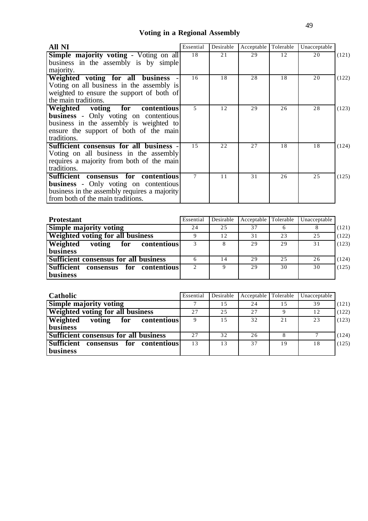# **Voting in a Regional Assembly**

| All NI                                        | Essential | Desirable | Acceptable | Tolerable | Unacceptable |       |
|-----------------------------------------------|-----------|-----------|------------|-----------|--------------|-------|
| <b>Simple majority voting - Voting on all</b> | 18        | 21        | 29         | 12        | 20           | (121) |
| business in the assembly is by simple         |           |           |            |           |              |       |
| majority.                                     |           |           |            |           |              |       |
| Weighted voting for all business              | 16        | 18        | 28         | 18        | 20           | (122) |
| Voting on all business in the assembly is     |           |           |            |           |              |       |
| weighted to ensure the support of both of     |           |           |            |           |              |       |
| the main traditions.                          |           |           |            |           |              |       |
| Weighted voting for contentious               | 5         | 12        | 29         | 26        | 28           | (123) |
| <b>business</b> - Only voting on contentious  |           |           |            |           |              |       |
| business in the assembly is weighted to       |           |           |            |           |              |       |
| ensure the support of both of the main        |           |           |            |           |              |       |
| traditions.                                   |           |           |            |           |              |       |
| Sufficient consensus for all business -       | 15        | 2.2.      | 27         | 18        | 18           | (124) |
| Voting on all business in the assembly        |           |           |            |           |              |       |
| requires a majority from both of the main     |           |           |            |           |              |       |
| traditions.                                   |           |           |            |           |              |       |
| Sufficient consensus for contentious          | 7         | 11        | 31         | 26        | 25           | (125) |
| <b>business</b> - Only voting on contentious  |           |           |            |           |              |       |
| business in the assembly requires a majority  |           |           |            |           |              |       |
| from both of the main traditions.             |           |           |            |           |              |       |

| <b>Protestant</b>                                 | Essential | Desirable | Acceptable | Tolerable | Unacceptable |       |
|---------------------------------------------------|-----------|-----------|------------|-----------|--------------|-------|
| <b>Simple majority voting</b>                     | 24        | 25        | 37         |           |              | (121) |
| Weighted voting for all business                  | Q         | 12        | 31         | 23        | 25           | (122) |
| Weighted<br>contentious<br>voting<br>for          | 3         | 8         | 29         | 29        | 31           | (123) |
| business                                          |           |           |            |           |              |       |
| Sufficient consensus for all business             | 6         | 14        | 29         | 25        | 26           | (124) |
| <b>Sufficient</b><br>for contentious<br>consensus | 2         | 9         | 29         | 30        | 30           | (125) |
| <b>business</b>                                   |           |           |            |           |              |       |

| <b>Catholic</b>                              | Essential | Desirable | Acceptable | Tolerable | Unacceptable |       |
|----------------------------------------------|-----------|-----------|------------|-----------|--------------|-------|
| Simple majority voting                       |           | 15        | 24         | 15        | 39           | (121) |
| Weighted voting for all business             | 2.7       | 25        | 2.7        |           | 12           | (122) |
| Weighted<br>contentious<br>voting<br>for     | 9         | 1.5       | 32         | 21        | 23           | (123) |
| business                                     |           |           |            |           |              |       |
| <b>Sufficient consensus for all business</b> | 27        | 32        | 26         |           |              | (124) |
| Sufficient consensus for contentious         | 13        | 13        | 37         | 19        | 18           | (125) |
| <b>business</b>                              |           |           |            |           |              |       |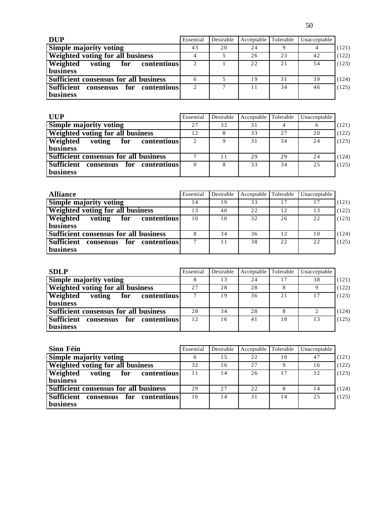| <b>DUP</b>                               | Essential      | Desirable    | Acceptable | Tolerable | Unacceptable |       |
|------------------------------------------|----------------|--------------|------------|-----------|--------------|-------|
| <b>Simple majority voting</b>            | 43             | 20           | 24         |           |              | (121) |
| <b>Weighted voting for all business</b>  |                |              | 26         | 23        | 42           | (122) |
| Weighted<br>contentious<br>voting<br>for | $\overline{2}$ |              | 22         | 21        | 54           | (123) |
| business                                 |                |              |            |           |              |       |
| Sufficient consensus for all business    | 6              |              | 19         | 31        | 39           | (124) |
| Sufficient consensus for contentious     | $\overline{2}$ | $\mathbf{r}$ |            | 34        | 46           | (125) |
| business                                 |                |              |            |           |              |       |

| <b>UUP</b>                                   | Essential | Desirable | Acceptable | Tolerable | Unacceptable |       |
|----------------------------------------------|-----------|-----------|------------|-----------|--------------|-------|
| <b>Simple majority voting</b>                | 27        | 32        | 31         |           | o            | (121) |
| Weighted voting for all business             | 12        | 8         | 33         | 27        | 20           | (122) |
| Weighted<br>contentious<br>voting<br>for     | 2         |           | 31         | 34        | 24           | (123) |
| business                                     |           |           |            |           |              |       |
| <b>Sufficient consensus for all business</b> | −         |           | 29         | 29        | 24           | (124) |
| Sufficient consensus<br>for contentious      | $\Omega$  | 8         | 33         | 34        | 25           | (125) |
| <b>business</b>                              |           |           |            |           |              |       |

| <b>Alliance</b>                              | Essential | Desirable | Acceptable Tolerable |    | Unacceptable |       |
|----------------------------------------------|-----------|-----------|----------------------|----|--------------|-------|
| <b>Simple majority voting</b>                | 14        | 19        | 33                   | 17 | 17           | (121) |
| Weighted voting for all business             | 13        | 40        | 22                   | 12 | 13           | (122) |
| Weighted<br>contentious<br>voting<br>for     | 10        | 10        | 32                   | 26 | 22           | (123) |
| business                                     |           |           |                      |    |              |       |
| <b>Sufficient consensus for all business</b> |           | 34        | 36                   | 12 | 10           | (124) |
| Sufficient consensus<br>for contentious      | 7         | 11        | 38                   | 22 | 22           | (125) |
| business                                     |           |           |                      |    |              |       |

| <b>SDLP</b>                                  | Essential | Desirable | Acceptable Tolerable |    | Unacceptable |       |
|----------------------------------------------|-----------|-----------|----------------------|----|--------------|-------|
| Simple majority voting                       |           | 13        | 24                   | 17 | 38           | (121) |
| <b>Weighted voting for all business</b>      | 2.7       | 28        | 28                   |    |              | (122) |
| Weighted<br>contentious<br>voting<br>for     | ⇁         | 19        | 36                   | 21 | 17           | (123) |
| <b>business</b>                              |           |           |                      |    |              |       |
| <b>Sufficient consensus for all business</b> | 28        | 34        | 28                   |    |              | (124) |
| Sufficient consensus for contentious         | 12        | 16        | 41                   | 18 | 13           | (125) |
| <b>business</b>                              |           |           |                      |    |              |       |

| Sinn Féin                                | Essential | Desirable | Acceptable Tolerable |    | Unacceptable |       |
|------------------------------------------|-----------|-----------|----------------------|----|--------------|-------|
| <b>Simple majority voting</b>            | h         | 15        | 22                   | 10 | 47           | (121) |
| <b>Weighted voting for all business</b>  | 32        | 16        | 27                   |    | 16           | (122) |
| Weighted<br>contentious<br>voting<br>for | 11        | 14        | 26                   | 17 | 32           | (123) |
| <b>business</b>                          |           |           |                      |    |              |       |
| Sufficient consensus for all business    | 29        | 2.7       | 22                   |    | 14           | (124) |
| Sufficient consensus for<br>contentious  | 16        | 14        | 31                   | 14 | 25           | (125) |
| <b>business</b>                          |           |           |                      |    |              |       |

50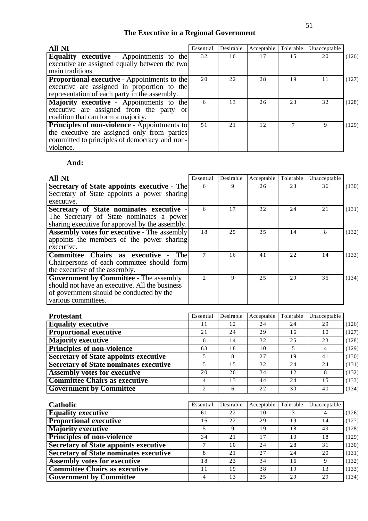## **The Executive in a Regional Government**

| <b>All NI</b>                                          | Essential | Desirable | Acceptable | Tolerable | Unacceptable |       |
|--------------------------------------------------------|-----------|-----------|------------|-----------|--------------|-------|
| <b>Equality executive -</b> Appointments to the        | 32        | 16        | 17         | 15        | 20           | (126) |
| executive are assigned equally between the two         |           |           |            |           |              |       |
| main traditions.                                       |           |           |            |           |              |       |
| <b>Proportional executive - Appointments to the</b>    | 20        | 22        | 28         | 19        | 11           | (127) |
| executive are assigned in proportion to the            |           |           |            |           |              |       |
| representation of each party in the assembly.          |           |           |            |           |              |       |
| Majority executive - Appointments to the               | 6         | 13        | 26         | 23        | 32           | (128) |
| executive are assigned from the party<br><sub>or</sub> |           |           |            |           |              |       |
| coalition that can form a majority.                    |           |           |            |           |              |       |
| <b>Principles of non-violence</b> - Appointments to    | 51        | 21        | 12         |           | $\mathbf Q$  | (129) |
| the executive are assigned only from parties           |           |           |            |           |              |       |
| committed to principles of democracy and non-          |           |           |            |           |              |       |
| violence.                                              |           |           |            |           |              |       |

## **And:**

| <b>All NI</b>                                      | Essential      | Desirable    | Acceptable | Tolerable | Unacceptable |       |
|----------------------------------------------------|----------------|--------------|------------|-----------|--------------|-------|
| Secretary of State appoints executive - The        | 6              | 9            | 26         | 23        | 36           | (130) |
| Secretary of State appoints a power sharing        |                |              |            |           |              |       |
| executive.                                         |                |              |            |           |              |       |
| Secretary of State nominates executive -           | 6              | 17           | 32         | 24        | 21           | (131) |
| The Secretary of State nominates a power           |                |              |            |           |              |       |
| sharing executive for approval by the assembly.    |                |              |            |           |              |       |
| <b>Assembly votes for executive - The assembly</b> | 18             | 2.5          | 35         | 14        | 8            | (132) |
| appoints the members of the power sharing          |                |              |            |           |              |       |
| executive.                                         |                |              |            |           |              |       |
| Committee Chairs as executive -<br>The             | 7              | 16           | 41         | 22        | 14           | (133) |
| Chairpersons of each committee should form         |                |              |            |           |              |       |
| the executive of the assembly.                     |                |              |            |           |              |       |
| <b>Government by Committee - The assembly</b>      | $\mathfrak{D}$ | 9            | 2.5        | 29        | 35           | (134) |
| should not have an executive. All the business     |                |              |            |           |              |       |
| of government should be conducted by the           |                |              |            |           |              |       |
| various committees.                                |                |              |            |           |              |       |
|                                                    |                |              |            |           |              |       |
| <b>Protestant</b>                                  | Essential      | Desirable    | Acceptable | Tolerable | Unacceptable |       |
| <b>Equality executive</b>                          | 11             | 12           | 24         | 24        | 29           | (126) |
| <b>Proportional executive</b>                      | 21             | 24           | 29         | 16        | 10           | (127) |
| <b>Majority executive</b>                          | 6              | 14           | 32         | 25        | 23           | (128) |
| <b>Principles of non-violence</b>                  | 63             | 18           | 10         | 5         | 4            | (129) |
| Secretory of State annoints evecutive              | 5.             | $\mathbf{R}$ | 27         | 1 Q       | $\Lambda$ 1  | (130) |

| <b>Secretary of State appoints executive</b>  |    |    | 27 |     | 41 | (130) |
|-----------------------------------------------|----|----|----|-----|----|-------|
| <b>Secretary of State nominates executive</b> |    |    | 32 | 2.4 | 24 | (131) |
| <b>Assembly votes for executive</b>           | 20 | 26 | 34 |     |    | (132) |
| <b>Committee Chairs as executive</b>          |    |    | 44 | 2.4 |    | (133) |
| <b>Government by Committee</b>                |    |    | 22 | 30  | 40 | (134) |

| Catholic                                      | Essential     | Desirable | Acceptable | Tolerable | Unacceptable |       |
|-----------------------------------------------|---------------|-----------|------------|-----------|--------------|-------|
| <b>Equality executive</b>                     | 61            | 22        | 10         |           | 4            | (126) |
| <b>Proportional executive</b>                 | 16            | 22        | 29         | 19        | 14           | (127) |
| <b>Majority executive</b>                     |               | 9         | 19         | 18        | 49           | (128) |
| <b>Principles of non-violence</b>             | 34            | 21        | 17         | 10        | 18           | (129) |
| <b>Secretary of State appoints executive</b>  | $\mathcal{I}$ | 10        | 24         | 28        | 31           | (130) |
| <b>Secretary of State nominates executive</b> | 8             | 21        | 27         | 24        | 20           | (131) |
| <b>Assembly votes for executive</b>           | 18            | 23        | 34         | 16        | 9            | (132) |
| <b>Committee Chairs as executive</b>          | 11            | 19        | 38         | 19        | 13           | (133) |
| <b>Government by Committee</b>                | 4             | 13        | 25         | 29        | 29           | (134) |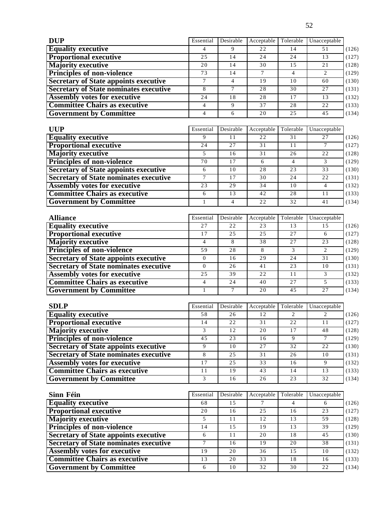| <b>DUP</b>                                    | Essential        | Desirable       | Acceptable      | Tolerable       | Unacceptable    |       |
|-----------------------------------------------|------------------|-----------------|-----------------|-----------------|-----------------|-------|
| <b>Equality executive</b>                     | 4                | 9               | 22              | 14              | 51              | (126) |
| <b>Proportional executive</b>                 | $\overline{25}$  | $\overline{14}$ | $\overline{24}$ | $\overline{24}$ | 13              | (127) |
| <b>Majority executive</b>                     | $2\sqrt{0}$      | 14              | $\overline{30}$ | 15              | $2\sqrt{1}$     | (128) |
| <b>Principles of non-violence</b>             | $\overline{73}$  | 14              | $7\phantom{.0}$ | $\overline{4}$  | 2               | (129) |
| <b>Secretary of State appoints executive</b>  | $\overline{7}$   | $\overline{4}$  | $\overline{19}$ | 10              | 60              | (130) |
| <b>Secretary of State nominates executive</b> | $\overline{8}$   | $\overline{7}$  | $\overline{28}$ | $\overline{30}$ | $\overline{27}$ | (131) |
| <b>Assembly votes for executive</b>           | $\overline{24}$  | 18              | $\overline{28}$ | 17              | 13              | (132) |
| <b>Committee Chairs as executive</b>          | $\overline{4}$   | 9               | 37              | $\overline{28}$ | 22              | (133) |
| <b>Government by Committee</b>                | $\overline{4}$   | 6               | 20              | 25              | 45              | (134) |
|                                               |                  |                 |                 |                 |                 |       |
| <b>UUP</b>                                    | Essential        | Desirable       | Acceptable      | Tolerable       | Unacceptable    |       |
| <b>Equality executive</b>                     | 9                | $\overline{11}$ | $\overline{22}$ | $\overline{31}$ | 27              | (126) |
| <b>Proportional executive</b>                 | 24               | 27              | 31              | 11              | $\tau$          | (127) |
| <b>Majority executive</b>                     | 5                | 16              | 31              | 26              | 22              | (128) |
| <b>Principles of non-violence</b>             | $\overline{70}$  | 17              | 6               | $\overline{4}$  | $\mathfrak{Z}$  | (129) |
| <b>Secretary of State appoints executive</b>  | 6                | 10              | 28              | 23              | 33              | (130) |
| <b>Secretary of State nominates executive</b> | $\tau$           | 17              | 30              | 24              | 22              | (131) |
| <b>Assembly votes for executive</b>           | $\overline{23}$  | 29              | $\overline{34}$ | 10              | $\overline{4}$  | (132) |
| <b>Committee Chairs as executive</b>          | 6                | 13              | 42              | 28              | 11              | (133) |
| <b>Government by Committee</b>                | $\mathbf{1}$     | $\overline{4}$  | 22              | 32              | 41              | (134) |
| <b>Alliance</b>                               | Essential        | Desirable       | Acceptable      | Tolerable       | Unacceptable    |       |
| <b>Equality executive</b>                     | 27               | 22              | 23              | 13              | 15              | (126) |
| <b>Proportional executive</b>                 | 17               | $\overline{25}$ | $\overline{25}$ | $\overline{27}$ | 6               | (127) |
| <b>Majority executive</b>                     | $\overline{4}$   | 8               | $\overline{38}$ | 27              | 23              | (128) |
| <b>Principles of non-violence</b>             | 59               | 28              | $\,8\,$         | 3               | $\sqrt{2}$      | (129) |
| <b>Secretary of State appoints executive</b>  | $\boldsymbol{0}$ | 16              | $\overline{29}$ | $\overline{24}$ | $\overline{31}$ | (130) |
| <b>Secretary of State nominates executive</b> | $\mathbf{0}$     | 26              | 41              | 23              | 10              | (131) |
| <b>Assembly votes for executive</b>           | 25               | 39              | $\overline{22}$ | $\overline{11}$ | $\overline{3}$  | (132) |
| <b>Committee Chairs as executive</b>          | $\overline{4}$   | $\overline{24}$ | 40              | $\overline{27}$ | $\overline{5}$  | (133) |
| <b>Government by Committee</b>                | 1                | 7               | 20              | 45              | 27              | (134) |
|                                               |                  |                 |                 |                 |                 |       |
| <b>SDLP</b>                                   | Essential        | Desirable       | Acceptable      | Tolerable       | Unacceptable    |       |
| <b>Equality executive</b>                     | 58               | 26              | 12              | 2               | 2               | (126) |
| <b>Proportional executive</b>                 | 14               | $\overline{22}$ | $\overline{31}$ | $\overline{22}$ | 11              | (127) |
| <b>Majority executive</b>                     | $\overline{3}$   | $\overline{12}$ | $\overline{20}$ | $\overline{17}$ | $\overline{48}$ | (128) |
| Principles of non-violence                    | $\overline{45}$  | $\overline{23}$ | 16              | 9               | $\tau$          | (129) |
| <b>Secretary of State appoints executive</b>  | $\overline{9}$   | $10$            | $2\sqrt{7}$     | 32              | $2\sqrt{2}$     | (130) |
| <b>Secretary of State nominates executive</b> | $\overline{8}$   | 25              | 31              | 26              | 10              | (131) |
| <b>Assembly votes for executive</b>           | 17               | 25              | 33              | 16              | 9               | (132) |
| <b>Committee Chairs as executive</b>          | $\overline{11}$  | 19              | $\overline{43}$ | 14              | 13              | (133) |
| <b>Government by Committee</b>                | 3                | 16              | 26              | $\overline{23}$ | 32              | (134) |
|                                               |                  |                 |                 |                 |                 |       |
| Sinn Féin                                     | Essential        | Desirable       | Acceptable      | Tolerable       | Unacceptable    |       |
| <b>Equality executive</b>                     | 68               | 15              | $\tau$          | $\overline{4}$  | 6               | (126) |
| <b>Proportional executive</b>                 | 20               | 16              | 25              | 16              | 23              | (127) |
| <b>Majority executive</b>                     | $\overline{5}$   | $1\,1$          | $\overline{12}$ | 13              | $\overline{59}$ | (128) |
| <b>Principles of non-violence</b>             | $\overline{14}$  | 15              | $\overline{19}$ | 13              | 39              | (129) |
| <b>Secretary of State appoints executive</b>  | $6\,$            | 11              | 20              | 18              | 45              | (130) |
| <b>Secretary of State nominates executive</b> | $\overline{7}$   | 16              | 19              | 20              | 38              | (131) |
| <b>Assembly votes for executive</b>           | 19               | 20              | 36              | 15              | 10              | (132) |
| <b>Committee Chairs as executive</b>          | 13               | 20              | 33              | 18              | 16              | (133) |
| <b>Government by Committee</b>                | 6                | 10              | $\overline{32}$ | $\overline{30}$ | 22              | (134) |

52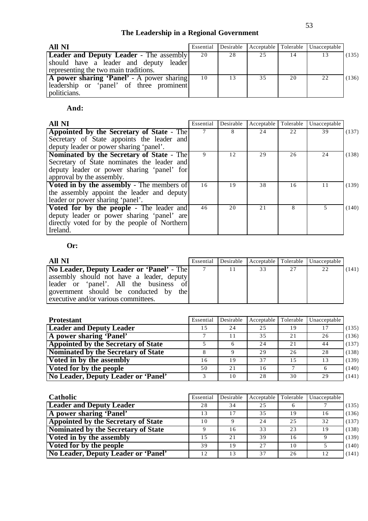# **The Leadership in a Regional Government**

| All NI                                         | Essential | Desirable |    |    | Acceptable Tolerable Unacceptable |       |
|------------------------------------------------|-----------|-----------|----|----|-----------------------------------|-------|
| <b>Leader and Deputy Leader - The assembly</b> | 20        | 28        | 25 |    | 13                                | (135) |
| should have a leader and deputy leader         |           |           |    |    |                                   |       |
| representing the two main traditions.          |           |           |    |    |                                   |       |
| A power sharing 'Panel' - A power sharing      | 10        | 13        | 35 | 20 | 22                                | (136) |
| leadership or 'panel' of three prominent       |           |           |    |    |                                   |       |
| politicians.                                   |           |           |    |    |                                   |       |

## **And:**

| All NI                                            | Essential | Desirable | Acceptable | Tolerable | Unacceptable |       |
|---------------------------------------------------|-----------|-----------|------------|-----------|--------------|-------|
| Appointed by the Secretary of State - The         | 7         | 8         | 24         | 22        | 39           | (137) |
| Secretary of State appoints the leader and        |           |           |            |           |              |       |
| deputy leader or power sharing 'panel'.           |           |           |            |           |              |       |
| Nominated by the Secretary of State - The         | 9         | 12        | 29         | 26        | 24           | (138) |
| Secretary of State nominates the leader and       |           |           |            |           |              |       |
| deputy leader or power sharing 'panel' for        |           |           |            |           |              |       |
| approval by the assembly.                         |           |           |            |           |              |       |
| <b>Voted in by the assembly - The members of</b>  | 16        | 19        | 38         | 16        | 11           | (139) |
| the assembly appoint the leader and deputy        |           |           |            |           |              |       |
| leader or power sharing 'panel'.                  |           |           |            |           |              |       |
| <b>Voted for by the people - The leader and  </b> | 46        | 20        | 21         | 8         | 5            | (140) |
| deputy leader or power sharing 'panel' are        |           |           |            |           |              |       |
| directly voted for by the people of Northern      |           |           |            |           |              |       |
| Ireland.                                          |           |           |            |           |              |       |

## **Or:**

| All NI                                                                                                                                                                           |    |    |    | Essential Desirable Acceptable Tolerable Unacceptable |       |
|----------------------------------------------------------------------------------------------------------------------------------------------------------------------------------|----|----|----|-------------------------------------------------------|-------|
| <b>No Leader, Deputy Leader or 'Panel'</b> - The<br>assembly should not have a leader, deputy<br>leader or 'panel'. All the business of<br>government should be conducted by the | 11 | 33 | 27 | 22                                                    | (141) |
| executive and/or various committees.                                                                                                                                             |    |    |    |                                                       |       |

| <b>Protestant</b>                          | Essential    | Desirable | Acceptable | Tolerable | Unacceptable |       |
|--------------------------------------------|--------------|-----------|------------|-----------|--------------|-------|
| <b>Leader and Deputy Leader</b>            | 15           | 24        | 25         | 19        | 17           | (135) |
| A power sharing 'Panel'                    |              | 11        | 35         | 2.1       | 26           | (136) |
| <b>Appointed by the Secretary of State</b> |              | 6         | 24         | 2.1       | 44           | (137) |
| Nominated by the Secretary of State        |              |           | 29         | 26        | 28           | (138) |
| Voted in by the assembly                   | 16           | 19        | 37         | 1.5       | 13           | (139) |
| Voted for by the people                    | 50           | 21        | 16         |           | 6            | (140) |
| No Leader, Deputy Leader or 'Panel'        | $\mathbf{R}$ | 10        | 28         | 30        | 29           | (141) |

| Catholic                                   | Essential   | Desirable | Acceptable | Tolerable | Unacceptable |       |
|--------------------------------------------|-------------|-----------|------------|-----------|--------------|-------|
| <b>Leader and Deputy Leader</b>            | 28          | 34        | 25         |           |              | (135) |
| A power sharing 'Panel'                    | 13          | 17        | 35         | 19        | 16           | (136) |
| <b>Appointed by the Secretary of State</b> | 10          |           | 24         | 2.5       | 32           | (137) |
| Nominated by the Secretary of State        | $\mathbf Q$ | 16        | 33         | 23        | 19           | (138) |
| Voted in by the assembly                   | 15          | 2.1       | 39         | 16        |              | (139) |
| Voted for by the people                    | 39          | 19        | 27         | 10        |              | (140) |
| No Leader, Deputy Leader or 'Panel'        | 12.         | 13        | 37         | 26        | 12           | (141) |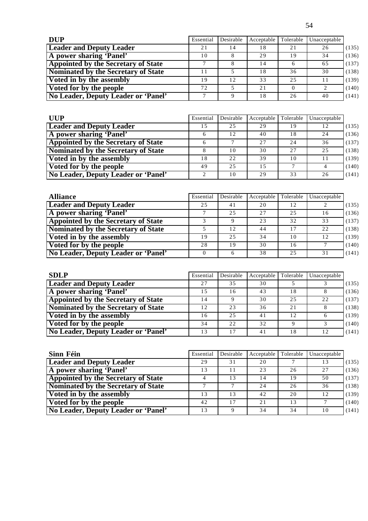| <b>DUP</b>                                 | Essential | Desirable | Acceptable | Tolerable | Unacceptable |       |
|--------------------------------------------|-----------|-----------|------------|-----------|--------------|-------|
| <b>Leader and Deputy Leader</b>            | 21        |           | 18         | 21        | 26           | (135) |
| A power sharing 'Panel'                    | 10        |           | 29         | 19        | 34           | (136) |
| <b>Appointed by the Secretary of State</b> |           |           | 14         |           | 65           | (137) |
| Nominated by the Secretary of State        |           |           | 18         | 36        | 30           | (138) |
| Voted in by the assembly                   | 19        | 12        | 33         | 2.5       |              | (139) |
| Voted for by the people                    | 72        |           | 2.1        |           |              | (140) |
| No Leader, Deputy Leader or 'Panel'        |           | Q         | 18         | 26        | 40           | (141) |

| <b>UUP</b>                                 | Essential     | Desirable | Acceptable | Tolerable | Unacceptable |       |
|--------------------------------------------|---------------|-----------|------------|-----------|--------------|-------|
| <b>Leader and Deputy Leader</b>            | 1.5           | 25        | 29         | 19        | 12           | (135) |
| A power sharing 'Panel'                    |               | 12        | 40         | 18        | 24           | (136) |
| <b>Appointed by the Secretary of State</b> | 6             |           | 27         | 24        | 36           | (137) |
| Nominated by the Secretary of State        |               | 10        | 30         | 27        | 25           | (138) |
| Voted in by the assembly                   | 18            | 22        | 39         | 10        |              | (139) |
| Voted for by the people                    | 49            | 2.5       | 1.5        |           |              | (140) |
| No Leader, Deputy Leader or 'Panel'        | $\mathcal{L}$ | 10        | 29         | 33        | 26           | (141) |

| <b>Alliance</b>                            | Essential | Desirable | Acceptable | Tolerable | Unacceptable |       |
|--------------------------------------------|-----------|-----------|------------|-----------|--------------|-------|
| <b>Leader and Deputy Leader</b>            | 25        | 41        | 20         | 12        |              | (135) |
| A power sharing 'Panel'                    |           | 25        | 27         | 25        | 16           | (136) |
| <b>Appointed by the Secretary of State</b> |           |           | 23         | 32        | 33           | (137) |
| Nominated by the Secretary of State        |           | 12        | 44         | 17        | 22           | (138) |
| Voted in by the assembly                   | 19        | 25        | 34         | 10        | 12           | (139) |
| Voted for by the people                    | 28        | 19        | 30         | 16        |              | (140) |
| No Leader, Deputy Leader or 'Panel'        |           |           | 38         | 25        | 31           | (141) |

| <b>SDLP</b>                                | Essential | Desirable | Acceptable | Tolerable | Unacceptable |       |
|--------------------------------------------|-----------|-----------|------------|-----------|--------------|-------|
| <b>Leader and Deputy Leader</b>            | 27        | 35        | 30         |           |              | (135) |
| A power sharing 'Panel'                    | 1.5       | 16        | 43         | ' 8       |              | (136) |
| <b>Appointed by the Secretary of State</b> | 14        |           | 30         | 25        | 22           | (137) |
| Nominated by the Secretary of State        | 12        | 23        | 36         | 2.1       |              | (138) |
| Voted in by the assembly                   | 16        | 25        | 41         | 12        |              | (139) |
| Voted for by the people                    | 34        | 22        | 32         |           |              | (140) |
| No Leader, Deputy Leader or 'Panel'        | 13        | 17        | 41         | l 8       | 12           | (141) |

| Sinn Féin                                  | Essential | Desirable | Acceptable | Tolerable | Unacceptable |       |
|--------------------------------------------|-----------|-----------|------------|-----------|--------------|-------|
| <b>Leader and Deputy Leader</b>            | 29        | 31        | 20         |           | 13           | (135) |
| A power sharing 'Panel'                    | 13        | 11        | 23         | 26        | 27           | (136) |
| <b>Appointed by the Secretary of State</b> |           | 13        | 14         | 19        | 50           | (137) |
| Nominated by the Secretary of State        |           |           | 24         | 26        | 36           | (138) |
| Voted in by the assembly                   | 13        | 13        | 42         | 20        | 12           | (139) |
| Voted for by the people                    | 42        | 17        | 21         | 13        |              | (140) |
| No Leader, Deputy Leader or 'Panel'        | 13        |           | 34         | 34        | 10           | (141) |

54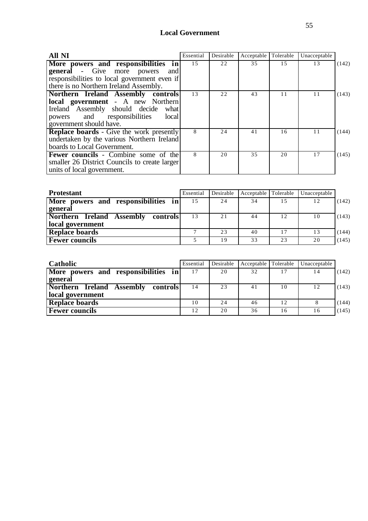## **Local Government**

| <b>All NI</b>                                   | Essential | Desirable | Acceptable | Tolerable | Unacceptable |       |
|-------------------------------------------------|-----------|-----------|------------|-----------|--------------|-------|
| More powers and responsibilities in             | 15        | 22        | 35         | 15        | 13           | (142) |
| <b>general</b> - Give more powers<br>and        |           |           |            |           |              |       |
| responsibilities to local government even if    |           |           |            |           |              |       |
| there is no Northern Ireland Assembly.          |           |           |            |           |              |       |
| Northern Ireland Assembly controls              | 13        | 22        | 43         | 11        | 11           | (143) |
| <b>local government</b> - A new Northern        |           |           |            |           |              |       |
| Ireland Assembly should decide<br>what          |           |           |            |           |              |       |
| powers and responsibilities<br>local            |           |           |            |           |              |       |
| government should have.                         |           |           |            |           |              |       |
| <b>Replace boards</b> - Give the work presently | 8         | 24        | 41         | 16        | 11           | (144) |
| undertaken by the various Northern Ireland      |           |           |            |           |              |       |
| boards to Local Government.                     |           |           |            |           |              |       |
| <b>Fewer councils</b> - Combine some of the     | 8         | 20        | 35         | 20        | 17           | (145) |
| smaller 26 District Councils to create larger   |           |           |            |           |              |       |
| units of local government.                      |           |           |            |           |              |       |

| <b>Protestant</b>                                                   | Essential    | Desirable | Acceptable Tolerable |     | Unacceptable |       |
|---------------------------------------------------------------------|--------------|-----------|----------------------|-----|--------------|-------|
| More powers and responsibilities in<br>general                      | 15           | 24        | 34                   | 1.5 | 12           | (142) |
| Northern<br><b>Ireland Assembly</b><br>controls<br>local government | 13           | 21        | 44                   | 12  | 10           | (143) |
| <b>Replace boards</b>                                               | $\mathbf{r}$ | 23        | 40                   | 17  | 13           | (144) |
| <b>Fewer councils</b>                                               |              | 19        | 33                   | 23  | 20           | (145) |

| <b>Catholic</b>                                           | Essential | Desirable | Acceptable Tolerable |    | Unacceptable |       |
|-----------------------------------------------------------|-----------|-----------|----------------------|----|--------------|-------|
| More powers and responsibilities in<br>general            | 17        | 20        | 32                   | 17 | 14           | (142) |
| Northern Ireland Assembly<br>controls<br>local government | 14        | 23        | 41                   | 10 | 12           | (143) |
| <b>Replace boards</b>                                     | 10        | 24        | 46                   | 12 |              | (144) |
| <b>Fewer councils</b>                                     | 12        | 20        | 36                   | 16 | 16           | (145) |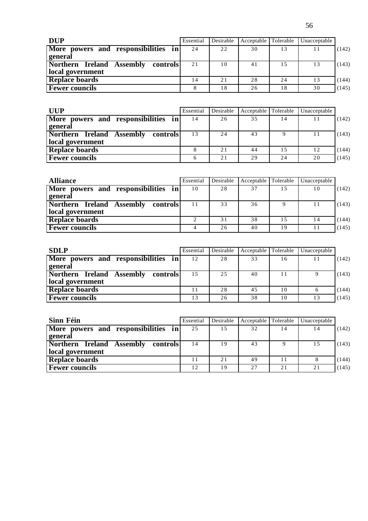| <b>DUP</b>                            | Essential | Desirable | Acceptable Tolerable |    | Unacceptable |       |
|---------------------------------------|-----------|-----------|----------------------|----|--------------|-------|
| More powers and responsibilities in   | 24        | 22        | 30                   | 13 |              | (142) |
| general                               |           |           |                      |    |              |       |
| Northern Ireland Assembly<br>controls | 21        | 10        | 41                   | 15 | 13           | (143) |
| local government                      |           |           |                      |    |              |       |
| <b>Replace boards</b>                 | 14        | 21        | 28                   | 24 | 13           | (144) |
| <b>Fewer councils</b>                 |           | 18        | 26                   | 18 | 30           | (145) |

| <b>UUP</b>                            | Essential | Desirable | Acceptable Tolerable |     | Unacceptable |       |
|---------------------------------------|-----------|-----------|----------------------|-----|--------------|-------|
| More powers and responsibilities in   | 14        | 26        | 35                   | 14  | 11           | (142) |
| general                               |           |           |                      |     |              |       |
| Northern Ireland Assembly<br>controls | 13        | 24        | 43                   |     | 11           | (143) |
| local government                      |           |           |                      |     |              |       |
| <b>Replace boards</b>                 |           | 21        | 44                   | 1.5 | 12           | (144) |
| <b>Fewer councils</b>                 |           | 21        | 29                   | 24  | 20           | (145) |

| <b>Alliance</b>                       | Essential | Desirable | Acceptable Tolerable |     | Unacceptable |       |
|---------------------------------------|-----------|-----------|----------------------|-----|--------------|-------|
| More powers and responsibilities in   | 10        | 28        | 37                   | 1.5 | 10           | (142) |
| general                               |           |           |                      |     |              |       |
| Northern Ireland Assembly<br>controls | 11        | 33        | 36                   |     | 11           | (143) |
| local government                      |           |           |                      |     |              |       |
| <b>Replace boards</b>                 | ◠         | 31        | 38                   | 1.5 | 14           | (144) |
| <b>Fewer councils</b>                 |           | 26        | 40                   | 19  | 11           | (145) |

| <b>SDLP</b>                           | Essential | Desirable | Acceptable Tolerable |    | Unacceptable |       |
|---------------------------------------|-----------|-----------|----------------------|----|--------------|-------|
| More powers and responsibilities in   | 12        | 28        | 33                   | 16 | 11           | (142) |
| <b>general</b>                        |           |           |                      |    |              |       |
| Northern Ireland Assembly<br>controls | 1.5       | 25        | 40                   | 11 |              | (143) |
| local government                      |           |           |                      |    |              |       |
| <b>Replace boards</b>                 |           | 28        | 45                   | 10 |              | (144) |
| <b>Fewer councils</b>                 | 13        | 26        | 38                   | 10 | 13           | (145) |

| Sinn Féin                             | Essential | Desirable | Acceptable Tolerable |    | Unacceptable |       |
|---------------------------------------|-----------|-----------|----------------------|----|--------------|-------|
| More powers and responsibilities in   | 25        | 15        | 32                   | 14 | 14           | (142) |
| general                               |           |           |                      |    |              |       |
| Northern Ireland Assembly<br>controls | 14        | 19        | 43                   |    | 15           | (143) |
| local government                      |           |           |                      |    |              |       |
| <b>Replace boards</b>                 | 11        | 21        | 49                   |    |              | (144) |
| <b>Fewer councils</b>                 | 12        | 19        | 2.7                  | 21 | 21           | (145) |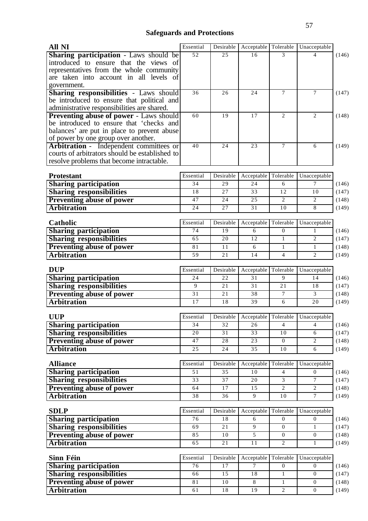# **Safeguards and Protections**

| All NI                                                                                     | Essential | Desirable       | Acceptable      | Tolerable           | Unacceptable                                |
|--------------------------------------------------------------------------------------------|-----------|-----------------|-----------------|---------------------|---------------------------------------------|
| <b>Sharing participation</b> - Laws should be                                              | 52        | 25              | 16              | 3                   | 4                                           |
| introduced to ensure that the views of                                                     |           |                 |                 |                     |                                             |
| representatives from the whole community                                                   |           |                 |                 |                     |                                             |
| are taken into account in all levels of                                                    |           |                 |                 |                     |                                             |
| government.                                                                                |           |                 |                 |                     |                                             |
| <b>Sharing responsibilities - Laws should</b>                                              | 36        | 26              | 24              | 7                   | $\tau$                                      |
| be introduced to ensure that political and                                                 |           |                 |                 |                     |                                             |
| administrative responsibilities are shared.                                                | 60        | 19              | 17              | 2                   | 2                                           |
| <b>Preventing abuse of power - Laws should</b><br>be introduced to ensure that 'checks and |           |                 |                 |                     |                                             |
| balances' are put in place to prevent abuse                                                |           |                 |                 |                     |                                             |
| of power by one group over another.                                                        |           |                 |                 |                     |                                             |
| Arbitration - Independent committees or                                                    | 40        | 24              | 23              | $\tau$              | 6                                           |
| courts of arbitrators should be established to                                             |           |                 |                 |                     |                                             |
| resolve problems that become intractable.                                                  |           |                 |                 |                     |                                             |
|                                                                                            |           |                 |                 |                     |                                             |
| <b>Protestant</b>                                                                          | Essential | Desirable       | Acceptable      | Tolerable           | Unacceptable                                |
| <b>Sharing participation</b>                                                               | 34        | 29              | 24              | 6                   | 7                                           |
| <b>Sharing responsibilities</b>                                                            | 18        | 27              | 33              | 12                  | 10                                          |
| <b>Preventing abuse of power</b>                                                           | 47        | 24              | 25              | $\overline{2}$      | $\overline{c}$                              |
| <b>Arbitration</b>                                                                         | 24        | 27              | 31              | 10                  | 8                                           |
|                                                                                            |           |                 |                 |                     |                                             |
| Catholic                                                                                   | Essential | Desirable       | Acceptable      | Tolerable           | Unacceptable                                |
| <b>Sharing participation</b>                                                               | 74        | 19              | 6               | $\theta$            | 1                                           |
| <b>Sharing responsibilities</b>                                                            | 65        | 20              | 12              | $\mathbf{1}$        | 2                                           |
| Preventing abuse of power                                                                  | 81        | 11              | 6               | $\mathbf{1}$        | 1                                           |
| <b>Arbitration</b>                                                                         | 59        | 21              | 14              | $\overline{4}$      | $\overline{2}$                              |
|                                                                                            |           |                 |                 |                     |                                             |
| <b>DUP</b>                                                                                 | Essential | Desirable       | Acceptable      | Tolerable           | Unacceptable                                |
| <b>Sharing participation</b>                                                               | 24        | 22              | 31              | 9                   | 14                                          |
| <b>Sharing responsibilities</b>                                                            | 9         | 21              | 31              | 21                  | 18                                          |
| <b>Preventing abuse of power</b>                                                           | 31        | 21              | 38              | $\tau$              | 3                                           |
| <b>Arbitration</b>                                                                         | 17        | 18              | 39              | $6\,$               | 20                                          |
|                                                                                            |           |                 |                 |                     |                                             |
| <b>UUP</b>                                                                                 | Essential |                 |                 |                     | Desirable Acceptable Tolerable Unacceptable |
| <b>Sharing participation</b>                                                               | 34        | 32              | 26              | $\overline{4}$      | $\overline{4}$                              |
| <b>Sharing responsibilities</b>                                                            | 20        | 31              | 33              | 10                  | 6                                           |
| <b>Preventing abuse of power</b>                                                           | 47        | $\overline{28}$ | $\overline{23}$ | $\overline{0}$      | $\overline{c}$                              |
| <b>Arbitration</b>                                                                         | 25        | 24              | 35              | 10                  | 6                                           |
| <b>Alliance</b>                                                                            | Essential | Desirable       | Acceptable      | Tolerable           | Unacceptable                                |
|                                                                                            |           |                 |                 |                     | $\overline{0}$                              |
| <b>Sharing participation</b><br><b>Sharing responsibilities</b>                            | 51        | 35              | 10              | $\overline{4}$      |                                             |
|                                                                                            | 33<br>64  | 37<br>17        | 20<br>15        | 3<br>$\overline{c}$ | $\tau$<br>2                                 |
| <b>Preventing abuse of power</b>                                                           |           |                 | 9               |                     | $\tau$                                      |
| <b>Arbitration</b>                                                                         | 38        | 36              |                 | 10                  |                                             |
| <b>SDLP</b>                                                                                | Essential | Desirable       | Acceptable      | Tolerable           | Unacceptable                                |
| <b>Sharing participation</b>                                                               | 76        | $\overline{18}$ | 6               | $\overline{0}$      | $\overline{0}$                              |
| <b>Sharing responsibilities</b>                                                            | 69        | 21              | 9               | $\mathbf{0}$        | $\mathbf{1}$                                |
| <b>Preventing abuse of power</b>                                                           | 85        | 10              | 5               | $\boldsymbol{0}$    | $\boldsymbol{0}$                            |
|                                                                                            | 65        |                 | 11              | $\mathfrak{2}$      |                                             |
| <b>Arbitration</b>                                                                         |           | 21              |                 |                     | 1                                           |
| Sinn Féin                                                                                  | Essential | Desirable       | Acceptable      | Tolerable           | Unacceptable                                |
| <b>Sharing participation</b>                                                               | 76        | 17              | $\tau$          | $\mathbf{0}$        | (146)<br>$\overline{0}$                     |
| <b>Sharing responsibilities</b>                                                            | 66        | 15              | $\overline{18}$ | $\mathbf{1}$        | $\boldsymbol{0}$                            |
| <b>Preventing abuse of power</b>                                                           | 81        | 10              | $\overline{8}$  | $\mathbf{1}$        | $\boldsymbol{0}$                            |
| <b>Arbitration</b>                                                                         | 61        | 18              | 19              | $\overline{c}$      | $\boldsymbol{0}$                            |
|                                                                                            |           |                 |                 |                     |                                             |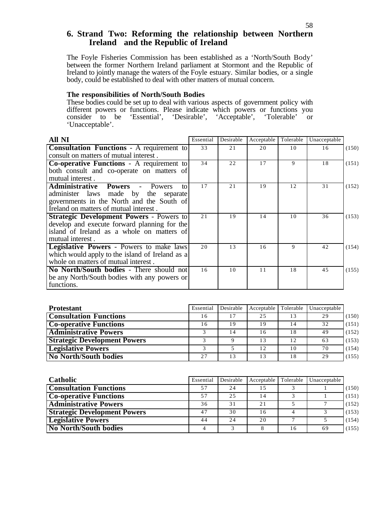### **6. Strand Two: Reforming the relationship between Northern Ireland and the Republic of Ireland**

The Foyle Fisheries Commission has been established as a 'North/South Body' between the former Northern Ireland parliament at Stormont and the Republic of Ireland to jointly manage the waters of the Foyle estuary. Similar bodies, or a single body, could be established to deal with other matters of mutual concern.

#### **The responsibilities of North/South Bodies**

These bodies could be set up to deal with various aspects of government policy with different powers or functions. Please indicate which powers or functions you consider to be 'Essential', 'Desirable', 'Acceptable', 'Tolerable' or 'Unacceptable'.

| All NI                                                           | Essential | Desirable | Acceptable | Tolerable | Unacceptable |       |
|------------------------------------------------------------------|-----------|-----------|------------|-----------|--------------|-------|
| <b>Consultation Functions - A requirement to</b>                 | 33        | 21        | 20         | 10        | 16           | (150) |
| consult on matters of mutual interest.                           |           |           |            |           |              |       |
| <b>Co-operative Functions - A requirement to</b>                 | 34        | 22        | 17         | 9         | 18           | (151) |
| both consult and co-operate on matters of                        |           |           |            |           |              |       |
| mutual interest.                                                 |           |           |            |           |              |       |
| <b>Administrative</b><br><b>Powers</b><br>Powers<br>to<br>$\sim$ | 17        | 21        | 19         | 12        | 31           | (152) |
| administer laws made by the separate                             |           |           |            |           |              |       |
| governments in the North and the South of                        |           |           |            |           |              |       |
| Ireland on matters of mutual interest.                           |           |           |            |           |              |       |
| <b>Strategic Development Powers - Powers to</b>                  | 21        | 19        | 14         | 10        | 36           | (153) |
| develop and execute forward planning for the                     |           |           |            |           |              |       |
| island of Ireland as a whole on matters of                       |           |           |            |           |              |       |
| mutual interest.                                                 |           |           |            |           |              |       |
| <b>Legislative Powers - Powers to make laws</b>                  | 20        | 13        | 16         | 9         | 42           | (154) |
| which would apply to the island of Ireland as a                  |           |           |            |           |              |       |
| whole on matters of mutual interest.                             |           |           |            |           |              |       |
| No North/South bodies - There should not                         | 16        | 10        | 11         | 18        | 45           | (155) |
| be any North/South bodies with any powers or                     |           |           |            |           |              |       |
| functions.                                                       |           |           |            |           |              |       |

| <b>Protestant</b>                   | Essential | Desirable | Acceptable      | Tolerable | Unacceptable |       |
|-------------------------------------|-----------|-----------|-----------------|-----------|--------------|-------|
| <b>Consultation Functions</b>       | 16        |           | 2.5             | 13        | 29           | (150) |
| <b>Co-operative Functions</b>       | 16        | 19        | 19              | 14        | 32           | (151) |
| <b>Administrative Powers</b>        |           | 14        | 16              | 18        | 49           | (152) |
| <b>Strategic Development Powers</b> |           | Q         | 13              | 12        | 63           | (153) |
| <b>Legislative Powers</b>           |           |           | 12 <sup>2</sup> | 10        | 70           | (154) |
| <b>No North/South bodies</b>        | 2.7       | 13        | 13              | 18        | 29           | (155) |

| <b>Catholic</b>                     | Essential | Desirable | Acceptable | Tolerable | Unacceptable |       |
|-------------------------------------|-----------|-----------|------------|-----------|--------------|-------|
| <b>Consultation Functions</b>       | 57        | 2.4       | 15         |           |              | (150) |
| <b>Co-operative Functions</b>       | 57        | 2.5       | 14         |           |              | (151) |
| <b>Administrative Powers</b>        | 36        | 31        | 21         |           |              | (152) |
| <b>Strategic Development Powers</b> | 47        | 30        | 16         |           |              | (153) |
| <b>Legislative Powers</b>           | 44        | 24        | 20         |           |              | (154) |
| <b>No North/South bodies</b>        |           |           | 8          | 16        | 69           | (155) |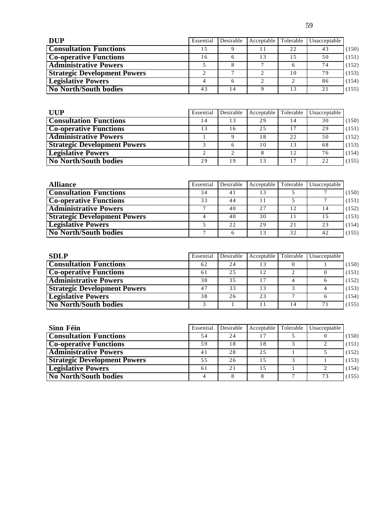| <b>DUP</b>                          | Essential | Desirable | Acceptable | Tolerable | Unacceptable |       |
|-------------------------------------|-----------|-----------|------------|-----------|--------------|-------|
| <b>Consultation Functions</b>       |           |           |            | 22        | 43           | (150) |
| <b>Co-operative Functions</b>       | - 6       |           |            |           | 50           | (151) |
| <b>Administrative Powers</b>        |           |           |            |           | 74           | (152) |
| <b>Strategic Development Powers</b> |           |           |            | 10        | 79           | (153) |
| <b>Legislative Powers</b>           |           |           |            |           | 86           | (154) |
| <b>No North/South bodies</b>        | 43        | 14        |            | 13        | 21           | (155) |

| <b>UUP</b>                          | Essential | Desirable | Acceptable | Tolerable | Unacceptable |       |
|-------------------------------------|-----------|-----------|------------|-----------|--------------|-------|
| <b>Consultation Functions</b>       | 14        | 13        | 29         | ' 4       | 30           | (150) |
| <b>Co-operative Functions</b>       | 13        | 16        | 2.5        |           | 29           | (151) |
| <b>Administrative Powers</b>        |           |           | 18         | 22        | 50           | (152) |
| <b>Strategic Development Powers</b> |           |           | 10         | 13        | 68           | (153) |
| <b>Legislative Powers</b>           |           | $\bigcap$ | 8          | 12        | 76           | (154) |
| No North/South bodies               | 29        | 19        | 13         | 17        | 22           | (155) |

| <b>Alliance</b>                     | Essential    | Desirable | Acceptable Tolerable |     | Unacceptable |       |
|-------------------------------------|--------------|-----------|----------------------|-----|--------------|-------|
| <b>Consultation Functions</b>       | 34           | 41        | 13                   |     |              | (150) |
| <b>Co-operative Functions</b>       | 33           | 44        |                      |     |              | (151) |
| <b>Administrative Powers</b>        |              | 40        | 2.7                  | 12  | 14           | (152) |
| <b>Strategic Development Powers</b> |              | 40        | 30                   |     | 1.5          | (153) |
| <b>Legislative Powers</b>           |              | 22        | 29                   | 2.1 | 23           | (154) |
| <b>No North/South bodies</b>        | $\mathbf{r}$ |           | 13                   | 32  | 42           | (155) |

| <b>SDLP</b>                         | Essential | Desirable | Acceptable | Tolerable | Unacceptable |       |
|-------------------------------------|-----------|-----------|------------|-----------|--------------|-------|
| <b>Consultation Functions</b>       | 62        | 2.4       | 13         |           |              | (150) |
| <b>Co-operative Functions</b>       | 61        | 25        | 12.        |           |              | (151) |
| <b>Administrative Powers</b>        | 38        | 35        | 17         |           |              | (152) |
| <b>Strategic Development Powers</b> | 47        | 33        | 13         |           |              | (153) |
| <b>Legislative Powers</b>           | 38        | 26        | 23         |           |              | (154) |
| <b>No North/South bodies</b>        |           |           |            | 4         | 71           | (155) |

| Sinn Féin                           | Essential | Desirable | Acceptable | Tolerable | Unacceptable |       |
|-------------------------------------|-----------|-----------|------------|-----------|--------------|-------|
| <b>Consultation Functions</b>       | 54        | 24        | 17         |           |              | (150) |
| <b>Co-operative Functions</b>       | 59        | 18        | 18         |           |              | (151) |
| <b>Administrative Powers</b>        | 41        | 2.8       | 2.5        |           |              | (152) |
| <b>Strategic Development Powers</b> | 55        | 26        | 15         |           |              | (153) |
| <b>Legislative Powers</b>           | 61        | 2.1       | 15         |           |              | (154) |
| No North/South bodies               |           |           |            |           | 73           | (155) |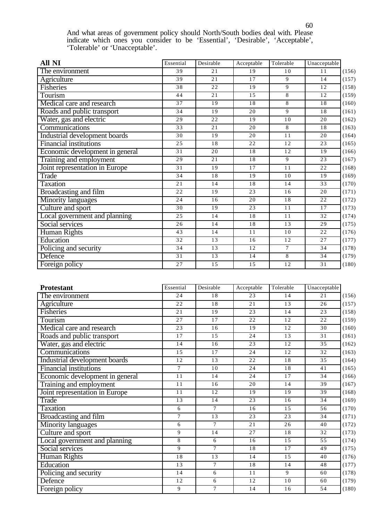And what areas of government policy should North/South bodies deal with. Please indicate which ones you consider to be 'Essential', 'Desirable', 'Acceptable', 'Tolerable' or 'Unacceptable'.

| All NI                          | Essential       | Desirable       | Acceptable      | Tolerable      | Unacceptable    |       |
|---------------------------------|-----------------|-----------------|-----------------|----------------|-----------------|-------|
| The environment                 | 39              | 21              | 19              | 10             | 11              | (156) |
| Agriculture                     | 39              | 21              | 17              | 9              | 14              | (157) |
| <b>Fisheries</b>                | 38              | $\overline{22}$ | 19              | 9              | 12              | (158) |
| Tourism                         | 44              | 21              | 15              | 8              | 12              | (159) |
| Medical care and research       | 37              | $\overline{19}$ | 18              | 8              | $\overline{18}$ | (160) |
| Roads and public transport      | 34              | 19              | 20              | 9              | 18              | (161) |
| Water, gas and electric         | $\overline{29}$ | $\overline{22}$ | $\overline{19}$ | 10             | 20              | (162) |
| Communications                  | $\overline{33}$ | 21              | 20              | 8              | 18              | (163) |
| Industrial development boards   | 30              | 19              | 20              | 11             | 20              | (164) |
| <b>Financial institutions</b>   | 25              | 18              | 22              | 12             | 23              | (165) |
| Economic development in general | 31              | 20              | 18              | 12             | 19              | (166) |
| Training and employment         | 29              | 21              | 18              | 9              | 23              | (167) |
| Joint representation in Europe  | 31              | 19              | 17              | 11             | 22              | (168) |
| Trade                           | $\overline{34}$ | $\overline{18}$ | 19              | 10             | 19              | (169) |
| <b>Taxation</b>                 | 21              | 14              | 18              | 14             | 33              | (170) |
| <b>Broadcasting and film</b>    | 22              | 19              | 23              | 16             | 20              | (171) |
| <b>Minority languages</b>       | 24              | 16              | 20              | 18             | 22              | (172) |
| Culture and sport               | 30              | 19              | 23              | 11             | 17              | (173) |
| Local government and planning   | 25              | 14              | 18              | 11             | 32              | (174) |
| Social services                 | 26              | 14              | 18              | 13             | 29              | (175) |
| <b>Human Rights</b>             | 43              | 14              | $\overline{11}$ | 10             | $\overline{22}$ | (176) |
| Education                       | 32              | 13              | 16              | 12             | 27              | (177) |
| Policing and security           | 34              | 13              | 12              | $\tau$         | 34              | (178) |
| Defence                         | 31              | $\overline{13}$ | 14              | $\overline{8}$ | 34              | (179) |
| Foreign policy                  | 27              | $\overline{15}$ | 15              | 12             | 31              | (180) |

| <b>Protestant</b>               | Essential       | Desirable      | Acceptable | Tolerable | Unacceptable |       |
|---------------------------------|-----------------|----------------|------------|-----------|--------------|-------|
| The environment                 | 24              | 18             | 23         | 14        | 21           | (156) |
| Agriculture                     | $\overline{22}$ | 18             | 21         | 13        | 26           | (157) |
| <b>Fisheries</b>                | 21              | 19             | 23         | 14        | 23           | (158) |
| Tourism                         | 27              | 17             | 22         | 12        | 22           | (159) |
| Medical care and research       | $\overline{23}$ | 16             | 19         | 12        | 30           | (160) |
| Roads and public transport      | 17              | 15             | 24         | 13        | 31           | (161) |
| Water, gas and electric         | 14              | 16             | 23         | 12        | 35           | (162) |
| Communications                  | 15              | 17             | 24         | 12        | 32           | (163) |
| Industrial development boards   | 12              | 13             | 22         | 18        | 35           | (164) |
| <b>Financial institutions</b>   | $\tau$          | 10             | 24         | 18        | 41           | (165) |
| Economic development in general | 11              | 14             | 24         | 17        | 34           | (166) |
| Training and employment         | 11              | 16             | 20         | 14        | 39           | (167) |
| Joint representation in Europe  | 11              | 12             | 19         | 19        | 39           | (168) |
| Trade                           | 13              | 14             | 23         | 16        | 34           | (169) |
| <b>Taxation</b>                 | 6               | $\overline{7}$ | 16         | 15        | 56           | (170) |
| Broadcasting and film           | $\overline{7}$  | 13             | 23         | 23        | 34           | (171) |
| <b>Minority languages</b>       | 6               | $\overline{7}$ | 21         | 26        | 40           | (172) |
| Culture and sport               | 9               | 14             | 27         | 18        | 32           | (173) |
| Local government and planning   | 8               | 6              | 16         | 15        | 55           | (174) |
| Social services                 | 9               | $\overline{7}$ | 18         | 17        | 49           | (175) |
| <b>Human Rights</b>             | 18              | 13             | 14         | 15        | 40           | (176) |
| Education                       | $\overline{13}$ | $\tau$         | 18         | 14        | 48           | (177) |
| Policing and security           | 14              | 6              | 11         | 9         | 60           | (178) |
| Defence                         | 12              | 6              | 12         | 10        | 60           | (179) |
| Foreign policy                  | 9               | $\overline{7}$ | 14         | 16        | 54           | (180) |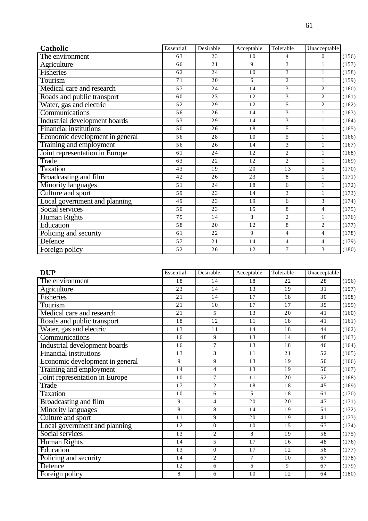| Catholic                        | Essential       | Desirable       | Acceptable      | Tolerable      | Unacceptable   |       |
|---------------------------------|-----------------|-----------------|-----------------|----------------|----------------|-------|
| The environment                 | 63              | 23              | 10              | $\overline{4}$ | $\Omega$       | (156) |
| Agriculture                     | 66              | 21              | 9               | 3              | $\mathbf{1}$   | (157) |
| <b>Fisheries</b>                | 62              | $\overline{24}$ | 10              | 3              | $\mathbf{1}$   | (158) |
| Tourism                         | 71              | 20              | 6               | $\overline{2}$ | $\mathbf{1}$   | (159) |
| Medical care and research       | 57              | $\overline{24}$ | $\overline{14}$ | 3              | $\overline{2}$ | (160) |
| Roads and public transport      | 60              | 23              | 12              | 3              | $\overline{2}$ | (161) |
| Water, gas and electric         | 52              | 29              | 12              | 5              | $\overline{2}$ | (162) |
| Communications                  | 56              | 26              | 14              | 3              | $\mathbf{1}$   | (163) |
| Industrial development boards   | $\overline{53}$ | $\overline{29}$ | 14              | $\overline{3}$ | $\mathbf{1}$   | (164) |
| <b>Financial institutions</b>   | 50              | 26              | 18              | 5              | $\mathbf{1}$   | (165) |
| Economic development in general | 56              | 28              | 10              | 5              | $\mathbf{1}$   | (166) |
| Training and employment         | 56              | 26              | 14              | 3              | $\mathbf{1}$   | (167) |
| Joint representation in Europe  | 61              | 24              | 12              | $\overline{2}$ | $\mathbf{1}$   | (168) |
| Trade                           | 63              | 22              | 12              | $\overline{2}$ | $\mathbf{1}$   | (169) |
| <b>Taxation</b>                 | 43              | 19              | 20              | 13             | $\overline{5}$ | (170) |
| Broadcasting and film           | 42              | 26              | 23              | 8              | $\mathbf{1}$   | (171) |
| <b>Minority languages</b>       | 51              | 24              | 18              | 6              | $\mathbf{1}$   | (172) |
| Culture and sport               | $\overline{59}$ | $\overline{23}$ | 14              | $\overline{3}$ | $\mathbf{1}$   | (173) |
| Local government and planning   | 49              | 23              | 19              | 6              | 3              | (174) |
| Social services                 | 50              | 23              | 15              | $\,8\,$        | $\overline{4}$ | (175) |
| <b>Human Rights</b>             | 75              | 14              | 8               | 2              | $\mathbf{1}$   | (176) |
| Education                       | 58              | 20              | 12              | $\overline{8}$ | $\overline{2}$ | (177) |
| Policing and security           | 61              | 22              | 9               | $\overline{4}$ | $\overline{4}$ | (178) |
| Defence                         | 57              | 21              | 14              | $\overline{4}$ | $\overline{4}$ | (179) |
| Foreign policy                  | 52              | 26              | 12              | $\tau$         | 3              | (180) |

| <b>DUP</b>                      | Essential       | Desirable      | Acceptable      | Tolerable       | Unacceptable |       |
|---------------------------------|-----------------|----------------|-----------------|-----------------|--------------|-------|
| The environment                 | 18              | 14             | 18              | 22              | 28           | (156) |
| Agriculture                     | 23              | 14             | 13              | 19              | 31           | (157) |
| Fisheries                       | 21              | 14             | 17              | 18              | 30           | (158) |
| Tourism                         | 21              | 10             | 17              | 17              | 35           | (159) |
| Medical care and research       | 21              | 5              | 13              | 20              | 41           | (160) |
| Roads and public transport      | 18              | 12             | 11              | 18              | 41           | (161) |
| Water, gas and electric         | 13              | 11             | 14              | 18              | 44           | (162) |
| Communications                  | 16              | 9              | 13              | 14              | 48           | (163) |
| Industrial development boards   | 16              | $\tau$         | 13              | 18              | 46           | (164) |
| Financial institutions          | 13              | 3              | 11              | 21              | 52           | (165) |
| Economic development in general | 9               | 9              | 13              | 19              | 50           | (166) |
| Training and employment         | 14              | $\overline{4}$ | 13              | 19              | 50           | (167) |
| Joint representation in Europe  | 10              | 7              | 11              | 20              | 52           | (168) |
| Trade                           | 17              | $\overline{2}$ | 18              | 18              | 45           | (169) |
| <b>Taxation</b>                 | 10              | 6              | 5               | 18              | 61           | (170) |
| Broadcasting and film           | 9               | $\overline{4}$ | 20              | 20              | 47           | (171) |
| <b>Minority languages</b>       | 8               | 8              | 14              | 19              | 51           | (172) |
| Culture and sport               | 11              | 9              | 20              | 19              | 41           | (173) |
| Local government and planning   | 12              | $\mathbf{0}$   | 10              | 15              | 63           | (174) |
| Social services                 | 13              | $\overline{c}$ | 8               | $\overline{19}$ | 58           | (175) |
| <b>Human Rights</b>             | 14              | 5              | 17              | 16              | 48           | (176) |
| Education                       | $\overline{13}$ | $\Omega$       | 17              | 12              | 58           | (177) |
| Policing and security           | 14              | $\mathbf{2}$   | $\tau$          | 10              | 67           | (178) |
| Defence                         | 12              | 6              | 6               | 9               | 67           | (179) |
| Foreign policy                  | $\overline{8}$  | 6              | $\overline{10}$ | $\overline{12}$ | 64           | (180) |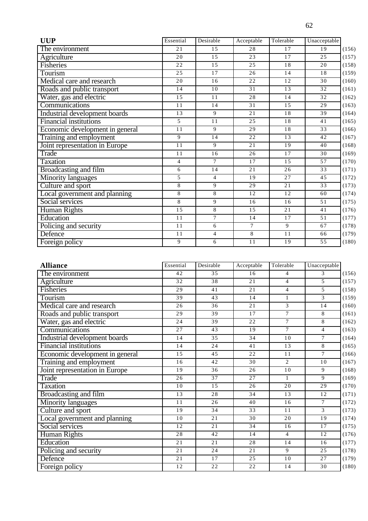| <b>UUP</b>                      | Essential       | Desirable       | Acceptable | Tolerable | Unacceptable |
|---------------------------------|-----------------|-----------------|------------|-----------|--------------|
| The environment                 | 21              | 15              | 28         | 17        | 19           |
| Agriculture                     | 20              | 15              | 23         | 17        | 25           |
| Fisheries                       | 22              | 15              | 25         | 18        | 20           |
| Tourism                         | 25              | $\overline{17}$ | 26         | 14        | 18           |
| Medical care and research       | 20              | 16              | 22         | 12        | 30           |
| Roads and public transport      | 14              | 10              | 31         | 13        | 32           |
| Water, gas and electric         | 15              | $\overline{11}$ | 28         | 14        | 32           |
| Communications                  | 11              | 14              | 31         | 15        | 29           |
| Industrial development boards   | 13              | 9               | 21         | 18        | 39           |
| Financial institutions          | 5               | 11              | 25         | 18        | 41           |
| Economic development in general | 11              | 9               | 29         | 18        | 33           |
| Training and employment         | 9               | 14              | 22         | 13        | 42           |
| Joint representation in Europe  | $\overline{11}$ | 9               | 21         | 19        | 40           |
| Trade                           | 11              | 16              | 26         | 17        | 30           |
| Taxation                        | $\overline{4}$  | $\overline{7}$  | 17         | 15        | 57           |
| Broadcasting and film           | 6               | 14              | 21         | 26        | 33           |
| Minority languages              | 5               | $\overline{4}$  | 19         | 27        | 45           |
| Culture and sport               | $\,8\,$         | 9               | 29         | 21        | 33           |
| Local government and planning   | $\,8\,$         | $\overline{8}$  | 12         | 12        | 60           |
| Social services                 | 8               | 9               | 16         | 16        | 51           |
| Human Rights                    | 15              | 8               | 15         | 21        | 41           |
| Education                       | 11              | $\tau$          | 14         | 17        | 51           |
| Policing and security           | 11              | 6               | $\tau$     | 9         | 67           |
| Defence                         | 11              | 4               | $\,8\,$    | 11        | 66           |
| Foreign policy                  | 9               | 6               | 11         | 19        | 55           |

| <b>Alliance</b>                 | Essential       | Desirable       | Acceptable | Tolerable      | Unacceptable    |       |
|---------------------------------|-----------------|-----------------|------------|----------------|-----------------|-------|
| The environment                 | 42              | 35              | 16         | 4              | 3               | (156) |
| Agriculture                     | $\overline{32}$ | 38              | 21         | $\overline{4}$ | 5               | (157) |
| Fisheries                       | 29              | 41              | 21         | 4              | 5               | (158) |
| Tourism                         | 39              | 43              | 14         | 1              | 3               | (159) |
| Medical care and research       | 26              | 36              | 21         | 3              | 14              | (160) |
| Roads and public transport      | 29              | 39              | 17         | $\overline{7}$ | 8               | (161) |
| Water, gas and electric         | 24              | $\overline{39}$ | 22         | $\overline{7}$ | 8               | (162) |
| Communications                  | 27              | 43              | 19         | $\tau$         | $\overline{4}$  | (163) |
| Industrial development boards   | 14              | 35              | 34         | 10             | $\tau$          | (164) |
| <b>Financial institutions</b>   | 14              | 24              | 41         | 13             | 8               | (165) |
| Economic development in general | 15              | 45              | 22         | 11             | $\tau$          | (166) |
| Training and employment         | 16              | 42              | 30         | $\overline{2}$ | 10              | (167) |
| Joint representation in Europe  | 19              | 36              | 26         | 10             | 9               | (168) |
| Trade                           | 26              | 37              | 27         | $\mathbf{1}$   | 9               | (169) |
| <b>Taxation</b>                 | 10              | 15              | 26         | 20             | $\overline{29}$ | (170) |
| Broadcasting and film           | 13              | 28              | 34         | 13             | 12              | (171) |
| <b>Minority languages</b>       | 11              | 26              | 40         | 16             | $\tau$          | (172) |
| Culture and sport               | 19              | 34              | 33         | 11             | 3               | (173) |
| Local government and planning   | 10              | $\overline{21}$ | 30         | 20             | $\overline{19}$ | (174) |
| Social services                 | 12              | 21              | 34         | 16             | $\overline{17}$ | (175) |
| Human Rights                    | 28              | 42              | 14         | $\overline{4}$ | 12              | (176) |
| Education                       | 21              | 21              | 28         | 14             | 16              | (177) |
| Policing and security           | 21              | 24              | 21         | 9              | 25              | (178) |
| Defence                         | 21              | 17              | 25         | 10             | 27              | (179) |
| Foreign policy                  | 12              | $\overline{22}$ | 22         | 14             | 30              | (180) |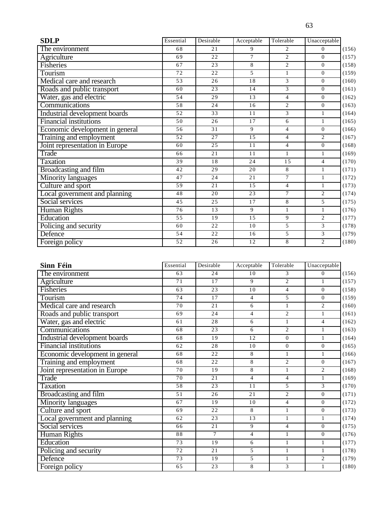| <b>SDLP</b>                     | Essential | Desirable | Acceptable | Tolerable      | Unacceptable     |
|---------------------------------|-----------|-----------|------------|----------------|------------------|
| The environment                 | 68        | 21        | 9          | $\overline{2}$ | $\Omega$         |
| Agriculture                     | 69        | 22        | 7          | 2              | $\Omega$         |
| Fisheries                       | 67        | 23        | 8          | $\overline{2}$ | $\overline{0}$   |
| Tourism                         | 72        | 22        | 5          | 1              | $\overline{0}$   |
| Medical care and research       | 53        | 26        | 18         | 3              | $\boldsymbol{0}$ |
| Roads and public transport      | 60        | 23        | 14         | 3              | $\overline{0}$   |
| Water, gas and electric         | 54        | 29        | 13         | $\overline{4}$ | $\overline{0}$   |
| Communications                  | 58        | 24        | 16         | $\overline{2}$ | $\Omega$         |
| Industrial development boards   | 52        | 33        | 11         | 3              | $\mathbf{1}$     |
| <b>Financial institutions</b>   | 50        | 26        | 17         | 6              | $\mathbf{1}$     |
| Economic development in general | 56        | 31        | 9          | $\overline{4}$ | $\overline{0}$   |
| Training and employment         | 52        | 27        | 15         | $\overline{4}$ | $\overline{2}$   |
| Joint representation in Europe  | 60        | 25        | 11         | $\overline{4}$ | $\Omega$         |
| Trade                           | 66        | 21        | 11         | $\mathbf{1}$   | $\mathbf{1}$     |
| <b>Taxation</b>                 | 39        | 18        | 24         | 15             | $\overline{4}$   |
| <b>Broadcasting and film</b>    | 42        | 29        | 20         | 8              | $\mathbf{1}$     |
| Minority languages              | 47        | 24        | 21         | $\tau$         | $\mathbf{1}$     |
| Culture and sport               | 59        | 21        | 15         | $\overline{4}$ | $\mathbf{1}$     |
| Local government and planning   | 48        | 20        | 23         | $\overline{7}$ | $\overline{2}$   |
| Social services                 | 45        | 25        | 17         | 8              | 5                |
| Human Rights                    | 76        | 13        | 9          | $\mathbf{1}$   | $\mathbf{1}$     |
| Education                       | 55        | 19        | 15         | 9              | $\overline{2}$   |
| Policing and security           | 60        | 22        | 10         | $\overline{5}$ | 3                |
| <b>Defence</b>                  | 54        | 22        | 16         | 5              | 3                |
| Foreign policy                  | 52        | 26        | 12         | 8              | 2                |

| Sinn Féin                       | Essential | Desirable       | Acceptable      | Tolerable      | Unacceptable   |       |
|---------------------------------|-----------|-----------------|-----------------|----------------|----------------|-------|
| The environment                 | 63        | 24              | 10              | 3              | $\Omega$       | (156) |
| Agriculture                     | 71        | 17              | 9               | $\overline{2}$ | 1              | (157) |
| <b>Fisheries</b>                | 63        | 23              | 10              | $\overline{4}$ | $\theta$       | (158) |
| Tourism                         | 74        | 17              | $\overline{4}$  | 5              | $\mathbf{0}$   | (159) |
| Medical care and research       | 70        | 21              | 6               | $\mathbf{1}$   | 2              | (160) |
| Roads and public transport      | 69        | 24              | $\overline{4}$  | $\overline{c}$ | $\mathbf{1}$   | (161) |
| Water, gas and electric         | 61        | $\overline{28}$ | 6               | $\mathbf{1}$   | $\overline{4}$ | (162) |
| Communications                  | 68        | 23              | 6               | $\overline{2}$ | $\mathbf{1}$   | (163) |
| Industrial development boards   | 68        | 19              | $\overline{12}$ | $\mathbf{0}$   | $\mathbf{1}$   | (164) |
| <b>Financial institutions</b>   | 62        | 28              | 10              | $\theta$       | $\theta$       | (165) |
| Economic development in general | 68        | 22              | 8               | 1              | $\mathbf{1}$   | (166) |
| Training and employment         | 68        | 22              | 8               | 2              | $\theta$       | (167) |
| Joint representation in Europe  | 70        | 19              | $\overline{8}$  | $\mathbf{1}$   | $\overline{2}$ | (168) |
| Trade                           | 70        | $\overline{21}$ | $\overline{4}$  | $\overline{4}$ | $\mathbf{1}$   | (169) |
| <b>Taxation</b>                 | 58        | 23              | 11              | 5              | 3              | (170) |
| Broadcasting and film           | 51        | 26              | 21              | $\overline{c}$ | $\theta$       | (171) |
| Minority languages              | 67        | 19              | 10              | $\overline{4}$ | $\theta$       | (172) |
| Culture and sport               | 69        | 22              | 8               | 1              | $\mathbf{0}$   | (173) |
| Local government and planning   | 62        | 23              | 13              | $\mathbf{1}$   | 1              | (174) |
| Social services                 | 66        | 21              | $\overline{9}$  | $\overline{4}$ | $\overline{0}$ | (175) |
| <b>Human Rights</b>             | 88        | $\tau$          | $\overline{4}$  | $\mathbf{1}$   | $\mathbf{0}$   | (176) |
| Education                       | 73        | 19              | 6               | $\mathbf{1}$   | 1              | (177) |
| Policing and security           | 72        | 21              | 5               | $\mathbf{1}$   | $\mathbf{1}$   | (178) |
| Defence                         | 73        | 19              | 5               | $\mathbf{1}$   | $\overline{2}$ | (179) |
| Foreign policy                  | 65        | 23              | 8               | 3              |                | (180) |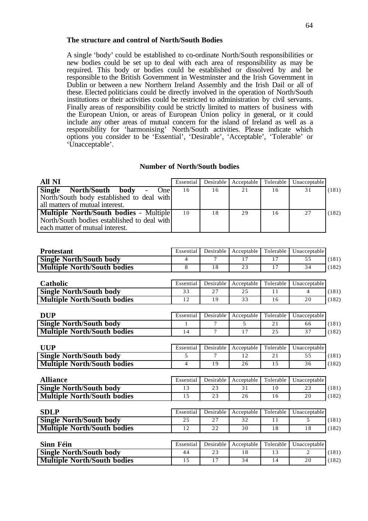#### **The structure and control of North/South Bodies**

A single 'body' could be established to co-ordinate North/South responsibilities or new bodies could be set up to deal with each area of responsibility as may be required. This body or bodies could be established or dissolved by and be responsible to the British Government in Westminster and the Irish Government in Dublin or between a new Northern Ireland Assembly and the Irish Dail or all of these. Elected politicians could be directly involved in the operation of North/South institutions or their activities could be restricted to administration by civil servants. Finally areas of responsibility could be strictly limited to matters of business with the European Union, or areas of European Union policy in general, or it could include any other areas of mutual concern for the island of Ireland as well as a responsibility for 'harmonising' North/South activities. Please indicate which options you consider to be 'Essential', 'Desirable', 'Acceptable', 'Tolerable' or 'Unacceptable'.

#### **Number of North/South bodies**

| All NI                                                                                                                     | Essential |    | Desirable Acceptable Tolerable |    | Unacceptable |       |
|----------------------------------------------------------------------------------------------------------------------------|-----------|----|--------------------------------|----|--------------|-------|
| <b>Single</b><br>North/South body<br>One I<br>North/South body established to deal with<br>all matters of mutual interest. | 16        | 16 | 21                             | 16 | 31           | (181) |
| Multiple North/South bodies - Multiple<br>North/South bodies established to deal with<br>each matter of mutual interest.   | 10        | 18 | 29                             | 16 | 27           | (182) |

| <b>Protestant</b>                  | Essential      | Desirable | Acceptable | Tolerable | Unacceptable   |       |
|------------------------------------|----------------|-----------|------------|-----------|----------------|-------|
| <b>Single North/South body</b>     | 4              | 7         | 17         | 17        | 55             | (181) |
| <b>Multiple North/South bodies</b> | 8              | 18        | 23         | 17        | 34             | (182) |
|                                    |                |           |            |           |                |       |
| Catholic                           | Essential      | Desirable | Acceptable | Tolerable | Unacceptable   |       |
| <b>Single North/South body</b>     | 33             | 27        | 25         | 11        | $\overline{4}$ | (181) |
| <b>Multiple North/South bodies</b> | 12             | 19        | 33         | 16        | 20             | (182) |
| <b>DUP</b>                         | Essential      | Desirable | Acceptable | Tolerable | Unacceptable   |       |
| <b>Single North/South body</b>     | 1              | 7         | 5          | 21        | 66             | (181) |
| <b>Multiple North/South bodies</b> | 14             | $\tau$    | 17         | 25        | 37             | (182) |
|                                    |                |           |            |           |                |       |
| <b>UUP</b>                         | Essential      | Desirable | Acceptable | Tolerable | Unacceptable   |       |
| <b>Single North/South body</b>     | 5              | 7         | 12         | 21        | 55             | (181) |
| <b>Multiple North/South bodies</b> | $\overline{4}$ | 19        | 26         | 15        | 36             | (182) |
| <b>Alliance</b>                    | Essential      | Desirable | Acceptable | Tolerable | Unacceptable   |       |
| <b>Single North/South body</b>     | 13             | 23        | 31         | 10        | 23             | (181) |
| <b>Multiple North/South bodies</b> | 15             | 23        | 26         | 16        | 20             | (182) |
|                                    |                |           |            |           |                |       |
| <b>SDLP</b>                        | Essential      | Desirable | Acceptable | Tolerable | Unacceptable   |       |
| <b>Single North/South body</b>     | 25             | 27        | 32         | 11        | 5              | (181) |
| <b>Multiple North/South bodies</b> | 12             | 22        | 30         | 18        | 18             | (182) |
| Sinn Féin                          | Essential      | Desirable |            | Tolerable |                |       |
|                                    |                |           | Acceptable |           | Unacceptable   |       |
| <b>Single North/South body</b>     | 44             | 23        | 18         | 13        | $\overline{c}$ | (181) |
| <b>Multiple North/South bodies</b> | 15             | 17        | 34         | 14        | 20             | (182) |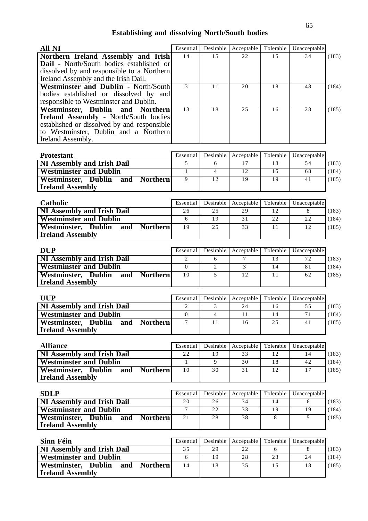## **Establishing and dissolving North/South bodies**

| <b>All NI</b>                                                            | Essential       | Desirable       | Acceptable     | Tolerable | Unacceptable |       |
|--------------------------------------------------------------------------|-----------------|-----------------|----------------|-----------|--------------|-------|
| Northern Ireland Assembly and Irish                                      | 14              | 15              | 22             | 15        | 34           | (183) |
| Dail - North/South bodies established or                                 |                 |                 |                |           |              |       |
| dissolved by and responsible to a Northern                               |                 |                 |                |           |              |       |
| Ireland Assembly and the Irish Dail.                                     |                 |                 |                |           |              |       |
| Westminster and Dublin - North/South                                     | 3               | 11              | 20             | 18        | 48           | (184) |
| bodies established or dissolved by and                                   |                 |                 |                |           |              |       |
| responsible to Westminster and Dublin.                                   |                 |                 |                |           |              |       |
| Westminster, Dublin<br>and Northern                                      | 13              | 18              | 25             | 16        | 28           | (185) |
| <b>Ireland Assembly - North/South bodies</b>                             |                 |                 |                |           |              |       |
| established or dissolved by and responsible                              |                 |                 |                |           |              |       |
| to Westminster, Dublin and a Northern                                    |                 |                 |                |           |              |       |
| Ireland Assembly.                                                        |                 |                 |                |           |              |       |
| <b>Protestant</b>                                                        | Essential       | Desirable       | Acceptable     | Tolerable | Unacceptable |       |
|                                                                          | 5               | 6               | 17             | 18        | 54           |       |
| NI Assembly and Irish Dail<br><b>Westminster and Dublin</b>              | $\mathbf{1}$    | $\overline{4}$  | 12             | 15        | 68           | (183) |
| Westminster, Dublin<br><b>Northern</b><br>and                            | $\overline{9}$  | 12              | 19             | 19        | 41           | (184) |
| <b>Ireland Assembly</b>                                                  |                 |                 |                |           |              | (185) |
|                                                                          |                 |                 |                |           |              |       |
| Catholic                                                                 | Essential       | Desirable       | Acceptable     | Tolerable | Unacceptable |       |
| <b>NI Assembly and Irish Dail</b>                                        | 26              | 25              | 29             | 12        | 8            | (183) |
| <b>Westminster and Dublin</b>                                            | 6               | 19              | 31             | 22        | 22           | (184) |
| Westminster, Dublin<br><b>Northern</b><br>and                            | 19              | 25              | 33             | 11        | 12           | (185) |
| <b>Ireland Assembly</b>                                                  |                 |                 |                |           |              |       |
|                                                                          |                 |                 |                |           |              |       |
| <b>DUP</b>                                                               | Essential       | Desirable       | Acceptable     | Tolerable | Unacceptable |       |
| <b>NI Assembly and Irish Dail</b>                                        | 2               | 6               | 7              | 13        | 72           | (183) |
| <b>Westminster and Dublin</b>                                            | $\mathbf{0}$    | $\overline{2}$  | $\overline{3}$ | 14        | 81           | (184) |
| <b>Westminster, Dublin</b><br><b>Northern</b><br>and                     | 10              | 5               | 12             | 11        | 62           | (185) |
| <b>Ireland Assembly</b>                                                  |                 |                 |                |           |              |       |
|                                                                          |                 |                 |                |           |              |       |
| <b>UUP</b>                                                               | Essential       | Desirable       | Acceptable     | Tolerable | Unacceptable |       |
| NI Assembly and Irish Dail                                               | 2               | 3               | 24             | 16        | 55           | (183) |
| <b>Westminster and Dublin</b>                                            | $\theta$        | $\overline{4}$  | 11             | 14        | 71           | (184) |
| Westminster, Dublin and Northern                                         | $\overline{7}$  | $\overline{11}$ | 16             | 25        | 41           | (185) |
| <b>Ireland Assembly</b>                                                  |                 |                 |                |           |              |       |
|                                                                          |                 |                 |                |           |              |       |
| <b>Alliance</b>                                                          | Essential       | Desirable       | Acceptable     | Tolerable | Unacceptable |       |
| <b>NI Assembly and Irish Dail</b>                                        | 22              | 19              | 33             | 12        | 14           | (183) |
| <b>Westminster and Dublin</b>                                            | $\mathbf{1}$    | 9               | 30             | 18        | 42           | (184) |
| Westminster, Dublin<br>and<br><b>Northern</b>                            | 10              | 30              | 31             | 12        | 17           | (185) |
| <b>Ireland Assembly</b>                                                  |                 |                 |                |           |              |       |
|                                                                          |                 |                 |                |           |              |       |
| <b>SDLP</b>                                                              | Essential       | Desirable       | Acceptable     | Tolerable | Unacceptable |       |
| <b>NI Assembly and Irish Dail</b>                                        | 20              | 26              | 34             | 14        | 6            | (183) |
| <b>Westminster and Dublin</b>                                            | $7\phantom{.0}$ | $\overline{22}$ | 33             | 19        | 19           | (184) |
| Westminster, Dublin<br>and<br><b>Northern</b>                            | 21              | 28              | 38             | 8         | 5            | (185) |
| <b>Ireland Assembly</b>                                                  |                 |                 |                |           |              |       |
|                                                                          |                 |                 |                |           |              |       |
| Sinn Féin                                                                | Essential       | Desirable       | Acceptable     | Tolerable | Unacceptable |       |
| <b>NI Assembly and Irish Dail</b>                                        | 35              | 29              | 22             | 6         | 8            | (183) |
| <b>Westminster and Dublin</b>                                            | 6               | 19              | 28             | 23        | 24           | (184) |
| Westminster, Dublin<br><b>Northern</b><br>and<br><b>Ireland Assembly</b> | 14              | 18              | 35             | 15        | 18           | (185) |
|                                                                          |                 |                 |                |           |              |       |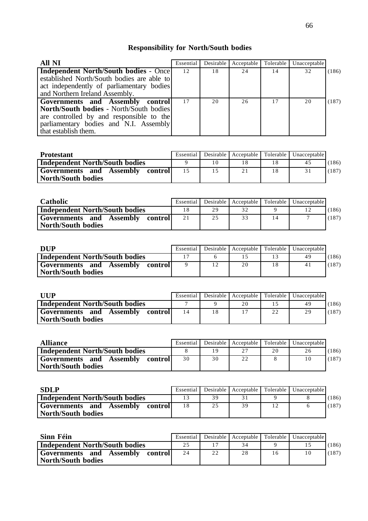# **Responsibility for North/South bodies**

| All NI                                        | Essential |    | Desirable Acceptable | Tolerable | Unacceptable |       |
|-----------------------------------------------|-----------|----|----------------------|-----------|--------------|-------|
| <b>Independent North/South bodies - Oncel</b> | 12        | 18 | 24                   | 14        | 32           | (186) |
| established North/South bodies are able to    |           |    |                      |           |              |       |
| act independently of parliamentary bodies     |           |    |                      |           |              |       |
| and Northern Ireland Assembly.                |           |    |                      |           |              |       |
| Governments and Assembly control              | 17        | 20 | 26                   |           | 20           | (187) |
| North/South bodies - North/South bodies       |           |    |                      |           |              |       |
| are controlled by and responsible to the      |           |    |                      |           |              |       |
| parliamentary bodies and N.I. Assembly        |           |    |                      |           |              |       |
| that establish them.                          |           |    |                      |           |              |       |

| <b>Protestant</b>                                             | Essential |    |  | Desirable   Acceptable   Tolerable   Unacceptable |       |
|---------------------------------------------------------------|-----------|----|--|---------------------------------------------------|-------|
| Independent North/South bodies                                |           |    |  | 45                                                | (186) |
| Governments and<br>Assembly<br>controll<br>North/South bodies |           | 15 |  |                                                   | (187) |

| <b>Catholic</b>                                               | Essential |    | Desirable   Acceptable   Tolerable |    | Unacceptable |       |
|---------------------------------------------------------------|-----------|----|------------------------------------|----|--------------|-------|
| Independent North/South bodies                                | 18        | 29 |                                    |    |              | (186) |
| Governments and<br>Assembly<br>controll<br>North/South bodies | 21        | 25 | 33                                 | 14 |              | (187) |

| <b>DUP</b>                                                     | Essential | Desirable   Acceptable   Tolerable | Unacceptable |       |
|----------------------------------------------------------------|-----------|------------------------------------|--------------|-------|
| Independent North/South bodies                                 |           |                                    | 4 G          | (186) |
| Governments and<br>Assembly<br>  control<br>North/South bodies |           | 20                                 | 41           | (187) |

| <b>HIP</b>                                                    | Essential | Desirable   Acceptable   Tolerable |    | Unacceptable |       |
|---------------------------------------------------------------|-----------|------------------------------------|----|--------------|-------|
| <b>Independent North/South bodies</b>                         |           | 20                                 |    | 49           | (186) |
| Governments and<br>Assembly<br>controll<br>North/South bodies | 14        |                                    | 22 | 29           | (187) |

| <b>Alliance</b>                                              | Essential |     |        |    | Desirable   Acceptable   Tolerable   Unacceptable |       |
|--------------------------------------------------------------|-----------|-----|--------|----|---------------------------------------------------|-------|
| <b>Independent North/South bodies</b>                        |           | 1 Q | $\sim$ | 20 | 26                                                | (186) |
| Governments and<br>Assembly<br>control<br>North/South bodies | 30        | 30  | 22     |    |                                                   | (187) |

| <b>SDLP</b>                                                  | Essential |    |    | Desirable   Acceptable   Tolerable   Unacceptable |       |
|--------------------------------------------------------------|-----------|----|----|---------------------------------------------------|-------|
| <b>Independent North/South bodies</b>                        |           | 39 |    |                                                   | (186) |
| Governments and<br>Assembly<br>control<br>North/South bodies |           | 25 | 39 |                                                   | (187) |

| Sinn Féin                                                       | Essential |    | Desirable   Acceptable   Tolerable |    | Unacceptable |       |
|-----------------------------------------------------------------|-----------|----|------------------------------------|----|--------------|-------|
| <b>Independent North/South bodies</b>                           | 25        |    |                                    |    |              | (186) |
| Governments and<br>Assembly<br>-control  <br>North/South bodies | 24        | 22 | 28                                 | Ιh |              | (187) |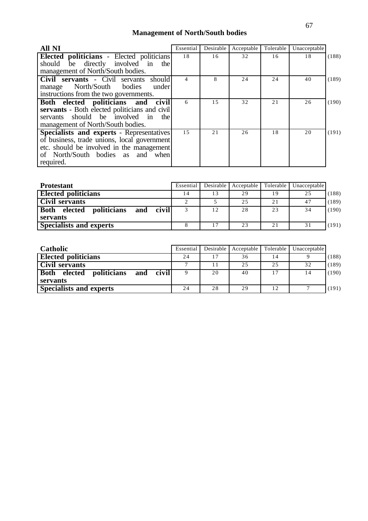## **Management of North/South bodies**

| <b>All NI</b>                                 | Essential      | Desirable | Acceptable | Tolerable | Unacceptable |       |
|-----------------------------------------------|----------------|-----------|------------|-----------|--------------|-------|
| Elected politicians - Elected politicians     | 18             | 16        | 32         | 16        | 18           | (188) |
| should be directly involved in<br>the         |                |           |            |           |              |       |
| management of North/South bodies.             |                |           |            |           |              |       |
| Civil servants - Civil servants<br>should     | $\overline{4}$ | 8         | 24         | 24        | 40           | (189) |
| manage North/South bodies<br>under            |                |           |            |           |              |       |
| instructions from the two governments.        |                |           |            |           |              |       |
| Both elected politicians and<br>civil         | 6              | 1.5       | 32         | 21        | 26           | (190) |
| servants - Both elected politicians and civil |                |           |            |           |              |       |
| should be involved<br>the<br>servants<br>in   |                |           |            |           |              |       |
| management of North/South bodies.             |                |           |            |           |              |       |
| Specialists and experts - Representatives     | 15             | 21        | 26         | 18        | 20           | (191) |
| of business, trade unions, local government   |                |           |            |           |              |       |
| etc. should be involved in the management     |                |           |            |           |              |       |
| of North/South bodies as<br>and<br>when       |                |           |            |           |              |       |
| required.                                     |                |           |            |           |              |       |

| <b>Protestant</b>                                             | Essential |    | Desirable   Acceptable | Tolerable | Unacceptable |       |
|---------------------------------------------------------------|-----------|----|------------------------|-----------|--------------|-------|
| <b>Elected politicians</b>                                    |           | 13 | 29                     | 19        | 25           | (188) |
| Civil servants                                                |           |    | 25                     | 21        | 47           | (189) |
| <b>Both</b><br>civill<br><i>politicians</i><br>elected<br>and |           | 12 | 28                     | 23        | 34           | (190) |
| servants                                                      |           |    |                        |           |              |       |
| <b>Specialists and experts</b>                                |           | 17 | 23                     | 21        | 31           | (191) |

| <b>Catholic</b>                                       | Essential | Desirable | Acceptable | Tolerable | Unacceptable   |       |
|-------------------------------------------------------|-----------|-----------|------------|-----------|----------------|-------|
| <b>Elected politicians</b>                            | 24        |           | 36         | 14        |                | (188) |
| Civil servants                                        |           |           | 2.5        | 25        | 32             | (189) |
| <b>Both</b><br>civil<br>elected<br>politicians<br>and |           | 20        | 40         | 17        | 14             | (190) |
| servants                                              |           |           |            |           |                |       |
| <b>Specialists and experts</b>                        | 24        | 28        | 29         | 12        | $\overline{ }$ | (191) |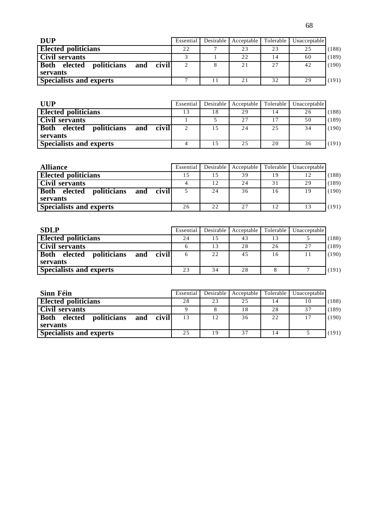| <b>DUP</b>                                                        | Essential | Desirable Acceptable | Tolerable | Unacceptable |       |
|-------------------------------------------------------------------|-----------|----------------------|-----------|--------------|-------|
| <b>Elected politicians</b>                                        | 22        | 23                   | 23        | 25           | (188) |
| <b>Civil servants</b>                                             |           | 22                   | 14        | 60           | (189) |
| <b>Both</b><br>politicians<br>elected<br>civil<br>and<br>servants |           | 21                   | 27        | 42           | (190) |
| <b>Specialists and experts</b>                                    |           | 21                   | 32        | 29           | (191) |

| <b>UUP</b>                                            | Essential | Desirable | Acceptable | Tolerable | Unacceptable |       |
|-------------------------------------------------------|-----------|-----------|------------|-----------|--------------|-------|
| <b>Elected politicians</b>                            | 13        | 18        | 29         | 14        | 26           | (188) |
| Civil servants                                        |           |           | 27         | 17        | 50           | (189) |
| <b>Both</b><br>civil<br>politicians<br>elected<br>and |           | 1.5       | 24         | 25        | 34           | (190) |
| servants                                              |           |           |            |           |              |       |
| <b>Specialists and experts</b>                        |           |           | 25         | 20        | 36           | (191) |

| <b>Alliance</b>                                       | Essential | Desirable | Acceptable | Tolerable | Unacceptable |       |
|-------------------------------------------------------|-----------|-----------|------------|-----------|--------------|-------|
| <b>Elected politicians</b>                            | 15        |           | 39         | 19        | 12           | (188) |
| <b>Civil servants</b>                                 |           | 12        | 24         | 31        | 29           | (189) |
| <b>Both</b><br>civil<br>politicians<br>elected<br>and |           | 24        | 36         | 16        | 19           | (190) |
| servants                                              |           |           |            |           |              |       |
| <b>Specialists and experts</b>                        | 26        | 22        | 27         | 12        | 13           | (191) |

| <b>SDLP</b>                                           | Essential |    | Desirable Acceptable | Tolerable | Unacceptable |       |
|-------------------------------------------------------|-----------|----|----------------------|-----------|--------------|-------|
| <b>Elected politicians</b>                            | 24        |    | 43                   | 13        |              | (188) |
| Civil servants                                        |           |    | 28                   | 26        | 27           | (189) |
| <b>Both</b><br>politicians<br>civil<br>elected<br>and |           | 22 | 45                   | 16        |              | (190) |
| servants                                              |           |    |                      |           |              |       |
| <b>Specialists and experts</b>                        | 23        | 34 | 28                   |           |              | (191) |

| Sinn Féin                                                      | Essential |    | Desirable   Acceptable   Tolerable |    | Unacceptable |       |
|----------------------------------------------------------------|-----------|----|------------------------------------|----|--------------|-------|
| <b>Elected politicians</b>                                     | 28        | 23 | 25                                 | 14 | 10           | (188) |
| Civil servants                                                 |           |    |                                    | 28 | 37           | (189) |
| politicians<br><b>Both</b><br>and civil<br>elected<br>servants | 13        | 12 | 36                                 | 22 | 17           | (190) |
| <b>Specialists and experts</b>                                 | 2.5       | 19 | 37                                 | 14 |              | (191) |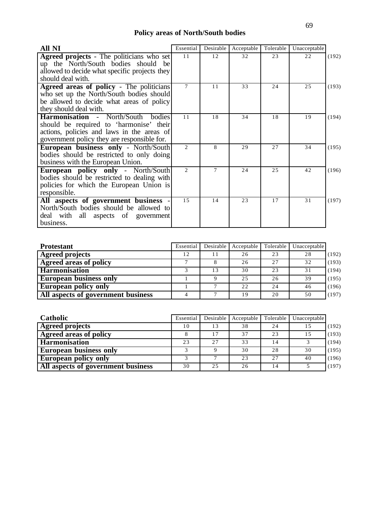## **Policy areas of North/South bodies**

| All NI                                              | Essential | Desirable | Acceptable | Tolerable | Unacceptable |       |
|-----------------------------------------------------|-----------|-----------|------------|-----------|--------------|-------|
| <b>Agreed projects</b> - The politicians who set    | 11        | 12        | 32         | 23        | 22           | (192) |
| up the North/South bodies should be                 |           |           |            |           |              |       |
| allowed to decide what specific projects they       |           |           |            |           |              |       |
| should deal with.                                   |           |           |            |           |              |       |
| <b>Agreed areas of policy - The politicians</b>     | 7         | 11        | 33         | 24        | 25           | (193) |
| who set up the North/South bodies should            |           |           |            |           |              |       |
| be allowed to decide what areas of policy           |           |           |            |           |              |       |
| they should deal with.                              |           |           |            |           |              |       |
| <b>Harmonisation - North/South</b><br><b>bodies</b> | 11        | 18        | 34         | 18        | 19           | (194) |
| should be required to 'harmonise' their             |           |           |            |           |              |       |
| actions, policies and laws in the areas of          |           |           |            |           |              |       |
| government policy they are responsible for.         |           |           |            |           |              |       |
| <b>European business only - North/South</b>         | 2         | 8         | 29         | 27        | 34           | (195) |
| bodies should be restricted to only doing           |           |           |            |           |              |       |
| business with the European Union.                   |           |           |            |           |              |       |
| <b>European policy only - North/South</b>           | 2         | 7         | 24         | 2.5       | 42           | (196) |
| bodies should be restricted to dealing with         |           |           |            |           |              |       |
| policies for which the European Union is            |           |           |            |           |              |       |
| responsible.                                        |           |           |            |           |              |       |
| All aspects of government business                  | 15        | 14        | 23         | 17        | 31           | (197) |
| North/South bodies should be allowed to             |           |           |            |           |              |       |
| deal with all aspects of government                 |           |           |            |           |              |       |
| business.                                           |           |           |            |           |              |       |

| <b>Protestant</b>                  | Essential | Desirable | Acceptable | Tolerable | Unacceptable   |       |
|------------------------------------|-----------|-----------|------------|-----------|----------------|-------|
| <b>Agreed projects</b>             | 12        |           | 26         | 23        | 28             | (192) |
| Agreed areas of policy             |           |           | 26         | 2.7       | 32             | (193) |
| <b>Harmonisation</b>               |           | 13        | 30         | 23        | 3 <sup>1</sup> | (194) |
| <b>European business only</b>      |           |           | 25         | 26        | 39             | (195) |
| <b>European policy only</b>        |           |           | 22         | 24        | 46             | (196) |
| All aspects of government business |           |           | 19         | 20        | 50             | (197) |

| <b>Catholic</b>                    | Essential | Desirable | Acceptable | Tolerable | Unacceptable |       |
|------------------------------------|-----------|-----------|------------|-----------|--------------|-------|
| <b>Agreed projects</b>             | 10        | 13        | 38         | 24        | 15           | (192) |
| Agreed areas of policy             |           | 17        | 37         | 23        | 15           | (193) |
| <b>Harmonisation</b>               | 23        | 27        | 33         | 14        |              | (194) |
| <b>European business only</b>      |           |           | 30         | 28        | 30           | (195) |
| <b>European policy only</b>        |           |           | 23         | 27        | 40           | (196) |
| All aspects of government business | 30        | 25        | 26         | 14        |              | (197) |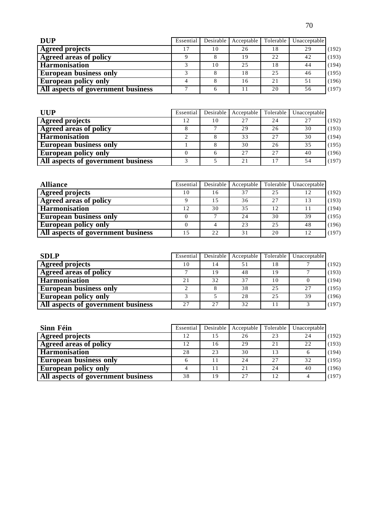| <b>DUP</b>                         | Essential | Desirable | Acceptable | Tolerable | Unacceptable |       |
|------------------------------------|-----------|-----------|------------|-----------|--------------|-------|
| <b>Agreed projects</b>             | 17        | 10        | 26         | 18        | 29           | (192) |
| <b>Agreed areas of policy</b>      |           |           | 19         | 22        | 42           | (193) |
| <b>Harmonisation</b>               |           | 10        | 25         | 18        | 44           | (194) |
| <b>European business only</b>      |           |           | 18         | 25        | 46           | (195) |
| <b>European policy only</b>        |           |           | 16         | 21        | 51           | (196) |
| All aspects of government business | −         |           |            | 20        | 56           | (197) |

| <b>UUP</b>                         | Essential | Desirable | Acceptable | Tolerable | Unacceptable |       |
|------------------------------------|-----------|-----------|------------|-----------|--------------|-------|
| <b>Agreed projects</b>             | 12        | 10        | 2.7        | 24        | 27           | (192) |
| <b>Agreed areas of policy</b>      |           |           | 29         | 26        | 30           | (193) |
| <b>Harmonisation</b>               |           |           | 33         | 27        | 30           | (194) |
| <b>European business only</b>      |           |           | 30         | 26        | 35           | (195) |
| <b>European policy only</b>        |           | 6         | 27         | 27        | 40           | (196) |
| All aspects of government business |           |           | 2.1        | 17        | 54           | (197) |

| <b>Alliance</b>                    | Essential | Desirable | Acceptable | Tolerable | Unacceptable |       |
|------------------------------------|-----------|-----------|------------|-----------|--------------|-------|
| <b>Agreed projects</b>             | 10        | 16        | 37         | 25        | 12           | (192) |
| <b>Agreed areas of policy</b>      |           | 15        | 36         | 2.7       | 13           | (193) |
| <b>Harmonisation</b>               |           | 30        | 35         | 12        |              | (194) |
| <b>European business only</b>      |           |           | 24         | 30        | 39           | (195) |
| <b>European policy only</b>        |           |           | 23         | 25        | 48           | (196) |
| All aspects of government business |           | 22        | 31         | 20        | 12           | (197) |

| <b>SDLP</b>                        | Essential |    | Desirable Acceptable | Tolerable | Unacceptable |       |
|------------------------------------|-----------|----|----------------------|-----------|--------------|-------|
| <b>Agreed projects</b>             | 10        | 14 | 51                   | 18        |              | (192) |
| <b>Agreed areas of policy</b>      |           | 19 | 48                   | 19        |              | (193) |
| <b>Harmonisation</b>               | 21        | 32 | 37                   | 10        |              | (194) |
| <b>European business only</b>      |           |    | 38                   | 25        | 27           | (195) |
| <b>European policy only</b>        |           |    | 28                   | 25        | 39           | (196) |
| All aspects of government business | 27        | 27 | 32                   | 11        |              | (197) |

| Sinn Féin                                 | Essential | Desirable | Acceptable | Tolerable | Unacceptable |       |
|-------------------------------------------|-----------|-----------|------------|-----------|--------------|-------|
| <b>Agreed projects</b>                    | 12        | 15        | 26         | 23        | 24           | (192) |
| Agreed areas of policy                    | 12        | 16        | 29         | 21        | 22           | (193) |
| <b>Harmonisation</b>                      | 28        | 23        | 30         | 13        | <sub>0</sub> | (194) |
| <b>European business only</b>             |           | 11        | 24         | 27        | 32           | (195) |
| <b>European policy only</b>               |           | 11        | 2.1        | 24        | 40           | (196) |
| <b>All aspects of government business</b> | 38        | 19        | 27         | 12        |              | (197) |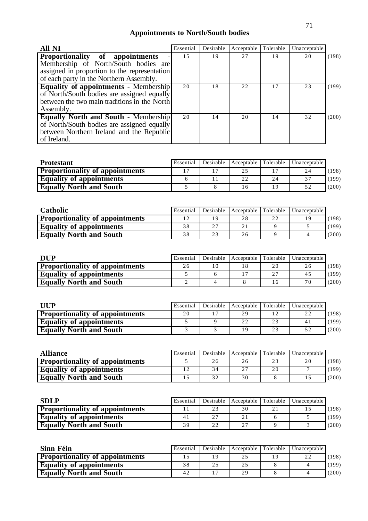# **Appointments to North/South bodies**

| <b>All NI</b>                                                                                                                                                      | Essential | Desirable | Acceptable | Tolerable | Unacceptable |       |
|--------------------------------------------------------------------------------------------------------------------------------------------------------------------|-----------|-----------|------------|-----------|--------------|-------|
| Proportionality of appointments<br>Membership of North/South bodies are<br>assigned in proportion to the representation<br>of each party in the Northern Assembly. | 1.5       | 19        | 2.7        | 19        | 20           | (198) |
| <b>Equality of appointments - Membership</b><br>of North/South bodies are assigned equally<br>between the two main traditions in the North<br>Assembly.            | 20        | 18        | 22         | 17        | 23           | (199) |
| <b>Equally North and South - Membership</b><br>of North/South bodies are assigned equally<br>between Northern Ireland and the Republic<br>of Ireland.              | 20        | 14        | 20         | 14        | 32           | (200) |

| <b>Protestant</b>                      | Essential |  |    | Desirable   Acceptable   Tolerable   Unacceptable |       |
|----------------------------------------|-----------|--|----|---------------------------------------------------|-------|
| <b>Proportionality of appointments</b> |           |  |    | 24                                                | (198) |
| <b>Equality of appointments</b>        |           |  | 24 | 37                                                | (199) |
| <b>Equally North and South</b>         |           |  | 19 | 52                                                | (200) |

| <b>Catholic</b>                        | Essential | Desirable 1 | Acceptable Tolerable |    | <b>Unacceptable</b> |       |
|----------------------------------------|-----------|-------------|----------------------|----|---------------------|-------|
| <b>Proportionality of appointments</b> |           |             |                      | 22 |                     | (198) |
| <b>Equality of appointments</b>        | 38        | 27          |                      |    |                     | (199) |
| <b>Equally North and South</b>         | 38        | 23          | 26                   |    |                     | (200) |

| <b>DUP</b>                             | Essential | Desirable |    | Acceptable Tolerable   Unacceptable |       |
|----------------------------------------|-----------|-----------|----|-------------------------------------|-------|
| <b>Proportionality of appointments</b> | 26        |           | 20 | 26                                  | (198) |
| <b>Equality of appointments</b>        |           |           | つつ | 45                                  | (199) |
| <b>Equally North and South</b>         |           |           |    | 70                                  | (200) |

| UUP                                    | Essential | Desirable |    |    | Acceptable Tolerable   Unacceptable |       |
|----------------------------------------|-----------|-----------|----|----|-------------------------------------|-------|
| <b>Proportionality of appointments</b> | 20        |           | 29 |    |                                     | (198) |
| <b>Equality of appointments</b>        |           |           |    | 23 | 41                                  | (199) |
| <b>Equally North and South</b>         |           |           |    | 23 |                                     | (200) |

| <b>Alliance</b>                        | Essential |    | Desirable Acceptable Tolerable |                | Unacceptable |       |
|----------------------------------------|-----------|----|--------------------------------|----------------|--------------|-------|
| <b>Proportionality of appointments</b> |           | 26 |                                | 23             | 20           | (198) |
| <b>Equality of appointments</b>        |           | 34 | 27                             | 2 <sub>0</sub> |              | (199) |
| <b>Equally North and South</b>         |           | 32 | 30                             |                |              | (200) |

| <b>SDLP</b>                            | Essential      |    | Desirable   Acceptable   Tolerable | Unacceptable |       |
|----------------------------------------|----------------|----|------------------------------------|--------------|-------|
| <b>Proportionality of appointments</b> |                | 23 | 30                                 |              | (198) |
| <b>Equality of appointments</b>        | 4 <sub>1</sub> | 27 |                                    |              | (199) |
| <b>Equally North and South</b>         | 39             | つつ | 27                                 |              | (200) |

| Sinn Féin                              | Essential |    | Desirable Acceptable Tolerable |    | Unacceptable |       |
|----------------------------------------|-----------|----|--------------------------------|----|--------------|-------|
| <b>Proportionality of appointments</b> |           | 19 |                                | 19 | 22           | (198) |
| <b>Equality of appointments</b>        | 38        | 25 | 25                             |    |              | (199) |
| <b>Equally North and South</b>         | 42        |    | 29                             |    |              | (200) |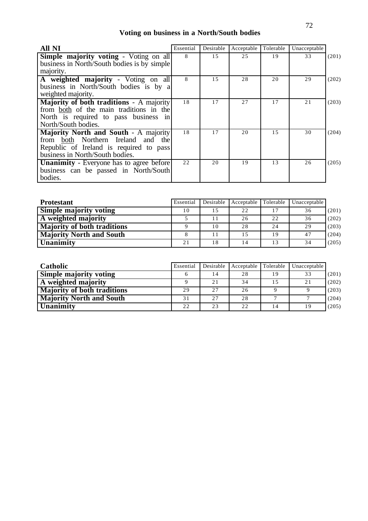# **Voting on business in a North/South bodies**

| <b>All NI</b>                                   | Essential | Desirable | Acceptable | Tolerable | Unacceptable |       |
|-------------------------------------------------|-----------|-----------|------------|-----------|--------------|-------|
| <b>Simple majority voting - Voting on all</b>   | 8         | 15        | 25         | 19        | 33           | (201) |
| business in North/South bodies is by simple     |           |           |            |           |              |       |
| majority.                                       |           |           |            |           |              |       |
| A weighted majority - Voting on all             | 8         | 15        | 28         | 20        | 29           | (202) |
| business in North/South bodies is by a          |           |           |            |           |              |       |
| weighted majority.                              |           |           |            |           |              |       |
| <b>Majority of both traditions</b> - A majority | 18        | 17        | 27         | 17        | 21           | (203) |
| from both of the main traditions in the         |           |           |            |           |              |       |
| North is required to pass business in           |           |           |            |           |              |       |
| North/South bodies.                             |           |           |            |           |              |       |
| Majority North and South - A majority           | 18        | 17        | 20         | 15        | 30           | (204) |
| from both Northern Ireland and the              |           |           |            |           |              |       |
| Republic of Ireland is required to pass         |           |           |            |           |              |       |
| business in North/South bodies.                 |           |           |            |           |              |       |
| <b>Unanimity</b> - Everyone has to agree before | 22        | 20        | 19         | 13        | 26           | (205) |
| business can be passed in North/South           |           |           |            |           |              |       |
| bodies.                                         |           |           |            |           |              |       |

| <b>Protestant</b>                  | Essential | Desirable | Acceptable Tolerable |    | Unacceptable |       |
|------------------------------------|-----------|-----------|----------------------|----|--------------|-------|
| <b>Simple majority voting</b>      | 10        | 15        | 22                   |    | 36           | (201) |
| A weighted majority                |           |           | 26                   | 22 | 36           | (202) |
| <b>Majority of both traditions</b> |           | 10        | 28                   | 24 | 29           | (203) |
| <b>Majority North and South</b>    |           |           |                      | 19 | 47           | (204) |
| <b>Unanimity</b>                   | 21        | 18        |                      | 13 | 34           | (205) |

| <b>Catholic</b>                    | Essential | Desirable | Acceptable Tolerable |    | Unacceptable |       |
|------------------------------------|-----------|-----------|----------------------|----|--------------|-------|
| <b>Simple majority voting</b>      |           | 14        | 28                   | 19 | 33           | (201) |
| A weighted majority                |           | 21        | 34                   | 15 | 21           | (202) |
| <b>Majority of both traditions</b> | 29        | 27        | 26                   |    |              | (203) |
| <b>Majority North and South</b>    | 31        | 27        | 28                   |    |              | (204) |
| <b>Unanimity</b>                   | 22        | 23        | 22                   | 14 | 19           | (205) |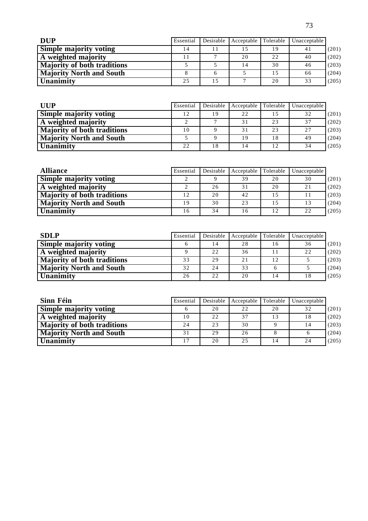| <b>DUP</b>                         | Essential | Desirable | Acceptable | Tolerable | Unacceptable |       |
|------------------------------------|-----------|-----------|------------|-----------|--------------|-------|
| <b>Simple majority voting</b>      | 14        |           |            | 19        | 41           | (201) |
| A weighted majority                |           |           | 20         | 22        | 40           | (202) |
| <b>Majority of both traditions</b> |           |           | 14         | 30        | 46           | (203) |
| <b>Majority North and South</b>    |           |           |            | 15        | 66           | (204) |
| Unanimity                          | 25        | 15        |            | 20        | 33           | (205) |

| <b>UUP</b>                         | Essential | Desirable | Acceptable Tolerable |    | Unacceptable |       |
|------------------------------------|-----------|-----------|----------------------|----|--------------|-------|
| <b>Simple majority voting</b>      | 12        | 19        | 22                   | 15 | 32           | (201) |
| A weighted majority                |           |           |                      | 23 | 37           | (202) |
| <b>Majority of both traditions</b> | 10        |           | 31                   | 23 | 27           | (203) |
| <b>Majority North and South</b>    |           |           | -9                   | 18 | 49           | (204) |
| <b>Unanimity</b>                   | 22        | 18        |                      | 12 | 34           | (205) |

| <b>Alliance</b>                    | Essential | Desirable | Acceptable | Tolerable | Unacceptable |       |
|------------------------------------|-----------|-----------|------------|-----------|--------------|-------|
| <b>Simple majority voting</b>      |           |           | 39         | 20        | 30           | (201) |
| A weighted majority                |           | 26        |            | 20        | 21           | (202) |
| <b>Majority of both traditions</b> | 12        | 20        | 42         | 1.5       |              | (203) |
| <b>Majority North and South</b>    | 19        | 30        | 23         | 15        | 13           | (204) |
| <b>Unanimity</b>                   | 16        | 34        | 16         | 12        | 22           | (205) |

| <b>SDLP</b>                        | Essential | Desirable | Acceptable | Tolerable | Unacceptable |       |
|------------------------------------|-----------|-----------|------------|-----------|--------------|-------|
| <b>Simple majority voting</b>      |           | 14        | 28         | 16        | 36           | (201) |
| A weighted majority                |           | 22        | 36         | 11        | 22           | (202) |
| <b>Majority of both traditions</b> | 33        | 29        | 21         | 12        |              | (203) |
| <b>Majority North and South</b>    | 32        | 24        | 33         |           |              | (204) |
| Unanimity                          | 26        | 22        | 20         | 14        | 18           | (205) |

| Sinn Féin                          | Essential | Desirable | Acceptable Tolerable |    | Unacceptable |       |
|------------------------------------|-----------|-----------|----------------------|----|--------------|-------|
| <b>Simple majority voting</b>      |           | 20        | 22                   | 20 | 32           | (201) |
| A weighted majority                | 10        | 22        | 37                   | 13 | 18           | (202) |
| <b>Majority of both traditions</b> | 24        | 23        | 30                   |    | 14           | (203) |
| <b>Majority North and South</b>    | 31        | 29        | 26                   |    |              | (204) |
| <b>Unanimity</b>                   |           | 20        | 25                   | 14 | 24           | (205) |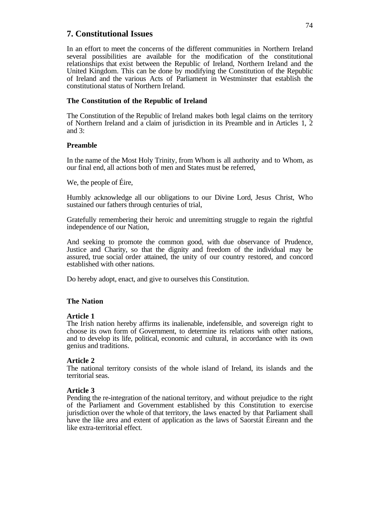### **7. Constitutional Issues**

In an effort to meet the concerns of the different communities in Northern Ireland several possibilities are available for the modification of the constitutional relationships that exist between the Republic of Ireland, Northern Ireland and the United Kingdom. This can be done by modifying the Constitution of the Republic of Ireland and the various Acts of Parliament in Westminster that establish the constitutional status of Northern Ireland.

#### **The Constitution of the Republic of Ireland**

The Constitution of the Republic of Ireland makes both legal claims on the territory of Northern Ireland and a claim of jurisdiction in its Preamble and in Articles 1, 2 and 3:

#### **Preamble**

In the name of the Most Holy Trinity, from Whom is all authority and to Whom, as our final end, all actions both of men and States must be referred,

We, the people of Éire,

Humbly acknowledge all our obligations to our Divine Lord, Jesus Christ, Who sustained our fathers through centuries of trial,

Gratefully remembering their heroic and unremitting struggle to regain the rightful independence of our Nation,

And seeking to promote the common good, with due observance of Prudence, Justice and Charity, so that the dignity and freedom of the individual may be assured, true social order attained, the unity of our country restored, and concord established with other nations.

Do hereby adopt, enact, and give to ourselves this Constitution.

#### **The Nation**

#### **Article 1**

The Irish nation hereby affirms its inalienable, indefensible, and sovereign right to choose its own form of Government, to determine its relations with other nations, and to develop its life, political, economic and cultural, in accordance with its own genius and traditions.

#### **Article 2**

The national territory consists of the whole island of Ireland, its islands and the territorial seas.

#### **Article 3**

Pending the re-integration of the national territory, and without prejudice to the right of the Parliament and Government established by this Constitution to exercise jurisdiction over the whole of that territory, the laws enacted by that Parliament shall have the like area and extent of application as the laws of Saorstát Éireann and the like extra-territorial effect.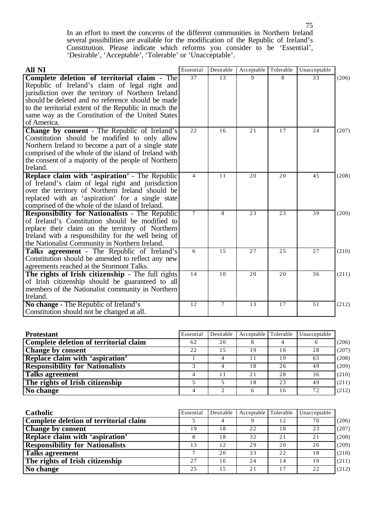In an effort to meet the concerns of the different communities in Northern Ireland several possibilities are available for the modification of the Republic of Ireland's Constitution. Please indicate which reforms you consider to be 'Essential', 'Desirable', 'Acceptable', 'Tolerable' or 'Unacceptable'.

| All NI                                                                                                   | Essential      | Desirable | Acceptable | Tolerable | Unacceptable |       |
|----------------------------------------------------------------------------------------------------------|----------------|-----------|------------|-----------|--------------|-------|
| Complete deletion of territorial claim - The                                                             | 37             | 13        | 9          | 8         | 33           | (206) |
| Republic of Ireland's claim of legal right and                                                           |                |           |            |           |              |       |
| jurisdiction over the territory of Northern Ireland                                                      |                |           |            |           |              |       |
| should be deleted and no reference should be made                                                        |                |           |            |           |              |       |
| to the territorial extent of the Republic in much the                                                    |                |           |            |           |              |       |
| same way as the Constitution of the United States                                                        |                |           |            |           |              |       |
| of America.                                                                                              |                |           |            |           |              |       |
| <b>Change by consent</b> - The Republic of Ireland's                                                     | 22             | 16        | 21         | 17        | 24           | (207) |
| Constitution should be modified to only allow                                                            |                |           |            |           |              |       |
| Northern Ireland to become a part of a single state                                                      |                |           |            |           |              |       |
| comprised of the whole of the island of Ireland with                                                     |                |           |            |           |              |       |
| the consent of a majority of the people of Northern                                                      |                |           |            |           |              |       |
| Ireland.                                                                                                 |                |           |            |           |              |       |
| Replace claim with 'aspiration' - The Republic                                                           | $\overline{4}$ | 11        | 20         | 20        | 45           | (208) |
| of Ireland's claim of legal right and jurisdiction                                                       |                |           |            |           |              |       |
| over the territory of Northern Ireland should be                                                         |                |           |            |           |              |       |
| replaced with an 'aspiration' for a single state                                                         |                |           |            |           |              |       |
| comprised of the whole of the island of Ireland.                                                         | $\overline{7}$ | 8         | 23         | 23        | 39           |       |
| <b>Responsibility for Nationalists - The Republic</b><br>of Ireland's Constitution should be modified to |                |           |            |           |              | (209) |
| replace their claim on the territory of Northern                                                         |                |           |            |           |              |       |
| Ireland with a responsibility for the well being of                                                      |                |           |            |           |              |       |
| the Nationalist Community in Northern Ireland.                                                           |                |           |            |           |              |       |
| Talks agreement - The Republic of Ireland's                                                              | 6              | 15        | 27         | 25        | 27           | (210) |
| Constitution should be amended to reflect any new                                                        |                |           |            |           |              |       |
| agreements reached at the Stormont Talks.                                                                |                |           |            |           |              |       |
| The rights of Irish citizenship - The full rights                                                        | 14             | 10        | 20         | 20        | 36           | (211) |
| of Irish citizenship should be guaranteed to all                                                         |                |           |            |           |              |       |
| members of the Nationalist community in Northern                                                         |                |           |            |           |              |       |
| Ireland.                                                                                                 |                |           |            |           |              |       |
| No change - The Republic of Ireland's                                                                    | 12             | $\tau$    | 13         | 17        | 51           | (212) |
| Constitution should not be changed at all.                                                               |                |           |            |           |              |       |

| <b>Protestant</b>                      | Essential | Desirable | Acceptable Tolerable |    | Unacceptable |       |
|----------------------------------------|-----------|-----------|----------------------|----|--------------|-------|
| Complete deletion of territorial claim | 62        | 20        |                      |    |              | (206) |
| <b>Change by consent</b>               | 22        | 15        | 19                   | 16 | 28           | (207) |
| Replace claim with 'aspiration'        |           |           |                      | 19 | 65           | (208) |
| <b>Responsibility for Nationalists</b> |           |           | 18                   | 26 | 49           | (209) |
| Talks agreement                        |           | 11        | 2.1                  | 28 | 36           | (210) |
| The rights of Irish citizenship        |           |           | 18                   | 23 | 49           | (211) |
| No change                              |           |           |                      | 16 | 72           | (212) |

| Catholic                               | Essential | Desirable | Acceptable Tolerable |     | Unacceptable |       |
|----------------------------------------|-----------|-----------|----------------------|-----|--------------|-------|
| Complete deletion of territorial claim |           |           |                      | 12  | 70           | (206) |
| <b>Change by consent</b>               | 19        | 18        | 22                   | 18  | 23           | (207) |
| Replace claim with 'aspiration'        |           | 18        | 32                   | 2.1 | 21           | (208) |
| <b>Responsibility for Nationalists</b> | 13        | 12        | 29                   | 20  | 26           | (209) |
| <b>Talks agreement</b>                 |           | 20        | 33                   | 22  | 18           | (210) |
| The rights of Irish citizenship        | 27        | 16        | 24                   | 14  | 19           | (211) |
| No change                              | 25        | 15        | 21                   | 17  | 22           | (212) |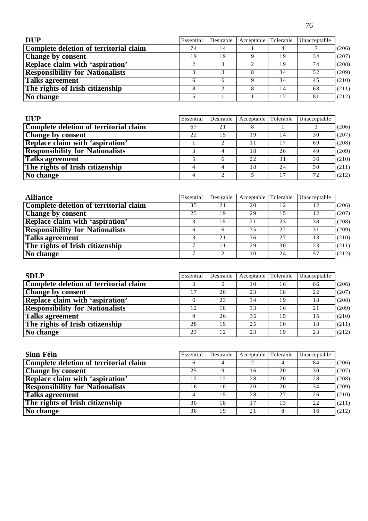| <b>DUP</b>                             | Essential | Desirable | Acceptable Tolerable |    | Unacceptable |       |
|----------------------------------------|-----------|-----------|----------------------|----|--------------|-------|
| Complete deletion of territorial claim | 74        | 14        |                      |    |              | (206) |
| <b>Change by consent</b>               | 19        | 19        |                      | 19 | 34           | (207) |
| <b>Replace claim with 'aspiration'</b> |           |           |                      | 19 | 74           | (208) |
| <b>Responsibility for Nationalists</b> |           |           |                      | 34 | 52           | (209) |
| Talks agreement                        |           |           |                      | 34 | 45           | (210) |
| The rights of Irish citizenship        |           |           |                      | 14 | 68           | (211) |
| No change                              |           |           |                      | 12 | 81           | (212) |

| <b>UUP</b>                             | Essential | Desirable | Acceptable Tolerable |    | Unacceptable |       |
|----------------------------------------|-----------|-----------|----------------------|----|--------------|-------|
| Complete deletion of territorial claim | 67        | 21        | Ō                    |    |              | (206) |
| <b>Change by consent</b>               | 22        | 1.5       | 19                   | 14 | 30           | (207) |
| Replace claim with 'aspiration'        |           |           |                      |    | 69           | (208) |
| <b>Responsibility for Nationalists</b> |           |           | 18                   | 26 | 49           | (209) |
| Talks agreement                        |           | 6         | 22                   | 31 | 36           | (210) |
| The rights of Irish citizenship        |           |           | 18                   | 24 | 50           | (211) |
| No change                              |           |           |                      |    | 72           | (212) |

| <b>Alliance</b>                        | Essential | Desirable | Acceptable Tolerable |    | Unacceptable |       |
|----------------------------------------|-----------|-----------|----------------------|----|--------------|-------|
| Complete deletion of territorial claim | 35        | 21        | 20                   | 12 | 12           | (206) |
| <b>Change by consent</b>               | 25        | 19        | 29                   | 15 | 12           | (207) |
| Replace claim with 'aspiration'        |           | 15        | 21                   | 23 | 38           | (208) |
| <b>Responsibility for Nationalists</b> |           |           | 35                   | 22 | 31           | (209) |
| <b>Talks agreement</b>                 |           | 2.1       | 36                   | 27 | 13           | (210) |
| The rights of Irish citizenship        |           | 11        | 29                   | 30 | 23           | (211) |
| No change                              |           |           | 10                   | 24 | 57           | (212) |

| <b>SDLP</b>                            | Essential | Desirable | Acceptable Tolerable |    | Unacceptable |       |
|----------------------------------------|-----------|-----------|----------------------|----|--------------|-------|
| Complete deletion of territorial claim |           |           | 10                   | 16 | 66           | (206) |
| <b>Change by consent</b>               |           | 20        | 23                   | 18 | 22           | (207) |
| Replace claim with 'aspiration'        |           | 23        | 34                   | 19 | 18           | (208) |
| <b>Responsibility for Nationalists</b> | 12        | 18        | 33                   | 16 | 21           | (209) |
| <b>Talks agreement</b>                 |           | 26        | 35                   | 15 | 15           | (210) |
| The rights of Irish citizenship        | 28        | 19        | 2.5                  | 10 | 18           | (211) |
| No change                              | 23        | 12        | 23                   | 19 | 23           | (212) |

| Sinn Féin                              | Essential | Desirable | Acceptable | Tolerable | Unacceptable |       |
|----------------------------------------|-----------|-----------|------------|-----------|--------------|-------|
| Complete deletion of territorial claim |           |           |            |           | 84           | (206) |
| <b>Change by consent</b>               | 2.5       |           | 16         | 20        | 30           | (207) |
| Replace claim with 'aspiration'        | 12        | 12        | 28         | 20        | 28           | (208) |
| <b>Responsibility for Nationalists</b> | 16        | 10        | 20         | 20        | 34           | (209) |
| Talks agreement                        |           | 1.5       | 28         | 27        | 26           | (210) |
| The rights of Irish citizenship        | 30        | 18        | 17         | 13        | 22           | (211) |
| No change                              | 36        | 19        | 21         |           | 16           | (212) |

76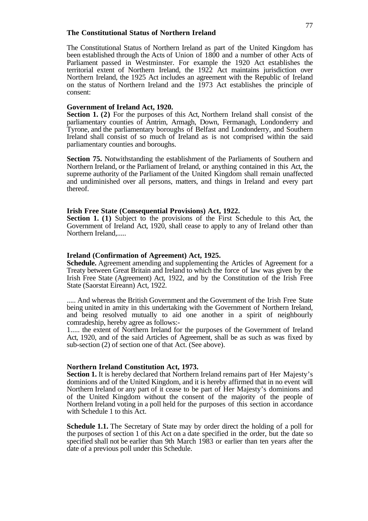#### **The Constitutional Status of Northern Ireland**

The Constitutional Status of Northern Ireland as part of the United Kingdom has been established through the Acts of Union of 1800 and a number of other Acts of Parliament passed in Westminster. For example the 1920 Act establishes the territorial extent of Northern Ireland, the 1922 Act maintains jurisdiction over Northern Ireland, the 1925 Act includes an agreement with the Republic of Ireland on the status of Northern Ireland and the 1973 Act establishes the principle of consent:

#### **Government of Ireland Act, 1920.**

**Section 1. (2)** For the purposes of this Act, Northern Ireland shall consist of the parliamentary counties of Antrim, Armagh, Down, Fermanagh, Londonderry and Tyrone, and the parliamentary boroughs of Belfast and Londonderry, and Southern Ireland shall consist of so much of Ireland as is not comprised within the said parliamentary counties and boroughs.

**Section 75.** Notwithstanding the establishment of the Parliaments of Southern and Northern Ireland, or the Parliament of Ireland, or anything contained in this Act, the supreme authority of the Parliament of the United Kingdom shall remain unaffected and undiminished over all persons, matters, and things in Ireland and every part thereof.

#### **Irish Free State (Consequential Provisions) Act, 1922.**

**Section 1.** (1) Subject to the provisions of the First Schedule to this Act, the Government of Ireland Act, 1920, shall cease to apply to any of Ireland other than Northern Ireland,.....

#### **Ireland (Confirmation of Agreement) Act, 1925.**

**Schedule.** Agreement amending and supplementing the Articles of Agreement for a Treaty between Great Britain and Ireland to which the force of law was given by the Irish Free State (Agreement) Act, 1922, and by the Constitution of the Irish Free State (Saorstat Eireann) Act, 1922.

..... And whereas the British Government and the Government of the Irish Free State being united in amity in this undertaking with the Government of Northern Ireland, and being resolved mutually to aid one another in a spirit of neighbourly comradeship, hereby agree as follows:-

1..... the extent of Northern Ireland for the purposes of the Government of Ireland Act, 1920, and of the said Articles of Agreement, shall be as such as was fixed by sub-section (2) of section one of that Act. (See above).

#### **Northern Ireland Constitution Act, 1973.**

**Section 1.** It is hereby declared that Northern Ireland remains part of Her Majesty's dominions and of the United Kingdom, and it is hereby affirmed that in no event will Northern Ireland or any part of it cease to be part of Her Majesty's dominions and of the United Kingdom without the consent of the majority of the people of Northern Ireland voting in a poll held for the purposes of this section in accordance with Schedule 1 to this Act.

**Schedule 1.1.** The Secretary of State may by order direct the holding of a poll for the purposes of section 1 of this Act on a date specified in the order, but the date so specified shall not be earlier than 9th March 1983 or earlier than ten years after the date of a previous poll under this Schedule.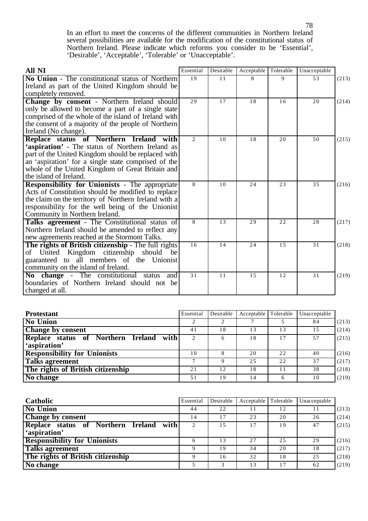In an effort to meet the concerns of the different communities in Northern Ireland several possibilities are available for the modification of the constitutional status of Northern Ireland. Please indicate which reforms you consider to be 'Essential', 'Desirable', 'Acceptable', 'Tolerable' or 'Unacceptable'.

| All NI                                                                                       | Essential    | Desirable | Acceptable | Tolerable | Unacceptable |       |
|----------------------------------------------------------------------------------------------|--------------|-----------|------------|-----------|--------------|-------|
| No Union - The constitutional status of Northern                                             | 19           | 11        | 8          | 9         | 53           | (213) |
| Ireland as part of the United Kingdom should be                                              |              |           |            |           |              |       |
| completely removed.                                                                          |              |           |            |           |              |       |
| Change by consent - Northern Ireland should                                                  | 29           | 17        | 18         | 16        | 20           | (214) |
| only be allowed to become a part of a single state                                           |              |           |            |           |              |       |
| comprised of the whole of the island of Ireland with                                         |              |           |            |           |              |       |
| the consent of a majority of the people of Northern                                          |              |           |            |           |              |       |
| Ireland (No change).                                                                         |              |           |            |           |              |       |
| Replace status of Northern Ireland with                                                      | 2            | 10        | 18         | 20        | 50           | (215) |
| 'aspiration' - The status of Northern Ireland as                                             |              |           |            |           |              |       |
| part of the United Kingdom should be replaced with                                           |              |           |            |           |              |       |
| an 'aspiration' for a single state comprised of the                                          |              |           |            |           |              |       |
| whole of the United Kingdom of Great Britain and                                             |              |           |            |           |              |       |
| the island of Ireland.                                                                       |              |           |            |           |              |       |
| <b>Responsibility for Unionists - The appropriate</b>                                        | $\mathbf{8}$ | 10        | 24         | 23        | 35           | (216) |
| Acts of Constitution should be modified to replace                                           |              |           |            |           |              |       |
| the claim on the territory of Northern Ireland with a                                        |              |           |            |           |              |       |
| responsibility for the well being of the Unionist                                            |              |           |            |           |              |       |
| Community in Northern Ireland.                                                               |              |           |            |           |              |       |
| Talks agreement - The Constitutional status of                                               | 8            | 13        | 29         | 22        | 28           | (217) |
| Northern Ireland should be amended to reflect any                                            |              |           |            |           |              |       |
| new agreements reached at the Stormont Talks.                                                | 16           | 14        | 24         | 15        | 31           |       |
| The rights of British citizenship - The full rights                                          |              |           |            |           |              | (218) |
| United Kingdom citizenship should<br>οf<br>be<br>guaranteed to all members of the Unionist   |              |           |            |           |              |       |
| community on the island of Ireland.                                                          |              |           |            |           |              |       |
|                                                                                              | 31           | 11        | 1.5        | 12        | 31           |       |
| No change - The constitutional status<br>and<br>boundaries of Northern Ireland should not be |              |           |            |           |              | (219) |
| changed at all.                                                                              |              |           |            |           |              |       |
|                                                                                              |              |           |            |           |              |       |

| <b>Protestant</b>                                          | Essential | Desirable | Acceptable Tolerable |    | Unacceptable |       |
|------------------------------------------------------------|-----------|-----------|----------------------|----|--------------|-------|
| <b>No Union</b>                                            |           |           |                      |    | 84           | (213) |
| <b>Change by consent</b>                                   | 41        | 18        | 13                   | 13 | 1.5          | (214) |
| Replace status of Northern Ireland<br>with<br>'aspiration' |           | 6         | 18                   | 17 | 57           | (215) |
| <b>Responsibility for Unionists</b>                        | 10        |           | 20                   | 22 | 40           | (216) |
| <b>Talks agreement</b>                                     |           |           | 25                   | 22 | 37           | (217) |
| The rights of British citizenship                          | 21        | 12        | 18                   | 11 | 38           | (218) |
| No change                                                  | 51        | 19        | 14                   |    | 10           | (219) |

| Catholic                                | Essential      | Desirable | Acceptable Tolerable |    | Unacceptable |       |
|-----------------------------------------|----------------|-----------|----------------------|----|--------------|-------|
| <b>No Union</b>                         | 44             | 22        | 11                   | 12 |              | (213) |
| <b>Change by consent</b>                | $\overline{4}$ | 17        | 23                   | 20 | 26           | (214) |
| Replace status of Northern Ireland with |                | 15        | 17                   | 19 | 47           | (215) |
| 'aspiration'                            |                |           |                      |    |              |       |
| <b>Responsibility for Unionists</b>     | h              | 13        | 2.7                  | 25 | 29           | (216) |
| <b>Talks agreement</b>                  |                | 19        | 34                   | 20 | 18           | (217) |
| The rights of British citizenship       |                | 16        | 32                   | 18 | 25           | (218) |
| No change                               |                |           | 13                   | 17 | 62           | (219) |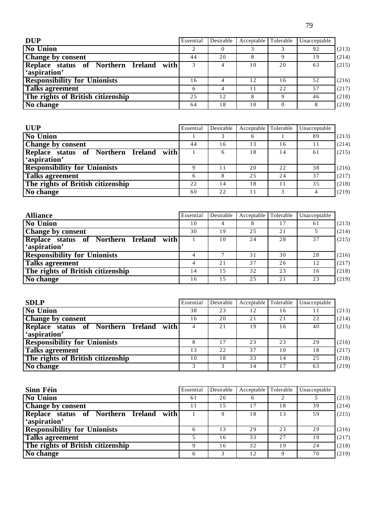| e e<br>r,<br>۰.<br>v |  |
|----------------------|--|
|                      |  |

| <b>DUP</b>                                              | Essential | Desirable | Acceptable Tolerable |    | Unacceptable |       |
|---------------------------------------------------------|-----------|-----------|----------------------|----|--------------|-------|
| <b>No Union</b>                                         |           |           |                      |    | 92           | (213) |
| Change by consent                                       | 44        | 20        | 8                    |    | 19           | (214) |
| Replace status of Northern Ireland with<br>'aspiration' |           | 4         | 10                   | 20 | 63           | (215) |
| <b>Responsibility for Unionists</b>                     | 16        |           | 12                   | 16 | 52           | (216) |
| <b>Talks agreement</b>                                  | 6         | 4         | 11                   | 22 | 57           | (217) |
| The rights of British citizenship                       | 25        | 12        | 8                    | Q  | 46           | (218) |
| No change                                               | 64        | 18        | 10                   |    |              | (219) |

| <b>UUP</b>                              | Essential | Desirable | Acceptable Tolerable |    | Unacceptable |       |
|-----------------------------------------|-----------|-----------|----------------------|----|--------------|-------|
| <b>No Union</b>                         |           |           | <sub>0</sub>         |    | 89           | (213) |
| <b>Change by consent</b>                | 44        | 16        | 13                   | 16 | 11           | (214) |
| Replace status of Northern Ireland with |           | 6         | 18                   | 14 | 61           | (215) |
| 'aspiration'                            |           |           |                      |    |              |       |
| <b>Responsibility for Unionists</b>     |           | 11        | 20                   | 22 | 38           | (216) |
| <b>Talks agreement</b>                  | 6         | 8         | 25                   | 24 | 37           | (217) |
| The rights of British citizenship       | 22        | 14        | 18                   |    | 35           | (218) |
| No change                               | 60        | 22        | 11                   |    |              | (219) |

| <b>Alliance</b>                         | Essential | Desirable | Acceptable Tolerable |    | Unacceptable |       |
|-----------------------------------------|-----------|-----------|----------------------|----|--------------|-------|
| <b>No Union</b>                         | 10        | 4         | 8                    | 17 | 61           | (213) |
| <b>Change by consent</b>                | 30        | 19        | 25                   | 21 |              | (214) |
| Replace status of Northern Ireland with |           | 10        | 24                   | 28 | 37           | (215) |
| 'aspiration'                            |           |           |                      |    |              |       |
| <b>Responsibility for Unionists</b>     |           |           | 31                   | 30 | 28           | (216) |
| <b>Talks agreement</b>                  |           | 21        | 37                   | 26 | 12           | (217) |
| The rights of British citizenship       | 14        | 1.5       | 32                   | 23 | 16           | (218) |
| $\overline{No}$ change                  | 16        | 1.5       | 25                   | 21 | 23           | (219) |

| <b>SDLP</b>                             | Essential | Desirable | Acceptable | Tolerable | Unacceptable |       |
|-----------------------------------------|-----------|-----------|------------|-----------|--------------|-------|
| <b>No Union</b>                         | 38        | 23        | 12         | 16        |              | (213) |
| <b>Change by consent</b>                | 16        | 20        | 21         | 21        | 22           | (214) |
| Replace status of Northern Ireland with |           | 21        | 19         | 16        | 40           | (215) |
| 'aspiration'                            |           |           |            |           |              |       |
| <b>Responsibility for Unionists</b>     |           | 17        | 23         | 23        | 29           | (216) |
| <b>Talks agreement</b>                  | 13        | 22        | 37         | 10        | 18           | (217) |
| The rights of British citizenship       | 10        | 18        | 33         | 14        | 25           | (218) |
| No change                               |           |           | 14         | 17        | 63           | (219) |

| Sinn Féin                               | Essential | Desirable | Acceptable Tolerable |    | Unacceptable |       |
|-----------------------------------------|-----------|-----------|----------------------|----|--------------|-------|
| <b>No Union</b>                         | 61        | 26        | $\sigma$             |    |              | (213) |
| Change by consent                       |           | 1.5       | 17                   | 18 | 39           | (214) |
| Replace status of Northern Ireland with |           |           | 18                   | 13 | 59           | (215) |
| 'aspiration'                            |           |           |                      |    |              |       |
| <b>Responsibility for Unionists</b>     |           | 13        | 29                   | 23 | 29           | (216) |
| <b>Talks agreement</b>                  |           | 16        | 33                   | 27 | 19           | (217) |
| The rights of British citizenship       |           | 16        | 32                   | 19 | 24           | (218) |
| No change                               |           | 3         | 12                   |    | 70           | (219) |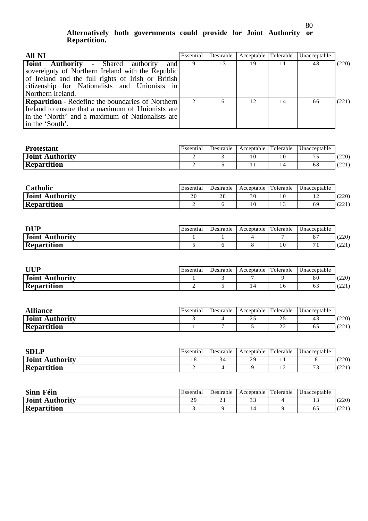### **Alternatively both governments could provide for Joint Authority or Repartition.**

| <b>All NI</b>                                                                                                                                                                                                | Essential     | Desirable | Acceptable Tolerable |    | Unacceptable |       |
|--------------------------------------------------------------------------------------------------------------------------------------------------------------------------------------------------------------|---------------|-----------|----------------------|----|--------------|-------|
| <b>Joint Authority</b> - Shared authority<br>and<br>sovereignty of Northern Ireland with the Republic<br>of Ireland and the full rights of Irish or British<br>citizenship for Nationalists and Unionists in | 9             | 13        | 19                   |    | 48           | (220) |
| Northern Ireland.<br><b>Repartition</b> - Redefine the boundaries of Northern<br>Ireland to ensure that a maximum of Unionists are<br>in the 'North' and a maximum of Nationalists are<br>in the 'South'.    | $\mathcal{L}$ | 6         | 12                   | 14 | 66           | (221) |

| <b>Protestant</b>  | Essential | Desirable | Acceptable | Tolerable | Unacceptable |       |
|--------------------|-----------|-----------|------------|-----------|--------------|-------|
| Joint Authority    |           |           |            |           | ຼ            | (220) |
| <b>Repartition</b> |           |           |            |           | 68           | (221) |

| <b>Catholic</b>                  | Essential           | Desirable        | Acceptable | Tolerable | Unacceptable |                 |
|----------------------------------|---------------------|------------------|------------|-----------|--------------|-----------------|
| <b>Joint</b><br><b>Authority</b> | $\sim$ $\sim$<br>ΖU | $\gamma$ o<br>20 | 30         | 10        | $\cdot$      | (220)           |
| <b>Repartition</b>               |                     |                  |            | ن د       | 69           | (221)<br>المكات |

| <b>DUP</b>             | Essential | Desirable | Acceptable | Tolerable | Unacceptable |              |
|------------------------|-----------|-----------|------------|-----------|--------------|--------------|
| <b>Joint Authority</b> |           |           |            |           |              | (220)        |
| <b>Repartition</b>     |           |           |            |           |              | (2.2)<br>221 |

| UUP                | Essential | Desirable | Acceptable Tolerable |    | Unacceptable |         |
|--------------------|-----------|-----------|----------------------|----|--------------|---------|
| Joint Authority    |           |           |                      |    | $_{80}$      | (220)   |
| <b>Repartition</b> |           |           |                      | 10 | o o          | 1 A A 1 |

| <b>Alliance</b>    | Essential | Desirable | Acceptable Tolerable |     | Unacceptable |                      |
|--------------------|-----------|-----------|----------------------|-----|--------------|----------------------|
| Joint Authority    |           |           | ت ک                  | ∠ → |              | (220)                |
| <b>Repartition</b> |           |           |                      | ∸   |              | $\lambda$ 1<br>(44 L |

| <b>SDLP</b>                 | Essential | Desirable    | Acceptable | Tolerable | Unacceptable  |              |
|-----------------------------|-----------|--------------|------------|-----------|---------------|--------------|
| . Authority<br><b>Joint</b> |           | $\sim$<br>54 | 29         |           |               | (220)        |
| <b>Repartition</b>          |           |              |            | . .       | $\sim$ $\sim$ | (2.2)<br>L/L |

| <b>Sinn Féin</b>       | Essential | Desirable | Acceptable Tolerable | Unacceptable |                |
|------------------------|-----------|-----------|----------------------|--------------|----------------|
| <b>Joint Authority</b> | οq<br>∼   | . .       | $\sim$<br>J -        |              | (220)          |
| <b>Repartition</b>     |           |           |                      |              | (221)<br>144 L |

80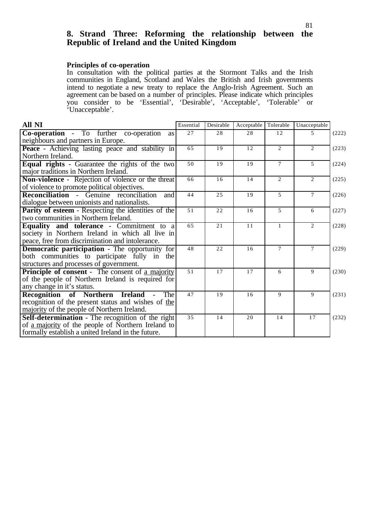## **8. Strand Three: Reforming the relationship between the Republic of Ireland and the United Kingdom**

#### **Principles of co-operation**

In consultation with the political parties at the Stormont Talks and the Irish communities in England, Scotland and Wales the British and Irish governments intend to negotiate a new treaty to replace the Anglo-Irish Agreement. Such an agreement can be based on a number of principles. Please indicate which principles you consider to be 'Essential', 'Desirable', 'Acceptable', 'Tolerable' or 'Unacceptable'.

| <b>All NI</b>                                                                                                                                                 | Essential | Desirable | Acceptable | Tolerable      | Unacceptable   |       |
|---------------------------------------------------------------------------------------------------------------------------------------------------------------|-----------|-----------|------------|----------------|----------------|-------|
| <b>Co-operation</b> - To further co-operation<br>as  <br>neighbours and partners in Europe.                                                                   | 27        | 28        | 28         | 12             | $\mathcal{F}$  | (222) |
| <b>Peace</b> - Achieving lasting peace and stability in<br>Northern Ireland.                                                                                  | 65        | 19        | 12         | 2              | $\overline{2}$ | (223) |
| <b>Equal rights</b> - Guarantee the rights of the two<br>major traditions in Northern Ireland.                                                                | 50        | 19        | 19         | $\tau$         | $\mathfrak{F}$ | (224) |
| Non-violence - Rejection of violence or the threat<br>of violence to promote political objectives.                                                            | 66        | 16        | 14         | 2              | $\overline{2}$ | (225) |
| <b>Reconciliation</b> - Genuine reconciliation<br>and<br>dialogue between unionists and nationalists.                                                         | 44        | 25        | 19         | $\overline{5}$ | $\tau$         | (226) |
| Parity of esteem - Respecting the identities of the<br>two communities in Northern Ireland.                                                                   | 51        | 22        | 16         | 5              | 6              | (227) |
| <b>Equality and tolerance - Commitment to a</b><br>society in Northern Ireland in which all live in<br>peace, free from discrimination and intolerance.       | 65        | 21        | 11         | 1              | 2              | (228) |
| <b>Democratic participation</b> - The opportunity for<br>both communities to participate fully in the<br>structures and processes of government.              | 48        | 22        | 16         | 7              | $\tau$         | (229) |
| <b>Principle of consent</b> - The consent of a majority<br>of the people of Northern Ireland is required for<br>any change in it's status.                    | 51        | 17        | 17         | 6              | 9              | (230) |
| Recognition of Northern Ireland<br>The<br>recognition of the present status and wishes of the<br>majority of the people of Northern Ireland.                  | 47        | 19        | 16         | $\mathbf{Q}$   | 9              | (231) |
| Self-determination - The recognition of the right<br>of a majority of the people of Northern Ireland to<br>formally establish a united Ireland in the future. | 3.5       | 14        | 20         | 14             | 17             | (232) |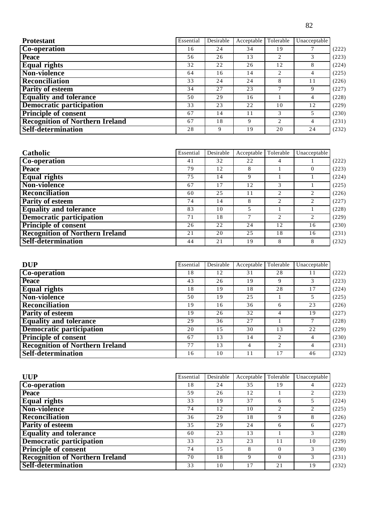| ×<br>۰, |
|---------|
|         |

| <b>Protestant</b>                      | Essential | Desirable | Acceptable | Tolerable                   | Unacceptable |       |
|----------------------------------------|-----------|-----------|------------|-----------------------------|--------------|-------|
| Co-operation                           | 16        | 24        | 34         | 19                          |              | (222) |
| <b>Peace</b>                           | 56        | 26        | 13         | $\mathcal{D}_{\mathcal{L}}$ | 3            | (223) |
| <b>Equal rights</b>                    | 32        | 22        | 26         | 12                          | 8            | (224) |
| Non-violence                           | 64        | 16        | 14         | 2                           | 4            | (225) |
| Reconciliation                         | 33        | 24        | 24         | 8                           | 11           | (226) |
| <b>Parity of esteem</b>                | 34        | 27        | 23         |                             | 9            | (227) |
| <b>Equality and tolerance</b>          | 50        | 29        | 16         |                             | 4            | (228) |
| <b>Democratic participation</b>        | 33        | 23        | 22         | 10                          | 12           | (229) |
| <b>Principle of consent</b>            | 67        | 14        | 11         | 3                           | 5            | (230) |
| <b>Recognition of Northern Ireland</b> | 67        | 18        | 9          | $\mathcal{L}$               | 4            | (231) |
| Self-determination                     | 28        | 9         | 19         | 20                          | 24           | (232) |

| Catholic                               | Essential | Desirable | Acceptable | Tolerable | Unacceptable                |       |
|----------------------------------------|-----------|-----------|------------|-----------|-----------------------------|-------|
| <b>Co-operation</b>                    | 41        | 32        | 22         | 4         |                             | (222) |
| <b>Peace</b>                           | 79        | 12        | 8          |           |                             | (223) |
| <b>Equal rights</b>                    | 75        | 14        | 9          |           |                             | (224) |
| Non-violence                           | 67        | 17        | 12         | 3         |                             | (225) |
| <b>Reconciliation</b>                  | 60        | 25        | 11         | 2         | $\mathcal{D}_{\mathcal{L}}$ | (226) |
| <b>Parity of esteem</b>                | 74        | 14        | 8          | 2         | 2                           | (227) |
| <b>Equality and tolerance</b>          | 83        | 10        | 5          |           |                             | (228) |
| <b>Democratic participation</b>        | 71        | 18        |            | 2         | 2                           | (229) |
| <b>Principle of consent</b>            | 26        | 22        | 24         | 12        | 16                          | (230) |
| <b>Recognition of Northern Ireland</b> | 21        | 20        | 25         | 18        | 16                          | (231) |
| <b>Self-determination</b>              | 44        | 21        | 19         | 8         | 8                           | (232) |

| <b>DUP</b>                             | Essential | Desirable | Acceptable     | Tolerable      | Unacceptable |       |
|----------------------------------------|-----------|-----------|----------------|----------------|--------------|-------|
| <b>Co-operation</b>                    | 18        | 12        | 31             | 28             | 11           | (222) |
| <b>Peace</b>                           | 43        | 26        | 19             | 9              |              | (223) |
| <b>Equal rights</b>                    | 18        | 19        | 18             | 28             | 17           | (224) |
| Non-violence                           | 50        | 19        | 25             |                | 5            | (225) |
| <b>Reconciliation</b>                  | 19        | 16        | 36             | 6              | 23           | (226) |
| <b>Parity of esteem</b>                | 19        | 26        | 32             | 4              | 19           | (227) |
| <b>Equality and tolerance</b>          | 29        | 36        | 27             |                |              | (228) |
| Democratic participation               | 20        | 15        | 30             | 13             | 22           | (229) |
| <b>Principle of consent</b>            | 67        | 13        | 14             | $\overline{c}$ | 4            | (230) |
| <b>Recognition of Northern Ireland</b> | 77        | 13        | $\overline{4}$ | $\overline{c}$ | 4            | (231) |
| <b>Self-determination</b>              | 16        | 10        | 11             | 17             | 46           | (232) |

| <b>UUP</b>                             | Essential | Desirable | Acceptable | Tolerable      | Unacceptable |       |
|----------------------------------------|-----------|-----------|------------|----------------|--------------|-------|
| Co-operation                           | 18        | 24        | 35         | 19             |              | (222) |
| <b>Peace</b>                           | 59        | 26        | 12         |                |              | (223) |
| <b>Equal rights</b>                    | 33        | 19        | 37         | 6              |              | (224) |
| Non-violence                           | 74        | 12        | 10         | $\overline{c}$ |              | (225) |
| <b>Reconciliation</b>                  | 36        | 29        | 18         | 9              | 8            | (226) |
| <b>Parity of esteem</b>                | 35        | 29        | 24         | 6              | 6            | (227) |
| <b>Equality and tolerance</b>          | 60        | 23        | 13         |                | 3            | (228) |
| <b>Democratic participation</b>        | 33        | 23        | 23         | 11             | 10           | (229) |
| <b>Principle of consent</b>            | 74        | 1.5       | 8          | $\Omega$       | 3            | (230) |
| <b>Recognition of Northern Ireland</b> | 70        | 18        | 9          | $\Omega$       | 3            | (231) |
| Self-determination                     | 33        | 10        |            | 21             | 19           | (232) |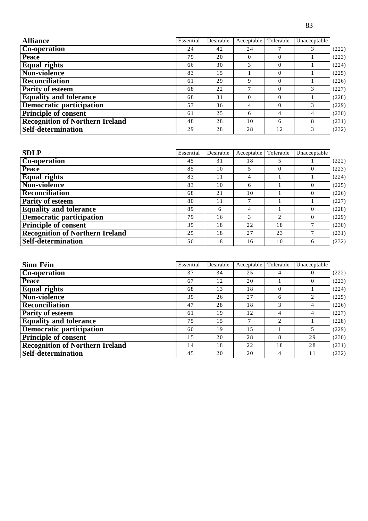| v<br>- | c<br>v<br>٠ |
|--------|-------------|

| <b>Alliance</b>                        | Essential | Desirable | Acceptable Tolerable |          | Unacceptable  |       |
|----------------------------------------|-----------|-----------|----------------------|----------|---------------|-------|
| <b>Co-operation</b>                    | 24        | 42        | 24                   |          |               | (222) |
| <b>Peace</b>                           | 79        | 20        | $\Omega$             | $\Omega$ |               | (223) |
| <b>Equal rights</b>                    | 66        | 30        | 3                    | $\Omega$ |               | (224) |
| <b>Non-violence</b>                    | 83        | 1.5       |                      | $\Omega$ |               | (225) |
| <b>Reconciliation</b>                  | 61        | 29        | 9                    | $\Omega$ |               | (226) |
| <b>Parity of esteem</b>                | 68        | 22        | 7                    | $\Omega$ | $\mathcal{F}$ | (227) |
| <b>Equality and tolerance</b>          | 68        | 31        | $\Omega$             | $\Omega$ |               | (228) |
| <b>Democratic participation</b>        | 57        | 36        | $\overline{4}$       | $\Omega$ | $\mathcal{F}$ | (229) |
| <b>Principle of consent</b>            | 61        | 2.5       | 6                    | 4        | 4             | (230) |
| <b>Recognition of Northern Ireland</b> | 48        | 28        | 10                   | 6        | 8             | (231) |
| Self-determination                     | 29        | 28        | 28                   | 12       | 3             | (232) |

| <b>SDLP</b>                            | Essential | Desirable | Acceptable     | Tolerable | Unacceptable |       |
|----------------------------------------|-----------|-----------|----------------|-----------|--------------|-------|
| <b>Co-operation</b>                    | 45        | 31        | 18             |           |              | (222) |
| <b>Peace</b>                           | 85        | 10        |                | $\Omega$  |              | (223) |
| <b>Equal rights</b>                    | 83        | 11        | 4              |           |              | (224) |
| Non-violence                           | 83        | 10        | 6              |           | $\Omega$     | (225) |
| <b>Reconciliation</b>                  | 68        | 21        | 10             |           | $\Omega$     | (226) |
| <b>Parity of esteem</b>                | 80        | 11        |                |           |              | (227) |
| <b>Equality and tolerance</b>          | 89        | 6         | $\overline{4}$ |           |              | (228) |
| <b>Democratic participation</b>        | 79        | 16        | 3              | 2         |              | (229) |
| <b>Principle of consent</b>            | 35        | 18        | 22             | 18        |              | (230) |
| <b>Recognition of Northern Ireland</b> | 2.5       | 18        | 27             | 23        |              | (231) |
| <b>Self-determination</b>              | 50        | 18        | 16             | 10        | 6            | (232) |

| Sinn Féin                              | Essential | Desirable | Acceptable | Tolerable                   | Unacceptable |       |
|----------------------------------------|-----------|-----------|------------|-----------------------------|--------------|-------|
| Co-operation                           | 37        | 34        | 25         | 4                           |              | (222) |
| <b>Peace</b>                           | 67        | 12        | 20         |                             | 0            | (223) |
| <b>Equal rights</b>                    | 68        | 13        | 18         | $\Omega$                    |              | (224) |
| Non-violence                           | 39        | 26        | 27         | 6                           |              | (225) |
| <b>Reconciliation</b>                  | 47        | 28        | 18         | 3                           | 4            | (226) |
| <b>Parity of esteem</b>                | 61        | 19        | 12         | 4                           | 4            | (227) |
| <b>Equality and tolerance</b>          | 75        | 1.5       |            | $\mathcal{D}_{\mathcal{L}}$ |              | (228) |
| Democratic participation               | 60        | 19        | 1.5        |                             |              | (229) |
| <b>Principle of consent</b>            | 15        | 20        | 28         | 8                           | 29           | (230) |
| <b>Recognition of Northern Ireland</b> | 14        | 18        | 22         | 18                          | 28           | (231) |
| Self-determination                     | 45        | 20        | 20         | 4                           | 11           | (232) |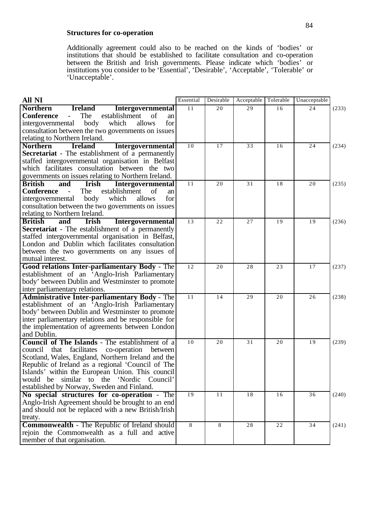#### **Structures for co-operation**

Additionally agreement could also to be reached on the kinds of 'bodies' or institutions that should be established to facilitate consultation and co-operation between the British and Irish governments. Please indicate which 'bodies' or institutions you consider to be 'Essential', 'Desirable', 'Acceptable', 'Tolerable' or 'Unacceptable'.

| <b>All NI</b>                                                                                     | Essential | Desirable       | Acceptable | Tolerable   | Unacceptable    |       |
|---------------------------------------------------------------------------------------------------|-----------|-----------------|------------|-------------|-----------------|-------|
| <b>Northern</b><br><b>Intergovernmental</b><br><b>Ireland</b>                                     | 11        | $\overline{20}$ | 29         | 16          | 24              | (233) |
| <b>Conference</b><br>The<br>establishment<br>of<br>$\sim$<br>an                                   |           |                 |            |             |                 |       |
| body<br>which<br>for<br>intergovernmental<br>allows                                               |           |                 |            |             |                 |       |
| consultation between the two governments on issues                                                |           |                 |            |             |                 |       |
| relating to Northern Ireland.                                                                     |           |                 |            |             |                 |       |
| <b>Northern</b><br><b>Ireland</b><br><b>Intergovernmental</b>                                     | 10        | 17              | 33         | 16          | 24              | (234) |
| <b>Secretariat</b> - The establishment of a permanently                                           |           |                 |            |             |                 |       |
| staffed intergovernmental organisation in Belfast                                                 |           |                 |            |             |                 |       |
| which facilitates consultation between the two                                                    |           |                 |            |             |                 |       |
| governments on issues relating to Northern Ireland.                                               |           |                 |            |             |                 |       |
| <b>British</b><br>and<br>Irish<br><b>Intergovernmental</b>                                        | 11        | 20              | 31         | 18          | 20              | (235) |
| The<br><b>Conference</b><br>establishment<br>of<br>$\sim$<br>an                                   |           |                 |            |             |                 |       |
| body<br>which<br>allows<br>for<br>intergovernmental                                               |           |                 |            |             |                 |       |
| consultation between the two governments on issues                                                |           |                 |            |             |                 |       |
| relating to Northern Ireland.                                                                     |           |                 |            |             |                 |       |
| <b>British</b><br>and<br>Irish<br>Intergovernmental                                               | 13        | 22              | 27         | 19          | 19              | (236) |
| <b>Secretariat</b> - The establishment of a permanently                                           |           |                 |            |             |                 |       |
| staffed intergovernmental organisation in Belfast,                                                |           |                 |            |             |                 |       |
| London and Dublin which facilitates consultation                                                  |           |                 |            |             |                 |       |
| between the two governments on any issues of                                                      |           |                 |            |             |                 |       |
| mutual interest.                                                                                  |           |                 |            |             |                 |       |
| Good relations Inter-parliamentary Body - The                                                     | 12        | 20              | 28         | 23          | 17              | (237) |
| establishment of an 'Anglo-Irish Parliamentary                                                    |           |                 |            |             |                 |       |
| body' between Dublin and Westminster to promote                                                   |           |                 |            |             |                 |       |
| inter parliamentary relations.                                                                    |           |                 |            |             |                 |       |
| <b>Administrative Inter-parliamentary Body - The</b>                                              | 11        | 14              | 29         | 20          | 26              | (238) |
| establishment of an 'Anglo-Irish Parliamentary                                                    |           |                 |            |             |                 |       |
| body' between Dublin and Westminster to promote                                                   |           |                 |            |             |                 |       |
| inter parliamentary relations and be responsible for                                              |           |                 |            |             |                 |       |
| the implementation of agreements between London                                                   |           |                 |            |             |                 |       |
| and Dublin.                                                                                       |           |                 |            |             |                 |       |
| Council of The Islands - The establishment of a                                                   | 10        | 20              | 31         | 20          | 19              | (239) |
| council that facilitates<br>co-operation<br>between                                               |           |                 |            |             |                 |       |
| Scotland, Wales, England, Northern Ireland and the                                                |           |                 |            |             |                 |       |
| Republic of Ireland as a regional 'Council of The                                                 |           |                 |            |             |                 |       |
| Islands' within the European Union. This council<br>would be similar to the 'Nordic Council'      |           |                 |            |             |                 |       |
| established by Norway, Sweden and Finland.                                                        |           |                 |            |             |                 |       |
|                                                                                                   | 19        | 11              | 18         | 16          | $\overline{36}$ |       |
| No special structures for co-operation - The<br>Anglo-Irish Agreement should be brought to an end |           |                 |            |             |                 | (240) |
| and should not be replaced with a new British/Irish                                               |           |                 |            |             |                 |       |
|                                                                                                   |           |                 |            |             |                 |       |
| treaty.<br><b>Commonwealth - The Republic of Ireland should</b>                                   | 8         | $8\,$           | 28         | $2\sqrt{2}$ | 34              | (241) |
| rejoin the Commonwealth as a full and active                                                      |           |                 |            |             |                 |       |
| member of that organisation.                                                                      |           |                 |            |             |                 |       |
|                                                                                                   |           |                 |            |             |                 |       |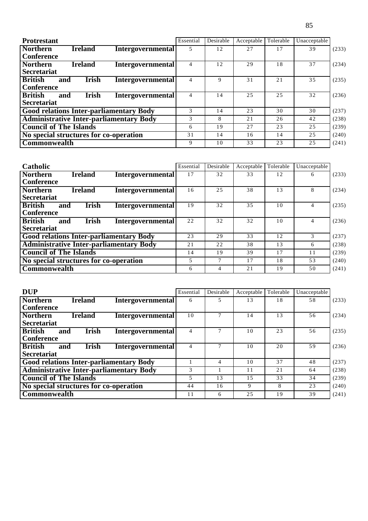| <b>Protrestant</b>                                          |                          | Essential | Desirable | Acceptable | Tolerable | Unacceptable |       |
|-------------------------------------------------------------|--------------------------|-----------|-----------|------------|-----------|--------------|-------|
| <b>Northern</b><br><b>Ireland</b><br><b>Conference</b>      | <b>Intergovernmental</b> |           | 12        | 27         | 17        | 39           | (233) |
| <b>Northern</b><br><b>Ireland</b><br><b>Secretariat</b>     | <b>Intergovernmental</b> | 4         | 12        | 29         | 18        | 37           | (234) |
| <b>British</b><br><b>Irish</b><br>and<br><b>Conference</b>  | <b>Intergovernmental</b> | 4         | 9         | 31         | 21        | 35           | (235) |
| <b>British</b><br><b>Irish</b><br>and<br><b>Secretariat</b> | <b>Intergovernmental</b> |           | 14        | 2.5        | 2.5       | 32           | (236) |
| <b>Good relations Inter-parliamentary Body</b>              |                          | 3         | 14        | 23         | 30        | 30           | (237) |
| <b>Administrative Inter-parliamentary Body</b>              |                          | 3         | 8         | 21         | 26        | 42           | (238) |
| <b>Council of The Islands</b>                               |                          | 6         | 19        | 27         | 23        | 25           | (239) |
| No special structures for co-operation                      |                          | 31        | 14        | 16         | 14        | 25           | (240) |
| Commonwealth                                                |                          | 9         | 10        | 33         | 23        | 2.5          | (241) |

| <b>Catholic</b>                                |                          | Essential | Desirable | Acceptable | Tolerable | Unacceptable  |       |
|------------------------------------------------|--------------------------|-----------|-----------|------------|-----------|---------------|-------|
| <b>Northern</b><br><b>Ireland</b>              | <b>Intergovernmental</b> | 17        | 32        | 33         | 12        | 6             | (233) |
| <b>Conference</b>                              |                          |           |           |            |           |               |       |
| <b>Northern</b><br><b>Ireland</b>              | <b>Intergovernmental</b> | 16        | 25        | 38         | 13        | 8             | (234) |
| <b>Secretariat</b>                             |                          |           |           |            |           |               |       |
| <b>British</b><br><b>Irish</b><br>and          | <b>Intergovernmental</b> | 19        | 32        | 35         | 10        | 4             | (235) |
| <b>Conference</b>                              |                          |           |           |            |           |               |       |
| <b>British</b><br><b>Irish</b><br>and          | <b>Intergovernmental</b> | 22        | 32        | 32         | 10        |               | (236) |
| <b>Secretariat</b>                             |                          |           |           |            |           |               |       |
| <b>Good relations Inter-parliamentary Body</b> |                          | 23        | 29        | 33         | 12.       | $\mathcal{F}$ | (237) |
| <b>Administrative Inter-parliamentary Body</b> |                          | 21        | 22        | 38         | 13        | 6             | (238) |
| <b>Council of The Islands</b>                  |                          | 14        | 19        | 39         | 17        | 11            | (239) |
| No special structures for co-operation         |                          | 5         | 7         | 17         | 18        | 53            | (240) |
| Commonwealth                                   |                          | 6         | 4         | 2.1        | 19        | 50            | (241) |

| <b>DUP</b>                                                  |                          | Essential | Desirable | Acceptable | Tolerable | Unacceptable |       |
|-------------------------------------------------------------|--------------------------|-----------|-----------|------------|-----------|--------------|-------|
| <b>Northern</b><br><b>Ireland</b><br><b>Conference</b>      | <b>Intergovernmental</b> | 6         | 5         | 13         | 18        | 58           | (233) |
| <b>Ireland</b><br><b>Northern</b><br><b>Secretariat</b>     | <b>Intergovernmental</b> | 10        |           | 14         | 13        | 56           | (234) |
| <b>British</b><br><b>Irish</b><br>and<br><b>Conference</b>  | Intergovernmental        | 4         | 7         | 10         | 23        | 56           | (235) |
| <b>British</b><br><b>Irish</b><br>and<br><b>Secretariat</b> | <b>Intergovernmental</b> | 4         |           | 10         | 20        | 59           | (236) |
| <b>Good relations Inter-parliamentary Body</b>              |                          |           | 4         | 10         | 37        | 48           | (237) |
| <b>Administrative Inter-parliamentary Body</b>              |                          | 3         |           | 11         | 21        | 64           | (238) |
| <b>Council of The Islands</b>                               |                          | 5         | 13        | 1.5        | 33        | 34           | (239) |
| No special structures for co-operation                      |                          | 44        | 16        | 9          | 8         | 23           | (240) |
| Commonwealth                                                |                          | 11        | 6         | 25         | 19        | 39           | (241) |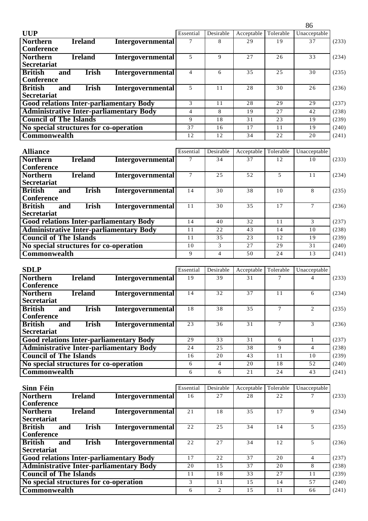|                                                                                                                                             |                          |                |                          |                  |                 | 86                       |       |
|---------------------------------------------------------------------------------------------------------------------------------------------|--------------------------|----------------|--------------------------|------------------|-----------------|--------------------------|-------|
| <b>UUP</b>                                                                                                                                  |                          | Essential      | Desirable                | Acceptable       | Tolerable       | Unacceptable             |       |
| <b>Northern</b><br><b>Ireland</b><br><b>Conference</b>                                                                                      | <b>Intergovernmental</b> | 7              | 8                        | 29               | 19              | 37                       | (233) |
| <b>Northern</b><br><b>Ireland</b><br><b>Secretariat</b>                                                                                     | Intergovernmental        | 5              | 9                        | 27               | 26              | 33                       | (234) |
| <b>British</b><br><b>Irish</b><br>and<br><b>Conference</b>                                                                                  | <b>Intergovernmental</b> | $\overline{4}$ | 6                        | 35               | 25              | 30                       | (235) |
| <b>British</b><br><b>Irish</b><br>and<br><b>Secretariat</b>                                                                                 | <b>Intergovernmental</b> | 5              | 11                       | 28               | 30              | 26                       | (236) |
| <b>Good relations Inter-parliamentary Body</b>                                                                                              |                          | 3              | 11                       | 28               | $\overline{29}$ | 29                       | (237) |
| <b>Administrative Inter-parliamentary Body</b>                                                                                              |                          | $\overline{4}$ | 8                        | 19               | 27              | 42                       | (238) |
| <b>Council of The Islands</b>                                                                                                               |                          | 9              | 18                       | 31               | 23              | 19                       | (239) |
| No special structures for co-operation                                                                                                      |                          | 37             | 16                       | 17               | 11              | 19                       | (240) |
| Commonwealth                                                                                                                                |                          | 12             | 12                       | 34               | $\overline{22}$ | 20                       | (241) |
| <b>Alliance</b><br><b>Northern</b><br><b>Ireland</b>                                                                                        | Intergovernmental        | Essential<br>7 | Desirable<br>34          | Acceptable<br>37 | Tolerable<br>12 | Unacceptable<br>10       | (233) |
| <b>Conference</b><br><b>Northern</b><br><b>Ireland</b><br><b>Secretariat</b>                                                                | <b>Intergovernmental</b> | $\tau$         | 25                       | 52               | 5               | 11                       | (234) |
| <b>British</b><br><b>Irish</b><br>and<br><b>Conference</b>                                                                                  | Intergovernmental        | 14             | 30                       | 38               | 10              | 8                        | (235) |
| <b>British</b><br><b>Irish</b><br>and<br><b>Secretariat</b>                                                                                 | Intergovernmental        | 11             | 30                       | 35               | 17              | $\tau$                   | (236) |
| <b>Good relations Inter-parliamentary Body</b>                                                                                              |                          | 14             | 40                       | 32               | 11              | 3                        | (237) |
| <b>Administrative Inter-parliamentary Body</b>                                                                                              |                          | 11             | 22                       | 43               | 14              | 10                       | (238) |
| <b>Council of The Islands</b>                                                                                                               |                          | 11             | 35                       | 23               | 12              | 19                       | (239) |
| No special structures for co-operation                                                                                                      |                          | 10             | 3                        | 27               | 29              | 31                       | (240) |
| Commonwealth                                                                                                                                |                          | 9              | $\overline{4}$           | 50               | 24              | 13                       | (241) |
| <b>SDLP</b>                                                                                                                                 |                          | Essential      | Desirable                | Acceptable       | Tolerable       | Unacceptable             |       |
| <b>Northern</b><br><b>Ireland</b><br><b>Conference</b>                                                                                      | <b>Intergovernmental</b> | 19             | 39                       | 31               | $\overline{7}$  | $\overline{\mathcal{L}}$ | (233) |
| $\mathbf{T} = \mathbf{I} \cdot \mathbf{I} + \mathbf{I}$<br>$\mathbf{M} = \mathbf{A} \mathbf{I}$<br>$\overline{\mathbf{r}}$ . $\mathbf{r}$ . | $\overline{1}$           | $\overline{1}$ | $\overline{\phantom{a}}$ | $\overline{2}$   | $\overline{1}$  |                          | (0.2) |

| Northern<br><b>Ireland</b><br><b>Intergovernmental</b><br><b>Secretariat</b>            | 14 | 32 | 37 | 11 |    | (234) |
|-----------------------------------------------------------------------------------------|----|----|----|----|----|-------|
| <b>British</b><br><b>Irish</b><br><b>Intergovernmental</b><br>and<br><b>Conference</b>  | 18 | 38 | 35 |    |    | (235) |
| <b>British</b><br><b>Irish</b><br><b>Intergovernmental</b><br>and<br><b>Secretariat</b> | 23 | 36 | 31 |    |    | (236) |
| <b>Good relations Inter-parliamentary Body</b>                                          | 29 | 33 | 31 | 6  |    | (237) |
| <b>Administrative Inter-parliamentary Body</b>                                          | 24 | 25 | 38 | 9  |    | (238) |
| <b>Council of The Islands</b>                                                           | 16 | 20 | 43 | 11 | 10 | (239) |
| No special structures for co-operation                                                  | 6  | 4  | 20 | 18 | 52 | (240) |
| <b>Commonwealth</b>                                                                     | 6  | 6  | 21 | 24 | 43 | (241) |

| Sinn Féin                                      |                          | Essential | Desirable      | Acceptable | Tolerable | Unacceptable |       |
|------------------------------------------------|--------------------------|-----------|----------------|------------|-----------|--------------|-------|
| <b>Northern</b><br><b>Ireland</b>              | <b>Intergovernmental</b> | 16        | 27             | 28         | 22        |              | (233) |
| <b>Conference</b>                              |                          |           |                |            |           |              |       |
| <b>Northern</b><br><b>Ireland</b>              | <b>Intergovernmental</b> | 21        | 18             | 35         | 17        |              | (234) |
| <b>Secretariat</b>                             |                          |           |                |            |           |              |       |
| <b>British</b><br><b>Irish</b><br>and          | <b>Intergovernmental</b> | 22        | 2.5            | 34         | 14        |              | (235) |
| <b>Conference</b>                              |                          |           |                |            |           |              |       |
| <b>British</b><br>Irish<br>and                 | <b>Intergovernmental</b> | 22        | 27             | 34         | 12        | 5            | (236) |
| <b>Secretariat</b>                             |                          |           |                |            |           |              |       |
| <b>Good relations Inter-parliamentary Body</b> |                          | 17        | 22.            | 37         | 20        | 4            | (237) |
| <b>Administrative Inter-parliamentary Body</b> |                          | 20        | 1.5            | 37         | 20        | 8            | (238) |
| <b>Council of The Islands</b>                  |                          | 11        | 18             | 33         | 27        | 11           | (239) |
| No special structures for co-operation         |                          | 3         | 11             | 1.5        | 14        | 57           | (240) |
| Commonwealth                                   |                          | 6         | $\mathfrak{D}$ | 1.5        | 11        | 66           | (241) |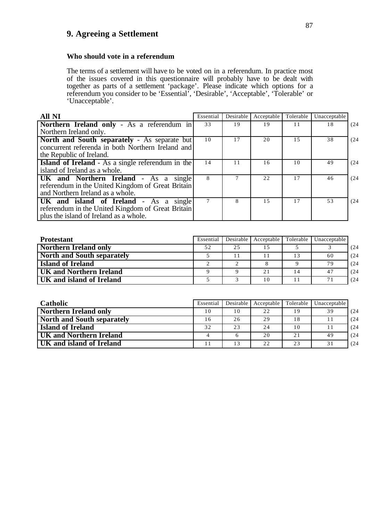## **9. Agreeing a Settlement**

#### **Who should vote in a referendum**

The terms of a settlement will have to be voted on in a referendum. In practice most of the issues covered in this questionnaire will probably have to be dealt with together as parts of a settlement 'package'. Please indicate which options for a referendum you consider to be 'Essential', 'Desirable', 'Acceptable', 'Tolerable' or 'Unacceptable'.

| <b>All NI</b>                                                                                                                         | Essential | Desirable | Acceptable | Tolerable | Unacceptable |      |
|---------------------------------------------------------------------------------------------------------------------------------------|-----------|-----------|------------|-----------|--------------|------|
| Northern Ireland only - As a referendum in                                                                                            | 33        | 19        | 19         | 11        | 18           | (24) |
| Northern Ireland only.                                                                                                                |           |           |            |           |              |      |
| North and South separately - As separate but<br>concurrent referenda in both Northern Ireland and<br>the Republic of Ireland.         | 10        | 17        | 20         | 1.5       | 38           | (24) |
| <b>Island of Ireland</b> - As a single referendum in the<br>island of Ireland as a whole.                                             | 14        | 11        | 16         | 10        | 49           | (24) |
| UK and Northern Ireland - As a single<br>referendum in the United Kingdom of Great Britain<br>and Northern Ireland as a whole.        | 8         |           | 22         | 17        | 46           | (24) |
| UK and island of Ireland - As a single<br>referendum in the United Kingdom of Great Britain<br>plus the island of Ireland as a whole. |           | 8         | 1.5        | 17        | 53           | (24) |

| <b>Protestant</b>            | Essential | Desirable | Acceptable Tolerable |    | Unacceptable |      |
|------------------------------|-----------|-----------|----------------------|----|--------------|------|
| <b>Northern Ireland only</b> | 52        | 25        |                      |    |              | (24) |
| North and South separately   |           |           |                      | 13 | 60           | (24) |
| <b>Island of Ireland</b>     |           | $\bigcap$ |                      |    | 79           | (24) |
| UK and Northern Ireland      |           |           | 21                   |    | 47           | (24) |
| UK and island of Ireland     |           |           | 10                   |    | 71           | (24) |

| <b>Catholic</b>                   | Essential | Desirable | Acceptable 1 | Tolerable | Unacceptable |      |
|-----------------------------------|-----------|-----------|--------------|-----------|--------------|------|
|                                   |           |           |              |           |              |      |
| <b>Northern Ireland only</b>      | 10        | 10        | 22           | 19        | 39           | (24) |
| <b>North and South separately</b> | 16        | 26        | 29           | 18        |              | (24) |
| <b>Island of Ireland</b>          | 32        | 23        | 2.4          | 10        |              | (24) |
| UK and Northern Ireland           |           |           | 20           | 21        | 49           | (24) |
| UK and island of Ireland          |           | 13        | 22           | 23        | 31           | (24) |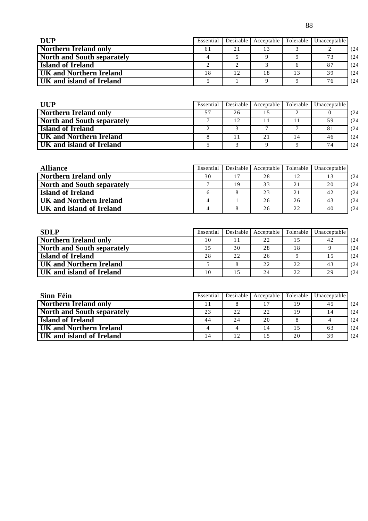| <b>DUP</b>                     | Essential | Desirable | Acceptable | Tolerable | Unacceptable |      |
|--------------------------------|-----------|-----------|------------|-----------|--------------|------|
| Northern Ireland only          | 61        | 2.1       | 13         |           |              | (24) |
| North and South separately     |           |           |            |           | 73           | (24) |
| <b>Island of Ireland</b>       |           |           |            |           | 87           | (24) |
| <b>UK and Northern Ireland</b> | 18        | 12        | 18         |           | 39           | (24) |
| UK and island of Ireland       |           |           |            |           | 76           | (24) |

| UUP                               | Essential |    | Desirable   Acceptable | Tolerable | Unacceptable |      |
|-----------------------------------|-----------|----|------------------------|-----------|--------------|------|
| <b>Northern Ireland only</b>      | 57        | 26 |                        |           |              | (24) |
| <b>North and South separately</b> |           | 12 |                        |           | 59           | (24) |
| <b>Island of Ireland</b>          |           |    |                        |           | 81           | (24) |
| <b>UK and Northern Ireland</b>    |           | 11 | 21                     | 14        | 46           | (24) |
| UK and island of Ireland          |           |    |                        |           | 74           | (24) |

| <b>Alliance</b>                | Essential | Desirable | Acceptable | Tolerable | Unacceptable |      |
|--------------------------------|-----------|-----------|------------|-----------|--------------|------|
| <b>Northern Ireland only</b>   | 30        | 17        | 28         | 12        | 13           | (24) |
| North and South separately     |           | 19        | 33         | 21        | 20           | (24) |
| <b>Island of Ireland</b>       |           |           | 23         | 2.1       | 42           | (24) |
| <b>UK and Northern Ireland</b> |           |           | 26         | 26        | 43           | (24) |
| UK and island of Ireland       |           |           | 26         | 22        | 40           | (24) |

| <b>SDLP</b>                       | Essential | Desirable | Acceptable Tolerable |    | Unacceptable |      |
|-----------------------------------|-----------|-----------|----------------------|----|--------------|------|
| <b>Northern Ireland only</b>      | 10        |           | 22                   | 15 | 42           | (24) |
| <b>North and South separately</b> | 15        | 30        | 28                   | 18 |              | (24) |
| <b>Island of Ireland</b>          | 28        | 22        | 26                   |    | 15           | (24) |
| <b>UK and Northern Ireland</b>    |           |           | 22                   | 22 | 43           | (24) |
| UK and island of Ireland          | 10        | 15        | 24                   | 22 | 29           | (24) |

| Sinn Féin                         | Essential | Desirable | Acceptable | Tolerable | Unacceptable |      |
|-----------------------------------|-----------|-----------|------------|-----------|--------------|------|
| <b>Northern Ireland only</b>      |           |           |            | 19        | 45           | (24) |
| <b>North and South separately</b> | 23        | 22        | 22         | 19        | 14           | (24) |
| <b>Island of Ireland</b>          | 44        | 24        | 20         |           |              | (24) |
| UK and Northern Ireland           |           |           | 14         | 15        | 63           | (24) |
| UK and island of Ireland          |           | 12        | 15         | 20        | 39           | (24) |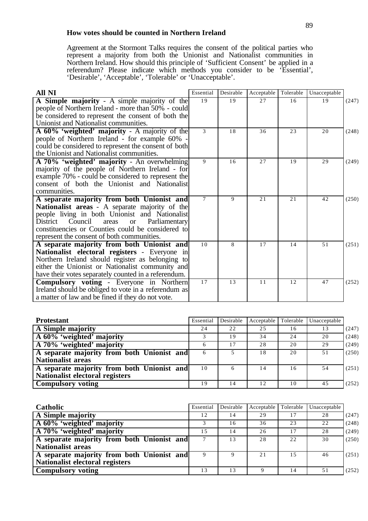### **How votes should be counted in Northern Ireland**

Agreement at the Stormont Talks requires the consent of the political parties who represent a majority from both the Unionist and Nationalist communities in Northern Ireland. How should this principle of 'Sufficient Consent' be applied in a referendum? Please indicate which methods you consider to be 'Essential', 'Desirable', 'Acceptable', 'Tolerable' or 'Unacceptable'.

| <b>All NI</b>                                           | Essential | Desirable | Acceptable | Tolerable | Unacceptable |       |
|---------------------------------------------------------|-----------|-----------|------------|-----------|--------------|-------|
| A Simple majority - A simple majority of the            | 19        | 19        | 27         | 16        | 19           | (247) |
| people of Northern Ireland - more than 50% - could      |           |           |            |           |              |       |
| be considered to represent the consent of both the      |           |           |            |           |              |       |
| Unionist and Nationalist communities.                   |           |           |            |           |              |       |
| A 60% 'weighted' majority - A majority of the           | 3         | 18        | 36         | 23        | 20           | (248) |
| people of Northern Ireland - for example 60% -          |           |           |            |           |              |       |
| could be considered to represent the consent of both    |           |           |            |           |              |       |
| the Unionist and Nationalist communities.               |           |           |            |           |              |       |
| A 70% 'weighted' majority - An overwhelming             | 9         | 16        | 27         | 19        | 29           | (249) |
| majority of the people of Northern Ireland - for        |           |           |            |           |              |       |
| example 70% - could be considered to represent the      |           |           |            |           |              |       |
| consent of both the Unionist and Nationalist            |           |           |            |           |              |       |
| communities.                                            |           |           |            |           |              |       |
| A separate majority from both Unionist and              | $\tau$    | 9         | 2.1        | 2.1       | 42           | (250) |
| Nationalist areas - A separate majority of the          |           |           |            |           |              |       |
| people living in both Unionist and Nationalist          |           |           |            |           |              |       |
| District Council<br>areas<br>Parliamentary<br><b>or</b> |           |           |            |           |              |       |
| constituencies or Counties could be considered to       |           |           |            |           |              |       |
| represent the consent of both communities.              |           |           |            |           |              |       |
| A separate majority from both Unionist and              | 10        | 8         | 17         | 14        | 51           | (251) |
| Nationalist electoral registers - Everyone in           |           |           |            |           |              |       |
| Northern Ireland should register as belonging to        |           |           |            |           |              |       |
| either the Unionist or Nationalist community and        |           |           |            |           |              |       |
| have their votes separately counted in a referendum.    |           |           |            |           |              |       |
| <b>Compulsory voting - Everyone in Northern</b>         | 17        | 13        | 11         | 12        | 47           | (252) |
| Ireland should be obliged to vote in a referendum as    |           |           |            |           |              |       |
| a matter of law and be fined if they do not vote.       |           |           |            |           |              |       |

| <b>Protestant</b>                          | Essential | Desirable | Acceptable | Tolerable | Unacceptable |       |
|--------------------------------------------|-----------|-----------|------------|-----------|--------------|-------|
| A Simple majority                          | 24        | 22        | 25         | 16        | 13           | (247) |
| A 60% 'weighted' majority                  |           | 19        | 34         | 24        | 20           | (248) |
| A 70% 'weighted' majority                  |           | 17        | 28         | 20        | 29           | (249) |
| A separate majority from both Unionist and | 6         | 5.        | 18         | 20        | 51           | (250) |
| <b>Nationalist areas</b>                   |           |           |            |           |              |       |
| A separate majority from both Unionist and | 10        | 6         | 14         | 16        | 54           | (251) |
| Nationalist electoral registers            |           |           |            |           |              |       |
| <b>Compulsory voting</b>                   | 19        | 14        | 12         | 10        | 45           | (252) |

| Catholic                                   | Essential | Desirable | Acceptable | Tolerable | Unacceptable |       |
|--------------------------------------------|-----------|-----------|------------|-----------|--------------|-------|
| A Simple majority                          | 12        | 14        | 29         | 17        | 28           | (247) |
| A 60% 'weighted' majority                  |           | 16        | 36         | 23        | 22           | (248) |
| A 70% 'weighted' majority                  | 15        | 14        | 26         | 17        | 28           | (249) |
| A separate majority from both Unionist and |           | 13        | 28         | 22        | 30           | (250) |
| <b>Nationalist areas</b>                   |           |           |            |           |              |       |
| A separate majority from both Unionist and |           | 9         | 21         | 1.5       | 46           | (251) |
| Nationalist electoral registers            |           |           |            |           |              |       |
| <b>Compulsory</b> voting                   | 13        | 13        |            | 14        |              | (252) |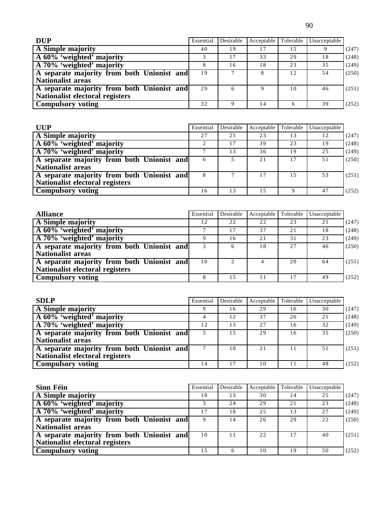90

| <b>DUP</b>                                 | Essential | Desirable | Acceptable | Tolerable | Unacceptable |       |
|--------------------------------------------|-----------|-----------|------------|-----------|--------------|-------|
| A Simple majority                          | 40        | 19        |            | 15        |              | (247) |
| A 60% 'weighted' majority                  |           |           | 33         | 29        | 18           | (248) |
| A 70% 'weighted' majority                  |           | 16        | 18         | 23        | 35           | (249) |
| A separate majority from both Unionist and | 19        |           |            | 12        | 54           | (250) |
| <b>Nationalist areas</b>                   |           |           |            |           |              |       |
| A separate majority from both Unionist and | 29        | 6         | 9          | 10        | 46           | (251) |
| Nationalist electoral registers            |           |           |            |           |              |       |
| <b>Compulsory voting</b>                   | 32        | 9         | 14         | 6         | 39           | (252) |

| <b>UUP</b>                                 | Essential | Desirable | Acceptable | Tolerable | Unacceptable |       |
|--------------------------------------------|-----------|-----------|------------|-----------|--------------|-------|
| A Simple majority                          | 27        | 2.5       | 23         | 13        | 12           | (247) |
| A 60% 'weighted' majority                  |           | 17        | 39         | 23        | 19           | (248) |
| A 70% 'weighted' majority                  |           | 13        | 36         | 19        | 25           | (249) |
| A separate majority from both Unionist and | 6         | 5.        | 21         | 17        | 51           | (250) |
| <b>Nationalist areas</b>                   |           |           |            |           |              |       |
| A separate majority from both Unionist and | 8         |           |            | 1.5       | 53           | (251) |
| Nationalist electoral registers            |           |           |            |           |              |       |
| <b>Compulsory voting</b>                   | 16        | 13        | 15         | Q         | 47           | (252) |

| <b>Alliance</b>                            | Essential | Desirable                     | Acceptable | Tolerable | Unacceptable |       |
|--------------------------------------------|-----------|-------------------------------|------------|-----------|--------------|-------|
| A Simple majority                          | 12        | 22                            | 22         | 23        | 21           | (247) |
| A 60% 'weighted' majority                  |           | 17                            | 37         | 21        | 18           | (248) |
| A 70% 'weighted' majority                  | Q         | 16                            | 21         | 31        | 23           | (249) |
| A separate majority from both Unionist and | 3         | 6                             | 18         | 2.7       | 46           | (250) |
| <b>Nationalist areas</b>                   |           |                               |            |           |              |       |
| A separate majority from both Unionist and | 10        | $\mathfrak{D}_{\mathfrak{p}}$ |            | 20        | 64           | (251) |
| Nationalist electoral registers            |           |                               |            |           |              |       |
| <b>Compulsory voting</b>                   |           | 15                            |            | 17        | 49           | (252) |

| <b>SDLP</b>                                | Essential | Desirable | Acceptable | Tolerable | Unacceptable |       |
|--------------------------------------------|-----------|-----------|------------|-----------|--------------|-------|
| A Simple majority                          |           | 16        | 29         | 16        | 30           | (247) |
| A 60% 'weighted' majority                  |           | 12.       | 37         | 26        | 21           | (248) |
| A 70% 'weighted' majority                  | 12        | 13        | 27         | 16        | 32           | (249) |
| A separate majority from both Unionist and |           | 15        | 29         | 16        | 35           | (250) |
| Nationalist areas                          |           |           |            |           |              |       |
| A separate majority from both Unionist and | 7         | 10        | 2.1        | 11        | 51           | (251) |
| Nationalist electoral registers            |           |           |            |           |              |       |
| <b>Compulsory voting</b>                   | 14        | 17        | 10         | 11        | 48           | (252) |

| Sinn Féin                                  | Essential | Desirable | Acceptable | Tolerable | Unacceptable |       |
|--------------------------------------------|-----------|-----------|------------|-----------|--------------|-------|
| A Simple majority                          | 18        | 13        | 30         | 14        | 25           | (247) |
| A 60% 'weighted' majority                  |           | 24        | 29         | 21        | 23           | (248) |
| A 70% 'weighted' majority                  | 17        | 18        | 25         | 13        | 27           | (249) |
| A separate majority from both Unionist and |           | 14        | 26         | 29        | 22           | (250) |
| <b>Nationalist areas</b>                   |           |           |            |           |              |       |
| A separate majority from both Unionist and | 10        | 11        | 2.2.       | 17        | 40           | (251) |
| <b>Nationalist electoral registers</b>     |           |           |            |           |              |       |
| <b>Compulsory voting</b>                   | 15        | 6         | 10         | 19        | 50           | (252) |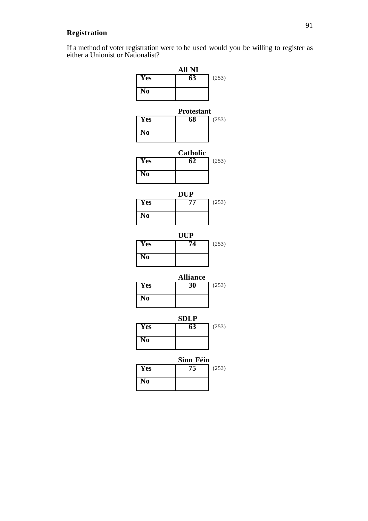## **Registration**

If a method of voter registration were to be used would you be willing to register as either a Unionist or Nationalist?

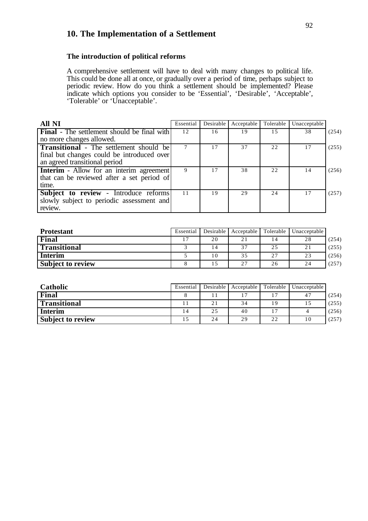# **10. The Implementation of a Settlement**

#### **The introduction of political reforms**

A comprehensive settlement will have to deal with many changes to political life. This could be done all at once, or gradually over a period of time, perhaps subject to periodic review. How do you think a settlement should be implemented? Please indicate which options you consider to be 'Essential', 'Desirable', 'Acceptable', 'Tolerable' or 'Unacceptable'.

| <b>All NI</b>                                      | Essential | Desirable | Acceptable | Tolerable | Unacceptable |       |
|----------------------------------------------------|-----------|-----------|------------|-----------|--------------|-------|
| <b>Final</b> - The settlement should be final with | 12        | 16        | 19         | 15        | 38           | (254) |
| no more changes allowed.                           |           |           |            |           |              |       |
| <b>Transitional</b> - The settlement should be     |           |           | 37         | 22        | 17           | (255) |
| final but changes could be introduced over         |           |           |            |           |              |       |
| an agreed transitional period                      |           |           |            |           |              |       |
| <b>Interim</b> - Allow for an interim agreement    |           |           | 38         | 22        | 14           | (256) |
| that can be reviewed after a set period of         |           |           |            |           |              |       |
| time.                                              |           |           |            |           |              |       |
| Subject to review - Introduce reforms              | 11        | 19        | 29         | 24        | 17           | (257) |
| slowly subject to periodic assessment and          |           |           |            |           |              |       |
| review.                                            |           |           |            |           |              |       |

| <b>Protestant</b>        | Essential |                 | Desirable Acceptable | Tolerable | Unacceptable |       |
|--------------------------|-----------|-----------------|----------------------|-----------|--------------|-------|
| Final                    | 17        | 20              | 21                   | 14        | 28           | (254) |
| Transitional             |           | l 4             | 37                   | 25        | 21           | (255) |
| <b>Interim</b>           |           | $\overline{10}$ | 35                   | 27        | 23           | (256) |
| <b>Subject to review</b> |           |                 | 27                   | 26        | 24           | (257) |

| Catholic                 | Essential | Desirable | Acceptable | Tolerable | Unacceptable |       |
|--------------------------|-----------|-----------|------------|-----------|--------------|-------|
| Final                    |           |           |            |           | $4^{\circ}$  | (254) |
| <b>Transitional</b>      |           | 21        | 34         | 19        |              | (255) |
| Interim                  | 14        | 25        | 40         | 17        |              | (256) |
| <b>Subject to review</b> |           | 24        | 29         | 22        | 10           | (257) |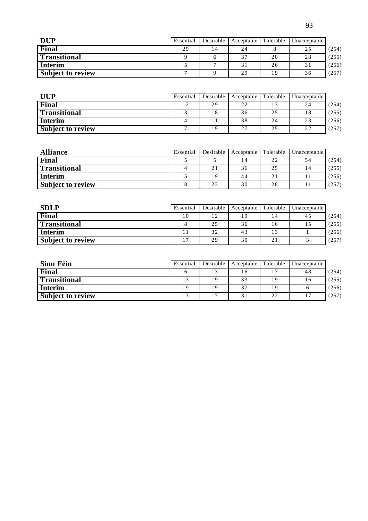| <b>DUP</b>               | Essential | Desirable | Acceptable | Tolerable | Unacceptable |       |
|--------------------------|-----------|-----------|------------|-----------|--------------|-------|
| Final                    | 29        | ا 4       | 24         |           | 25           | (254) |
| <b>Transitional</b>      |           |           | 37         | 20        | 28           | (255) |
| <b>Interim</b>           |           |           | 31         | 26        | 31           | (256) |
| <b>Subject to review</b> |           |           | 29         | 19        | 36           | (257) |

| <b>UUP</b>               | Essential | Desirable | Acceptable | Tolerable | Unacceptable |       |
|--------------------------|-----------|-----------|------------|-----------|--------------|-------|
| Final                    | 12        | 29        | 22         |           | 24           | (254) |
| <b>Transitional</b>      |           | 18        | 36         | 25        | 18           | (255) |
| <b>Interim</b>           |           |           | 38         | 24        | 23           | (256) |
| <b>Subject to review</b> |           | ۱9        | 27         | 25        | 22           | (257) |

| <b>Alliance</b>          | Essential | Desirable | Acceptable | Tolerable | Unacceptable |       |
|--------------------------|-----------|-----------|------------|-----------|--------------|-------|
| Final                    |           |           | 14         | 22        | 54           | (254) |
| <b>Transitional</b>      |           | 21        | 36         | 25        | 14           | (255) |
| <b>Interim</b>           |           | 19        | 44         | 21        |              | (256) |
| <b>Subject to review</b> |           | 23        | 30         | 28        |              | (257) |

| <b>SDLP</b>              | Essential | Desirable | Acceptable | Tolerable | Unacceptable |       |
|--------------------------|-----------|-----------|------------|-----------|--------------|-------|
| Final                    | 10        | 12        | 19         |           | 45           | (254) |
| <b>Transitional</b>      |           | 25        | 36         | 16        | 15           | (255) |
| <b>Interim</b>           |           | 32        | 43         |           |              | (256) |
| <b>Subject to review</b> | 17        | 29        | 30         | 21        |              | (257) |

| Sinn Féin                | Essential | Desirable | Acceptable     | Tolerable | Unacceptable |       |
|--------------------------|-----------|-----------|----------------|-----------|--------------|-------|
| Final                    |           | 13        |                | 17        | 48           | (254) |
| <b>Transitional</b>      | 13        | 19        | 33             | 19        | 16           | (255) |
| <b>Interim</b>           | 19        | 19        | 37             | 19        |              | (256) |
| <b>Subject to review</b> | 13        |           | 3 <sub>1</sub> | 22        |              | (257) |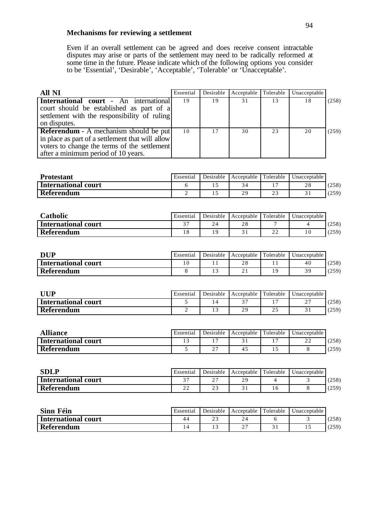#### **Mechanisms for reviewing a settlement**

Even if an overall settlement can be agreed and does receive consent intractable disputes may arise or parts of the settlement may need to be radically reformed at some time in the future. Please indicate which of the following options you consider to be 'Essential', 'Desirable', 'Acceptable', 'Tolerable' or 'Unacceptable'.

| All NI                                                                                                                                                                                   | Essential | Desirable | Acceptable Tolerable |    | Unacceptable |       |
|------------------------------------------------------------------------------------------------------------------------------------------------------------------------------------------|-----------|-----------|----------------------|----|--------------|-------|
| International court - An international<br>court should be established as part of a<br>settlement with the responsibility of ruling<br>on disputes.                                       | 19        | 19        | 31                   | 13 | 18           | (258) |
| <b>Referendum</b> - A mechanism should be put<br>in place as part of a settlement that will allow<br>voters to change the terms of the settlement<br>after a minimum period of 10 years. | 10        | 17        | 30                   | 23 | 20           | (259) |

| <b>Protestant</b>   | Essential | Desirable | Acceptable | l Tolerable  | Unacceptable |       |
|---------------------|-----------|-----------|------------|--------------|--------------|-------|
| International court |           |           |            |              | 28           | (258) |
| Referendum          |           |           | 29         | $\sim$<br>23 |              | (259) |

| <b>Catholic</b>            | Essential | Desirable | Acceptable      | Tolerable    | Unacceptable |       |
|----------------------------|-----------|-----------|-----------------|--------------|--------------|-------|
| <b>International court</b> | $\sim$    | 24        | $\cap$ C<br>2 C |              |              | (258) |
| Referendum                 |           |           |                 | $\cap$<br>∠∠ |              | (259) |

| <b>DUP</b>          | Essential | Desirable | Acceptable                    | Tolerable | Unacceptable. |       |
|---------------------|-----------|-----------|-------------------------------|-----------|---------------|-------|
| International court |           |           | $\cap$ $\Omega$<br>$\angle 0$ |           | 40            | (258) |
| <b>Referendum</b>   |           |           |                               | 1 Q       | 39            | (259) |

| <b>JUP</b>                 | Essential | Desirable | Acceptable      | <b>Tolerable</b>    | Unacceptable |       |
|----------------------------|-----------|-----------|-----------------|---------------------|--------------|-------|
| <b>International court</b> |           |           | $\sim$ $\sim$   |                     | -            | 258)  |
| Referendum                 |           |           | 2 G<br><u>.</u> | $\sim$ $\sim$<br>25 |              | (259) |

| <b>Alliance</b>            | Essential | Desirable          | Acceptable | Tolerable | Unacceptable |       |
|----------------------------|-----------|--------------------|------------|-----------|--------------|-------|
| <b>International court</b> |           |                    |            |           | ∠∠           | (258) |
| Referendum                 |           | $\sim$ $\sim$<br>∼ | 4.         |           |              | (259) |

| <b>SDLP</b>         | Essential    | Desirable          | Acceptable | Tolerable | Unacceptable |       |
|---------------------|--------------|--------------------|------------|-----------|--------------|-------|
| International court | $\sim$       | $\sim$ $\sim$<br>~ |            |           |              | (258) |
| Referendum          | $\sim$<br>∠∠ |                    |            |           |              | (259) |

| Sinn Féin                  | Essential | Desirable | Acceptable Tolerable | Unacceptable |       |
|----------------------------|-----------|-----------|----------------------|--------------|-------|
| <b>International court</b> | 44        |           | -                    |              | (258) |
| Referendum                 |           |           | -                    |              | (259) |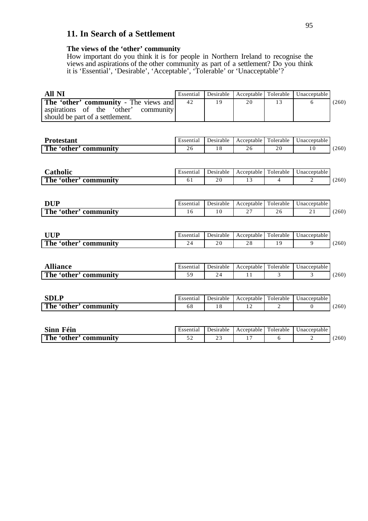## **11. In Search of a Settlement**

#### **The views of the 'other' community**

How important do you think it is for people in Northern Ireland to recognise the views and aspirations of the other community as part of a settlement? Do you think it is 'Essential', 'Desirable', 'Acceptable', 'Tolerable' or 'Unacceptable'?

| All NI                                                                                                                  | Essential | Desirable |    |    | Acceptable   Tolerable   Unacceptable |       |
|-------------------------------------------------------------------------------------------------------------------------|-----------|-----------|----|----|---------------------------------------|-------|
| <b>The 'other' community</b> - The views and<br>aspirations of the 'other' community<br>should be part of a settlement. | 42        | 19        | 20 | 13 |                                       | (260) |
|                                                                                                                         |           |           |    |    |                                       |       |

| Protestant                  | Essential | ⊅esirable | Acceptable | $\sim$<br>- 11<br>Tolerable | Jnacceptable |       |
|-----------------------------|-----------|-----------|------------|-----------------------------|--------------|-------|
| The<br>community<br>other ' | $\sim$ 0  |           | ∠∪         | 20                          | 1 C          | (260) |

| <b>Latholic</b>            | Essentia. | Desirable | Acceptable | . .<br>$\sim$ $\sim$<br>l'olerable | Jnacceptable |       |
|----------------------------|-----------|-----------|------------|------------------------------------|--------------|-------|
| The<br>community<br>'other | U J       | n r<br>∠∪ |            |                                    | -            | (260) |

| <b>DUP</b>                         | Essential | Desirable | Acceptable         | Folerable | ∪nacceptable ∣ |       |
|------------------------------------|-----------|-----------|--------------------|-----------|----------------|-------|
| The<br>community<br>other <b>s</b> | * ∼       | 0         | $\sim$ $\sim$<br>- | ∠∪        | $\sim$ 1       | (260) |

| <b>TITID</b>               | Essential | Jesirable | Acceptable             | $\mathbf{r}$<br>olerable | Jnacceptable |       |
|----------------------------|-----------|-----------|------------------------|--------------------------|--------------|-------|
| The<br>'other<br>community | ∼         | 2 V       | $\cap$ C<br>$\angle 0$ |                          |              | (260) |

| <br>liance                  | Essential | Desirable | Acceptable | m<br>Folerable | Jnacceptable |       |
|-----------------------------|-----------|-----------|------------|----------------|--------------|-------|
| The<br>community<br>'other' |           |           |            |                |              | (260) |

| <b>ART</b><br>ddli                     | Essential | Desirable | Acceptable | $\sim$ $\sim$<br>olerable | Jnacceptable |       |
|----------------------------------------|-----------|-----------|------------|---------------------------|--------------|-------|
| The<br>other <sup>.</sup><br>community | oο        |           |            | -                         |              | (260) |

| <b>Sinn</b><br>Fèin      | Essential | Desirable | Acceptable | Folerable | Unacceptable |       |
|--------------------------|-----------|-----------|------------|-----------|--------------|-------|
| The 'other'<br>community | - -       | <u>_</u>  |            |           |              | (260) |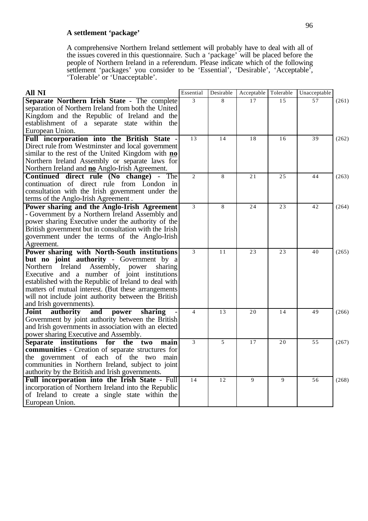### **A settlement 'package'**

A comprehensive Northern Ireland settlement will probably have to deal with all of the issues covered in this questionnaire. Such a 'package' will be placed before the people of Northern Ireland in a referendum. Please indicate which of the following settlement 'packages' you consider to be 'Essential', 'Desirable', 'Acceptable', 'Tolerable' or 'Unacceptable'.

| $\overline{3}$<br>Separate Northern Irish State - The complete<br>17<br>57<br>8<br>15<br>(261)<br>separation of Northern Ireland from both the United<br>Kingdom and the Republic of Ireland and the<br>establishment of a separate state within the<br>European Union.<br>Full incorporation into the British State -<br>13<br>39<br>14<br>18<br>16<br>(262)<br>Direct rule from Westminster and local government<br>similar to the rest of the United Kingdom with no<br>Northern Ireland Assembly or separate laws for<br>Northern Ireland and <b>no</b> Anglo-Irish Agreement.<br>Continued direct rule (No change) - The<br>$\overline{2}$<br>8<br>25<br>44<br>21<br>(263)<br>continuation of direct rule from London in<br>consultation with the Irish government under the<br>terms of the Anglo-Irish Agreement.<br>$\overline{3}$<br>Power sharing and the Anglo-Irish Agreement<br>8<br>23<br>24<br>42<br>(264)<br>- Government by a Northern Ireland Assembly and<br>power sharing Executive under the authority of the<br>British government but in consultation with the Irish<br>government under the terms of the Anglo-Irish<br>Agreement.<br>Power sharing with North-South institutions<br>$\overline{3}$<br>11<br>23<br>23<br>40<br>(265)<br>but no joint authority - Government by a | All NI                                              | Essential | Desirable | Acceptable | Tolerable | Unacceptable |  |
|----------------------------------------------------------------------------------------------------------------------------------------------------------------------------------------------------------------------------------------------------------------------------------------------------------------------------------------------------------------------------------------------------------------------------------------------------------------------------------------------------------------------------------------------------------------------------------------------------------------------------------------------------------------------------------------------------------------------------------------------------------------------------------------------------------------------------------------------------------------------------------------------------------------------------------------------------------------------------------------------------------------------------------------------------------------------------------------------------------------------------------------------------------------------------------------------------------------------------------------------------------------------------------------------------------|-----------------------------------------------------|-----------|-----------|------------|-----------|--------------|--|
|                                                                                                                                                                                                                                                                                                                                                                                                                                                                                                                                                                                                                                                                                                                                                                                                                                                                                                                                                                                                                                                                                                                                                                                                                                                                                                          |                                                     |           |           |            |           |              |  |
|                                                                                                                                                                                                                                                                                                                                                                                                                                                                                                                                                                                                                                                                                                                                                                                                                                                                                                                                                                                                                                                                                                                                                                                                                                                                                                          |                                                     |           |           |            |           |              |  |
|                                                                                                                                                                                                                                                                                                                                                                                                                                                                                                                                                                                                                                                                                                                                                                                                                                                                                                                                                                                                                                                                                                                                                                                                                                                                                                          |                                                     |           |           |            |           |              |  |
|                                                                                                                                                                                                                                                                                                                                                                                                                                                                                                                                                                                                                                                                                                                                                                                                                                                                                                                                                                                                                                                                                                                                                                                                                                                                                                          |                                                     |           |           |            |           |              |  |
|                                                                                                                                                                                                                                                                                                                                                                                                                                                                                                                                                                                                                                                                                                                                                                                                                                                                                                                                                                                                                                                                                                                                                                                                                                                                                                          |                                                     |           |           |            |           |              |  |
|                                                                                                                                                                                                                                                                                                                                                                                                                                                                                                                                                                                                                                                                                                                                                                                                                                                                                                                                                                                                                                                                                                                                                                                                                                                                                                          |                                                     |           |           |            |           |              |  |
|                                                                                                                                                                                                                                                                                                                                                                                                                                                                                                                                                                                                                                                                                                                                                                                                                                                                                                                                                                                                                                                                                                                                                                                                                                                                                                          |                                                     |           |           |            |           |              |  |
|                                                                                                                                                                                                                                                                                                                                                                                                                                                                                                                                                                                                                                                                                                                                                                                                                                                                                                                                                                                                                                                                                                                                                                                                                                                                                                          |                                                     |           |           |            |           |              |  |
|                                                                                                                                                                                                                                                                                                                                                                                                                                                                                                                                                                                                                                                                                                                                                                                                                                                                                                                                                                                                                                                                                                                                                                                                                                                                                                          |                                                     |           |           |            |           |              |  |
|                                                                                                                                                                                                                                                                                                                                                                                                                                                                                                                                                                                                                                                                                                                                                                                                                                                                                                                                                                                                                                                                                                                                                                                                                                                                                                          |                                                     |           |           |            |           |              |  |
|                                                                                                                                                                                                                                                                                                                                                                                                                                                                                                                                                                                                                                                                                                                                                                                                                                                                                                                                                                                                                                                                                                                                                                                                                                                                                                          |                                                     |           |           |            |           |              |  |
|                                                                                                                                                                                                                                                                                                                                                                                                                                                                                                                                                                                                                                                                                                                                                                                                                                                                                                                                                                                                                                                                                                                                                                                                                                                                                                          |                                                     |           |           |            |           |              |  |
|                                                                                                                                                                                                                                                                                                                                                                                                                                                                                                                                                                                                                                                                                                                                                                                                                                                                                                                                                                                                                                                                                                                                                                                                                                                                                                          |                                                     |           |           |            |           |              |  |
|                                                                                                                                                                                                                                                                                                                                                                                                                                                                                                                                                                                                                                                                                                                                                                                                                                                                                                                                                                                                                                                                                                                                                                                                                                                                                                          |                                                     |           |           |            |           |              |  |
|                                                                                                                                                                                                                                                                                                                                                                                                                                                                                                                                                                                                                                                                                                                                                                                                                                                                                                                                                                                                                                                                                                                                                                                                                                                                                                          |                                                     |           |           |            |           |              |  |
|                                                                                                                                                                                                                                                                                                                                                                                                                                                                                                                                                                                                                                                                                                                                                                                                                                                                                                                                                                                                                                                                                                                                                                                                                                                                                                          |                                                     |           |           |            |           |              |  |
|                                                                                                                                                                                                                                                                                                                                                                                                                                                                                                                                                                                                                                                                                                                                                                                                                                                                                                                                                                                                                                                                                                                                                                                                                                                                                                          |                                                     |           |           |            |           |              |  |
|                                                                                                                                                                                                                                                                                                                                                                                                                                                                                                                                                                                                                                                                                                                                                                                                                                                                                                                                                                                                                                                                                                                                                                                                                                                                                                          |                                                     |           |           |            |           |              |  |
|                                                                                                                                                                                                                                                                                                                                                                                                                                                                                                                                                                                                                                                                                                                                                                                                                                                                                                                                                                                                                                                                                                                                                                                                                                                                                                          |                                                     |           |           |            |           |              |  |
|                                                                                                                                                                                                                                                                                                                                                                                                                                                                                                                                                                                                                                                                                                                                                                                                                                                                                                                                                                                                                                                                                                                                                                                                                                                                                                          |                                                     |           |           |            |           |              |  |
|                                                                                                                                                                                                                                                                                                                                                                                                                                                                                                                                                                                                                                                                                                                                                                                                                                                                                                                                                                                                                                                                                                                                                                                                                                                                                                          |                                                     |           |           |            |           |              |  |
| Ireland<br>Assembly, power<br>Northern<br>sharing                                                                                                                                                                                                                                                                                                                                                                                                                                                                                                                                                                                                                                                                                                                                                                                                                                                                                                                                                                                                                                                                                                                                                                                                                                                        |                                                     |           |           |            |           |              |  |
| Executive and a number of joint institutions<br>established with the Republic of Ireland to deal with                                                                                                                                                                                                                                                                                                                                                                                                                                                                                                                                                                                                                                                                                                                                                                                                                                                                                                                                                                                                                                                                                                                                                                                                    |                                                     |           |           |            |           |              |  |
| matters of mutual interest. (But these arrangements                                                                                                                                                                                                                                                                                                                                                                                                                                                                                                                                                                                                                                                                                                                                                                                                                                                                                                                                                                                                                                                                                                                                                                                                                                                      |                                                     |           |           |            |           |              |  |
| will not include joint authority between the British                                                                                                                                                                                                                                                                                                                                                                                                                                                                                                                                                                                                                                                                                                                                                                                                                                                                                                                                                                                                                                                                                                                                                                                                                                                     |                                                     |           |           |            |           |              |  |
| and Irish governments).                                                                                                                                                                                                                                                                                                                                                                                                                                                                                                                                                                                                                                                                                                                                                                                                                                                                                                                                                                                                                                                                                                                                                                                                                                                                                  |                                                     |           |           |            |           |              |  |
| $\overline{4}$<br>20<br>14<br>49<br><b>Joint</b><br>13<br>authority<br>and<br>power<br>sharing<br>(266)                                                                                                                                                                                                                                                                                                                                                                                                                                                                                                                                                                                                                                                                                                                                                                                                                                                                                                                                                                                                                                                                                                                                                                                                  |                                                     |           |           |            |           |              |  |
| Government by joint authority between the British                                                                                                                                                                                                                                                                                                                                                                                                                                                                                                                                                                                                                                                                                                                                                                                                                                                                                                                                                                                                                                                                                                                                                                                                                                                        |                                                     |           |           |            |           |              |  |
| and Irish governments in association with an elected                                                                                                                                                                                                                                                                                                                                                                                                                                                                                                                                                                                                                                                                                                                                                                                                                                                                                                                                                                                                                                                                                                                                                                                                                                                     |                                                     |           |           |            |           |              |  |
| power sharing Executive and Assembly.                                                                                                                                                                                                                                                                                                                                                                                                                                                                                                                                                                                                                                                                                                                                                                                                                                                                                                                                                                                                                                                                                                                                                                                                                                                                    |                                                     |           |           |            |           |              |  |
| Separate institutions for the two<br>3<br>5<br>17<br>55<br>20<br>(267)<br>main                                                                                                                                                                                                                                                                                                                                                                                                                                                                                                                                                                                                                                                                                                                                                                                                                                                                                                                                                                                                                                                                                                                                                                                                                           |                                                     |           |           |            |           |              |  |
| communities - Creation of separate structures for                                                                                                                                                                                                                                                                                                                                                                                                                                                                                                                                                                                                                                                                                                                                                                                                                                                                                                                                                                                                                                                                                                                                                                                                                                                        |                                                     |           |           |            |           |              |  |
| the government of each of the two main                                                                                                                                                                                                                                                                                                                                                                                                                                                                                                                                                                                                                                                                                                                                                                                                                                                                                                                                                                                                                                                                                                                                                                                                                                                                   |                                                     |           |           |            |           |              |  |
| communities in Northern Ireland, subject to joint                                                                                                                                                                                                                                                                                                                                                                                                                                                                                                                                                                                                                                                                                                                                                                                                                                                                                                                                                                                                                                                                                                                                                                                                                                                        |                                                     |           |           |            |           |              |  |
| authority by the British and Irish governments.<br>14<br>12<br>9<br>9                                                                                                                                                                                                                                                                                                                                                                                                                                                                                                                                                                                                                                                                                                                                                                                                                                                                                                                                                                                                                                                                                                                                                                                                                                    | Full incorporation into the Irish State - Full      |           |           |            |           |              |  |
| 56<br>(268)                                                                                                                                                                                                                                                                                                                                                                                                                                                                                                                                                                                                                                                                                                                                                                                                                                                                                                                                                                                                                                                                                                                                                                                                                                                                                              | incorporation of Northern Ireland into the Republic |           |           |            |           |              |  |
| of Ireland to create a single state within the                                                                                                                                                                                                                                                                                                                                                                                                                                                                                                                                                                                                                                                                                                                                                                                                                                                                                                                                                                                                                                                                                                                                                                                                                                                           |                                                     |           |           |            |           |              |  |
| European Union.                                                                                                                                                                                                                                                                                                                                                                                                                                                                                                                                                                                                                                                                                                                                                                                                                                                                                                                                                                                                                                                                                                                                                                                                                                                                                          |                                                     |           |           |            |           |              |  |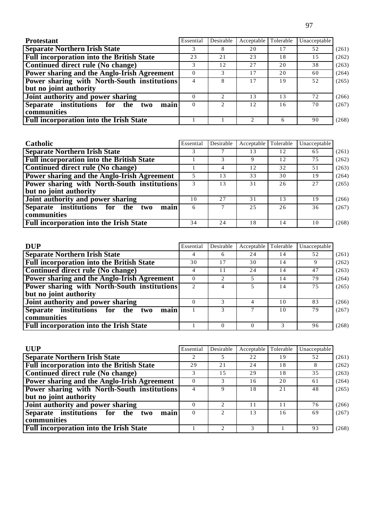| <b>Protestant</b>                                  | Essential | Desirable | Acceptable                  | Tolerable | Unacceptable |       |
|----------------------------------------------------|-----------|-----------|-----------------------------|-----------|--------------|-------|
| <b>Separate Northern Irish State</b>               |           |           | 20                          | 17        | 52           | (261) |
| <b>Full incorporation into the British State</b>   | 23        | 21        | 23                          | 18        | 15           | (262) |
| Continued direct rule (No change)                  |           | 12        | 27                          | 20        | 38           | (263) |
| <b>Power sharing and the Anglo-Irish Agreement</b> |           | 3         | 17                          | 20        | 60           | (264) |
| <b>Power sharing with North-South institutions</b> |           | 8         |                             | 19        | 52           | (265) |
| but no joint authority                             |           |           |                             |           |              |       |
| Joint authority and power sharing                  |           |           | 13                          | 13        | 72           | (266) |
| Separate institutions for the<br>main<br>two       | 0         |           | 12.                         | 16        | 70           | (267) |
| communities                                        |           |           |                             |           |              |       |
| <b>Full incorporation into the Irish State</b>     |           |           | $\mathcal{D}_{\mathcal{A}}$ | 6         | 90           | (268) |

| Catholic                                         | Essential | Desirable | Acceptable Tolerable |    | Unacceptable |       |
|--------------------------------------------------|-----------|-----------|----------------------|----|--------------|-------|
| <b>Separate Northern Irish State</b>             |           |           | 13                   | 12 | 65           | (261) |
| <b>Full incorporation into the British State</b> |           | 3         | 9                    | 12 | 75           | (262) |
| Continued direct rule (No change)                |           | 4         | 12                   | 32 | 51           | (263) |
| Power sharing and the Anglo-Irish Agreement      |           | 13        | 33                   | 30 | 19           | (264) |
| Power sharing with North-South institutions      |           | 13        | 31                   | 26 | 2.7          | (265) |
| but no joint authority                           |           |           |                      |    |              |       |
| Joint authority and power sharing                | 10        | 2.7       | 31                   | 13 | 19           | (266) |
| Separate institutions for the<br>main<br>two     | 6         | $\tau$    | 25                   | 26 | 36           | (267) |
| communities                                      |           |           |                      |    |              |       |
| <b>Full incorporation into the Irish State</b>   | 34        | 24        | 18                   | 14 | 10           | (268) |

| <b>DUP</b>                                       | Essential     | Desirable | Acceptable | Tolerable | Unacceptable |       |
|--------------------------------------------------|---------------|-----------|------------|-----------|--------------|-------|
| <b>Separate Northern Irish State</b>             |               | 6         | 24         | 14        | 52           | (261) |
| <b>Full incorporation into the British State</b> | 30            | 17        | 30         | 14        |              | (262) |
| Continued direct rule (No change)                |               |           | 24         | 14        | 47           | (263) |
| Power sharing and the Anglo-Irish Agreement      |               |           |            | 14        | 79           | (264) |
| Power sharing with North-South institutions      | $\mathcal{D}$ | 4         |            | 14        | 75           | (265) |
| but no joint authority                           |               |           |            |           |              |       |
| Joint authority and power sharing                |               |           | 4          | 10        | 83           | (266) |
| main<br>Separate institutions for the two        |               |           |            | 10        | 79           | (267) |
| communities                                      |               |           |            |           |              |       |
| <b>Full incorporation into the Irish State</b>   |               | 0         |            |           | 96           | (268) |

| <b>UUP</b>                                         | Essential | Desirable                   | Acceptable | Tolerable | Unacceptable |       |
|----------------------------------------------------|-----------|-----------------------------|------------|-----------|--------------|-------|
| <b>Separate Northern Irish State</b>               |           |                             | 22         | 19        | 52           | (261) |
| <b>Full incorporation into the British State</b>   | 29        | 21                          | 24         | 18        | 8            | (262) |
| Continued direct rule (No change)                  |           | 1.5                         | 29         | 18        | 35           | (263) |
| <b>Power sharing and the Anglo-Irish Agreement</b> | 0         | 3                           | 16         | 20        | 61           | (264) |
| Power sharing with North-South institutions        |           | Q                           | 18         | 21        | 48           | (265) |
| but no joint authority                             |           |                             |            |           |              |       |
| Joint authority and power sharing                  |           | $\mathcal{D}_{\mathcal{L}}$ | 11         | 11        | 76           | (266) |
| Separate institutions for the<br>main<br>two       |           |                             | 13         | 16        | 69           | (267) |
| communities                                        |           |                             |            |           |              |       |
| <b>Full incorporation into the Irish State</b>     |           |                             |            |           | 93           | (268) |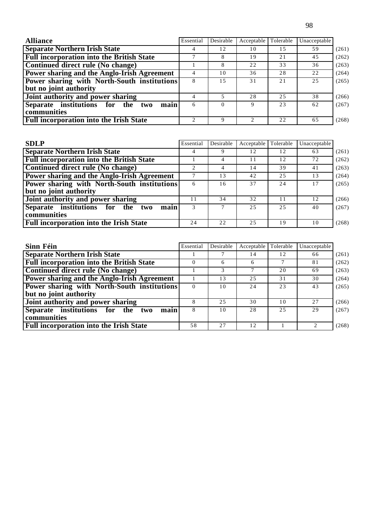| <b>Alliance</b>                                    | Essential | Desirable | Acceptable                  | Tolerable | Unacceptable |       |
|----------------------------------------------------|-----------|-----------|-----------------------------|-----------|--------------|-------|
| <b>Separate Northern Irish State</b>               |           | 12        | 10                          | 1.5       | 59           | (261) |
| <b>Full incorporation into the British State</b>   |           |           | 19                          | 21        | 45           | (262) |
| Continued direct rule (No change)                  |           | 8         | 22                          | 33        | 36           | (263) |
| Power sharing and the Anglo-Irish Agreement        |           | 10        | 36                          | 28        | 22           | (264) |
| <b>Power sharing with North-South institutions</b> | 8         | 1.5       | 31                          | 2.1       | 25           | (265) |
| but no joint authority                             |           |           |                             |           |              |       |
| Joint authority and power sharing                  |           |           | 28                          | 25        | 38           | (266) |
| Separate institutions for the<br>main<br>two       | 6         | $\Omega$  | 9                           | 23        | 62           | (267) |
| communities                                        |           |           |                             |           |              |       |
| <b>Full incorporation into the Irish State</b>     | 2         | 9         | $\mathcal{D}_{\mathcal{L}}$ | 22        | 65           | (268) |

| <b>SDLP</b>                                      | Essential | Desirable | Acceptable Tolerable |     | Unacceptable |       |
|--------------------------------------------------|-----------|-----------|----------------------|-----|--------------|-------|
| <b>Separate Northern Irish State</b>             |           |           | 12                   | 12  | 63           | (261) |
| <b>Full incorporation into the British State</b> |           | 4         | 11                   | 12  | 72           | (262) |
| Continued direct rule (No change)                |           | 4         | 14                   | 39  | 41           | (263) |
| Power sharing and the Anglo-Irish Agreement      |           | 13        | 42                   | 25  | 13           | (264) |
| Power sharing with North-South institutions      | 6         | 16        | 37                   | 24  | 17           | (265) |
| but no joint authority                           |           |           |                      |     |              |       |
| Joint authority and power sharing                | 11        | 34        | 32                   | 11  | 12           | (266) |
| Separate institutions for the<br>main<br>two     | 3         | $\tau$    | 25                   | 2.5 | 40           | (267) |
| communities                                      |           |           |                      |     |              |       |
| <b>Full incorporation into the Irish State</b>   | 24        | 22        | 25                   | 19  | 10           | (268) |

| Sinn Féin                                          | Essential | Desirable | Acceptable | Tolerable | Unacceptable |       |
|----------------------------------------------------|-----------|-----------|------------|-----------|--------------|-------|
| <b>Separate Northern Irish State</b>               |           |           | 14         | 12        | 66           | (261) |
| <b>Full incorporation into the British State</b>   |           | 6         | 6          |           | 81           | (262) |
| Continued direct rule (No change)                  |           |           |            | 20        | 69           | (263) |
| Power sharing and the Anglo-Irish Agreement        |           | 13        | 25         | 31        | 30           | (264) |
| <b>Power sharing with North-South institutions</b> | 0         | 10        | 24         | 23        | 43           | (265) |
| but no joint authority                             |           |           |            |           |              |       |
| Joint authority and power sharing                  |           | 25        | 30         | 10        | 27           | (266) |
| Separate institutions for the two<br>main          | 8         | 10        | 28         | 25        | 29           | (267) |
| communities                                        |           |           |            |           |              |       |
| <b>Full incorporation into the Irish State</b>     | 58        | 27        | 12         |           |              | (268) |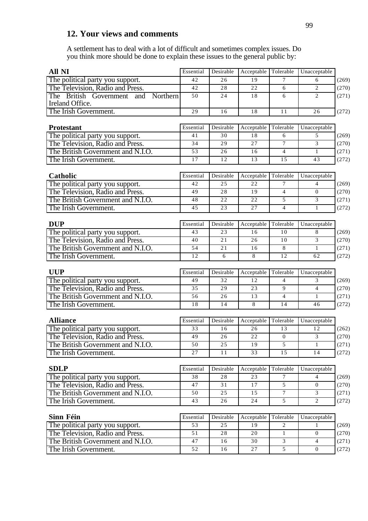## **12. Your views and comments**

A settlement has to deal with a lot of difficult and sometimes complex issues. Do you think more should be done to explain these issues to the general public by:

| <b>All NI</b>                                                         | Essential | Desirable | Acceptable       | Tolerable           | Unacceptable      |                |
|-----------------------------------------------------------------------|-----------|-----------|------------------|---------------------|-------------------|----------------|
| The political party you support.                                      | 42        | 26        | 19               | 7                   | 6                 | (269)          |
| The Television, Radio and Press.                                      | 42        | 28        | 22               | 6                   | $\overline{c}$    | (270)          |
| The British Government<br>Northern<br>and<br>Ireland Office.          | 50        | 24        | 18               | 6                   | 2                 | (271)          |
| The Irish Government.                                                 | 29        | 16        | 18               | 11                  | 26                | (272)          |
|                                                                       |           |           |                  |                     |                   |                |
| <b>Protestant</b>                                                     | Essential | Desirable | Acceptable       | Tolerable           | Unacceptable      |                |
| The political party you support.                                      | 41        | 30        | 18               | 6                   | 5                 | (269)          |
| The Television, Radio and Press.                                      | 34        | 29        | 27               | 7                   | 3                 | (270)          |
| The British Government and N.I.O.                                     | 53        | 26        | 16               | $\overline{4}$      | $\mathbf{1}$      | (271)          |
| The Irish Government.                                                 | 17        | 12        | 13               | 15                  | 43                | (272)          |
|                                                                       |           |           |                  |                     |                   |                |
| Catholic                                                              | Essential | Desirable | Acceptable<br>22 | Tolerable           | Unacceptable      |                |
| The political party you support.                                      | 42<br>49  | 25        |                  | 7                   | 4                 | (269)          |
| The Television, Radio and Press.<br>The British Government and N.I.O. | 48        | 28<br>22  | 19<br>22         | $\overline{4}$<br>5 | $\mathbf{0}$<br>3 | (270)<br>(271) |
| The Irish Government.                                                 | 45        | 23        | 27               | $\overline{4}$      | 1                 |                |
|                                                                       |           |           |                  |                     |                   | (272)          |
| <b>DUP</b>                                                            | Essential | Desirable | Acceptable       | Tolerable           | Unacceptable      |                |
| The political party you support.                                      | 43        | 23        | 16               | 10                  | 8                 | (269)          |
| The Television, Radio and Press.                                      | 40        | 21        | 26               | 10                  | 3                 | (270)          |
| The British Government and N.I.O.                                     | 54        | 21        | 16               | 8                   | 1                 | (271)          |
| The Irish Government.                                                 | 12        | 6         | 8                | 12                  | 62                | (272)          |
|                                                                       |           |           |                  |                     |                   |                |
| <b>UUP</b>                                                            | Essential | Desirable | Acceptable       | Tolerable           | Unacceptable      |                |
| The political party you support.                                      | 49        | 32        | 12               | $\overline{4}$      | 3                 | (269)          |
| The Television, Radio and Press.                                      | 35        | 29        | 23               | 9                   | $\overline{4}$    | (270)          |
| The British Government and N.I.O.                                     | 56        | 26        | 13               | $\overline{4}$      | 1                 | (271)          |
| The Irish Government.                                                 | 18        | 14        | 8                | 14                  | 46                | (272)          |
|                                                                       |           |           |                  |                     |                   |                |
| <b>Alliance</b>                                                       | Essential | Desirable | Acceptable<br>26 | Tolerable           | Unacceptable      |                |
| The political party you support.                                      | 33        | 16        |                  | 13                  | 12                | (262)          |
| The Television, Radio and Press.                                      | 49        | 26        | 22               | $\boldsymbol{0}$    | 3                 | (270)          |
| The British Government and N.I.O.                                     | 50<br>27  | 25        | 19               | 5                   | 1                 | (271)          |
| The Irish Government.                                                 |           | 11        | 33               | 15                  | 14                | (272)          |
| <b>SDLP</b>                                                           | Essential | Desirable | Acceptable       | Tolerable           | Unacceptable      |                |
| The political party you support.                                      | 38        | 28        | 23               | $\tau$              | 4                 | (269)          |
| The Television, Radio and Press.                                      | 47        | 31        | 17               | 5                   | $\overline{0}$    | (270)          |
| The British Government and N.I.O.                                     | 50        | 25        | 15               | 7                   | 3                 | (271)          |
| The Irish Government.                                                 | 43        | 26        | 24               | 5                   | 2                 | (272)          |
|                                                                       |           |           |                  |                     |                   |                |
| Sinn Féin                                                             | Essential | Desirable | Acceptable       | Tolerable           | Unacceptable      |                |
| The political party you support.                                      | 53        | 25        | 19               | 2                   | $\mathbf{1}$      | (269)          |
| The Television, Radio and Press.                                      | 51        | 28        | 20               | 1                   | $\mathbf{0}$      | (270)          |
| The British Government and N.I.O.                                     | 47        | 16        | 30               | 3                   | $\overline{4}$    | (271)          |
| The Irish Government.                                                 | 52        | 16        | 27               | $\mathfrak{S}$      | $\overline{0}$    | (272)          |